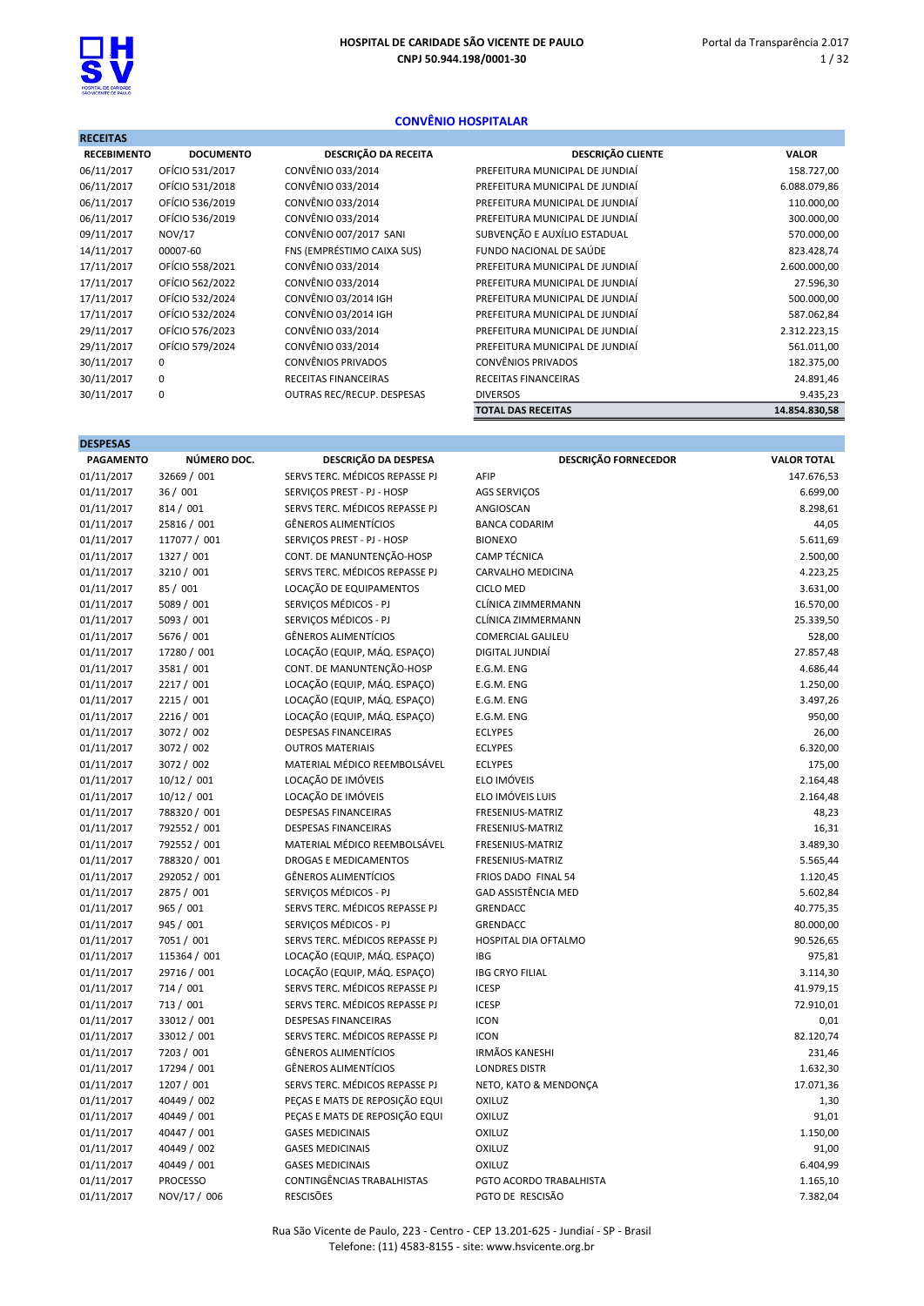

DESPESAS

## CONVÊNIO HOSPITALAR

| <b>RECEITAS</b>    |                  |                             |                                 |               |
|--------------------|------------------|-----------------------------|---------------------------------|---------------|
| <b>RECEBIMENTO</b> | <b>DOCUMENTO</b> | DESCRIÇÃO DA RECEITA        | <b>DESCRIÇÃO CLIENTE</b>        | <b>VALOR</b>  |
| 06/11/2017         | OFÍCIO 531/2017  | CONVÊNIO 033/2014           | PREFEITURA MUNICIPAL DE JUNDIAÍ | 158.727,00    |
| 06/11/2017         | OFÍCIO 531/2018  | CONVÊNIO 033/2014           | PREFEITURA MUNICIPAL DE JUNDIAÍ | 6.088.079,86  |
| 06/11/2017         | OFÍCIO 536/2019  | CONVÊNIO 033/2014           | PREFEITURA MUNICIPAL DE JUNDIAÍ | 110.000,00    |
| 06/11/2017         | OFÍCIO 536/2019  | CONVÊNIO 033/2014           | PREFEITURA MUNICIPAL DE JUNDIAÍ | 300.000,00    |
| 09/11/2017         | NOV/17           | CONVÊNIO 007/2017 SANI      | SUBVENÇÃO E AUXÍLIO ESTADUAL    | 570.000,00    |
| 14/11/2017         | 00007-60         | FNS (EMPRÉSTIMO CAIXA SUS)  | FUNDO NACIONAL DE SAÚDE         | 823.428,74    |
| 17/11/2017         | OFÍCIO 558/2021  | CONVÊNIO 033/2014           | PREFEITURA MUNICIPAL DE JUNDIAÍ | 2.600.000,00  |
| 17/11/2017         | OFÍCIO 562/2022  | CONVÊNIO 033/2014           | PREFEITURA MUNICIPAL DE JUNDIAÍ | 27.596,30     |
| 17/11/2017         | OFÍCIO 532/2024  | CONVÊNIO 03/2014 IGH        | PREFEITURA MUNICIPAL DE JUNDIAÍ | 500.000,00    |
| 17/11/2017         | OFÍCIO 532/2024  | CONVÊNIO 03/2014 IGH        | PREFEITURA MUNICIPAL DE JUNDIAÍ | 587.062,84    |
| 29/11/2017         | OFÍCIO 576/2023  | CONVÊNIO 033/2014           | PREFEITURA MUNICIPAL DE JUNDIAÍ | 2.312.223,15  |
| 29/11/2017         | OFÍCIO 579/2024  | CONVÊNIO 033/2014           | PREFEITURA MUNICIPAL DE JUNDIAÍ | 561.011,00    |
| 30/11/2017         | 0                | <b>CONVÊNIOS PRIVADOS</b>   | <b>CONVÊNIOS PRIVADOS</b>       | 182.375,00    |
| 30/11/2017         | 0                | <b>RECEITAS FINANCEIRAS</b> | RECEITAS FINANCEIRAS            | 24.891,46     |
| 30/11/2017         | 0                | OUTRAS REC/RECUP. DESPESAS  | <b>DIVERSOS</b>                 | 9.435,23      |
|                    |                  |                             | <b>TOTAL DAS RECEITAS</b>       | 14.854.830,58 |
|                    |                  |                             |                                 |               |

| <b>PAGAMENTO</b> | NÚMERO DOC.     | DESCRIÇÃO DA DESPESA           | DESCRIÇÃO FORNECEDOR       | <b>VALOR TOTAL</b> |
|------------------|-----------------|--------------------------------|----------------------------|--------------------|
| 01/11/2017       | 32669 / 001     | SERVS TERC. MÉDICOS REPASSE PJ | AFIP                       | 147.676,53         |
| 01/11/2017       | 36/001          | SERVICOS PREST - PJ - HOSP     | <b>AGS SERVIÇOS</b>        | 6.699,00           |
| 01/11/2017       | 814 / 001       | SERVS TERC. MÉDICOS REPASSE PJ | ANGIOSCAN                  | 8.298,61           |
| 01/11/2017       | 25816 / 001     | <b>GÊNEROS ALIMENTÍCIOS</b>    | <b>BANCA CODARIM</b>       | 44,05              |
| 01/11/2017       | 117077 / 001    | SERVICOS PREST - PJ - HOSP     | <b>BIONEXO</b>             | 5.611,69           |
| 01/11/2017       | 1327 / 001      | CONT. DE MANUNTENÇÃO-HOSP      | <b>CAMP TÉCNICA</b>        | 2.500,00           |
| 01/11/2017       | 3210 / 001      | SERVS TERC. MÉDICOS REPASSE PJ | CARVALHO MEDICINA          | 4.223,25           |
| 01/11/2017       | 85 / 001        | LOCAÇÃO DE EQUIPAMENTOS        | <b>CICLO MED</b>           | 3.631,00           |
| 01/11/2017       | 5089 / 001      | SERVIÇOS MÉDICOS - PJ          | CLÍNICA ZIMMERMANN         | 16.570,00          |
| 01/11/2017       | 5093 / 001      | SERVIÇOS MÉDICOS - PJ          | CLÍNICA ZIMMERMANN         | 25.339,50          |
| 01/11/2017       | 5676 / 001      | <b>GÊNEROS ALIMENTÍCIOS</b>    | COMERCIAL GALILEU          | 528,00             |
| 01/11/2017       | 17280 / 001     | LOCAÇÃO (EQUIP, MÁQ. ESPAÇO)   | DIGITAL JUNDIAÍ            | 27.857,48          |
| 01/11/2017       | 3581 / 001      | CONT. DE MANUNTENÇÃO-HOSP      | E.G.M. ENG                 | 4.686,44           |
| 01/11/2017       | 2217 / 001      | LOCAÇÃO (EQUIP, MÁQ. ESPAÇO)   | E.G.M. ENG                 | 1.250,00           |
| 01/11/2017       | 2215 / 001      | LOCAÇÃO (EQUIP, MÁQ. ESPAÇO)   | E.G.M. ENG                 | 3.497,26           |
| 01/11/2017       | 2216 / 001      | LOCAÇÃO (EQUIP, MÁQ. ESPAÇO)   | E.G.M. ENG                 | 950,00             |
| 01/11/2017       | 3072 / 002      | <b>DESPESAS FINANCEIRAS</b>    | <b>ECLYPES</b>             | 26,00              |
| 01/11/2017       | 3072 / 002      | <b>OUTROS MATERIAIS</b>        | <b>ECLYPES</b>             | 6.320,00           |
| 01/11/2017       | 3072 / 002      | MATERIAL MÉDICO REEMBOLSÁVEL   | <b>ECLYPES</b>             | 175,00             |
| 01/11/2017       | 10/12 / 001     | LOCAÇÃO DE IMÓVEIS             | ELO IMÓVEIS                | 2.164,48           |
| 01/11/2017       | 10/12 / 001     | LOCAÇÃO DE IMÓVEIS             | ELO IMÓVEIS LUIS           | 2.164,48           |
| 01/11/2017       | 788320 / 001    | <b>DESPESAS FINANCEIRAS</b>    | FRESENIUS-MATRIZ           | 48,23              |
| 01/11/2017       | 792552 / 001    | <b>DESPESAS FINANCEIRAS</b>    | FRESENIUS-MATRIZ           | 16,31              |
| 01/11/2017       | 792552 / 001    | MATERIAL MÉDICO REEMBOLSÁVEL   | FRESENIUS-MATRIZ           | 3.489,30           |
| 01/11/2017       | 788320 / 001    | <b>DROGAS E MEDICAMENTOS</b>   | FRESENIUS-MATRIZ           | 5.565,44           |
| 01/11/2017       | 292052 / 001    | <b>GÊNEROS ALIMENTÍCIOS</b>    | FRIOS DADO FINAL 54        | 1.120,45           |
| 01/11/2017       | 2875 / 001      | SERVIÇOS MÉDICOS - PJ          | <b>GAD ASSISTÊNCIA MED</b> | 5.602,84           |
| 01/11/2017       | 965 / 001       | SERVS TERC. MÉDICOS REPASSE PJ | <b>GRENDACC</b>            | 40.775,35          |
| 01/11/2017       | 945 / 001       | SERVIÇOS MÉDICOS - PJ          | <b>GRENDACC</b>            | 80.000,00          |
| 01/11/2017       | 7051 / 001      | SERVS TERC. MÉDICOS REPASSE PJ | HOSPITAL DIA OFTALMO       | 90.526,65          |
| 01/11/2017       | 115364 / 001    | LOCAÇÃO (EQUIP, MÁQ. ESPAÇO)   | <b>IBG</b>                 | 975,81             |
| 01/11/2017       | 29716 / 001     | LOCAÇÃO (EQUIP, MÁQ. ESPAÇO)   | <b>IBG CRYO FILIAL</b>     | 3.114,30           |
| 01/11/2017       | 714 / 001       | SERVS TERC. MÉDICOS REPASSE PJ | <b>ICESP</b>               | 41.979,15          |
| 01/11/2017       | 713 / 001       | SERVS TERC. MÉDICOS REPASSE PJ | <b>ICESP</b>               | 72.910,01          |
| 01/11/2017       | 33012 / 001     | <b>DESPESAS FINANCEIRAS</b>    | <b>ICON</b>                | 0,01               |
| 01/11/2017       | 33012 / 001     | SERVS TERC. MÉDICOS REPASSE PJ | <b>ICON</b>                | 82.120,74          |
| 01/11/2017       | 7203 / 001      | <b>GÊNEROS ALIMENTÍCIOS</b>    | <b>IRMÃOS KANESHI</b>      | 231,46             |
| 01/11/2017       | 17294 / 001     | <b>GÊNEROS ALIMENTÍCIOS</b>    | <b>LONDRES DISTR</b>       | 1.632,30           |
| 01/11/2017       | 1207 / 001      | SERVS TERC. MÉDICOS REPASSE PJ | NETO, KATO & MENDONÇA      | 17.071,36          |
| 01/11/2017       | 40449 / 002     | PEÇAS E MATS DE REPOSIÇÃO EQUI | OXILUZ                     | 1,30               |
| 01/11/2017       | 40449 / 001     | PEÇAS E MATS DE REPOSIÇÃO EQUI | OXILUZ                     | 91,01              |
| 01/11/2017       | 40447 / 001     | <b>GASES MEDICINAIS</b>        | OXILUZ                     | 1.150,00           |
| 01/11/2017       | 40449 / 002     | <b>GASES MEDICINAIS</b>        | OXILUZ                     | 91,00              |
| 01/11/2017       | 40449 / 001     | <b>GASES MEDICINAIS</b>        | <b>OXILUZ</b>              | 6.404,99           |
| 01/11/2017       | <b>PROCESSO</b> | CONTINGÊNCIAS TRABALHISTAS     | PGTO ACORDO TRABALHISTA    | 1.165,10           |
| 01/11/2017       | NOV/17 / 006    | <b>RESCISÕES</b>               | PGTO DE RESCISÃO           | 7.382,04           |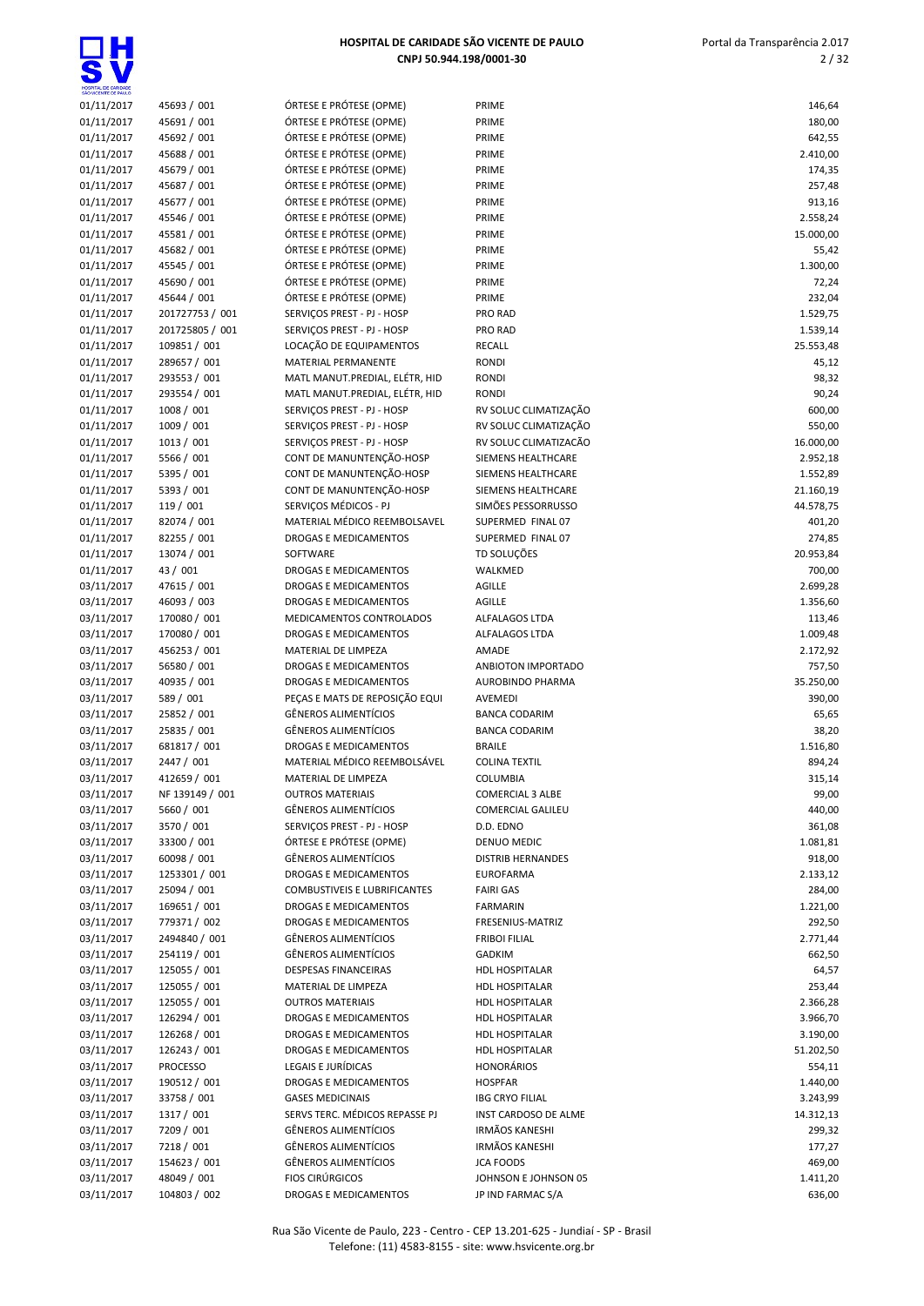| SÃO VICENTE DE PAULO     |                            |                                                          |                                       |                  |
|--------------------------|----------------------------|----------------------------------------------------------|---------------------------------------|------------------|
| 01/11/2017               | 45693 / 001                | ÓRTESE E PRÓTESE (OPME)                                  | PRIME                                 | 146,64           |
| 01/11/2017               | 45691 / 001                | ÓRTESE E PRÓTESE (OPME)                                  | PRIME                                 | 180,00           |
| 01/11/2017               | 45692 / 001                | ÓRTESE E PRÓTESE (OPME)                                  | PRIME                                 | 642,55           |
| 01/11/2017               | 45688 / 001                | ÓRTESE E PRÓTESE (OPME)                                  | PRIME                                 | 2.410,00         |
| 01/11/2017               | 45679 / 001                | ÓRTESE E PRÓTESE (OPME)                                  | PRIME                                 | 174,35           |
| 01/11/2017               | 45687 / 001                | ÓRTESE E PRÓTESE (OPME)                                  | PRIME                                 | 257,48           |
| 01/11/2017               | 45677 / 001                | ÓRTESE E PRÓTESE (OPME)                                  | PRIME                                 | 913,16           |
| 01/11/2017               | 45546 / 001                | ÓRTESE E PRÓTESE (OPME)                                  | PRIME                                 | 2.558,24         |
| 01/11/2017               | 45581 / 001                | ÓRTESE E PRÓTESE (OPME)                                  | PRIME                                 | 15.000,00        |
| 01/11/2017               | 45682 / 001                | ÓRTESE E PRÓTESE (OPME)                                  | PRIME                                 | 55,42            |
| 01/11/2017               | 45545 / 001                | ÓRTESE E PRÓTESE (OPME)                                  | PRIME                                 | 1.300,00         |
| 01/11/2017               | 45690 / 001                | ÓRTESE E PRÓTESE (OPME)                                  | PRIME                                 | 72,24            |
| 01/11/2017               | 45644 / 001                | ÓRTESE E PRÓTESE (OPME)                                  | PRIME                                 | 232,04           |
| 01/11/2017               | 201727753 / 001            | SERVIÇOS PREST - PJ - HOSP                               | PRO RAD                               | 1.529,75         |
| 01/11/2017               | 201725805 / 001            | SERVIÇOS PREST - PJ - HOSP                               | PRO RAD                               | 1.539,14         |
| 01/11/2017               | 109851 / 001               | LOCAÇÃO DE EQUIPAMENTOS                                  | <b>RECALL</b>                         | 25.553,48        |
| 01/11/2017               | 289657 / 001               | MATERIAL PERMANENTE                                      | <b>RONDI</b>                          | 45,12            |
| 01/11/2017               | 293553 / 001               | MATL MANUT.PREDIAL, ELÉTR, HID                           | <b>RONDI</b>                          | 98,32            |
| 01/11/2017               | 293554 / 001<br>1008 / 001 | MATL MANUT.PREDIAL, ELÉTR, HID                           | <b>RONDI</b><br>RV SOLUC CLIMATIZAÇÃO | 90,24            |
| 01/11/2017               | 1009 / 001                 | SERVIÇOS PREST - PJ - HOSP<br>SERVIÇOS PREST - PJ - HOSP | RV SOLUC CLIMATIZAÇÃO                 | 600,00<br>550,00 |
| 01/11/2017               | 1013 / 001                 | SERVIÇOS PREST - PJ - HOSP                               | RV SOLUC CLIMATIZACÃO                 | 16.000,00        |
| 01/11/2017<br>01/11/2017 | 5566 / 001                 | CONT DE MANUNTENÇÃO-HOSP                                 | SIEMENS HEALTHCARE                    | 2.952,18         |
| 01/11/2017               | 5395 / 001                 | CONT DE MANUNTENÇÃO-HOSP                                 | SIEMENS HEALTHCARE                    | 1.552,89         |
| 01/11/2017               | 5393 / 001                 | CONT DE MANUNTENÇÃO-HOSP                                 | SIEMENS HEALTHCARE                    | 21.160,19        |
| 01/11/2017               | 119 / 001                  | SERVIÇOS MÉDICOS - PJ                                    | SIMÕES PESSORRUSSO                    | 44.578,75        |
| 01/11/2017               | 82074 / 001                | MATERIAL MÉDICO REEMBOLSAVEL                             | SUPERMED FINAL 07                     | 401,20           |
| 01/11/2017               | 82255 / 001                | DROGAS E MEDICAMENTOS                                    | SUPERMED FINAL 07                     | 274,85           |
| 01/11/2017               | 13074 / 001                | SOFTWARE                                                 | TD SOLUÇÕES                           | 20.953,84        |
| 01/11/2017               | 43 / 001                   | <b>DROGAS E MEDICAMENTOS</b>                             | WALKMED                               | 700,00           |
| 03/11/2017               | 47615 / 001                | DROGAS E MEDICAMENTOS                                    | <b>AGILLE</b>                         | 2.699,28         |
| 03/11/2017               | 46093 / 003                | DROGAS E MEDICAMENTOS                                    | <b>AGILLE</b>                         | 1.356,60         |
| 03/11/2017               | 170080 / 001               | MEDICAMENTOS CONTROLADOS                                 | ALFALAGOS LTDA                        | 113,46           |
| 03/11/2017               | 170080 / 001               | <b>DROGAS E MEDICAMENTOS</b>                             | ALFALAGOS LTDA                        | 1.009,48         |
| 03/11/2017               | 456253 / 001               | MATERIAL DE LIMPEZA                                      | AMADE                                 | 2.172,92         |
| 03/11/2017               | 56580 / 001                | DROGAS E MEDICAMENTOS                                    | ANBIOTON IMPORTADO                    | 757,50           |
| 03/11/2017               | 40935 / 001                | <b>DROGAS E MEDICAMENTOS</b>                             | <b>AUROBINDO PHARMA</b>               | 35.250,00        |
| 03/11/2017               | 589 / 001                  | PEÇAS E MATS DE REPOSIÇÃO EQUI                           | AVEMEDI                               | 390,00           |
| 03/11/2017               | 25852 / 001                | <b>GÊNEROS ALIMENTÍCIOS</b>                              | <b>BANCA CODARIM</b>                  | 65,65            |
| 03/11/2017               | 25835 / 001                | <b>GÊNEROS ALIMENTÍCIOS</b>                              | <b>BANCA CODARIM</b>                  | 38,20            |
| 03/11/2017               | 681817 / 001               | <b>DROGAS E MEDICAMENTOS</b>                             | <b>BRAILE</b>                         | 1.516,80         |
| 03/11/2017               | 2447 / 001                 | MATERIAL MÉDICO REEMBOLSÁVEL                             | <b>COLINA TEXTIL</b>                  | 894,24           |
| 03/11/2017               | 412659 / 001               | MATERIAL DE LIMPEZA                                      | COLUMBIA                              | 315,14           |
| 03/11/2017               | NF 139149 / 001            | <b>OUTROS MATERIAIS</b>                                  | <b>COMERCIAL 3 ALBE</b>               | 99,00            |
| 03/11/2017               | 5660 / 001                 | <b>GÊNEROS ALIMENTÍCIOS</b>                              | <b>COMERCIAL GALILEU</b>              | 440,00           |
| 03/11/2017               | 3570 / 001                 | SERVIÇOS PREST - PJ - HOSP                               | D.D. EDNO                             | 361,08           |
| 03/11/2017               | 33300 / 001                | ÓRTESE E PRÓTESE (OPME)                                  | DENUO MEDIC                           | 1.081,81         |
| 03/11/2017               | 60098 / 001                | <b>GÊNEROS ALIMENTÍCIOS</b>                              | <b>DISTRIB HERNANDES</b>              | 918,00           |
| 03/11/2017               | 1253301 / 001              | DROGAS E MEDICAMENTOS                                    | <b>EUROFARMA</b>                      | 2.133,12         |
| 03/11/2017               | 25094 / 001                | <b>COMBUSTIVEIS E LUBRIFICANTES</b>                      | <b>FAIRI GAS</b>                      | 284,00           |
| 03/11/2017               | 169651 / 001               | <b>DROGAS E MEDICAMENTOS</b>                             | <b>FARMARIN</b>                       | 1.221,00         |
| 03/11/2017               | 779371 / 002               | DROGAS E MEDICAMENTOS                                    | FRESENIUS-MATRIZ                      | 292,50           |
| 03/11/2017               | 2494840 / 001              | <b>GÊNEROS ALIMENTÍCIOS</b>                              | <b>FRIBOI FILIAL</b>                  | 2.771,44         |
| 03/11/2017               | 254119 / 001               | <b>GÊNEROS ALIMENTÍCIOS</b>                              | <b>GADKIM</b>                         | 662,50           |
| 03/11/2017               | 125055 / 001               | <b>DESPESAS FINANCEIRAS</b>                              | <b>HDL HOSPITALAR</b>                 | 64,57            |
| 03/11/2017               | 125055 / 001               | MATERIAL DE LIMPEZA                                      | HDL HOSPITALAR                        | 253,44           |
| 03/11/2017               | 125055 / 001               | <b>OUTROS MATERIAIS</b>                                  | HDL HOSPITALAR                        | 2.366,28         |
| 03/11/2017               | 126294 / 001               | DROGAS E MEDICAMENTOS                                    | HDL HOSPITALAR                        | 3.966,70         |
| 03/11/2017               | 126268 / 001               | DROGAS E MEDICAMENTOS                                    | HDL HOSPITALAR                        | 3.190,00         |
| 03/11/2017               | 126243 / 001               | DROGAS E MEDICAMENTOS                                    | HDL HOSPITALAR                        | 51.202,50        |
| 03/11/2017               | <b>PROCESSO</b>            | LEGAIS E JURÍDICAS                                       | <b>HONORÁRIOS</b>                     | 554,11           |
| 03/11/2017               | 190512 / 001               | DROGAS E MEDICAMENTOS                                    | <b>HOSPFAR</b>                        | 1.440,00         |
| 03/11/2017               | 33758 / 001                | <b>GASES MEDICINAIS</b>                                  | <b>IBG CRYO FILIAL</b>                | 3.243,99         |
| 03/11/2017               | 1317 / 001                 | SERVS TERC. MÉDICOS REPASSE PJ                           | INST CARDOSO DE ALME                  | 14.312,13        |
| 03/11/2017               | 7209 / 001                 | <b>GÊNEROS ALIMENTÍCIOS</b>                              | <b>IRMÃOS KANESHI</b>                 | 299,32           |
| 03/11/2017               | 7218 / 001                 | <b>GÊNEROS ALIMENTÍCIOS</b>                              | <b>IRMÃOS KANESHI</b>                 | 177,27           |
| 03/11/2017               | 154623 / 001               | <b>GÊNEROS ALIMENTÍCIOS</b>                              | <b>JCA FOODS</b>                      | 469,00           |
| 03/11/2017               | 48049 / 001                | <b>FIOS CIRÚRGICOS</b>                                   | JOHNSON E JOHNSON 05                  | 1.411,20         |
| 03/11/2017               | 104803 / 002               | DROGAS E MEDICAMENTOS                                    | JP IND FARMAC S/A                     | 636,00           |

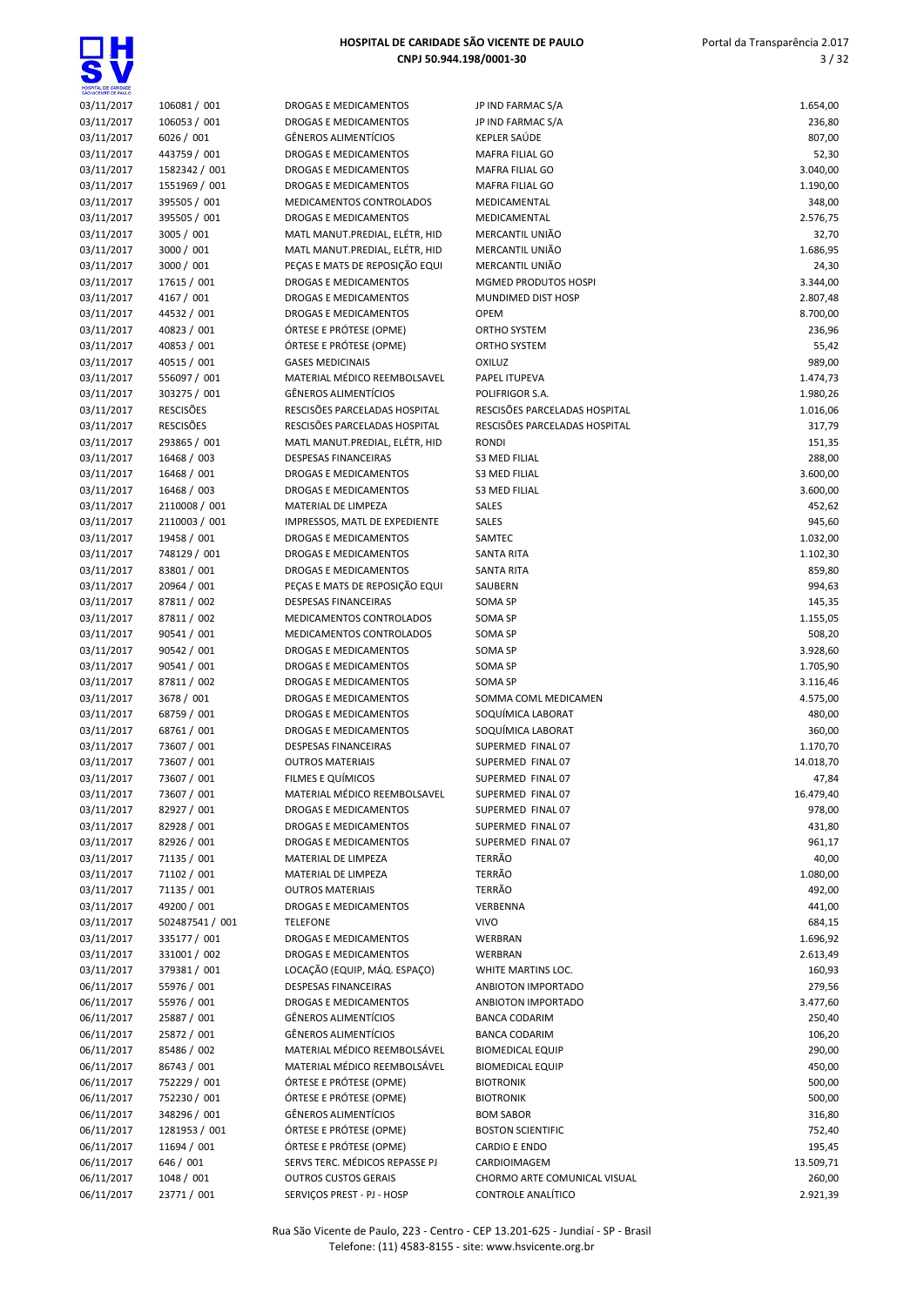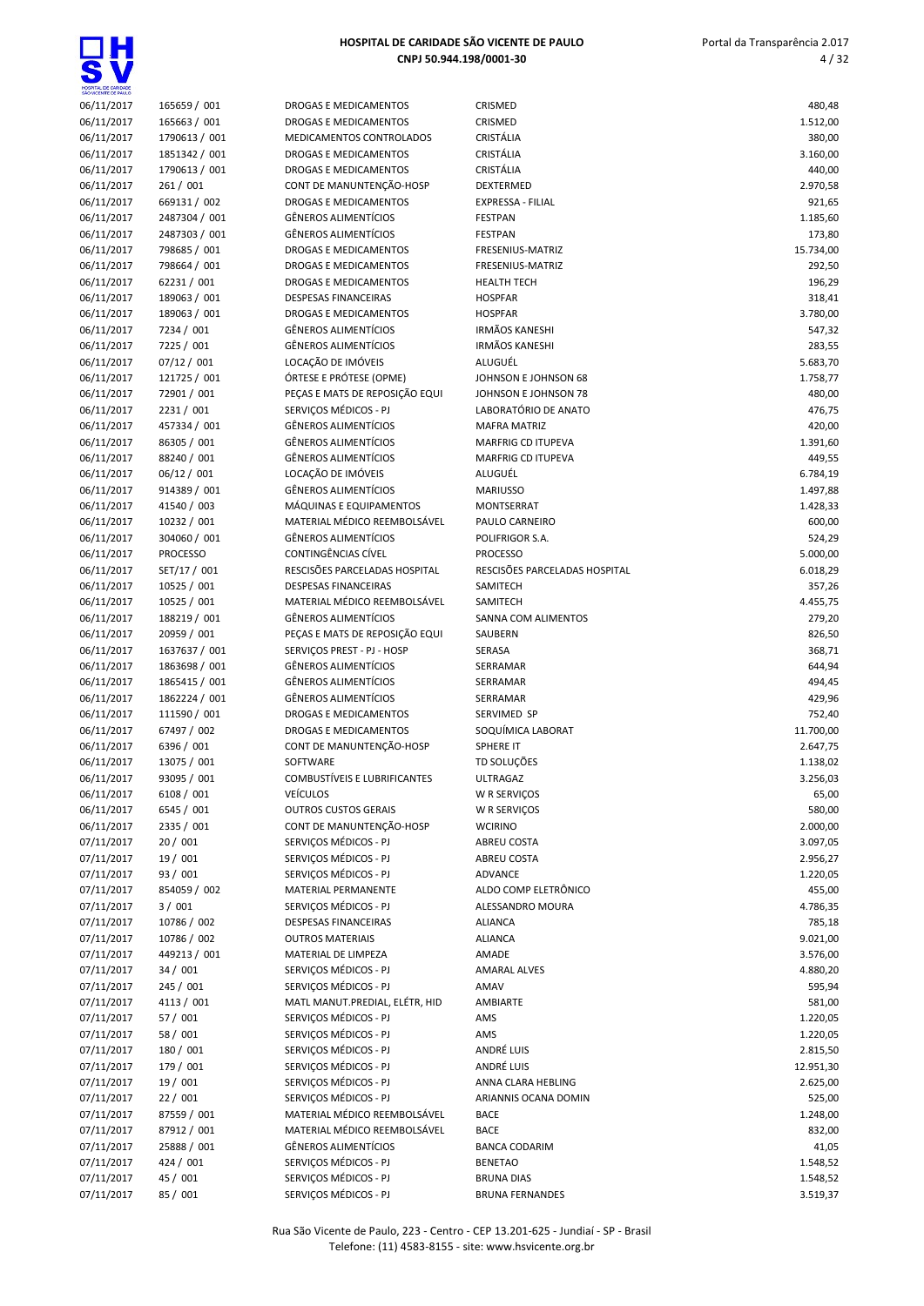

| DAD ACENTE OE ENTER |                 |                 |
|---------------------|-----------------|-----------------|
| 06/11/2017          | 165659 / 001    | DR              |
| 06/11/2017          | 165663 / 001    | DR              |
| 06/11/2017          | 1790613 / 001   | ME              |
| 06/11/2017          | 1851342 / 001   | DR              |
|                     |                 |                 |
| 06/11/2017          | 1790613 / 001   | DR              |
| 06/11/2017          | 261 / 001       | CO              |
| 06/11/2017          | 669131 / 002    | DR              |
| 06/11/2017          | 2487304 / 001   | GÊ              |
| 06/11/2017          | 2487303 / 001   | GÊ              |
| 06/11/2017          | 798685 / 001    | DR              |
| 06/11/2017          | 798664 / 001    | DR              |
| 06/11/2017          | 62231 / 001     | DR              |
| 06/11/2017          | 189063 / 001    | DE:             |
| 06/11/2017          | 189063 / 001    | DR              |
| 06/11/2017          | 7234 / 001      | GÊ              |
|                     |                 |                 |
| 06/11/2017          | 7225 / 001      | GÊ              |
| 06/11/2017          | 07/12 / 001     | LO              |
| 06/11/2017          | 121725 / 001    | ÓR              |
| 06/11/2017          | 72901 / 001     | PE <sub>(</sub> |
| 06/11/2017          | 2231 / 001      | <b>SEF</b>      |
| 06/11/2017          | 457334 / 001    | GÊ              |
| 06/11/2017          | 86305 / 001     | GÊ              |
| 06/11/2017          | 88240 / 001     | GÊ              |
| 06/11/2017          | 06/12 / 001     | LO <sub>I</sub> |
| 06/11/2017          | 914389 / 001    | GÊ              |
| 06/11/2017          | 41540 / 003     | MÁ              |
| 06/11/2017          |                 | MA              |
|                     | 10232 / 001     |                 |
| 06/11/2017          | 304060 / 001    | GÊ              |
| 06/11/2017          | <b>PROCESSO</b> | CO              |
| 06/11/2017          | SET/17 / 001    | RES             |
| 06/11/2017          | 10525 / 001     | DE:             |
| 06/11/2017          | 10525 / 001     | MA              |
| 06/11/2017          | 188219 / 001    | GÊ              |
| 06/11/2017          | 20959 / 001     | PE              |
| 06/11/2017          | 1637637 / 001   | <b>SEF</b>      |
| 06/11/2017          | 1863698 / 001   | GÊ              |
| 06/11/2017          | 1865415 / 001   | GÊ              |
|                     |                 | GÊ              |
| 06/11/2017          | 1862224 / 001   |                 |
| 06/11/2017          | 111590 / 001    | DR              |
| 06/11/2017          | 67497 / 002     | DR              |
| 06/11/2017          | 6396 / 001      | CO              |
| 06/11/2017          | 13075 / 001     | SO              |
| 06/11/2017          | 93095 / 001     | CO              |
| 06/11/2017          | 6108 / 001      | VEI             |
| 06/11/2017          | 6545 / 001      | ΟU              |
| 06/11/2017          | 2335 / 001      | CO              |
| 07/11/2017          | 20 / 001        | SEF             |
| 07/11/2017          | 19 / 001        | SEF             |
| 07/11/2017          | 93 / 001        | SEF             |
|                     |                 |                 |
| 07/11/2017          | 854059 / 002    | MA              |
| 07/11/2017          | 3/001           | SEF             |
| 07/11/2017          | 10786 / 002     | DE:             |
| 07/11/2017          | 10786 / 002     | OU              |
| 07/11/2017          | 449213 / 001    | MA              |
| 07/11/2017          | 34 / 001        | SEF             |
| 07/11/2017          | 245 / 001       | SEF             |
| 07/11/2017          | 4113 / 001      | MA              |
| 07/11/2017          | 57 / 001        | <b>SEF</b>      |
| 07/11/2017          | 58 / 001        | SEF             |
| 07/11/2017          | 180 / 001       | SEF             |
|                     |                 |                 |
| 07/11/2017          | 179 / 001       | <b>SEF</b>      |
| 07/11/2017          | 19 / 001        | SEF             |
| 07/11/2017          | 22 / 001        | SEF             |
| 07/11/2017          | 87559 / 001     | MA              |
| 07/11/2017          | 87912 / 001     | MA              |
| 07/11/2017          | 25888 / 001     | GÊ              |
| 07/11/2017          | 424 / 001       | SEF             |
| 07/11/2017          | 45 / 001        | SEF             |
| 07/11/2017          | 85 / 001        | SEF             |

| 06/11/2017               | 165659 / 001    | DROGAS E MEDICAMENTOS               | CRISMED                       | 480,48          |
|--------------------------|-----------------|-------------------------------------|-------------------------------|-----------------|
| 06/11/2017               | 165663 / 001    | DROGAS E MEDICAMENTOS               | CRISMED                       | 1.512,00        |
| 06/11/2017               | 1790613 / 001   | MEDICAMENTOS CONTROLADOS            | CRISTÁLIA                     | 380,00          |
| 06/11/2017               | 1851342 / 001   | DROGAS E MEDICAMENTOS               | CRISTÁLIA                     | 3.160,00        |
| 06/11/2017               | 1790613 / 001   | DROGAS E MEDICAMENTOS               | CRISTÁLIA                     | 440,00          |
| 06/11/2017               | 261 / 001       | CONT DE MANUNTENÇÃO-HOSP            | DEXTERMED                     | 2.970,58        |
| 06/11/2017               | 669131 / 002    | DROGAS E MEDICAMENTOS               | EXPRESSA - FILIAL             | 921,65          |
| 06/11/2017               | 2487304 / 001   | GÊNEROS ALIMENTÍCIOS                | <b>FESTPAN</b>                | 1.185,60        |
| 06/11/2017               | 2487303 / 001   | GÊNEROS ALIMENTÍCIOS                | <b>FESTPAN</b>                | 173,80          |
| 06/11/2017               | 798685 / 001    | <b>DROGAS E MEDICAMENTOS</b>        | FRESENIUS-MATRIZ              | 15.734,00       |
| 06/11/2017               | 798664 / 001    | DROGAS E MEDICAMENTOS               | FRESENIUS-MATRIZ              | 292,50          |
| 06/11/2017               | 62231 / 001     | DROGAS E MEDICAMENTOS               | <b>HEALTH TECH</b>            | 196,29          |
| 06/11/2017               | 189063 / 001    | <b>DESPESAS FINANCEIRAS</b>         | <b>HOSPFAR</b>                | 318,41          |
| 06/11/2017               | 189063 / 001    | DROGAS E MEDICAMENTOS               | <b>HOSPFAR</b>                | 3.780,00        |
| 06/11/2017               | 7234 / 001      | GÊNEROS ALIMENTÍCIOS                | <b>IRMÃOS KANESHI</b>         | 547,32          |
| 06/11/2017               | 7225 / 001      | GÊNEROS ALIMENTÍCIOS                | <b>IRMÃOS KANESHI</b>         | 283,55          |
| 06/11/2017               | 07/12 / 001     | LOCAÇÃO DE IMÓVEIS                  | ALUGUÉL                       | 5.683,70        |
| 06/11/2017               | 121725 / 001    | ÓRTESE E PRÓTESE (OPME)             | JOHNSON E JOHNSON 68          | 1.758,77        |
| 06/11/2017               | 72901 / 001     | PEÇAS E MATS DE REPOSIÇÃO EQUI      | JOHNSON E JOHNSON 78          | 480,00          |
| 06/11/2017               | 2231 / 001      | SERVIÇOS MÉDICOS - PJ               | LABORATÓRIO DE ANATO          | 476,75          |
| 06/11/2017               | 457334 / 001    | <b>GÊNEROS ALIMENTÍCIOS</b>         | <b>MAFRA MATRIZ</b>           | 420,00          |
| 06/11/2017               | 86305 / 001     | <b>GÊNEROS ALIMENTÍCIOS</b>         | MARFRIG CD ITUPEVA            | 1.391,60        |
| 06/11/2017               | 88240 / 001     | GÊNEROS ALIMENTÍCIOS                | MARFRIG CD ITUPEVA            | 449,55          |
| 06/11/2017               | 06/12 / 001     | LOCAÇÃO DE IMÓVEIS                  | ALUGUÉL                       | 6.784,19        |
| 06/11/2017               | 914389 / 001    | <b>GÊNEROS ALIMENTÍCIOS</b>         | <b>MARIUSSO</b>               | 1.497,88        |
| 06/11/2017               | 41540 / 003     | MÁQUINAS E EQUIPAMENTOS             | MONTSERRAT                    | 1.428,33        |
| 06/11/2017               | 10232 / 001     | MATERIAL MÉDICO REEMBOLSÁVEL        | PAULO CARNEIRO                | 600,00          |
| 06/11/2017               | 304060 / 001    | GÊNEROS ALIMENTÍCIOS                | POLIFRIGOR S.A.               | 524,29          |
| 06/11/2017               | <b>PROCESSO</b> | CONTINGÊNCIAS CÍVEL                 | <b>PROCESSO</b>               | 5.000,00        |
| 06/11/2017               | SET/17 / 001    | RESCISÕES PARCELADAS HOSPITAL       | RESCISÕES PARCELADAS HOSPITAL | 6.018,29        |
| 06/11/2017               | 10525 / 001     | <b>DESPESAS FINANCEIRAS</b>         | SAMITECH                      | 357,26          |
| 06/11/2017               | 10525 / 001     | MATERIAL MÉDICO REEMBOLSÁVEL        | SAMITECH                      | 4.455,75        |
| 06/11/2017               | 188219 / 001    | <b>GÊNEROS ALIMENTÍCIOS</b>         | SANNA COM ALIMENTOS           | 279,20          |
| 06/11/2017               | 20959 / 001     | PEÇAS E MATS DE REPOSIÇÃO EQUI      | SAUBERN                       | 826,50          |
| 06/11/2017               | 1637637 / 001   | SERVIÇOS PREST - PJ - HOSP          | SERASA                        | 368,71          |
| 06/11/2017               | 1863698 / 001   | GÊNEROS ALIMENTÍCIOS                | SERRAMAR                      | 644,94          |
| 06/11/2017               | 1865415 / 001   | GÊNEROS ALIMENTÍCIOS                | SERRAMAR                      | 494,45          |
| 06/11/2017               | 1862224 / 001   | <b>GÊNEROS ALIMENTÍCIOS</b>         | SERRAMAR                      | 429,96          |
| 06/11/2017               | 111590 / 001    | DROGAS E MEDICAMENTOS               | SERVIMED SP                   | 752,40          |
| 06/11/2017               | 67497 / 002     | DROGAS E MEDICAMENTOS               | SOQUÍMICA LABORAT             | 11.700,00       |
| 06/11/2017               | 6396 / 001      | CONT DE MANUNTENÇÃO-HOSP            | SPHERE IT                     | 2.647,75        |
| 06/11/2017               | 13075 / 001     | SOFTWARE                            | TD SOLUÇÕES                   | 1.138,02        |
| 06/11/2017               | 93095 / 001     | <b>COMBUSTÍVEIS E LUBRIFICANTES</b> | <b>ULTRAGAZ</b>               | 3.256,03        |
| 06/11/2017               | 6108 / 001      | VEÍCULOS                            | W R SERVIÇOS                  | 65,00           |
| 06/11/2017               | 6545 / 001      | <b>OUTROS CUSTOS GERAIS</b>         | W R SERVIÇOS                  | 580,00          |
| 06/11/2017               | 2335 / 001      | CONT DE MANUNTENÇÃO-HOSP            | <b>WCIRINO</b>                | 2.000,00        |
| 07/11/2017               | 20 / 001        | SERVICOS MÉDICOS - PJ               | <b>ABREU COSTA</b>            | 3.097,05        |
| 07/11/2017               | 19 / 001        | SERVIÇOS MÉDICOS - PJ               | <b>ABREU COSTA</b>            | 2.956,27        |
| 07/11/2017               | 93 / 001        | SERVICOS MÉDICOS - PJ               | ADVANCE                       | 1.220,05        |
| 07/11/2017               | 854059 / 002    | MATERIAL PERMANENTE                 | ALDO COMP ELETRÔNICO          | 455,00          |
| 07/11/2017               | 3/001           | SERVIÇOS MÉDICOS - PJ               | ALESSANDRO MOURA              | 4.786,35        |
| 07/11/2017               | 10786 / 002     | DESPESAS FINANCEIRAS                | <b>ALIANCA</b>                | 785,18          |
| 07/11/2017               | 10786 / 002     | <b>OUTROS MATERIAIS</b>             | <b>ALIANCA</b>                | 9.021,00        |
| 07/11/2017               | 449213 / 001    | MATERIAL DE LIMPEZA                 | AMADE                         | 3.576,00        |
| 07/11/2017               | 34 / 001        | SERVIÇOS MÉDICOS - PJ               | <b>AMARAL ALVES</b>           | 4.880,20        |
| 07/11/2017               | 245 / 001       | SERVICOS MÉDICOS - PJ               | AMAV                          | 595,94          |
| 07/11/2017               | 4113 / 001      | MATL MANUT.PREDIAL, ELÉTR, HID      | AMBIARTE                      | 581,00          |
| 07/11/2017               | 57 / 001        | SERVIÇOS MÉDICOS - PJ               | AMS                           | 1.220,05        |
| 07/11/2017               | 58 / 001        | SERVIÇOS MÉDICOS - PJ               | AMS                           | 1.220,05        |
| 07/11/2017               | 180 / 001       | SERVIÇOS MÉDICOS - PJ               | ANDRÉ LUIS                    | 2.815,50        |
| 07/11/2017               | 179 / 001       | SERVIÇOS MÉDICOS - PJ               | ANDRÉ LUIS                    | 12.951,30       |
| 07/11/2017               | 19 / 001        | SERVIÇOS MÉDICOS - PJ               | ANNA CLARA HEBLING            | 2.625,00        |
| 07/11/2017               | 22 / 001        | SERVIÇOS MÉDICOS - PJ               | ARIANNIS OCANA DOMIN          | 525,00          |
| 07/11/2017               | 87559 / 001     | MATERIAL MÉDICO REEMBOLSÁVEL        | <b>BACE</b>                   |                 |
|                          | 87912 / 001     | MATERIAL MÉDICO REEMBOLSÁVEL        | <b>BACE</b>                   | 1.248,00        |
| 07/11/2017<br>07/11/2017 | 25888 / 001     | GÊNEROS ALIMENTÍCIOS                | <b>BANCA CODARIM</b>          | 832,00<br>41,05 |
| 07/11/2017               | 424 / 001       | SERVIÇOS MÉDICOS - PJ               | <b>BENETAO</b>                | 1.548,52        |
| 07/11/2017               | 45 / 001        | SERVIÇOS MÉDICOS - PJ               | <b>BRUNA DIAS</b>             | 1.548,52        |
| 07/11/2017               | 85 / 001        | SERVIÇOS MÉDICOS - PJ               | <b>BRUNA FERNANDES</b>        | 3.519,37        |
|                          |                 |                                     |                               |                 |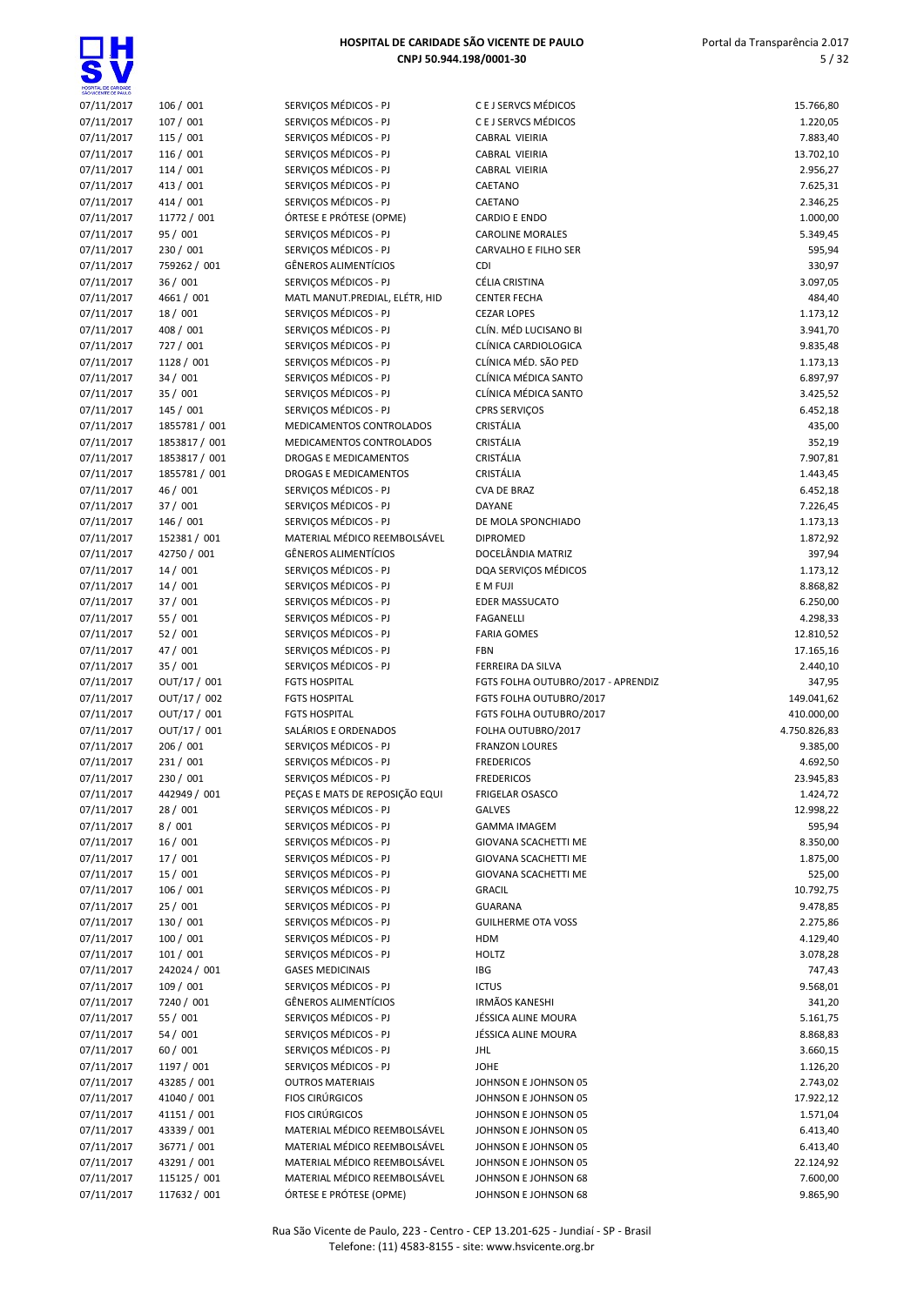$\overline{\bullet}$ 

| HOSPITAL DE CARIDADE<br>SÃO VICENTE DE PAULO |                           |                                                         |                                              |                       |
|----------------------------------------------|---------------------------|---------------------------------------------------------|----------------------------------------------|-----------------------|
| 07/11/2017                                   | 106 / 001                 | SERVIÇOS MÉDICOS - PJ                                   | C E J SERVCS MÉDICOS                         | 15.766,80             |
| 07/11/2017                                   | 107 / 001                 | SERVIÇOS MÉDICOS - PJ                                   | C E J SERVCS MÉDICOS                         | 1.220,05              |
| 07/11/2017                                   | 115 / 001                 | SERVIÇOS MÉDICOS - PJ                                   | CABRAL VIEIRIA                               | 7.883,40              |
| 07/11/2017                                   | 116 / 001                 | SERVIÇOS MÉDICOS - PJ                                   | CABRAL VIEIRIA                               | 13.702,10             |
| 07/11/2017<br>07/11/2017                     | 114/001<br>413 / 001      | SERVIÇOS MÉDICOS - PJ<br>SERVICOS MÉDICOS - PJ          | CABRAL VIEIRIA                               | 2.956,27              |
| 07/11/2017                                   | 414 / 001                 | SERVIÇOS MÉDICOS - PJ                                   | CAETANO<br>CAETANO                           | 7.625,31<br>2.346,25  |
| 07/11/2017                                   | 11772 / 001               | ÓRTESE E PRÓTESE (OPME)                                 | <b>CARDIO E ENDO</b>                         | 1.000,00              |
| 07/11/2017                                   | 95 / 001                  | SERVIÇOS MÉDICOS - PJ                                   | <b>CAROLINE MORALES</b>                      | 5.349,45              |
| 07/11/2017                                   | 230 / 001                 | SERVIÇOS MÉDICOS - PJ                                   | <b>CARVALHO E FILHO SER</b>                  | 595,94                |
| 07/11/2017                                   | 759262 / 001              | <b>GÊNEROS ALIMENTÍCIOS</b>                             | <b>CDI</b>                                   | 330,97                |
| 07/11/2017                                   | 36 / 001                  | SERVIÇOS MÉDICOS - PJ                                   | CÉLIA CRISTINA                               | 3.097,05              |
| 07/11/2017                                   | 4661 / 001                | MATL MANUT.PREDIAL, ELÉTR, HID                          | <b>CENTER FECHA</b>                          | 484,40                |
| 07/11/2017                                   | 18 / 001                  | SERVIÇOS MÉDICOS - PJ                                   | <b>CEZAR LOPES</b>                           | 1.173,12              |
| 07/11/2017                                   | 408 / 001                 | SERVIÇOS MÉDICOS - PJ                                   | CLÍN. MÉD LUCISANO BI                        | 3.941,70              |
| 07/11/2017                                   | 727 / 001                 | SERVIÇOS MÉDICOS - PJ                                   | CLÍNICA CARDIOLOGICA                         | 9.835,48              |
| 07/11/2017                                   | 1128/001                  | SERVIÇOS MÉDICOS - PJ                                   | CLÍNICA MÉD. SÃO PED                         | 1.173,13              |
| 07/11/2017                                   | 34 / 001                  | SERVIÇOS MÉDICOS - PJ                                   | CLÍNICA MÉDICA SANTO                         | 6.897,97              |
| 07/11/2017                                   | 35 / 001                  | SERVICOS MÉDICOS - PJ                                   | CLÍNICA MÉDICA SANTO                         | 3.425,52              |
| 07/11/2017                                   | 145 / 001                 | SERVICOS MÉDICOS - PJ                                   | <b>CPRS SERVIÇOS</b>                         | 6.452,18              |
| 07/11/2017                                   | 1855781 / 001             | MEDICAMENTOS CONTROLADOS                                | CRISTÁLIA                                    | 435,00                |
| 07/11/2017                                   | 1853817 / 001             | MEDICAMENTOS CONTROLADOS                                | CRISTÁLIA                                    | 352,19                |
| 07/11/2017                                   | 1853817 / 001             | DROGAS E MEDICAMENTOS                                   | CRISTÁLIA                                    | 7.907,81              |
| 07/11/2017                                   | 1855781 / 001<br>46 / 001 | DROGAS E MEDICAMENTOS<br>SERVIÇOS MÉDICOS - PJ          | CRISTÁLIA<br>CVA DE BRAZ                     | 1.443,45              |
| 07/11/2017                                   | 37 / 001                  | SERVIÇOS MÉDICOS - PJ                                   | DAYANE                                       | 6.452,18              |
| 07/11/2017<br>07/11/2017                     | 146 / 001                 | SERVIÇOS MÉDICOS - PJ                                   | DE MOLA SPONCHIADO                           | 7.226,45<br>1.173,13  |
| 07/11/2017                                   | 152381 / 001              | MATERIAL MÉDICO REEMBOLSÁVEL                            | <b>DIPROMED</b>                              | 1.872,92              |
| 07/11/2017                                   | 42750 / 001               | <b>GÊNEROS ALIMENTÍCIOS</b>                             | DOCELÂNDIA MATRIZ                            | 397,94                |
| 07/11/2017                                   | 14/001                    | SERVIÇOS MÉDICOS - PJ                                   | DQA SERVIÇOS MÉDICOS                         | 1.173,12              |
| 07/11/2017                                   | 14/001                    | SERVIÇOS MÉDICOS - PJ                                   | E M FUJI                                     | 8.868,82              |
| 07/11/2017                                   | 37 / 001                  | SERVIÇOS MÉDICOS - PJ                                   | <b>EDER MASSUCATO</b>                        | 6.250,00              |
| 07/11/2017                                   | 55 / 001                  | SERVIÇOS MÉDICOS - PJ                                   | <b>FAGANELLI</b>                             | 4.298,33              |
| 07/11/2017                                   | 52/001                    | SERVIÇOS MÉDICOS - PJ                                   | <b>FARIA GOMES</b>                           | 12.810,52             |
| 07/11/2017                                   | 47 / 001                  | SERVIÇOS MÉDICOS - PJ                                   | <b>FBN</b>                                   | 17.165,16             |
| 07/11/2017                                   | 35 / 001                  | SERVIÇOS MÉDICOS - PJ                                   | FERREIRA DA SILVA                            | 2.440,10              |
| 07/11/2017                                   | OUT/17 / 001              | <b>FGTS HOSPITAL</b>                                    | FGTS FOLHA OUTUBRO/2017 - APRENDIZ           | 347,95                |
| 07/11/2017                                   | OUT/17 / 002              | <b>FGTS HOSPITAL</b>                                    | FGTS FOLHA OUTUBRO/2017                      | 149.041,62            |
| 07/11/2017                                   | OUT/17 / 001              | <b>FGTS HOSPITAL</b>                                    | FGTS FOLHA OUTUBRO/2017                      | 410.000,00            |
| 07/11/2017                                   | OUT/17 / 001              | SALÁRIOS E ORDENADOS                                    | FOLHA OUTUBRO/2017                           | 4.750.826,83          |
| 07/11/2017                                   | 206 / 001                 | SERVIÇOS MÉDICOS - PJ                                   | <b>FRANZON LOURES</b>                        | 9.385,00              |
| 07/11/2017                                   | 231 / 001                 | SERVICOS MÉDICOS - PJ                                   | <b>FREDERICOS</b>                            | 4.692,50              |
| 07/11/2017<br>07/11/2017                     | 230 / 001<br>442949 / 001 | SERVIÇOS MÉDICOS - PJ<br>PEÇAS E MATS DE REPOSIÇÃO EQUI | <b>FREDERICOS</b><br><b>FRIGELAR OSASCO</b>  | 23.945,83<br>1.424,72 |
| 07/11/2017                                   | 28 / 001                  | SERVIÇOS MÉDICOS - PJ                                   | <b>GALVES</b>                                | 12.998,22             |
| 07/11/2017                                   | 8/001                     | SERVIÇOS MÉDICOS - PJ                                   | <b>GAMMA IMAGEM</b>                          | 595,94                |
| 07/11/2017                                   | 16/001                    | SERVIÇOS MÉDICOS - PJ                                   | GIOVANA SCACHETTI ME                         | 8.350,00              |
| 07/11/2017                                   | 17 / 001                  | SERVIÇOS MÉDICOS - PJ                                   | GIOVANA SCACHETTI ME                         | 1.875,00              |
| 07/11/2017                                   | 15 / 001                  | SERVIÇOS MÉDICOS - PJ                                   | GIOVANA SCACHETTI ME                         | 525,00                |
| 07/11/2017                                   | 106 / 001                 | SERVIÇOS MÉDICOS - PJ                                   | <b>GRACIL</b>                                | 10.792,75             |
| 07/11/2017                                   | 25 / 001                  | SERVICOS MÉDICOS - PJ                                   | <b>GUARANA</b>                               | 9.478,85              |
| 07/11/2017                                   | 130 / 001                 | SERVIÇOS MÉDICOS - PJ                                   | <b>GUILHERME OTA VOSS</b>                    | 2.275,86              |
| 07/11/2017                                   | 100 / 001                 | SERVICOS MÉDICOS - PJ                                   | <b>HDM</b>                                   | 4.129,40              |
| 07/11/2017                                   | 101/001                   | SERVICOS MÉDICOS - PJ                                   | <b>HOLTZ</b>                                 | 3.078,28              |
| 07/11/2017                                   | 242024 / 001              | <b>GASES MEDICINAIS</b>                                 | IBG                                          | 747,43                |
| 07/11/2017                                   | 109 / 001                 | SERVIÇOS MÉDICOS - PJ                                   | <b>ICTUS</b>                                 | 9.568,01              |
| 07/11/2017                                   | 7240 / 001                | GÊNEROS ALIMENTÍCIOS                                    | <b>IRMÃOS KANESHI</b>                        | 341,20                |
| 07/11/2017                                   | 55 / 001                  | SERVIÇOS MÉDICOS - PJ                                   | JÉSSICA ALINE MOURA                          | 5.161,75              |
| 07/11/2017                                   | 54 / 001                  | SERVIÇOS MÉDICOS - PJ                                   | JÉSSICA ALINE MOURA                          | 8.868,83              |
| 07/11/2017                                   | 60 / 001                  | SERVIÇOS MÉDICOS - PJ<br>SERVIÇOS MÉDICOS - PJ          | JHL                                          | 3.660,15              |
| 07/11/2017                                   | 1197 / 001<br>43285 / 001 | <b>OUTROS MATERIAIS</b>                                 | JOHE                                         | 1.126,20              |
| 07/11/2017<br>07/11/2017                     | 41040 / 001               | <b>FIOS CIRÚRGICOS</b>                                  | JOHNSON E JOHNSON 05<br>JOHNSON E JOHNSON 05 | 2.743,02<br>17.922,12 |
| 07/11/2017                                   | 41151 / 001               | <b>FIOS CIRÚRGICOS</b>                                  | JOHNSON E JOHNSON 05                         | 1.571,04              |
| 07/11/2017                                   | 43339 / 001               | MATERIAL MÉDICO REEMBOLSÁVEL                            | JOHNSON E JOHNSON 05                         | 6.413,40              |
| 07/11/2017                                   | 36771 / 001               | MATERIAL MÉDICO REEMBOLSÁVEL                            | JOHNSON E JOHNSON 05                         | 6.413,40              |
| 07/11/2017                                   | 43291 / 001               | MATERIAL MÉDICO REEMBOLSÁVEL                            | JOHNSON E JOHNSON 05                         | 22.124,92             |
| 07/11/2017                                   | 115125 / 001              | MATERIAL MÉDICO REEMBOLSÁVEL                            | JOHNSON E JOHNSON 68                         | 7.600,00              |
| 07/11/2017                                   | 117632 / 001              | ÓRTESE E PRÓTESE (OPME)                                 | JOHNSON E JOHNSON 68                         | 9.865,90              |
|                                              |                           |                                                         |                                              |                       |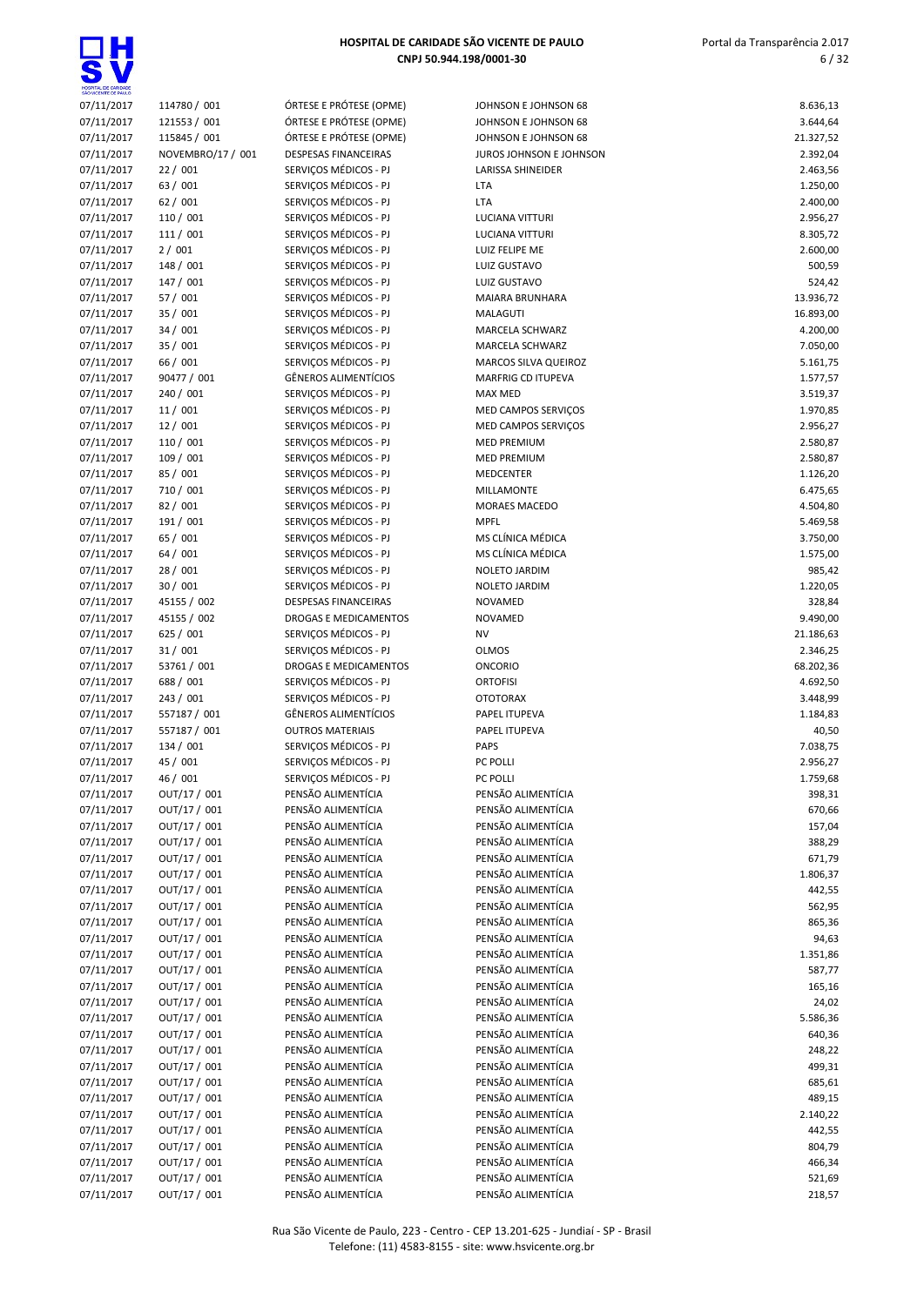

| SÃO VICENTE DE PAULO |                   |
|----------------------|-------------------|
| 07/11/2017           | 114780 / 001      |
| 07/11/2017           | 121553 / 001      |
|                      |                   |
| 07/11/2017           | 115845 / 001      |
| 07/11/2017           | NOVEMBRO/17 / 001 |
| 07/11/2017           | 22 / 001          |
| 07/11/2017           | 63 / 001          |
| 07/11/2017           | 62 / 001          |
| 07/11/2017           | 110 / 001         |
|                      |                   |
| 07/11/2017           | 111 / 001         |
| 07/11/2017           | 2/001             |
| 07/11/2017           | 148 / 001         |
| 07/11/2017           | 147 / 001         |
| 07/11/2017           | 57 / 001          |
|                      |                   |
| 07/11/2017           | 35 / 001          |
| 07/11/2017           | 34 / 001          |
| 07/11/2017           | 35 / 001          |
| 07/11/2017           | 66 / 001          |
| 07/11/2017           | 90477 / 001       |
|                      | 240 / 001         |
| 07/11/2017           |                   |
| 07/11/2017           | 11 / 001          |
| 07/11/2017           | 12 / 001          |
| 07/11/2017           | 110 / 001         |
| 07/11/2017           | 109 / 001         |
| 07/11/2017           | 85 / 001          |
|                      |                   |
| 07/11/2017           | 710 / 001         |
| 07/11/2017           | 82 / 001          |
| 07/11/2017           | 191 / 001         |
| 07/11/2017           | 65 / 001          |
| 07/11/2017           | 64 / 001          |
| 07/11/2017           | 28 / 001          |
|                      |                   |
| 07/11/2017           | 30 / 001          |
| 07/11/2017           | 45155 / 002       |
| 07/11/2017           | 45155 / 002       |
| 07/11/2017           | 625 / 001         |
| 07/11/2017           | 31 / 001          |
|                      |                   |
| 07/11/2017           | 53761 / 001       |
| 07/11/2017           | 688 / 001         |
| 07/11/2017           | 243 / 001         |
| 07/11/2017           | 557187 / 001      |
| 07/11/2017           | 557187 / 001      |
| 07/11/2017           | 134 / 001         |
| 07/11/2017           | 45 / 001          |
|                      |                   |
| 07/11/2017           | 46 / 001          |
| 07/11/2017           | OUT/17 / 001      |
| 07/11/2017           | OUT/17 / 001      |
| 07/11/2017           | OUT/17 / 001      |
| 07/11/2017           | OUT/17 / 001      |
|                      |                   |
| 07/11/2017           | OUT/17 / 001      |
| 07/11/2017           | OUT/17 / 001      |
| 07/11/2017           | OUT/17 / 001      |
| 07/11/2017           | OUT/17 / 001      |
| 07/11/2017           | OUT/17 / 001      |
| 07/11/2017           | OUT/17 / 001      |
|                      |                   |
| 07/11/2017           | OUT/17 / 001      |
| 07/11/2017           | OUT/17 / 001      |
| 07/11/2017           | OUT/17 / 001      |
| 07/11/2017           | OUT/17 / 001      |
| 07/11/2017           | OUT/17 / 001      |
| 07/11/2017           | OUT/17 / 001      |
|                      |                   |
| 07/11/2017           | OUT/17 / 001      |
| 07/11/2017           | OUT/17 / 001      |
| 07/11/2017           | OUT/17 / 001      |
| 07/11/2017           | OUT/17 / 001      |
| 07/11/2017           | OUT/17 / 001      |
|                      |                   |
| 07/11/2017           | OUT/17 / 001      |
| 07/11/2017           | OUT/17 / 001      |
| 07/11/2017           | OUT/17 / 001      |
| 07/11/2017           | OUT/17 / 001      |
| 07/11/2017           | OUT/17 / 001      |
|                      |                   |

| ÓRTESE E PRÓTESE (OPME)                  |
|------------------------------------------|
| <b>DRTESE E PRÓTESE (OPME)</b>           |
|                                          |
| <b>DESPESAS FINANCEIRAS</b>              |
| ERVIÇOS MÉDICOS - PJ                     |
| ERVICOS MÉDICOS - PJ                     |
|                                          |
| ERVIÇOS MÉDICOS - PJ                     |
| ERVIÇOS MÉDICOS - PJ                     |
| ERVIÇOS MÉDICOS - PJ                     |
|                                          |
| ERVIÇOS MÉDICOS - PJ                     |
| ERVIÇOS MÉDICOS - PJ                     |
| ERVIÇOS MÉDICOS - PJ                     |
|                                          |
| ERVIÇOS MÉDICOS - PJ                     |
| ERVIÇOS MÉDICOS - PJ                     |
| ERVICOS MÉDICOS - PJ                     |
|                                          |
| ERVIÇOS MÉDICOS - PJ                     |
| ERVIÇOS MÉDICOS - PJ                     |
| <b>ÉNEROS ALIMENTÍCIOS</b>               |
|                                          |
| ERVIÇOS MÉDICOS - PJ                     |
| ERVIÇOS MÉDICOS - PJ                     |
| ERVIÇOS MÉDICOS - PJ                     |
| ERVIÇOS MÉDICOS - PJ                     |
|                                          |
| ERVIÇOS MÉDICOS - PJ                     |
| ERVIÇOS MÉDICOS - PJ                     |
| ERVIÇOS MÉDICOS - PJ                     |
|                                          |
| ERVICOS MÉDICOS - PJ                     |
| ERVIÇOS MÉDICOS - PJ                     |
| ERVIÇOS MÉDICOS - PJ                     |
|                                          |
| ERVIÇOS MÉDICOS - PJ                     |
| ERVIÇOS MÉDICOS - PJ                     |
| ERVIÇOS MÉDICOS - PJ                     |
| <b>DESPESAS FINANCEIRAS</b>              |
|                                          |
| ROGAS E MEDICAMENTOS                     |
| ERVIÇOS MÉDICOS - PJ                     |
| ERVIÇOS MÉDICOS - PJ                     |
|                                          |
|                                          |
| ROGAS E MEDICAMENTOS                     |
| ERVIÇOS MÉDICOS - PJ                     |
|                                          |
| ERVIÇOS MÉDICOS - PJ                     |
| <b>GÊNEROS ALIMENTÍCIOS</b>              |
| <b>JUTROS MATERIAIS</b>                  |
| ERVIÇOS MÉDICOS - PJ                     |
|                                          |
| ERVIÇOS MÉDICOS - PJ                     |
| ERVIÇOS MÉDICOS - PJ                     |
| ENSÃO ALIMENTÍCIA                        |
|                                          |
| 'ENSÃO ALIMENTÍCIA                       |
|                                          |
| 'ENSÃO ALIMENTÍCIA<br>'ENSÃO ALIMENTÍCIA |
|                                          |
| 'ENSÃO ALIMENTÍCIA                       |
| 'ENSÃO ALIMENTÍCIA                       |
| <b>ENSÃO ALIMENTÍCIA</b>                 |
|                                          |
| 'ENSÃO ALIMENTÍCIA                       |
| 'ENSÃO ALIMENTÍCIA                       |
| 'ENSÃO ALIMENTÍCIA                       |
| 'ENSÃO ALIMENTÍCIA                       |
|                                          |
| 'ENSÃO ALIMENTÍCIA                       |
| 'ENSÃO ALIMENTÍCIA                       |
| 'ENSÃO ALIMENTÍCIA                       |
|                                          |
| 'ENSÃO ALIMENTÍCIA                       |
| 'ENSÃO ALIMENTÍCIA                       |
| 'ENSÃO ALIMENTÍCIA                       |
| 'ENSÃO ALIMENTÍCIA                       |
|                                          |
|                                          |
| 'ENSÃO ALIMENTÍCIA<br>ENSÃO ALIMENTÍCIA  |
| 'ENSÃO ALIMENTÍCIA                       |
|                                          |
|                                          |
| 'ENSÃO ALIMENTÍCIA<br>'ENSÃO ALIMENTÍCIA |
| 'ENSÃO ALIMENTÍCIA                       |

| HOSPITAL DE CARIDADE<br>SÃO VICENTE DE PAULO |                              |                                                      |                                              |                       |
|----------------------------------------------|------------------------------|------------------------------------------------------|----------------------------------------------|-----------------------|
| 07/11/2017                                   | 114780 / 001                 | ÓRTESE E PRÓTESE (OPME)                              | JOHNSON E JOHNSON 68                         | 8.636,13              |
| 07/11/2017                                   | 121553 / 001                 | ÓRTESE E PRÓTESE (OPME)                              | JOHNSON E JOHNSON 68                         | 3.644,64              |
| 07/11/2017                                   | 115845 / 001                 | ÓRTESE E PRÓTESE (OPME)                              | JOHNSON E JOHNSON 68                         | 21.327,52             |
| 07/11/2017<br>07/11/2017                     | NOVEMBRO/17 / 001<br>22/001  | <b>DESPESAS FINANCEIRAS</b><br>SERVIÇOS MÉDICOS - PJ | JUROS JOHNSON E JOHNSON<br>LARISSA SHINEIDER | 2.392,04<br>2.463,56  |
| 07/11/2017                                   | 63 / 001                     | SERVIÇOS MÉDICOS - PJ                                | LTA                                          | 1.250,00              |
| 07/11/2017                                   | 62/001                       | SERVIÇOS MÉDICOS - PJ                                | <b>LTA</b>                                   | 2.400,00              |
| 07/11/2017                                   | 110 / 001                    | SERVIÇOS MÉDICOS - PJ                                | LUCIANA VITTURI                              | 2.956,27              |
| 07/11/2017                                   | 111 / 001                    | SERVIÇOS MÉDICOS - PJ                                | LUCIANA VITTURI                              | 8.305,72              |
| 07/11/2017                                   | 2/001                        | SERVICOS MÉDICOS - PJ                                | LUIZ FELIPE ME                               | 2.600,00              |
| 07/11/2017                                   | 148 / 001                    | SERVIÇOS MÉDICOS - PJ                                | LUIZ GUSTAVO                                 | 500,59                |
| 07/11/2017                                   | 147 / 001                    | SERVIÇOS MÉDICOS - PJ                                | LUIZ GUSTAVO                                 | 524,42                |
| 07/11/2017                                   | 57 / 001                     | SERVICOS MÉDICOS - PJ                                | MAIARA BRUNHARA                              | 13.936,72             |
| 07/11/2017                                   | 35 / 001                     | SERVIÇOS MÉDICOS - PJ                                | MALAGUTI                                     | 16.893,00             |
| 07/11/2017                                   | 34 / 001                     | SERVIÇOS MÉDICOS - PJ                                | MARCELA SCHWARZ                              | 4.200,00              |
| 07/11/2017                                   | 35 / 001                     | SERVIÇOS MÉDICOS - PJ                                | MARCELA SCHWARZ                              | 7.050,00              |
| 07/11/2017                                   | 66 / 001                     | SERVIÇOS MÉDICOS - PJ                                | MARCOS SILVA QUEIROZ                         | 5.161,75              |
| 07/11/2017                                   | 90477 / 001                  | GÊNEROS ALIMENTÍCIOS                                 | MARFRIG CD ITUPEVA                           | 1.577,57              |
| 07/11/2017<br>07/11/2017                     | 240 / 001<br>11 / 001        | SERVIÇOS MÉDICOS - PJ<br>SERVIÇOS MÉDICOS - PJ       | <b>MAX MED</b>                               | 3.519,37              |
| 07/11/2017                                   | 12 / 001                     | SERVIÇOS MÉDICOS - PJ                                | MED CAMPOS SERVIÇOS<br>MED CAMPOS SERVIÇOS   | 1.970,85<br>2.956,27  |
| 07/11/2017                                   | 110 / 001                    | SERVIÇOS MÉDICOS - PJ                                | <b>MED PREMIUM</b>                           | 2.580,87              |
| 07/11/2017                                   | 109 / 001                    | SERVICOS MÉDICOS - PJ                                | <b>MED PREMIUM</b>                           | 2.580,87              |
| 07/11/2017                                   | 85 / 001                     | SERVICOS MÉDICOS - PJ                                | MEDCENTER                                    | 1.126,20              |
| 07/11/2017                                   | 710 / 001                    | SERVIÇOS MÉDICOS - PJ                                | MILLAMONTE                                   | 6.475,65              |
| 07/11/2017                                   | 82 / 001                     | SERVIÇOS MÉDICOS - PJ                                | <b>MORAES MACEDO</b>                         | 4.504,80              |
| 07/11/2017                                   | 191 / 001                    | SERVIÇOS MÉDICOS - PJ                                | <b>MPFL</b>                                  | 5.469,58              |
| 07/11/2017                                   | 65 / 001                     | SERVIÇOS MÉDICOS - PJ                                | MS CLÍNICA MÉDICA                            | 3.750,00              |
| 07/11/2017                                   | 64 / 001                     | SERVIÇOS MÉDICOS - PJ                                | MS CLÍNICA MÉDICA                            | 1.575,00              |
| 07/11/2017                                   | 28 / 001                     | SERVIÇOS MÉDICOS - PJ                                | NOLETO JARDIM                                | 985,42                |
| 07/11/2017                                   | 30 / 001                     | SERVIÇOS MÉDICOS - PJ                                | NOLETO JARDIM                                | 1.220,05              |
| 07/11/2017                                   | 45155 / 002                  | <b>DESPESAS FINANCEIRAS</b>                          | NOVAMED                                      | 328,84                |
| 07/11/2017                                   | 45155 / 002                  | DROGAS E MEDICAMENTOS                                | <b>NOVAMED</b>                               | 9.490,00              |
| 07/11/2017                                   | 625 / 001                    | SERVIÇOS MÉDICOS - PJ                                | <b>NV</b>                                    | 21.186,63             |
| 07/11/2017<br>07/11/2017                     | 31/001<br>53761 / 001        | SERVIÇOS MÉDICOS - PJ<br>DROGAS E MEDICAMENTOS       | <b>OLMOS</b><br><b>ONCORIO</b>               | 2.346,25<br>68.202,36 |
| 07/11/2017                                   | 688 / 001                    | SERVIÇOS MÉDICOS - PJ                                | <b>ORTOFISI</b>                              | 4.692,50              |
| 07/11/2017                                   | 243 / 001                    | SERVIÇOS MÉDICOS - PJ                                | <b>OTOTORAX</b>                              | 3.448,99              |
| 07/11/2017                                   | 557187 / 001                 | <b>GÊNEROS ALIMENTÍCIOS</b>                          | PAPEL ITUPEVA                                | 1.184,83              |
| 07/11/2017                                   | 557187 / 001                 | <b>OUTROS MATERIAIS</b>                              | PAPEL ITUPEVA                                | 40,50                 |
| 07/11/2017                                   | 134 / 001                    | SERVICOS MÉDICOS - PJ                                | PAPS                                         | 7.038,75              |
| 07/11/2017                                   | 45 / 001                     | SERVICOS MÉDICOS - PJ                                | PC POLLI                                     | 2.956,27              |
| 07/11/2017                                   | 46 / 001                     | SERVICOS MÉDICOS - PJ                                | PC POLLI                                     | 1.759,68              |
| 07/11/2017                                   | OUT/17 / 001                 | PENSÃO ALIMENTÍCIA                                   | PENSÃO ALIMENTÍCIA                           | 398,31                |
| 07/11/2017                                   | OUT/17 / 001                 | PENSÃO ALIMENTÍCIA                                   | PENSÃO ALIMENTÍCIA                           | 670,66                |
| 07/11/2017                                   | OUT/17 / 001                 | PENSÃO ALIMENTÍCIA                                   | PENSÃO ALIMENTÍCIA                           | 157,04                |
| 07/11/2017                                   | OUT/17 / 001                 | PENSÃO ALIMENTÍCIA                                   | PENSÃO ALIMENTÍCIA                           | 388,29                |
| 07/11/2017                                   | OUT/17 / 001                 | PENSÃO ALIMENTÍCIA                                   | PENSÃO ALIMENTÍCIA                           | 671,79                |
| 07/11/2017                                   | OUT/17 / 001<br>OUT/17 / 001 | PENSÃO ALIMENTÍCIA<br>PENSÃO ALIMENTÍCIA             | PENSÃO ALIMENTÍCIA<br>PENSÃO ALIMENTÍCIA     | 1.806,37              |
| 07/11/2017<br>07/11/2017                     | OUT/17 / 001                 | PENSÃO ALIMENTÍCIA                                   | PENSÃO ALIMENTÍCIA                           | 442,55<br>562,95      |
| 07/11/2017                                   | OUT/17 / 001                 | PENSÃO ALIMENTÍCIA                                   | PENSÃO ALIMENTÍCIA                           | 865,36                |
| 07/11/2017                                   | OUT/17 / 001                 | PENSÃO ALIMENTÍCIA                                   | PENSÃO ALIMENTÍCIA                           | 94,63                 |
| 07/11/2017                                   | OUT/17 / 001                 | PENSÃO ALIMENTÍCIA                                   | PENSÃO ALIMENTÍCIA                           | 1.351,86              |
| 07/11/2017                                   | OUT/17 / 001                 | PENSÃO ALIMENTÍCIA                                   | PENSÃO ALIMENTÍCIA                           | 587,77                |
| 07/11/2017                                   | OUT/17 / 001                 | PENSÃO ALIMENTÍCIA                                   | PENSÃO ALIMENTÍCIA                           | 165,16                |
| 07/11/2017                                   | OUT/17 / 001                 | PENSÃO ALIMENTÍCIA                                   | PENSÃO ALIMENTÍCIA                           | 24,02                 |
| 07/11/2017                                   | OUT/17 / 001                 | PENSÃO ALIMENTÍCIA                                   | PENSÃO ALIMENTÍCIA                           | 5.586,36              |
| 07/11/2017                                   | OUT/17 / 001                 | PENSÃO ALIMENTÍCIA                                   | PENSÃO ALIMENTÍCIA                           | 640,36                |
| 07/11/2017                                   | OUT/17 / 001                 | PENSÃO ALIMENTÍCIA                                   | PENSÃO ALIMENTÍCIA                           | 248,22                |
| 07/11/2017                                   | OUT/17 / 001                 | PENSÃO ALIMENTÍCIA                                   | PENSÃO ALIMENTÍCIA                           | 499,31                |
| 07/11/2017                                   | OUT/17 / 001                 | PENSÃO ALIMENTÍCIA                                   | PENSÃO ALIMENTÍCIA                           | 685,61                |
| 07/11/2017                                   | OUT/17 / 001                 | PENSÃO ALIMENTÍCIA                                   | PENSÃO ALIMENTÍCIA                           | 489,15                |
| 07/11/2017                                   | OUT/17 / 001                 | PENSÃO ALIMENTÍCIA                                   | PENSÃO ALIMENTÍCIA                           | 2.140,22              |
| 07/11/2017                                   | OUT/17 / 001                 | PENSÃO ALIMENTÍCIA                                   | PENSÃO ALIMENTÍCIA                           | 442,55                |
| 07/11/2017<br>07/11/2017                     | OUT/17 / 001<br>OUT/17 / 001 | PENSÃO ALIMENTÍCIA<br>PENSÃO ALIMENTÍCIA             | PENSÃO ALIMENTÍCIA<br>PENSÃO ALIMENTÍCIA     | 804,79<br>466,34      |
| 07/11/2017                                   | OUT/17 / 001                 | PENSÃO ALIMENTÍCIA                                   | PENSÃO ALIMENTÍCIA                           | 521,69                |
| 07/11/2017                                   | OUT/17 / 001                 | PENSÃO ALIMENTÍCIA                                   | PENSÃO ALIMENTÍCIA                           | 218,57                |
|                                              |                              |                                                      |                                              |                       |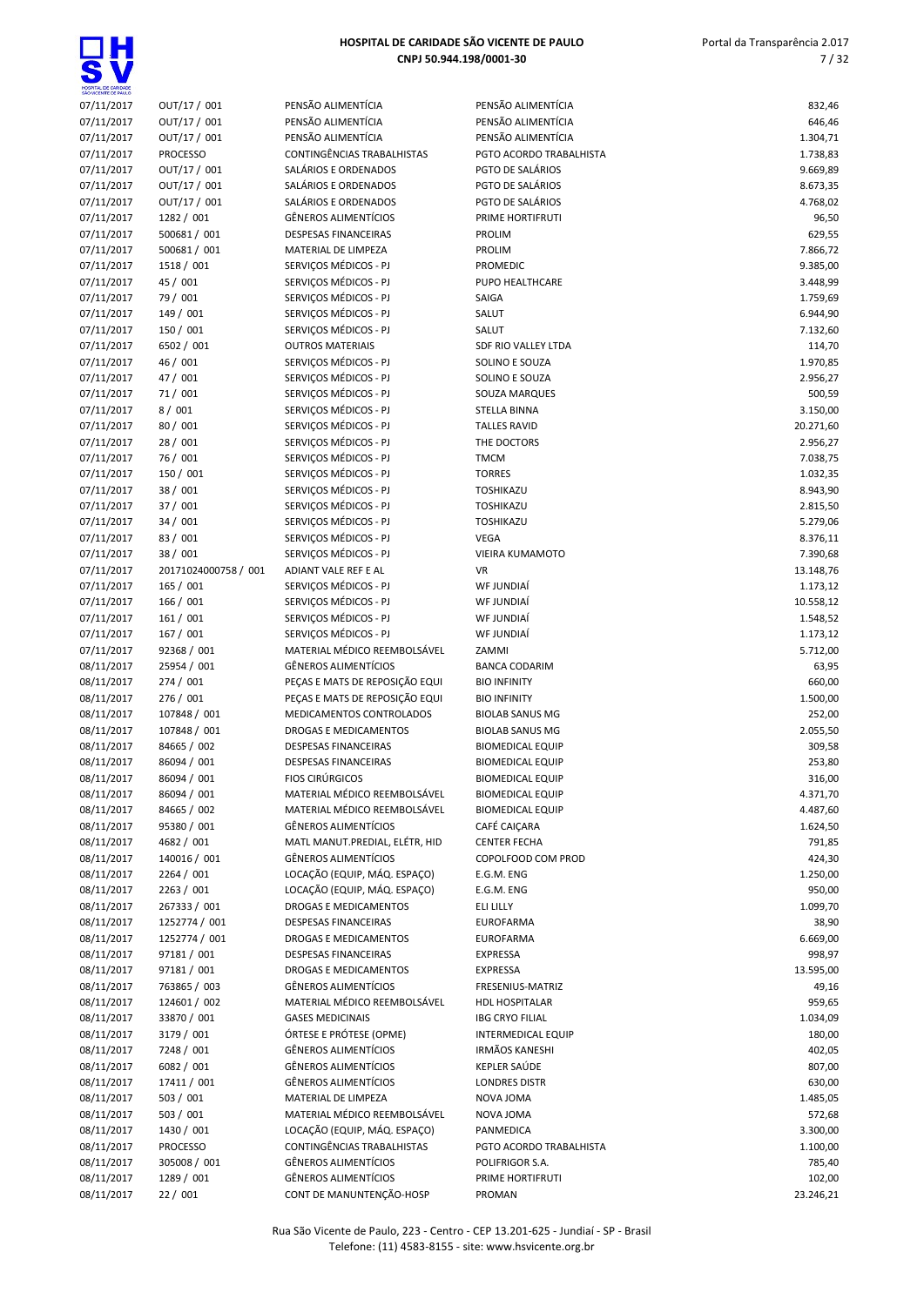

| SÃO VICENTE DE PAULO |                      |                                |                           |           |
|----------------------|----------------------|--------------------------------|---------------------------|-----------|
| 07/11/2017           | OUT/17 / 001         | PENSÃO ALIMENTÍCIA             | PENSÃO ALIMENTÍCIA        | 832,46    |
| 07/11/2017           | OUT/17 / 001         | PENSÃO ALIMENTÍCIA             | PENSÃO ALIMENTÍCIA        | 646,46    |
| 07/11/2017           | OUT/17 / 001         | PENSÃO ALIMENTÍCIA             | PENSÃO ALIMENTÍCIA        | 1.304,71  |
| 07/11/2017           | <b>PROCESSO</b>      | CONTINGÊNCIAS TRABALHISTAS     | PGTO ACORDO TRABALHISTA   | 1.738,83  |
| 07/11/2017           | OUT/17 / 001         | SALÁRIOS E ORDENADOS           | PGTO DE SALÁRIOS          | 9.669,89  |
|                      | OUT/17 / 001         |                                |                           |           |
| 07/11/2017           |                      | SALÁRIOS E ORDENADOS           | PGTO DE SALÁRIOS          | 8.673,35  |
| 07/11/2017           | OUT/17 / 001         | SALÁRIOS E ORDENADOS           | PGTO DE SALÁRIOS          | 4.768,02  |
| 07/11/2017           | 1282 / 001           | <b>GÊNEROS ALIMENTÍCIOS</b>    | PRIME HORTIFRUTI          | 96,50     |
| 07/11/2017           | 500681 / 001         | <b>DESPESAS FINANCEIRAS</b>    | PROLIM                    | 629,55    |
| 07/11/2017           | 500681 / 001         | MATERIAL DE LIMPEZA            | PROLIM                    | 7.866,72  |
| 07/11/2017           | 1518 / 001           | SERVICOS MÉDICOS - PJ          | <b>PROMEDIC</b>           | 9.385,00  |
| 07/11/2017           | 45 / 001             | SERVICOS MÉDICOS - PJ          | PUPO HEALTHCARE           | 3.448,99  |
| 07/11/2017           | 79 / 001             | SERVIÇOS MÉDICOS - PJ          | SAIGA                     | 1.759,69  |
|                      |                      |                                |                           |           |
| 07/11/2017           | 149 / 001            | SERVIÇOS MÉDICOS - PJ          | SALUT                     | 6.944,90  |
| 07/11/2017           | 150 / 001            | SERVIÇOS MÉDICOS - PJ          | SALUT                     | 7.132,60  |
| 07/11/2017           | 6502 / 001           | <b>OUTROS MATERIAIS</b>        | SDF RIO VALLEY LTDA       | 114,70    |
| 07/11/2017           | 46 / 001             | SERVIÇOS MÉDICOS - PJ          | SOLINO E SOUZA            | 1.970,85  |
| 07/11/2017           | 47 / 001             | SERVIÇOS MÉDICOS - PJ          | SOLINO E SOUZA            | 2.956,27  |
| 07/11/2017           | 71 / 001             | SERVIÇOS MÉDICOS - PJ          | SOUZA MARQUES             | 500,59    |
| 07/11/2017           | 8/001                | SERVIÇOS MÉDICOS - PJ          | <b>STELLA BINNA</b>       | 3.150,00  |
| 07/11/2017           | 80 / 001             | SERVIÇOS MÉDICOS - PJ          | <b>TALLES RAVID</b>       | 20.271,60 |
|                      |                      |                                |                           |           |
| 07/11/2017           | 28 / 001             | SERVIÇOS MÉDICOS - PJ          | THE DOCTORS               | 2.956,27  |
| 07/11/2017           | 76 / 001             | SERVICOS MÉDICOS - PJ          | <b>TMCM</b>               | 7.038,75  |
| 07/11/2017           | 150 / 001            | SERVIÇOS MÉDICOS - PJ          | <b>TORRES</b>             | 1.032,35  |
| 07/11/2017           | 38 / 001             | SERVIÇOS MÉDICOS - PJ          | TOSHIKAZU                 | 8.943,90  |
| 07/11/2017           | 37 / 001             | SERVICOS MÉDICOS - PJ          | TOSHIKAZU                 | 2.815,50  |
| 07/11/2017           | 34 / 001             | SERVIÇOS MÉDICOS - PJ          | TOSHIKAZU                 | 5.279,06  |
| 07/11/2017           | 83 / 001             | SERVIÇOS MÉDICOS - PJ          | <b>VEGA</b>               | 8.376,11  |
| 07/11/2017           | 38 / 001             | SERVIÇOS MÉDICOS - PJ          | VIEIRA KUMAMOTO           | 7.390,68  |
|                      |                      |                                |                           |           |
| 07/11/2017           | 20171024000758 / 001 | ADIANT VALE REF E AL           | VR                        | 13.148,76 |
| 07/11/2017           | 165 / 001            | SERVIÇOS MÉDICOS - PJ          | WF JUNDIAÍ                | 1.173,12  |
| 07/11/2017           | 166 / 001            | SERVIÇOS MÉDICOS - PJ          | WF JUNDIAÍ                | 10.558,12 |
| 07/11/2017           | 161 / 001            | SERVIÇOS MÉDICOS - PJ          | WF JUNDIAÍ                | 1.548,52  |
| 07/11/2017           | 167 / 001            | SERVIÇOS MÉDICOS - PJ          | WF JUNDIAÍ                | 1.173,12  |
| 07/11/2017           | 92368 / 001          | MATERIAL MÉDICO REEMBOLSÁVEL   | ZAMMI                     | 5.712,00  |
| 08/11/2017           | 25954 / 001          | <b>GÊNEROS ALIMENTÍCIOS</b>    | <b>BANCA CODARIM</b>      | 63,95     |
| 08/11/2017           | 274 / 001            | PEÇAS E MATS DE REPOSIÇÃO EQUI | <b>BIO INFINITY</b>       | 660,00    |
|                      |                      |                                |                           |           |
| 08/11/2017           | 276 / 001            | PEÇAS E MATS DE REPOSIÇÃO EQUI | <b>BIO INFINITY</b>       | 1.500,00  |
| 08/11/2017           | 107848 / 001         | MEDICAMENTOS CONTROLADOS       | <b>BIOLAB SANUS MG</b>    | 252,00    |
| 08/11/2017           | 107848 / 001         | DROGAS E MEDICAMENTOS          | <b>BIOLAB SANUS MG</b>    | 2.055,50  |
| 08/11/2017           | 84665 / 002          | <b>DESPESAS FINANCEIRAS</b>    | <b>BIOMEDICAL EQUIP</b>   | 309,58    |
| 08/11/2017           | 86094 / 001          | <b>DESPESAS FINANCEIRAS</b>    | <b>BIOMEDICAL EQUIP</b>   | 253,80    |
| 08/11/2017           | 86094 / 001          | <b>FIOS CIRÚRGICOS</b>         | <b>BIOMEDICAL EQUIP</b>   | 316,00    |
| 08/11/2017           | 86094 / 001          | MATERIAL MÉDICO REEMBOLSÁVEL   | <b>BIOMEDICAL EQUIP</b>   | 4.371,70  |
| 08/11/2017           | 84665 / 002          | MATERIAL MÉDICO REEMBOLSÁVEL   | <b>BIOMEDICAL EQUIP</b>   | 4.487,60  |
|                      |                      |                                |                           |           |
| 08/11/2017           | 95380 / 001          | <b>GÊNEROS ALIMENTÍCIOS</b>    | CAFÉ CAIÇARA              | 1.624,50  |
| 08/11/2017           | 4682 / 001           | MATL MANUT.PREDIAL, ELÉTR, HID | <b>CENTER FECHA</b>       | 791,85    |
| 08/11/2017           | 140016 / 001         | <b>GÊNEROS ALIMENTÍCIOS</b>    | COPOLFOOD COM PROD        | 424,30    |
| 08/11/2017           | 2264 / 001           | LOCAÇÃO (EQUIP, MÁQ. ESPAÇO)   | E.G.M. ENG                | 1.250,00  |
| 08/11/2017           | 2263 / 001           | LOCAÇÃO (EQUIP, MÁQ. ESPAÇO)   | E.G.M. ENG                | 950,00    |
| 08/11/2017           | 267333 / 001         | DROGAS E MEDICAMENTOS          | ELI LILLY                 | 1.099,70  |
| 08/11/2017           | 1252774 / 001        | <b>DESPESAS FINANCEIRAS</b>    | EUROFARMA                 | 38,90     |
|                      | 1252774 / 001        | DROGAS E MEDICAMENTOS          |                           | 6.669,00  |
| 08/11/2017           |                      |                                | EUROFARMA                 |           |
| 08/11/2017           | 97181 / 001          | DESPESAS FINANCEIRAS           | <b>EXPRESSA</b>           | 998,97    |
| 08/11/2017           | 97181 / 001          | DROGAS E MEDICAMENTOS          | EXPRESSA                  | 13.595,00 |
| 08/11/2017           | 763865 / 003         | GÊNEROS ALIMENTÍCIOS           | FRESENIUS-MATRIZ          | 49,16     |
| 08/11/2017           | 124601 / 002         | MATERIAL MÉDICO REEMBOLSÁVEL   | <b>HDL HOSPITALAR</b>     | 959,65    |
| 08/11/2017           | 33870 / 001          | <b>GASES MEDICINAIS</b>        | <b>IBG CRYO FILIAL</b>    | 1.034,09  |
| 08/11/2017           | 3179 / 001           | ÓRTESE E PRÓTESE (OPME)        | <b>INTERMEDICAL EQUIP</b> | 180,00    |
| 08/11/2017           | 7248 / 001           | <b>GÊNEROS ALIMENTÍCIOS</b>    | <b>IRMÃOS KANESHI</b>     | 402,05    |
|                      |                      | <b>GÊNEROS ALIMENTÍCIOS</b>    |                           |           |
| 08/11/2017           | 6082 / 001           |                                | KEPLER SAÚDE              | 807,00    |
| 08/11/2017           | 17411 / 001          | <b>GÊNEROS ALIMENTÍCIOS</b>    | <b>LONDRES DISTR</b>      | 630,00    |
| 08/11/2017           | 503 / 001            | MATERIAL DE LIMPEZA            | NOVA JOMA                 | 1.485,05  |
| 08/11/2017           | 503 / 001            | MATERIAL MÉDICO REEMBOLSÁVEL   | NOVA JOMA                 | 572,68    |
| 08/11/2017           | 1430 / 001           | LOCAÇÃO (EQUIP, MÁQ. ESPAÇO)   | PANMEDICA                 | 3.300,00  |
| 08/11/2017           | <b>PROCESSO</b>      | CONTINGÊNCIAS TRABALHISTAS     | PGTO ACORDO TRABALHISTA   | 1.100,00  |
| 08/11/2017           | 305008 / 001         | <b>GÊNEROS ALIMENTÍCIOS</b>    | POLIFRIGOR S.A.           | 785,40    |
|                      |                      |                                |                           |           |
| 08/11/2017           | 1289 / 001           | GÊNEROS ALIMENTÍCIOS           | PRIME HORTIFRUTI          | 102,00    |
| 08/11/2017           | 22 / 001             | CONT DE MANUNTENÇÃO-HOSP       | PROMAN                    | 23.246,21 |
|                      |                      |                                |                           |           |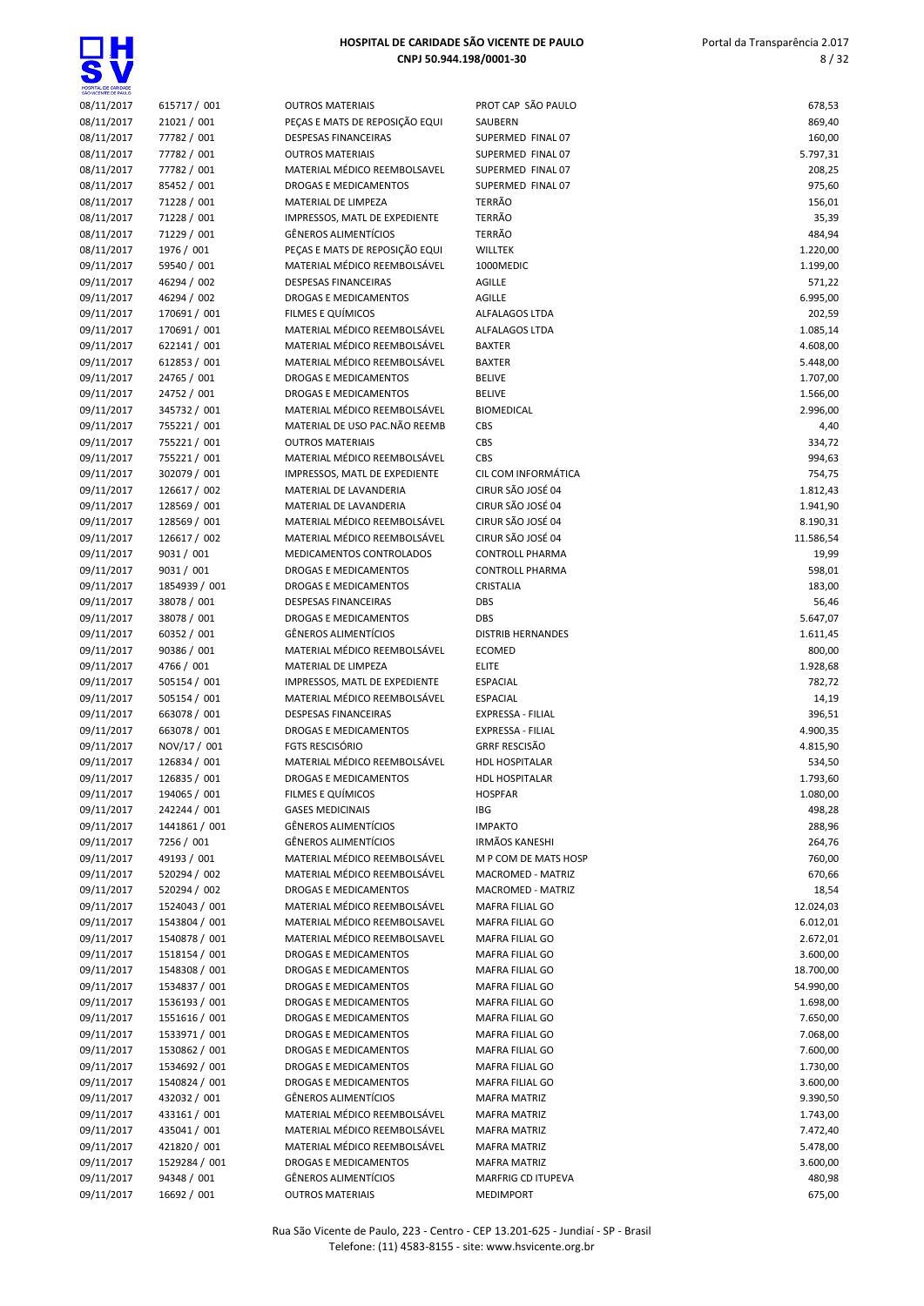

| SÃO VICENTE DE PAULO     |                                |                                                              |                                            |                      |
|--------------------------|--------------------------------|--------------------------------------------------------------|--------------------------------------------|----------------------|
| 08/11/2017               | 615717 / 001                   | <b>OUTROS MATERIAIS</b>                                      | PROT CAP SÃO PAULO                         | 678,53               |
| 08/11/2017               | 21021 / 001                    | PEÇAS E MATS DE REPOSIÇÃO EQUI                               | SAUBERN                                    | 869,40               |
| 08/11/2017               | 77782 / 001                    | <b>DESPESAS FINANCEIRAS</b>                                  | SUPERMED FINAL 07                          | 160,00               |
| 08/11/2017               | 77782 / 001                    | <b>OUTROS MATERIAIS</b>                                      | SUPERMED FINAL 07                          | 5.797,31             |
| 08/11/2017               | 77782 / 001                    | MATERIAL MÉDICO REEMBOLSAVEL                                 | SUPERMED FINAL 07                          | 208,25               |
| 08/11/2017               | 85452 / 001                    | <b>DROGAS E MEDICAMENTOS</b>                                 | SUPERMED FINAL 07                          | 975,60               |
| 08/11/2017               | 71228 / 001                    | MATERIAL DE LIMPEZA                                          | <b>TERRÃO</b>                              | 156,01               |
| 08/11/2017               | 71228 / 001                    | IMPRESSOS, MATL DE EXPEDIENTE                                | TERRÃO                                     | 35,39                |
| 08/11/2017               | 71229 / 001                    | <b>GÊNEROS ALIMENTÍCIOS</b>                                  | TERRÃO                                     | 484,94               |
| 08/11/2017               | 1976 / 001                     | PEÇAS E MATS DE REPOSIÇÃO EQUI                               | WILLTEK                                    | 1.220,00             |
| 09/11/2017               | 59540 / 001                    | MATERIAL MÉDICO REEMBOLSÁVEL                                 | 1000MEDIC                                  | 1.199,00             |
| 09/11/2017               | 46294 / 002                    | <b>DESPESAS FINANCEIRAS</b>                                  | AGILLE                                     | 571,22               |
| 09/11/2017               | 46294 / 002                    | <b>DROGAS E MEDICAMENTOS</b>                                 | AGILLE                                     | 6.995,00             |
| 09/11/2017               | 170691 / 001                   | FILMES E QUÍMICOS                                            | ALFALAGOS LTDA                             | 202,59               |
| 09/11/2017               | 170691 / 001                   | MATERIAL MÉDICO REEMBOLSÁVEL                                 | <b>ALFALAGOS LTDA</b>                      | 1.085,14             |
| 09/11/2017               | 622141 / 001                   | MATERIAL MÉDICO REEMBOLSÁVEL                                 | <b>BAXTER</b>                              | 4.608,00             |
| 09/11/2017               | 612853 / 001                   | MATERIAL MÉDICO REEMBOLSÁVEL                                 | <b>BAXTER</b>                              | 5.448,00             |
| 09/11/2017               | 24765 / 001                    | DROGAS E MEDICAMENTOS                                        | <b>BELIVE</b>                              | 1.707,00             |
| 09/11/2017               | 24752 / 001                    | DROGAS E MEDICAMENTOS                                        | <b>BELIVE</b>                              | 1.566,00             |
| 09/11/2017               | 345732 / 001                   | MATERIAL MÉDICO REEMBOLSÁVEL                                 | <b>BIOMEDICAL</b>                          | 2.996,00             |
| 09/11/2017               | 755221 / 001                   | MATERIAL DE USO PAC.NÃO REEMB                                | <b>CBS</b>                                 | 4,40                 |
| 09/11/2017               | 755221 / 001                   | <b>OUTROS MATERIAIS</b>                                      | CBS                                        | 334,72               |
| 09/11/2017               | 755221 / 001                   | MATERIAL MÉDICO REEMBOLSÁVEL                                 | CBS                                        | 994,63               |
| 09/11/2017               | 302079 / 001                   | IMPRESSOS, MATL DE EXPEDIENTE                                | CIL COM INFORMÁTICA                        | 754,75               |
| 09/11/2017               | 126617 / 002                   | MATERIAL DE LAVANDERIA                                       | CIRUR SÃO JOSÉ 04                          | 1.812,43             |
| 09/11/2017               | 128569 / 001                   | MATERIAL DE LAVANDERIA                                       | CIRUR SÃO JOSÉ 04                          | 1.941,90             |
| 09/11/2017               | 128569 / 001                   | MATERIAL MÉDICO REEMBOLSÁVEL                                 | CIRUR SÃO JOSÉ 04                          | 8.190,31             |
| 09/11/2017               | 126617 / 002                   | MATERIAL MÉDICO REEMBOLSÁVEL                                 | CIRUR SÃO JOSÉ 04                          | 11.586,54            |
| 09/11/2017               | 9031 / 001                     | MEDICAMENTOS CONTROLADOS                                     | <b>CONTROLL PHARMA</b>                     | 19,99                |
| 09/11/2017               | 9031 / 001                     | DROGAS E MEDICAMENTOS                                        | <b>CONTROLL PHARMA</b>                     | 598,01               |
| 09/11/2017               | 1854939 / 001                  | DROGAS E MEDICAMENTOS                                        | CRISTALIA                                  | 183,00               |
| 09/11/2017               | 38078 / 001                    | <b>DESPESAS FINANCEIRAS</b>                                  | <b>DBS</b>                                 | 56,46                |
| 09/11/2017               | 38078 / 001                    | DROGAS E MEDICAMENTOS                                        | <b>DBS</b>                                 | 5.647,07             |
| 09/11/2017               | 60352 / 001                    | <b>GÊNEROS ALIMENTÍCIOS</b>                                  | <b>DISTRIB HERNANDES</b>                   | 1.611,45             |
| 09/11/2017               | 90386 / 001                    | MATERIAL MÉDICO REEMBOLSÁVEL                                 | <b>ECOMED</b>                              | 800,00               |
| 09/11/2017               | 4766 / 001                     | MATERIAL DE LIMPEZA                                          | <b>ELITE</b>                               | 1.928,68             |
| 09/11/2017               | 505154 / 001                   | IMPRESSOS, MATL DE EXPEDIENTE                                | <b>ESPACIAL</b>                            | 782,72               |
| 09/11/2017               | 505154 / 001                   | MATERIAL MÉDICO REEMBOLSÁVEL                                 | <b>ESPACIAL</b>                            | 14,19                |
| 09/11/2017               | 663078 / 001                   | <b>DESPESAS FINANCEIRAS</b>                                  | EXPRESSA - FILIAL                          | 396,51               |
| 09/11/2017               | 663078 / 001                   | DROGAS E MEDICAMENTOS                                        | <b>EXPRESSA - FILIAL</b>                   | 4.900,35             |
| 09/11/2017               | NOV/17 / 001                   | FGTS RESCISÓRIO                                              | <b>GRRF RESCISÃO</b>                       | 4.815,90             |
| 09/11/2017               | 126834 / 001                   | MATERIAL MÉDICO REEMBOLSÁVEL                                 | <b>HDL HOSPITALAR</b>                      | 534,50               |
| 09/11/2017               | 126835 / 001                   | DROGAS E MEDICAMENTOS                                        | <b>HDL HOSPITALAR</b>                      | 1.793,60             |
| 09/11/2017               | 194065 / 001                   | FILMES E QUÍMICOS                                            | <b>HOSPFAR</b>                             | 1.080,00             |
| 09/11/2017               | 242244 / 001                   | <b>GASES MEDICINAIS</b>                                      | IBG                                        | 498,28               |
| 09/11/2017               | 1441861 / 001                  | GÊNEROS ALIMENTÍCIOS                                         | <b>IMPAKTO</b>                             | 288,96               |
| 09/11/2017               | 7256 / 001                     | GÊNEROS ALIMENTÍCIOS                                         | <b>IRMÃOS KANESHI</b>                      | 264,76               |
| 09/11/2017               | 49193 / 001                    | MATERIAL MÉDICO REEMBOLSÁVEL                                 | M P COM DE MATS HOSP                       | 760,00               |
| 09/11/2017               | 520294 / 002                   | MATERIAL MÉDICO REEMBOLSÁVEL                                 | MACROMED - MATRIZ                          | 670,66               |
| 09/11/2017               | 520294 / 002                   | <b>DROGAS E MEDICAMENTOS</b>                                 | MACROMED - MATRIZ                          | 18,54                |
| 09/11/2017               | 1524043 / 001                  | MATERIAL MÉDICO REEMBOLSÁVEL                                 | MAFRA FILIAL GO                            | 12.024,03            |
| 09/11/2017               | 1543804 / 001                  | MATERIAL MÉDICO REEMBOLSAVEL                                 | MAFRA FILIAL GO                            | 6.012,01             |
| 09/11/2017               | 1540878 / 001                  | MATERIAL MÉDICO REEMBOLSAVEL                                 | MAFRA FILIAL GO                            | 2.672,01             |
| 09/11/2017               | 1518154 / 001                  | DROGAS E MEDICAMENTOS                                        | MAFRA FILIAL GO                            | 3.600,00             |
| 09/11/2017               | 1548308 / 001                  | DROGAS E MEDICAMENTOS                                        | MAFRA FILIAL GO                            | 18.700,00            |
| 09/11/2017               | 1534837 / 001                  | DROGAS E MEDICAMENTOS                                        | MAFRA FILIAL GO                            | 54.990,00            |
| 09/11/2017               | 1536193 / 001                  | DROGAS E MEDICAMENTOS                                        | MAFRA FILIAL GO                            | 1.698,00             |
| 09/11/2017               | 1551616 / 001                  | DROGAS E MEDICAMENTOS                                        | MAFRA FILIAL GO                            | 7.650,00             |
| 09/11/2017               | 1533971 / 001                  | DROGAS E MEDICAMENTOS                                        | MAFRA FILIAL GO                            | 7.068,00             |
| 09/11/2017               | 1530862 / 001<br>1534692 / 001 | DROGAS E MEDICAMENTOS                                        | MAFRA FILIAL GO                            | 7.600,00             |
| 09/11/2017               |                                | DROGAS E MEDICAMENTOS                                        | MAFRA FILIAL GO                            | 1.730,00             |
| 09/11/2017               | 1540824 / 001                  | DROGAS E MEDICAMENTOS                                        | MAFRA FILIAL GO                            | 3.600,00             |
| 09/11/2017               | 432032 / 001                   | GËNEROS ALIMENTÍCIOS                                         | <b>MAFRA MATRIZ</b>                        | 9.390,50             |
| 09/11/2017               | 433161 / 001                   | MATERIAL MÉDICO REEMBOLSÁVEL<br>MATERIAL MÉDICO REEMBOLSÁVEL | <b>MAFRA MATRIZ</b>                        | 1.743,00             |
| 09/11/2017<br>09/11/2017 | 435041 / 001<br>421820 / 001   | MATERIAL MÉDICO REEMBOLSÁVEL                                 | <b>MAFRA MATRIZ</b><br><b>MAFRA MATRIZ</b> | 7.472,40<br>5.478,00 |
| 09/11/2017               | 1529284 / 001                  | DROGAS E MEDICAMENTOS                                        | <b>MAFRA MATRIZ</b>                        | 3.600,00             |
| 09/11/2017               | 94348 / 001                    | GÊNEROS ALIMENTÍCIOS                                         | MARFRIG CD ITUPEVA                         | 480,98               |
| 09/11/2017               | 16692 / 001                    | <b>OUTROS MATERIAIS</b>                                      | <b>MEDIMPORT</b>                           | 675,00               |
|                          |                                |                                                              |                                            |                      |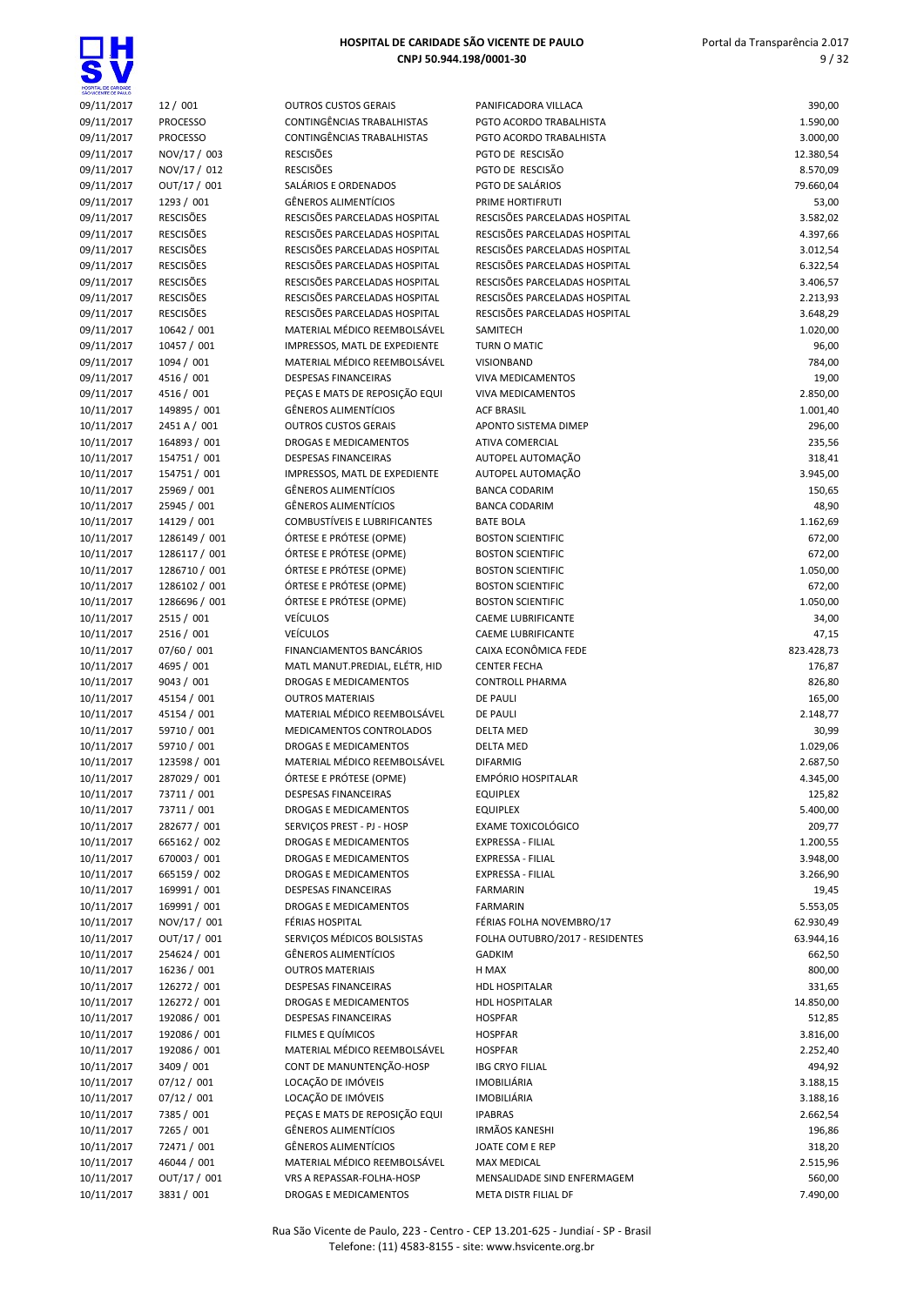| HOSPITAL DE CARIDADE SÃO VICENTE DE PAULO |  |
|-------------------------------------------|--|
| CNPJ 50.944.198/0001-30                   |  |

| SÃO VICENTE DE PAULO     |                           |                                                               |                                                                |                 |
|--------------------------|---------------------------|---------------------------------------------------------------|----------------------------------------------------------------|-----------------|
| 09/11/2017               | 12 / 001                  | <b>OUTROS CUSTOS GERAIS</b>                                   | PANIFICADORA VILLACA                                           | 390,00          |
| 09/11/2017               | <b>PROCESSO</b>           | CONTINGÊNCIAS TRABALHISTAS                                    | PGTO ACORDO TRABALHISTA                                        | 1.590,00        |
| 09/11/2017               | <b>PROCESSO</b>           | <b>CONTINGÊNCIAS TRABALHISTAS</b>                             | PGTO ACORDO TRABALHISTA                                        | 3.000,00        |
| 09/11/2017               | NOV/17 / 003              | <b>RESCISÕES</b>                                              | PGTO DE RESCISÃO                                               | 12.380,54       |
| 09/11/2017               | NOV/17 / 012              | <b>RESCISÕES</b>                                              | PGTO DE RESCISÃO                                               | 8.570,09        |
| 09/11/2017               | OUT/17 / 001              | SALÁRIOS E ORDENADOS                                          | PGTO DE SALÁRIOS                                               | 79.660,04       |
| 09/11/2017               | 1293 / 001                | <b>GÊNEROS ALIMENTÍCIOS</b>                                   | PRIME HORTIFRUTI                                               | 53,00           |
| 09/11/2017               | <b>RESCISÕES</b>          | RESCISÕES PARCELADAS HOSPITAL                                 | RESCISÕES PARCELADAS HOSPITAL                                  | 3.582,02        |
| 09/11/2017               | <b>RESCISÕES</b>          | RESCISÕES PARCELADAS HOSPITAL                                 | RESCISÕES PARCELADAS HOSPITAL                                  | 4.397,66        |
| 09/11/2017               | <b>RESCISÕES</b>          | RESCISÕES PARCELADAS HOSPITAL                                 | RESCISÕES PARCELADAS HOSPITAL                                  | 3.012,54        |
| 09/11/2017               | <b>RESCISÕES</b>          | RESCISÕES PARCELADAS HOSPITAL                                 | RESCISÕES PARCELADAS HOSPITAL                                  | 6.322,54        |
| 09/11/2017               | <b>RESCISÕES</b>          | RESCISÕES PARCELADAS HOSPITAL                                 | RESCISÕES PARCELADAS HOSPITAL                                  | 3.406,57        |
| 09/11/2017               | <b>RESCISÕES</b>          | RESCISÕES PARCELADAS HOSPITAL                                 | RESCISÕES PARCELADAS HOSPITAL<br>RESCISÕES PARCELADAS HOSPITAL | 2.213,93        |
| 09/11/2017               | <b>RESCISÕES</b>          | RESCISÕES PARCELADAS HOSPITAL<br>MATERIAL MÉDICO REEMBOLSÁVEL |                                                                | 3.648,29        |
| 09/11/2017               | 10642 / 001               |                                                               | SAMITECH                                                       | 1.020,00        |
| 09/11/2017<br>09/11/2017 | 10457 / 001<br>1094 / 001 | IMPRESSOS, MATL DE EXPEDIENTE<br>MATERIAL MÉDICO REEMBOLSÁVEL | TURN O MATIC<br>VISIONBAND                                     | 96,00<br>784,00 |
| 09/11/2017               | 4516 / 001                | <b>DESPESAS FINANCEIRAS</b>                                   | <b>VIVA MEDICAMENTOS</b>                                       | 19,00           |
| 09/11/2017               | 4516 / 001                | PEÇAS E MATS DE REPOSIÇÃO EQUI                                | <b>VIVA MEDICAMENTOS</b>                                       | 2.850,00        |
| 10/11/2017               | 149895 / 001              | <b>GÊNEROS ALIMENTÍCIOS</b>                                   | <b>ACF BRASIL</b>                                              | 1.001,40        |
| 10/11/2017               | 2451 A / 001              | <b>OUTROS CUSTOS GERAIS</b>                                   | APONTO SISTEMA DIMEP                                           | 296,00          |
| 10/11/2017               | 164893 / 001              | DROGAS E MEDICAMENTOS                                         | <b>ATIVA COMERCIAL</b>                                         | 235,56          |
| 10/11/2017               | 154751 / 001              | <b>DESPESAS FINANCEIRAS</b>                                   | AUTOPEL AUTOMAÇÃO                                              | 318,41          |
| 10/11/2017               | 154751 / 001              | IMPRESSOS, MATL DE EXPEDIENTE                                 | AUTOPEL AUTOMAÇÃO                                              | 3.945,00        |
| 10/11/2017               | 25969 / 001               | <b>GÊNEROS ALIMENTÍCIOS</b>                                   | <b>BANCA CODARIM</b>                                           | 150,65          |
| 10/11/2017               | 25945 / 001               | <b>GÊNEROS ALIMENTÍCIOS</b>                                   | <b>BANCA CODARIM</b>                                           | 48,90           |
| 10/11/2017               | 14129 / 001               | COMBUSTÍVEIS E LUBRIFICANTES                                  | <b>BATE BOLA</b>                                               | 1.162,69        |
| 10/11/2017               | 1286149 / 001             | ÓRTESE E PRÓTESE (OPME)                                       | <b>BOSTON SCIENTIFIC</b>                                       | 672,00          |
| 10/11/2017               | 1286117 / 001             | ÓRTESE E PRÓTESE (OPME)                                       | <b>BOSTON SCIENTIFIC</b>                                       | 672,00          |
| 10/11/2017               | 1286710 / 001             | ÓRTESE E PRÓTESE (OPME)                                       | <b>BOSTON SCIENTIFIC</b>                                       | 1.050,00        |
| 10/11/2017               | 1286102 / 001             | ÓRTESE E PRÓTESE (OPME)                                       | <b>BOSTON SCIENTIFIC</b>                                       | 672,00          |
| 10/11/2017               | 1286696 / 001             | ÓRTESE E PRÓTESE (OPME)                                       | <b>BOSTON SCIENTIFIC</b>                                       | 1.050,00        |
| 10/11/2017               | 2515 / 001                | <b>VEÍCULOS</b>                                               | <b>CAEME LUBRIFICANTE</b>                                      | 34,00           |
| 10/11/2017               | 2516 / 001                | <b>VEÍCULOS</b>                                               | <b>CAEME LUBRIFICANTE</b>                                      | 47,15           |
| 10/11/2017               | 07/60 / 001               | FINANCIAMENTOS BANCÁRIOS                                      | CAIXA ECONÔMICA FEDE                                           | 823.428,73      |
| 10/11/2017               | 4695 / 001                | MATL MANUT.PREDIAL, ELÉTR, HID                                | <b>CENTER FECHA</b>                                            | 176,87          |
| 10/11/2017               | 9043 / 001                | DROGAS E MEDICAMENTOS                                         | <b>CONTROLL PHARMA</b>                                         | 826,80          |
| 10/11/2017               | 45154 / 001               | <b>OUTROS MATERIAIS</b>                                       | <b>DE PAULI</b>                                                | 165,00          |
| 10/11/2017               | 45154 / 001               | MATERIAL MÉDICO REEMBOLSÁVEL                                  | <b>DE PAULI</b>                                                | 2.148,77        |
| 10/11/2017               | 59710 / 001               | MEDICAMENTOS CONTROLADOS                                      | <b>DELTA MED</b>                                               | 30,99           |
| 10/11/2017               | 59710 / 001               | DROGAS E MEDICAMENTOS                                         | <b>DELTA MED</b>                                               | 1.029,06        |
| 10/11/2017               | 123598 / 001              | MATERIAL MÉDICO REEMBOLSÁVEL                                  | <b>DIFARMIG</b>                                                | 2.687,50        |
| 10/11/2017               | 287029 / 001              | ÓRTESE E PRÓTESE (OPME)                                       | <b>EMPÓRIO HOSPITALAR</b>                                      | 4.345,00        |
| 10/11/2017               | 73711 / 001               | <b>DESPESAS FINANCEIRAS</b>                                   | <b>EQUIPLEX</b>                                                | 125,82          |
| 10/11/2017               | 73711 / 001               | DROGAS E MEDICAMENTOS                                         | <b>EQUIPLEX</b>                                                | 5.400,00        |
| 10/11/2017               | 282677 / 001              | SERVIÇOS PREST - PJ - HOSP                                    | <b>EXAME TOXICOLÓGICO</b>                                      | 209,77          |
| 10/11/2017               | 665162 / 002              | DROGAS E MEDICAMENTOS                                         | EXPRESSA - FILIAL                                              | 1.200,55        |
| 10/11/2017               | 670003 / 001              | DROGAS E MEDICAMENTOS                                         | EXPRESSA - FILIAL                                              | 3.948,00        |
| 10/11/2017               | 665159 / 002              | DROGAS E MEDICAMENTOS                                         | EXPRESSA - FILIAL                                              | 3.266,90        |
| 10/11/2017               | 169991 / 001              | DESPESAS FINANCEIRAS                                          | <b>FARMARIN</b>                                                | 19,45           |
| 10/11/2017               | 169991 / 001              | <b>DROGAS E MEDICAMENTOS</b>                                  | <b>FARMARIN</b>                                                | 5.553,05        |
| 10/11/2017               | NOV/17 / 001              | FÉRIAS HOSPITAL                                               | FÉRIAS FOLHA NOVEMBRO/17                                       | 62.930,49       |
| 10/11/2017               | OUT/17 / 001              | SERVIÇOS MÉDICOS BOLSISTAS                                    | FOLHA OUTUBRO/2017 - RESIDENTES                                | 63.944,16       |
| 10/11/2017               | 254624 / 001              | <b>GÊNEROS ALIMENTÍCIOS</b>                                   | <b>GADKIM</b>                                                  | 662,50          |
| 10/11/2017               | 16236 / 001               | <b>OUTROS MATERIAIS</b>                                       | H MAX                                                          | 800,00          |
| 10/11/2017               | 126272 / 001              | DESPESAS FINANCEIRAS                                          | <b>HDL HOSPITALAR</b>                                          | 331,65          |
| 10/11/2017               | 126272 / 001              | DROGAS E MEDICAMENTOS                                         | <b>HDL HOSPITALAR</b>                                          | 14.850,00       |
| 10/11/2017               | 192086 / 001              | <b>DESPESAS FINANCEIRAS</b>                                   | <b>HOSPFAR</b>                                                 | 512,85          |
| 10/11/2017               | 192086 / 001              | FILMES E QUÍMICOS                                             | <b>HOSPFAR</b>                                                 | 3.816,00        |
| 10/11/2017               | 192086 / 001              | MATERIAL MÉDICO REEMBOLSÁVEL                                  | <b>HOSPFAR</b>                                                 | 2.252,40        |
| 10/11/2017               | 3409 / 001                | CONT DE MANUNTENÇÃO-HOSP                                      | <b>IBG CRYO FILIAL</b>                                         | 494,92          |
| 10/11/2017               | 07/12 / 001               | LOCAÇÃO DE IMÓVEIS                                            | <b>IMOBILIÁRIA</b>                                             | 3.188,15        |
| 10/11/2017               | 07/12 / 001               | LOCAÇÃO DE IMÓVEIS                                            | IMOBILIÁRIA                                                    | 3.188,16        |
| 10/11/2017               | 7385 / 001                | PEÇAS E MATS DE REPOSIÇÃO EQUI                                | <b>IPABRAS</b>                                                 | 2.662,54        |
| 10/11/2017               | 7265 / 001                | GÊNEROS ALIMENTÍCIOS                                          | <b>IRMÃOS KANESHI</b>                                          | 196,86          |
| 10/11/2017               | 72471 / 001               | <b>GÊNEROS ALIMENTÍCIOS</b>                                   | JOATE COM E REP                                                | 318,20          |
| 10/11/2017               | 46044 / 001               | MATERIAL MÉDICO REEMBOLSÁVEL                                  | <b>MAX MEDICAL</b>                                             | 2.515,96        |
| 10/11/2017               | OUT/17 / 001              | VRS A REPASSAR-FOLHA-HOSP                                     | MENSALIDADE SIND ENFERMAGEM                                    | 560,00          |
| 10/11/2017               | 3831 / 001                | DROGAS E MEDICAMENTOS                                         | META DISTR FILIAL DF                                           | 7.490,00        |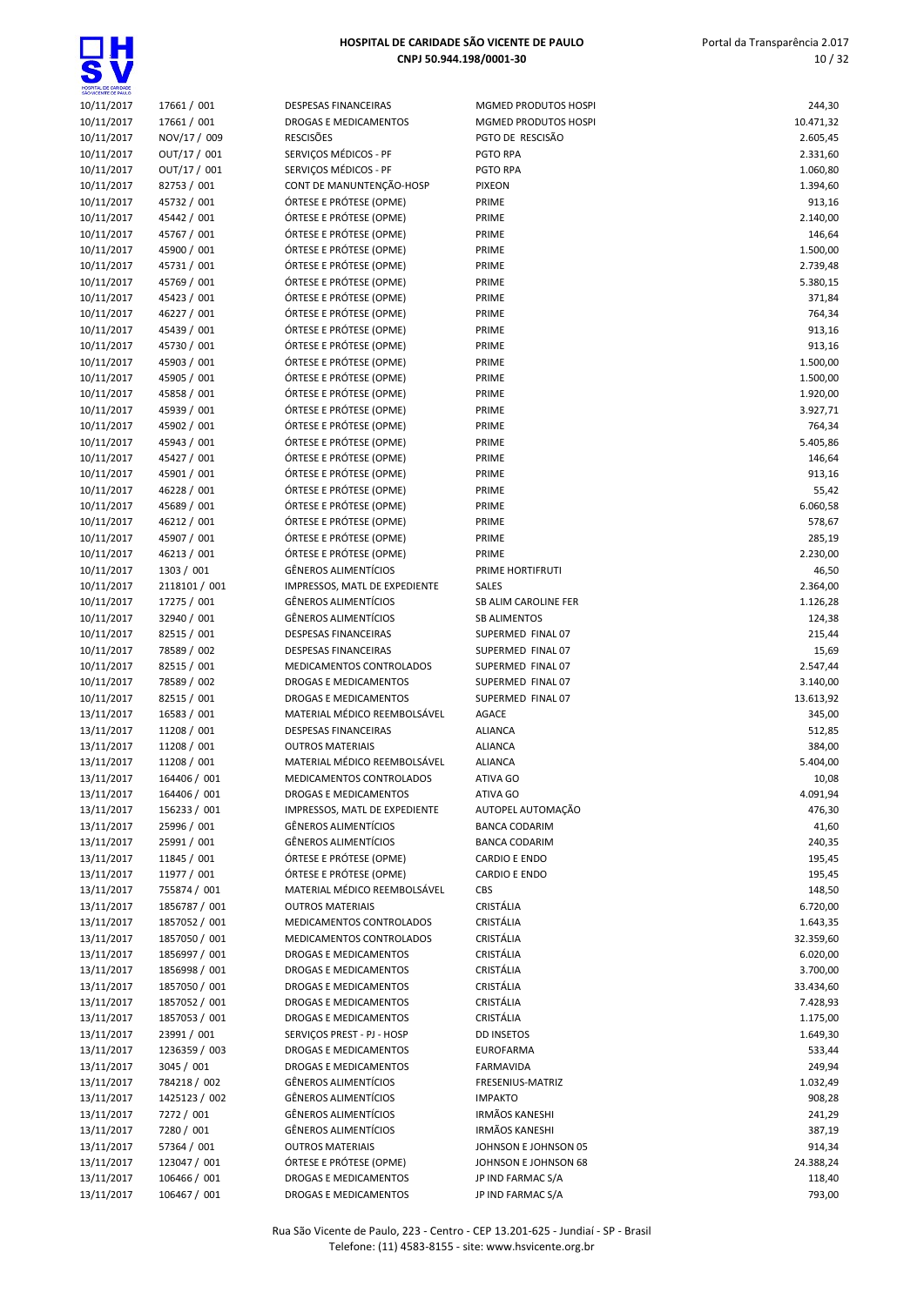

| SÃO VICENTE DE PAULO |               |                               |                       |           |
|----------------------|---------------|-------------------------------|-----------------------|-----------|
| 10/11/2017           | 17661 / 001   | <b>DESPESAS FINANCEIRAS</b>   | MGMED PRODUTOS HOSPI  | 244,30    |
| 10/11/2017           | 17661 / 001   | DROGAS E MEDICAMENTOS         | MGMED PRODUTOS HOSPI  | 10.471,32 |
| 10/11/2017           | NOV/17 / 009  | <b>RESCISÕES</b>              | PGTO DE RESCISÃO      | 2.605,45  |
| 10/11/2017           | OUT/17 / 001  | SERVIÇOS MÉDICOS - PF         | <b>PGTO RPA</b>       | 2.331,60  |
| 10/11/2017           | OUT/17 / 001  | SERVIÇOS MÉDICOS - PF         | PGTO RPA              | 1.060,80  |
| 10/11/2017           | 82753 / 001   | CONT DE MANUNTENÇÃO-HOSP      | <b>PIXEON</b>         | 1.394,60  |
| 10/11/2017           | 45732 / 001   | ÓRTESE E PRÓTESE (OPME)       | PRIME                 | 913,16    |
| 10/11/2017           | 45442 / 001   | ÓRTESE E PRÓTESE (OPME)       | PRIME                 | 2.140,00  |
| 10/11/2017           | 45767 / 001   | ÓRTESE E PRÓTESE (OPME)       | PRIME                 | 146,64    |
| 10/11/2017           | 45900 / 001   | ÓRTESE E PRÓTESE (OPME)       | PRIME                 | 1.500,00  |
| 10/11/2017           | 45731 / 001   | ÓRTESE E PRÓTESE (OPME)       | PRIME                 | 2.739,48  |
| 10/11/2017           | 45769 / 001   | ÓRTESE E PRÓTESE (OPME)       | PRIME                 | 5.380,15  |
| 10/11/2017           | 45423 / 001   | ÓRTESE E PRÓTESE (OPME)       | PRIME                 | 371,84    |
| 10/11/2017           | 46227 / 001   | ÓRTESE E PRÓTESE (OPME)       | PRIME                 | 764,34    |
| 10/11/2017           | 45439 / 001   | ÓRTESE E PRÓTESE (OPME)       | PRIME                 | 913,16    |
| 10/11/2017           | 45730 / 001   | ÓRTESE E PRÓTESE (OPME)       | PRIME                 | 913,16    |
| 10/11/2017           | 45903 / 001   | ÓRTESE E PRÓTESE (OPME)       | PRIME                 | 1.500,00  |
| 10/11/2017           | 45905 / 001   | ÓRTESE E PRÓTESE (OPME)       | PRIME                 | 1.500,00  |
| 10/11/2017           | 45858 / 001   | ÓRTESE E PRÓTESE (OPME)       | PRIME                 | 1.920,00  |
| 10/11/2017           | 45939 / 001   | ÓRTESE E PRÓTESE (OPME)       | PRIME                 | 3.927,71  |
| 10/11/2017           | 45902 / 001   | ÓRTESE E PRÓTESE (OPME)       | PRIME                 | 764,34    |
| 10/11/2017           | 45943 / 001   | ÓRTESE E PRÓTESE (OPME)       | PRIME                 | 5.405,86  |
| 10/11/2017           | 45427 / 001   | ÓRTESE E PRÓTESE (OPME)       | PRIME                 | 146,64    |
| 10/11/2017           | 45901 / 001   | ÓRTESE E PRÓTESE (OPME)       | PRIME                 | 913,16    |
| 10/11/2017           | 46228 / 001   | ÓRTESE E PRÓTESE (OPME)       | PRIME                 | 55,42     |
| 10/11/2017           | 45689 / 001   | ÓRTESE E PRÓTESE (OPME)       | PRIME                 | 6.060,58  |
| 10/11/2017           | 46212 / 001   | ÓRTESE E PRÓTESE (OPME)       | PRIME                 | 578,67    |
| 10/11/2017           | 45907 / 001   | ÓRTESE E PRÓTESE (OPME)       | PRIME                 | 285,19    |
| 10/11/2017           | 46213 / 001   | ÓRTESE E PRÓTESE (OPME)       | PRIME                 | 2.230,00  |
| 10/11/2017           | 1303 / 001    | <b>GÊNEROS ALIMENTÍCIOS</b>   | PRIME HORTIFRUTI      | 46,50     |
| 10/11/2017           | 2118101 / 001 | IMPRESSOS, MATL DE EXPEDIENTE | <b>SALES</b>          | 2.364,00  |
| 10/11/2017           | 17275 / 001   | <b>GÊNEROS ALIMENTÍCIOS</b>   | SB ALIM CAROLINE FER  | 1.126,28  |
| 10/11/2017           | 32940 / 001   | <b>GÊNEROS ALIMENTÍCIOS</b>   | <b>SB ALIMENTOS</b>   | 124,38    |
| 10/11/2017           | 82515 / 001   | DESPESAS FINANCEIRAS          | SUPERMED FINAL 07     | 215,44    |
| 10/11/2017           | 78589 / 002   | <b>DESPESAS FINANCEIRAS</b>   | SUPERMED FINAL 07     | 15,69     |
| 10/11/2017           | 82515 / 001   | MEDICAMENTOS CONTROLADOS      | SUPERMED FINAL 07     | 2.547,44  |
| 10/11/2017           | 78589 / 002   | <b>DROGAS E MEDICAMENTOS</b>  | SUPERMED FINAL 07     | 3.140,00  |
| 10/11/2017           | 82515 / 001   | DROGAS E MEDICAMENTOS         | SUPERMED FINAL 07     | 13.613,92 |
| 13/11/2017           | 16583 / 001   | MATERIAL MÉDICO REEMBOLSÁVEL  | <b>AGACE</b>          | 345,00    |
| 13/11/2017           | 11208 / 001   | DESPESAS FINANCEIRAS          | <b>ALIANCA</b>        | 512,85    |
| 13/11/2017           | 11208 / 001   | <b>OUTROS MATERIAIS</b>       | <b>ALIANCA</b>        | 384,00    |
| 13/11/2017           | 11208 / 001   | MATERIAL MÉDICO REEMBOLSÁVEL  | <b>ALIANCA</b>        | 5.404,00  |
| 13/11/2017           | 164406 / 001  | MEDICAMENTOS CONTROLADOS      | ATIVA GO              | 10,08     |
| 13/11/2017           | 164406 / 001  | DROGAS E MEDICAMENTOS         | ATIVA GO              | 4.091,94  |
| 13/11/2017           | 156233 / 001  | IMPRESSOS, MATL DE EXPEDIENTE | AUTOPEL AUTOMAÇÃO     | 476,30    |
| 13/11/2017           | 25996 / 001   | <b>GÊNEROS ALIMENTÍCIOS</b>   | <b>BANCA CODARIM</b>  | 41,60     |
| 13/11/2017           | 25991 / 001   | <b>GÊNEROS ALIMENTÍCIOS</b>   | <b>BANCA CODARIM</b>  | 240,35    |
| 13/11/2017           | 11845 / 001   | ÓRTESE E PRÓTESE (OPME)       | <b>CARDIO E ENDO</b>  | 195,45    |
| 13/11/2017           | 11977 / 001   | ÓRTESE E PRÓTESE (OPME)       | <b>CARDIO E ENDO</b>  | 195,45    |
| 13/11/2017           | 755874 / 001  | MATERIAL MÉDICO REEMBOLSÁVEL  | CBS                   | 148,50    |
| 13/11/2017           | 1856787 / 001 | <b>OUTROS MATERIAIS</b>       | CRISTÁLIA             | 6.720,00  |
| 13/11/2017           | 1857052 / 001 | MEDICAMENTOS CONTROLADOS      | CRISTÁLIA             | 1.643,35  |
| 13/11/2017           | 1857050 / 001 | MEDICAMENTOS CONTROLADOS      | CRISTÁLIA             | 32.359,60 |
| 13/11/2017           | 1856997 / 001 | DROGAS E MEDICAMENTOS         | CRISTÁLIA             | 6.020,00  |
| 13/11/2017           | 1856998 / 001 | DROGAS E MEDICAMENTOS         | CRISTÁLIA             | 3.700,00  |
| 13/11/2017           | 1857050 / 001 | DROGAS E MEDICAMENTOS         | CRISTÁLIA             | 33.434,60 |
| 13/11/2017           | 1857052 / 001 | DROGAS E MEDICAMENTOS         | CRISTÁLIA             | 7.428,93  |
| 13/11/2017           | 1857053 / 001 | DROGAS E MEDICAMENTOS         | CRISTÁLIA             | 1.175,00  |
| 13/11/2017           | 23991 / 001   | SERVIÇOS PREST - PJ - HOSP    | <b>DD INSETOS</b>     | 1.649,30  |
| 13/11/2017           | 1236359 / 003 | DROGAS E MEDICAMENTOS         | <b>EUROFARMA</b>      | 533,44    |
| 13/11/2017           | 3045 / 001    | DROGAS E MEDICAMENTOS         | FARMAVIDA             | 249,94    |
| 13/11/2017           | 784218 / 002  | <b>GÊNEROS ALIMENTÍCIOS</b>   | FRESENIUS-MATRIZ      | 1.032,49  |
| 13/11/2017           | 1425123 / 002 | <b>GÊNEROS ALIMENTÍCIOS</b>   | <b>IMPAKTO</b>        | 908,28    |
| 13/11/2017           | 7272 / 001    | <b>GÊNEROS ALIMENTÍCIOS</b>   | <b>IRMÃOS KANESHI</b> | 241,29    |
| 13/11/2017           | 7280 / 001    | <b>GÊNEROS ALIMENTÍCIOS</b>   | <b>IRMÃOS KANESHI</b> | 387,19    |
| 13/11/2017           | 57364 / 001   | <b>OUTROS MATERIAIS</b>       | JOHNSON E JOHNSON 05  | 914,34    |
| 13/11/2017           | 123047 / 001  | ÓRTESE E PRÓTESE (OPME)       | JOHNSON E JOHNSON 68  | 24.388,24 |
| 13/11/2017           | 106466 / 001  | DROGAS E MEDICAMENTOS         | JP IND FARMAC S/A     | 118,40    |
| 13/11/2017           | 106467 / 001  | DROGAS E MEDICAMENTOS         | JP IND FARMAC S/A     | 793,00    |

| <b>INCEIRAS</b>                            | MGMED PRODUTOS HO                 |
|--------------------------------------------|-----------------------------------|
| <b>DICAMENTOS</b>                          | MGMED PRODUTOS HO                 |
|                                            | PGTO DE RESCISÃO                  |
| JICOS - PF                                 | <b>PGTO RPA</b>                   |
| JICOS - PF<br>UNTENÇÃO-HOSP                | <b>PGTO RPA</b><br><b>PIXEON</b>  |
| TESE (OPME)                                | PRIME                             |
| TESE (OPME)                                | PRIME                             |
| TESE (OPME)                                | PRIME                             |
| TESE (OPME)                                | PRIME                             |
| TESE (OPME)                                | PRIME                             |
| TESE (OPME)                                | PRIME                             |
| TESE (OPME)                                | PRIME                             |
| TESE (OPME)                                | PRIME                             |
| TESE (OPME)                                | PRIME                             |
| TESE (OPME)                                | PRIME                             |
| TESE (OPME)                                | PRIME                             |
| TESE (OPME)                                | PRIME                             |
| TESE (OPME)                                | PRIME                             |
| TESE (OPME)                                | PRIME                             |
| TESE (OPME)                                | PRIME                             |
| TESE (OPME)                                | PRIME                             |
| TESE (OPME)                                | PRIME                             |
| TESE (OPME)                                | PRIME                             |
| TESE (OPME)                                | PRIME                             |
| TESE (OPME)<br>TESE (OPME)                 | PRIME<br>PRIME                    |
| TESE (OPME)                                | PRIME                             |
| TESE (OPME)                                | PRIME                             |
| 1ENTÍCIOS                                  | PRIME HORTIFRUTI                  |
| ATL DE EXPEDIENTE                          | <b>SALES</b>                      |
| 1ENTÍCIOS                                  | <b>SB ALIM CAROLINE FER</b>       |
| 1ENTÍCIOS                                  | <b>SB ALIMENTOS</b>               |
| <b>NCEIRAS</b>                             | SUPERMED FINAL 07                 |
| <b>NCEIRAS</b>                             | SUPERMED FINAL 07                 |
| OS CONTROLADOS                             | SUPERMED FINAL 07                 |
| <b>DICAMENTOS</b>                          | SUPERMED FINAL 07                 |
| <b>DICAMENTOS</b>                          | SUPERMED FINAL 07                 |
| DICO REEMBOLSÁVEL                          | <b>AGACE</b>                      |
| <b>INCEIRAS</b>                            | <b>ALIANCA</b>                    |
| RIAIS                                      | ALIANCA                           |
| DICO REEMBOLSÁVEL<br><b>OS CONTROLADOS</b> | <b>ALIANCA</b><br><b>ATIVA GO</b> |
| <b>DICAMENTOS</b>                          | ATIVA GO                          |
| ATL DE EXPEDIENTE                          | AUTOPEL AUTOMAÇÃO                 |
| 1 ENTÍCIOS                                 | <b>BANCA CODARIM</b>              |
| 1 ENTÍCIOS                                 | <b>BANCA CODARIM</b>              |
| TESE (OPME)                                | <b>CARDIO E ENDO</b>              |
| TESE (OPME)                                | <b>CARDIO E ENDO</b>              |
| DICO REEMBOLSÁVEL                          | <b>CBS</b>                        |
| <b>RIAIS</b>                               | CRISTÁLIA                         |
| OS CONTROLADOS                             | <b>CRISTÁLIA</b>                  |
| OS CONTROLADOS                             | <b>CRISTÁLIA</b>                  |
| <b>DICAMENTOS</b>                          | CRISTÁLIA                         |
| <b>DICAMENTOS</b>                          | CRISTÁLIA                         |
| <b>DICAMENTOS</b>                          | CRISTÁLIA                         |
| <b>DICAMENTOS</b>                          | <b>CRISTÁLIA</b>                  |
| <b>DICAMENTOS</b><br>ST - PJ - HOSP        | CRISTÁLIA<br><b>DD INSETOS</b>    |
| <b>DICAMENTOS</b>                          | <b>EUROFARMA</b>                  |
| <b>DICAMENTOS</b>                          | <b>FARMAVIDA</b>                  |
| 1 ENTÍCIOS                                 | <b>FRESENIUS-MATRIZ</b>           |
| 1 ENTÍCIOS                                 | <b>IMPAKTO</b>                    |
| 1ENTÍCIOS                                  | <b>IRMÃOS KANESHI</b>             |
| 1ENTÍCIOS                                  | <b>IRMÃOS KANESHI</b>             |
| RIAIS                                      | JOHNSON E JOHNSON (               |
| TESE (OPME)                                | JOHNSON E JOHNSON 6               |
| <b>DICAMENTOS</b>                          | JP IND FARMAC S/A                 |

| 2.605,45             |
|----------------------|
| 2.331,60             |
| 1.060,80             |
| 1.394,60<br>913,16   |
| 2.140,00             |
| 146,64               |
| 1.500,00             |
| 2.739,48<br>5.380,15 |
| 371,84               |
| 764,34               |
| 913,16               |
| 913,16               |
| 1.500,00<br>1.500,00 |
| 1.920,00             |
| 3.927,71             |
| 764,34               |
| 5.405,86             |
| 146,64<br>913,16     |
| 55,42                |
| 6.060,58             |
| 578,67               |
| 285,19               |
| 2.230,00<br>46,50    |
| 2.364,00             |
| 1.126,28             |
| 124,38               |
| 215,44               |
| 15,69<br>2.547,44    |
| 3.140,00             |
| 13.613,92            |
| 345,00               |
| 512,85<br>384,00     |
| 5.404,00             |
| 10,08                |
| 4.091,94             |
| 476,30               |
| 41,60<br>240,35      |
| 195,45               |
| 195,45               |
| 148,50               |
| 6.720,00<br>1.643,35 |
| 32.359,60            |
| 6.020,00             |
| 3.700,00             |
| 33.434,60            |
| 7.428,93<br>1.175,00 |
| 1.649,30             |
| 533,44               |
| 249,94               |
| 1.032,49<br>908,28   |
| 241,29               |
| 387,19               |
| 914,34               |
| 24.388,24            |
| 118,40<br>793,00     |
|                      |
|                      |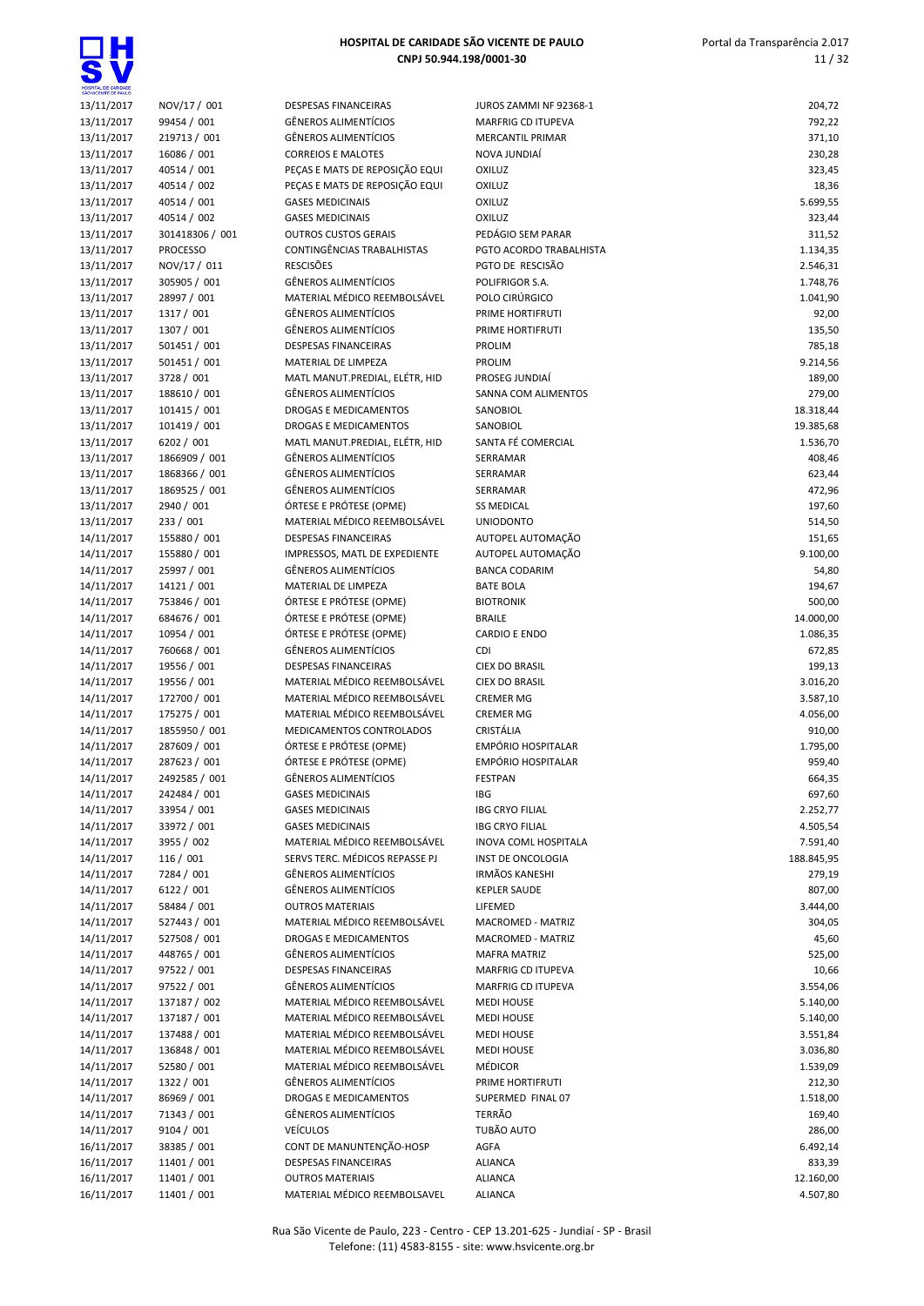| SÃO VICENTE DE PAULO     |                                |                                                            |                             |                  |
|--------------------------|--------------------------------|------------------------------------------------------------|-----------------------------|------------------|
| 13/11/2017               | NOV/17 / 001                   | <b>DESPESAS FINANCEIRAS</b>                                | JUROS ZAMMI NF 92368-1      | 204,72           |
| 13/11/2017               | 99454 / 001                    | <b>GÊNEROS ALIMENTÍCIOS</b>                                | <b>MARFRIG CD ITUPEVA</b>   | 792,22           |
| 13/11/2017               | 219713 / 001                   | <b>GÊNEROS ALIMENTÍCIOS</b>                                | <b>MERCANTIL PRIMAR</b>     | 371,10           |
| 13/11/2017               | 16086 / 001                    | <b>CORREIOS E MALOTES</b>                                  | NOVA JUNDIAÍ                | 230,28           |
| 13/11/2017               | 40514 / 001                    | PEÇAS E MATS DE REPOSIÇÃO EQUI                             | OXILUZ                      | 323,45           |
| 13/11/2017               | 40514 / 002                    | PEÇAS E MATS DE REPOSIÇÃO EQUI                             | OXILUZ                      | 18,36            |
| 13/11/2017               | 40514 / 001                    | <b>GASES MEDICINAIS</b>                                    | OXILUZ                      | 5.699,55         |
| 13/11/2017               | 40514 / 002                    | <b>GASES MEDICINAIS</b>                                    | OXILUZ                      | 323,44           |
| 13/11/2017               | 301418306 / 001                | <b>OUTROS CUSTOS GERAIS</b>                                | PEDÁGIO SEM PARAR           | 311,52           |
| 13/11/2017               | <b>PROCESSO</b>                | CONTINGÊNCIAS TRABALHISTAS                                 | PGTO ACORDO TRABALHISTA     | 1.134,35         |
| 13/11/2017               | NOV/17 / 011                   | <b>RESCISÕES</b>                                           | PGTO DE RESCISÃO            | 2.546,31         |
| 13/11/2017               | 305905 / 001                   | <b>GÊNEROS ALIMENTÍCIOS</b>                                | POLIFRIGOR S.A.             | 1.748,76         |
| 13/11/2017               | 28997 / 001                    | MATERIAL MÉDICO REEMBOLSÁVEL                               | POLO CIRÚRGICO              | 1.041,90         |
| 13/11/2017               | 1317 / 001                     | <b>GÊNEROS ALIMENTÍCIOS</b>                                | PRIME HORTIFRUTI            | 92,00            |
| 13/11/2017               | 1307 / 001                     | <b>GÊNEROS ALIMENTÍCIOS</b>                                | PRIME HORTIFRUTI            | 135,50           |
| 13/11/2017               | 501451 / 001                   | <b>DESPESAS FINANCEIRAS</b>                                | <b>PROLIM</b>               | 785,18           |
| 13/11/2017               | 501451 / 001                   | MATERIAL DE LIMPEZA                                        | <b>PROLIM</b>               | 9.214,56         |
| 13/11/2017               | 3728 / 001                     | MATL MANUT.PREDIAL, ELÉTR, HID                             | PROSEG JUNDIAÍ              | 189,00           |
| 13/11/2017               | 188610 / 001                   | <b>GÊNEROS ALIMENTÍCIOS</b>                                | SANNA COM ALIMENTOS         | 279,00           |
| 13/11/2017               | 101415 / 001                   | <b>DROGAS E MEDICAMENTOS</b>                               | SANOBIOL                    | 18.318,44        |
| 13/11/2017               | 101419 / 001                   | DROGAS E MEDICAMENTOS                                      | <b>SANOBIOL</b>             | 19.385,68        |
| 13/11/2017               | 6202 / 001                     | MATL MANUT.PREDIAL, ELÉTR, HID                             | SANTA FÉ COMERCIAL          | 1.536,70         |
| 13/11/2017               | 1866909 / 001                  | <b>GÊNEROS ALIMENTÍCIOS</b>                                | SERRAMAR                    | 408,46           |
| 13/11/2017               | 1868366 / 001<br>1869525 / 001 | <b>GÊNEROS ALIMENTÍCIOS</b><br><b>GÊNEROS ALIMENTÍCIOS</b> | SERRAMAR<br>SERRAMAR        | 623,44           |
| 13/11/2017               | 2940 / 001                     | ÓRTESE E PRÓTESE (OPME)                                    | <b>SS MEDICAL</b>           | 472,96           |
| 13/11/2017<br>13/11/2017 | 233 / 001                      | MATERIAL MÉDICO REEMBOLSÁVEL                               | <b>UNIODONTO</b>            | 197,60<br>514,50 |
| 14/11/2017               | 155880 / 001                   | <b>DESPESAS FINANCEIRAS</b>                                | AUTOPEL AUTOMAÇÃO           | 151,65           |
| 14/11/2017               | 155880 / 001                   | IMPRESSOS, MATL DE EXPEDIENTE                              | AUTOPEL AUTOMAÇÃO           | 9.100,00         |
| 14/11/2017               | 25997 / 001                    | <b>GÊNEROS ALIMENTÍCIOS</b>                                | <b>BANCA CODARIM</b>        | 54,80            |
| 14/11/2017               | 14121 / 001                    | MATERIAL DE LIMPEZA                                        | <b>BATE BOLA</b>            | 194,67           |
| 14/11/2017               | 753846 / 001                   | ÓRTESE E PRÓTESE (OPME)                                    | <b>BIOTRONIK</b>            | 500,00           |
| 14/11/2017               | 684676 / 001                   | ÓRTESE E PRÓTESE (OPME)                                    | <b>BRAILE</b>               | 14.000,00        |
| 14/11/2017               | 10954 / 001                    | ÓRTESE E PRÓTESE (OPME)                                    | <b>CARDIO E ENDO</b>        | 1.086,35         |
| 14/11/2017               | 760668 / 001                   | <b>GÊNEROS ALIMENTÍCIOS</b>                                | <b>CDI</b>                  | 672,85           |
| 14/11/2017               | 19556 / 001                    | <b>DESPESAS FINANCEIRAS</b>                                | <b>CIEX DO BRASIL</b>       | 199,13           |
| 14/11/2017               | 19556 / 001                    | MATERIAL MÉDICO REEMBOLSÁVEL                               | <b>CIEX DO BRASIL</b>       | 3.016,20         |
| 14/11/2017               | 172700 / 001                   | MATERIAL MÉDICO REEMBOLSÁVEL                               | <b>CREMER MG</b>            | 3.587,10         |
| 14/11/2017               | 175275 / 001                   | MATERIAL MÉDICO REEMBOLSÁVEL                               | <b>CREMER MG</b>            | 4.056,00         |
| 14/11/2017               | 1855950 / 001                  | MEDICAMENTOS CONTROLADOS                                   | CRISTÁLIA                   | 910,00           |
| 14/11/2017               | 287609 / 001                   | ÓRTESE E PRÓTESE (OPME)                                    | <b>EMPÓRIO HOSPITALAR</b>   | 1.795,00         |
| 14/11/2017               | 287623 / 001                   | ÓRTESE E PRÓTESE (OPME)                                    | <b>EMPÓRIO HOSPITALAR</b>   | 959,40           |
| 14/11/2017               | 2492585 / 001                  | <b>GÊNEROS ALIMENTÍCIOS</b>                                | <b>FESTPAN</b>              | 664,35           |
| 14/11/2017               | 242484 / 001                   | <b>GASES MEDICINAIS</b>                                    | IBG                         | 697,60           |
| 14/11/2017               | 33954 / 001                    | <b>GASES MEDICINAIS</b>                                    | <b>IBG CRYO FILIAL</b>      | 2.252,77         |
| 14/11/2017               | 33972 / 001                    | <b>GASES MEDICINAIS</b>                                    | <b>IBG CRYO FILIAL</b>      | 4.505,54         |
| 14/11/2017               | 3955 / 002                     | MATERIAL MÉDICO REEMBOLSÁVEL                               | <b>INOVA COML HOSPITALA</b> | 7.591,40         |
| 14/11/2017               | 116 / 001                      | SERVS TERC. MÉDICOS REPASSE PJ                             | <b>INST DE ONCOLOGIA</b>    | 188.845,95       |
| 14/11/2017               | 7284 / 001                     | <b>GÊNEROS ALIMENTÍCIOS</b>                                | <b>IRMÃOS KANESHI</b>       | 279,19           |
| 14/11/2017               | 6122 / 001                     | <b>GÊNEROS ALIMENTÍCIOS</b>                                | <b>KEPLER SAUDE</b>         | 807,00           |
| 14/11/2017               | 58484 / 001                    | <b>OUTROS MATERIAIS</b>                                    | LIFEMED                     | 3.444,00         |
| 14/11/2017               | 527443 / 001                   | MATERIAL MÉDICO REEMBOLSÁVEL                               | <b>MACROMED - MATRIZ</b>    | 304,05           |
| 14/11/2017               | 527508 / 001                   | <b>DROGAS E MEDICAMENTOS</b>                               | MACROMED - MATRIZ           | 45,60            |
| 14/11/2017               | 448765 / 001                   | <b>GÊNEROS ALIMENTÍCIOS</b>                                | <b>MAFRA MATRIZ</b>         | 525,00           |
| 14/11/2017               | 97522 / 001                    | DESPESAS FINANCEIRAS                                       | MARFRIG CD ITUPEVA          | 10,66            |
| 14/11/2017               | 97522 / 001                    | <b>GÊNEROS ALIMENTÍCIOS</b>                                | <b>MARFRIG CD ITUPEVA</b>   | 3.554,06         |
| 14/11/2017               | 137187 / 002                   | MATERIAL MÉDICO REEMBOLSÁVEL                               | <b>MEDI HOUSE</b>           | 5.140,00         |
| 14/11/2017               | 137187 / 001                   | MATERIAL MÉDICO REEMBOLSÁVEL                               | <b>MEDI HOUSE</b>           | 5.140,00         |
| 14/11/2017               | 137488 / 001                   | MATERIAL MÉDICO REEMBOLSÁVEL                               | <b>MEDI HOUSE</b>           | 3.551,84         |
| 14/11/2017               | 136848 / 001                   | MATERIAL MÉDICO REEMBOLSÁVEL                               | <b>MEDI HOUSE</b>           | 3.036,80         |
| 14/11/2017               | 52580 / 001                    | MATERIAL MÉDICO REEMBOLSÁVEL                               | MÉDICOR                     | 1.539,09         |
| 14/11/2017               | 1322 / 001                     | <b>GÊNEROS ALIMENTÍCIOS</b>                                | PRIME HORTIFRUTI            | 212,30           |
| 14/11/2017               | 86969 / 001                    | DROGAS E MEDICAMENTOS                                      | SUPERMED FINAL 07           | 1.518,00         |
| 14/11/2017               | 71343 / 001                    | <b>GÊNEROS ALIMENTÍCIOS</b>                                | TERRÃO                      | 169,40           |
| 14/11/2017               | 9104 / 001                     | <b>VEÍCULOS</b>                                            | TUBÃO AUTO                  | 286,00           |
| 16/11/2017               | 38385 / 001                    | CONT DE MANUNTENÇÃO-HOSP                                   | AGFA                        | 6.492,14         |
| 16/11/2017               | 11401 / 001                    | <b>DESPESAS FINANCEIRAS</b>                                | <b>ALIANCA</b>              | 833,39           |
| 16/11/2017               | 11401 / 001                    | <b>OUTROS MATERIAIS</b>                                    | <b>ALIANCA</b>              | 12.160,00        |
| 16/11/2017               | 11401 / 001                    | MATERIAL MÉDICO REEMBOLSAVEL                               | <b>ALIANCA</b>              | 4.507,80         |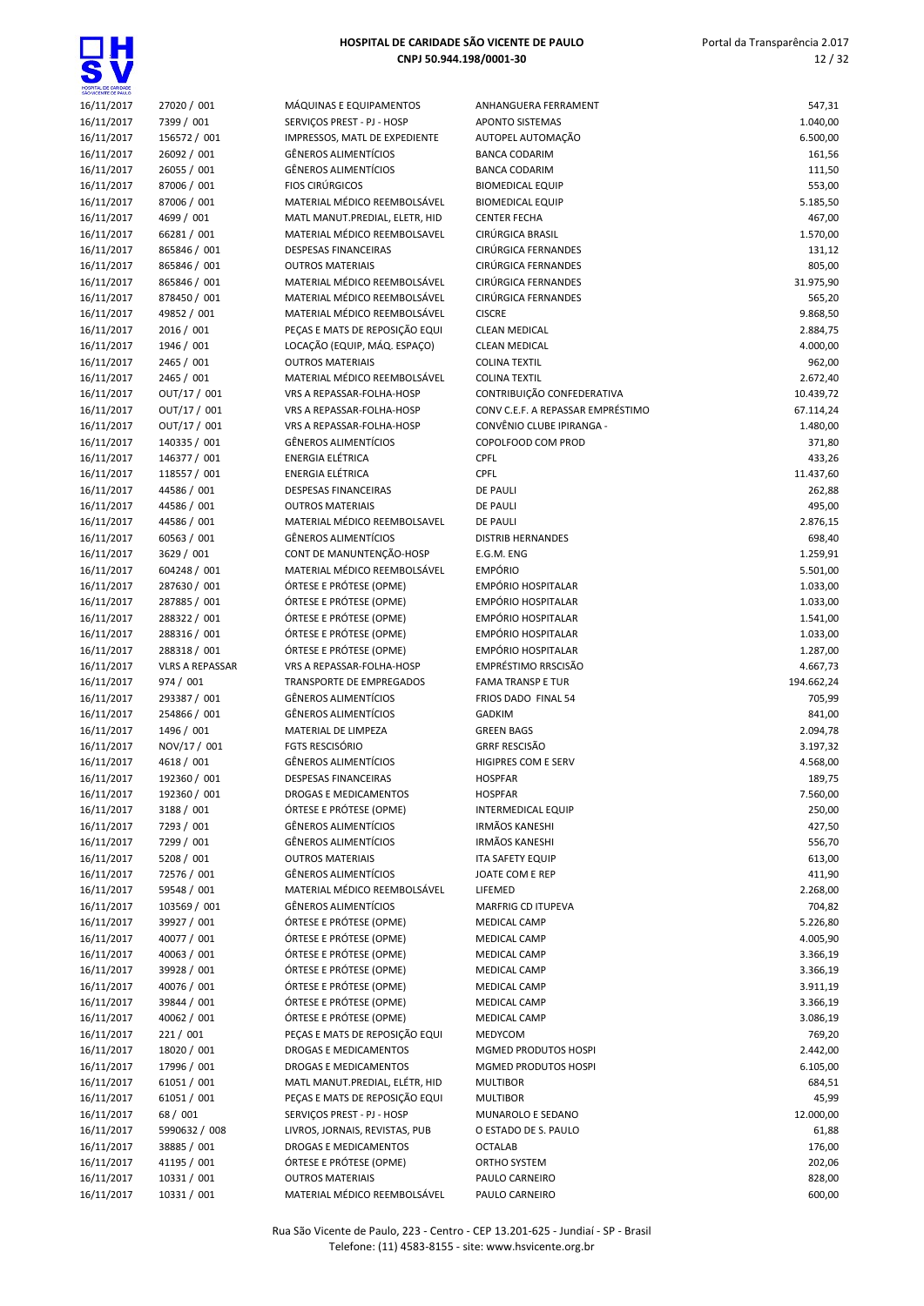

| 16/11/2017               | 27020 / 001                |
|--------------------------|----------------------------|
| 16/11/2017               | 7399 / 001                 |
|                          |                            |
| 16/11/2017               | 156572 / 001               |
| 16/11/2017               | 26092 / 001                |
| 16/11/2017               | 26055 / 001                |
| 16/11/2017               | 87006 / 001                |
| 16/11/2017               | 87006 / 001                |
|                          |                            |
| 16/11/2017               | 4699 / 001                 |
| 16/11/2017               | 66281 / 001                |
| 16/11/2017               | 865846 / 001               |
| 16/11/2017               | 865846 / 001               |
| 16/11/2017               | 865846 / 001               |
|                          |                            |
| 16/11/2017               | 878450 / 001               |
| 16/11/2017               | 49852 / 001                |
| 16/11/2017               | 2016 / 001                 |
| 16/11/2017               | 1946 / 001                 |
| 16/11/2017               | 2465 / 001                 |
|                          |                            |
| 16/11/2017               | 2465 / 001                 |
| 16/11/2017               | OUT/17 / 001               |
| 16/11/2017               | OUT/17 / 001               |
| 16/11/2017               | OUT/17 / 001               |
| 16/11/2017               | 140335 / 001               |
|                          |                            |
| 16/11/2017               | 146377 / 001               |
| 16/11/2017               | 118557 / 001               |
| 16/11/2017               | 44586 / 001                |
| 16/11/2017               | 44586 / 001                |
| 16/11/2017               | 44586 / 001                |
| 16/11/2017               | 60563 / 001                |
|                          |                            |
| 16/11/2017               | 3629 / 001                 |
| 16/11/2017               | 604248 / 001               |
| 16/11/2017               | 287630 / 001               |
| 16/11/2017               | 287885 / 001               |
| 16/11/2017               | 288322 / 001               |
|                          |                            |
| 16/11/2017               | 288316 / 001               |
|                          |                            |
| 16/11/2017               | 288318 / 001               |
| 16/11/2017               | <b>VLRS A REPASSAR</b>     |
| 16/11/2017               | 974 / 001                  |
|                          |                            |
| 16/11/2017               | 293387 / 001               |
| 16/11/2017               | 254866 / 001               |
| 16/11/2017               | 1496 / 001                 |
| 16/11/2017               | NOV/17 / 001               |
| 16/11/2017               | 4618 / 001                 |
|                          |                            |
| 16/11/2017               | 192360 / 001               |
| 16/11/2017               | 192360 / 001               |
| 16/11/2017               | 3188 / 001                 |
| 16/11/2017               | 7293 / 001                 |
| 16/11/2017               | 7299 / 001                 |
| 16/11/2017               | 5208 / 001                 |
|                          | 72576 / 001                |
| 16/11/2017               |                            |
| 16/11/2017               | 59548 / 001                |
| 16/11/2017               | 103569 / 001               |
| 16/11/2017               | 39927 / 001                |
| 16/11/2017               | 40077 / 001                |
| 16/11/2017               | 40063 / 001                |
|                          |                            |
| 16/11/2017               | 39928 / 001                |
| 16/11/2017               | 40076 / 001                |
| 16/11/2017               | 39844 / 001                |
| 16/11/2017               | 40062 / 001                |
| 16/11/2017               | 221 / 001                  |
| 16/11/2017               | 18020 / 001                |
|                          |                            |
| 16/11/2017               | 17996 / 001                |
| 16/11/2017               | 61051 / 001                |
| 16/11/2017               | 61051 / 001                |
| 16/11/2017               | 68 / 001                   |
| 16/11/2017               | 5990632 / 008              |
|                          |                            |
| 16/11/2017               | 38885 / 001                |
| 16/11/2017               | 41195 / 001                |
| 16/11/2017<br>16/11/2017 | 10331 / 001<br>10331 / 001 |

| <i>I</i> IÁQUINAS E EQUIPAMENTOS           |
|--------------------------------------------|
| ERVIÇOS PREST - PJ - HOSP                  |
| MPRESSOS, MATL DE EXPEDIENTE               |
| <b>GÊNEROS ALIMENTÍCIOS</b>                |
| SÊNEROS ALIMENTÍCIOS                       |
| <b>IOS CIRÚRGICOS</b>                      |
| AATERIAL MÉDICO REEMBOLSÁVEL               |
| <b>AATL MANUT.PREDIAL, ELETR, HID</b>      |
| <i>A</i> ATERIAL MÉDICO REEMBOLSAVEL       |
| <b>ESPESAS FINANCEIRAS</b>                 |
|                                            |
| <b>JUTROS MATERIAIS</b>                    |
| AATERIAL MÉDICO REEMBOLSÁVEL               |
| <b>AATERIAL MÉDICO REEMBOLSÁVEL</b>        |
| AATERIAL MÉDICO REEMBOLSÁVEL               |
| ECAS E MATS DE REPOSIÇÃO EQUI              |
| OCAÇÃO (EQUIP, MÁQ. ESPAÇO)                |
| <b>JUTROS MATERIAIS</b>                    |
| AATERIAL MÉDICO REEMBOLSÁVEL               |
| RS A REPASSAR-FOLHA-HOSP                   |
| RS A REPASSAR-FOLHA-HOSP                   |
| RS A REPASSAR-FOLHA-HOSP                   |
| SÊNEROS ALIMENTÍCIOS                       |
| NERGIA ELÉTRICA                            |
| NERGIA ELÉTRICA                            |
| <b>ESPESAS FINANCEIRAS</b>                 |
|                                            |
| <b>JUTROS MATERIAIS</b>                    |
| <i><b>AATERIAL MÉDICO REEMBOLSAVEL</b></i> |
| SÊNEROS ALIMENTÍCIOS                       |
| ONT DE MANUNTENÇÃO-HOSP:                   |
| <b>AATERIAL MÉDICO REEMBOLSÁVEL</b>        |
| )RTESE E PRÓTESE (OPME)                    |
| )RTESE E PRÓTESE (OPME)                    |
| ÓRTESE E PRÓTESE (OPME)                    |
| )RTESE E PRÓTESE (OPME)                    |
| ÓRTESE E PRÓTESE (OPME)                    |
| RS A REPASSAR-FOLHA-HOSP                   |
| RANSPORTE DE EMPREGADOS                    |
| SÊNEROS ALIMENTÍCIOS                       |
| SÊNEROS ALIMENTÍCIOS                       |
| <b><i>AATERIAL DE LIMPEZA</i></b>          |
| 'gts rescisório                            |
| <b>iÊNEROS ALIMENTÍCIOS</b>                |
| <b>ESPESAS FINANCEIRAS</b>                 |
| ROGAS E MEDICAMENTOS                       |
| ÓRTESE E PRÓTESE (OPME)                    |
| SÊNEROS ALIMENTÍCIOS                       |
| <b>GÊNEROS ALIMENTÍCIOS</b>                |
| <b>JUTROS MATERIAIS</b>                    |
| <b>GÊNEROS ALIMENTÍCIOS</b>                |
| <i>A</i> ATERIAL MÉDICO REEMBOLSÁVEL       |
| <b>GÊNEROS ALIMENTÍCIOS</b>                |
| <b>DRTESE E PRÓTESE (OPME)</b>             |
|                                            |
| <b>DRTESE E PRÓTESE (OPME)</b>             |
| <b>DRTESE E PRÓTESE (OPME)</b>             |
| ÍRTESE E PRÓTESE (OPME)                    |
| <b>DRTESE E PRÓTESE (OPME)</b>             |
| DRTESE E PRÓTESE (OPME)                    |
| DRTESE E PRÓTESE (OPME)                    |
| EÇAS E MATS DE REPOSIÇÃO EQUI              |
| ROGAS E MEDICAMENTOS                       |
| ROGAS E MEDICAMENTOS                       |
| AATL MANUT.PREDIAL, ELÉTR, HID             |
|                                            |
| ECAS E MATS DE REPOSIÇÃO EQUI              |
| ERVIÇOS PREST - PJ - HOSP                  |
| IVROS, JORNAIS, REVISTAS, PUB              |
| ROGAS E MEDICAMENTOS                       |
| ÓRTESE E PRÓTESE (OPME)                    |
| <b>JUTROS MATERIAIS</b>                    |
| AATERIAL MÉDICO REEMBOLSÁVEL               |

| 16/11/2017               | 27020 / 001                 | MÁQUINAS E EQUIPAMENTOS                                      | ANHANGUERA FERRAMENT                         | 547,31               |
|--------------------------|-----------------------------|--------------------------------------------------------------|----------------------------------------------|----------------------|
| 16/11/2017               | 7399 / 001                  | SERVIÇOS PREST - PJ - HOSP                                   | <b>APONTO SISTEMAS</b>                       | 1.040,00             |
| 16/11/2017               | 156572 / 001                | IMPRESSOS, MATL DE EXPEDIENTE                                | AUTOPEL AUTOMAÇÃO                            | 6.500,00             |
| 16/11/2017               | 26092 / 001                 | <b>GÊNEROS ALIMENTÍCIOS</b>                                  | <b>BANCA CODARIM</b>                         | 161,56               |
| 16/11/2017               | 26055 / 001                 | <b>GÊNEROS ALIMENTÍCIOS</b>                                  | <b>BANCA CODARIM</b>                         | 111,50               |
| 16/11/2017               | 87006 / 001                 | <b>FIOS CIRÚRGICOS</b>                                       | <b>BIOMEDICAL EQUIP</b>                      | 553,00               |
| 16/11/2017               | 87006 / 001                 | MATERIAL MÉDICO REEMBOLSÁVEL                                 | <b>BIOMEDICAL EQUIP</b>                      | 5.185,50             |
| 16/11/2017               | 4699 / 001                  | MATL MANUT.PREDIAL, ELETR, HID                               | <b>CENTER FECHA</b>                          | 467,00               |
| 16/11/2017               | 66281 / 001                 | MATERIAL MÉDICO REEMBOLSAVEL                                 | CIRÚRGICA BRASIL                             | 1.570,00             |
| 16/11/2017               | 865846 / 001                | <b>DESPESAS FINANCEIRAS</b>                                  | CIRÚRGICA FERNANDES                          | 131,12               |
| 16/11/2017               | 865846 / 001                | <b>OUTROS MATERIAIS</b>                                      | CIRÚRGICA FERNANDES                          | 805,00               |
| 16/11/2017               | 865846 / 001                | MATERIAL MÉDICO REEMBOLSÁVEL                                 | CIRÚRGICA FERNANDES                          | 31.975,90            |
| 16/11/2017               | 878450 / 001<br>49852 / 001 | MATERIAL MÉDICO REEMBOLSÁVEL<br>MATERIAL MÉDICO REEMBOLSÁVEL | CIRÚRGICA FERNANDES<br><b>CISCRE</b>         | 565,20               |
| 16/11/2017               | 2016 / 001                  | PEÇAS E MATS DE REPOSIÇÃO EQUI                               |                                              | 9.868,50<br>2.884,75 |
| 16/11/2017<br>16/11/2017 | 1946 / 001                  | LOCAÇÃO (EQUIP, MÁQ. ESPAÇO)                                 | <b>CLEAN MEDICAL</b><br><b>CLEAN MEDICAL</b> | 4.000,00             |
| 16/11/2017               | 2465 / 001                  | <b>OUTROS MATERIAIS</b>                                      | <b>COLINA TEXTIL</b>                         | 962,00               |
| 16/11/2017               | 2465 / 001                  | MATERIAL MÉDICO REEMBOLSÁVEL                                 | <b>COLINA TEXTIL</b>                         | 2.672,40             |
| 16/11/2017               | OUT/17 / 001                | VRS A REPASSAR-FOLHA-HOSP                                    | CONTRIBUIÇÃO CONFEDERATIVA                   | 10.439,72            |
| 16/11/2017               | OUT/17 / 001                | VRS A REPASSAR-FOLHA-HOSP                                    | CONV C.E.F. A REPASSAR EMPRÉSTIMO            | 67.114,24            |
| 16/11/2017               | OUT/17 / 001                | VRS A REPASSAR-FOLHA-HOSP                                    | CONVÊNIO CLUBE IPIRANGA -                    | 1.480,00             |
| 16/11/2017               | 140335 / 001                | <b>GÊNEROS ALIMENTÍCIOS</b>                                  | COPOLFOOD COM PROD                           | 371,80               |
| 16/11/2017               | 146377 / 001                | <b>ENERGIA ELÉTRICA</b>                                      | <b>CPFL</b>                                  | 433,26               |
| 16/11/2017               | 118557 / 001                | <b>ENERGIA ELÉTRICA</b>                                      | CPFL                                         | 11.437,60            |
| 16/11/2017               | 44586 / 001                 | DESPESAS FINANCEIRAS                                         | <b>DE PAULI</b>                              | 262,88               |
| 16/11/2017               | 44586 / 001                 | <b>OUTROS MATERIAIS</b>                                      | <b>DE PAULI</b>                              | 495,00               |
| 16/11/2017               | 44586 / 001                 | MATERIAL MÉDICO REEMBOLSAVEL                                 | <b>DE PAULI</b>                              | 2.876,15             |
| 16/11/2017               | 60563 / 001                 | <b>GÊNEROS ALIMENTÍCIOS</b>                                  | <b>DISTRIB HERNANDES</b>                     | 698,40               |
| 16/11/2017               | 3629 / 001                  | CONT DE MANUNTENÇÃO-HOSP                                     | E.G.M. ENG                                   | 1.259,91             |
| 16/11/2017               | 604248 / 001                | MATERIAL MÉDICO REEMBOLSÁVEL                                 | <b>EMPÓRIO</b>                               | 5.501,00             |
| 16/11/2017               | 287630 / 001                | ÓRTESE E PRÓTESE (OPME)                                      | <b>EMPÓRIO HOSPITALAR</b>                    | 1.033,00             |
| 16/11/2017               | 287885 / 001                | ÓRTESE E PRÓTESE (OPME)                                      | <b>EMPÓRIO HOSPITALAR</b>                    | 1.033,00             |
| 16/11/2017               | 288322 / 001                | ÓRTESE E PRÓTESE (OPME)                                      | <b>EMPÓRIO HOSPITALAR</b>                    | 1.541,00             |
| 16/11/2017               | 288316 / 001                | ÓRTESE E PRÓTESE (OPME)                                      | EMPÓRIO HOSPITALAR                           | 1.033,00             |
| 16/11/2017               | 288318 / 001                | ÓRTESE E PRÓTESE (OPME)                                      | <b>EMPÓRIO HOSPITALAR</b>                    | 1.287,00             |
| 16/11/2017               | <b>VLRS A REPASSAR</b>      | VRS A REPASSAR-FOLHA-HOSP                                    | EMPRÉSTIMO RRSCISÃO                          | 4.667,73             |
| 16/11/2017               | 974 / 001                   | <b>TRANSPORTE DE EMPREGADOS</b>                              | <b>FAMA TRANSP E TUR</b>                     | 194.662,24           |
| 16/11/2017               | 293387 / 001                | <b>GÊNEROS ALIMENTÍCIOS</b>                                  | FRIOS DADO FINAL 54                          | 705,99               |
| 16/11/2017               | 254866 / 001                | <b>GÊNEROS ALIMENTÍCIOS</b>                                  | <b>GADKIM</b>                                | 841,00               |
| 16/11/2017               | 1496 / 001                  | MATERIAL DE LIMPEZA                                          | <b>GREEN BAGS</b>                            | 2.094,78             |
| 16/11/2017               | NOV/17 / 001                | <b>FGTS RESCISÓRIO</b>                                       | <b>GRRF RESCISÃO</b>                         | 3.197,32             |
| 16/11/2017               | 4618 / 001                  | <b>GÊNEROS ALIMENTÍCIOS</b>                                  | HIGIPRES COM E SERV                          | 4.568,00             |
| 16/11/2017               | 192360 / 001                | <b>DESPESAS FINANCEIRAS</b>                                  | <b>HOSPFAR</b>                               | 189,75               |
| 16/11/2017               | 192360 / 001                | DROGAS E MEDICAMENTOS                                        | <b>HOSPFAR</b>                               | 7.560,00             |
| 16/11/2017               | 3188 / 001                  | ÓRTESE E PRÓTESE (OPME)                                      | <b>INTERMEDICAL EQUIP</b>                    | 250,00               |
| 16/11/2017               | 7293 / 001                  | GÊNEROS ALIMENTÍCIOS                                         | <b>IRMÃOS KANESHI</b>                        | 427,50               |
| 16/11/2017               | 7299 / 001                  | GÊNEROS ALIMENTÍCIOS                                         | <b>IRMÃOS KANESHI</b>                        | 556,70               |
| 16/11/2017               | 5208 / 001                  | <b>OUTROS MATERIAIS</b>                                      | <b>ITA SAFETY EQUIP</b>                      | 613,00               |
| 16/11/2017               | 72576 / 001                 | <b>GÊNEROS ALIMENTÍCIOS</b>                                  | JOATE COM E REP                              | 411,90               |
| 16/11/2017               | 59548 / 001                 | MATERIAL MÉDICO REEMBOLSÁVEL                                 | LIFEMED                                      | 2.268,00             |
| 16/11/2017               | 103569 / 001                | GÊNEROS ALIMENTÍCIOS                                         | MARFRIG CD ITUPEVA                           | 704,82               |
| 16/11/2017               | 39927 / 001                 | ÓRTESE E PRÓTESE (OPME)                                      | MEDICAL CAMP                                 | 5.226,80             |
| 16/11/2017               | 40077 / 001                 | ÓRTESE E PRÓTESE (OPME)                                      | MEDICAL CAMP                                 | 4.005,90             |
| 16/11/2017<br>16/11/2017 | 40063 / 001                 | ÓRTESE E PRÓTESE (OPME)<br>ÓRTESE E PRÓTESE (OPME)           | MEDICAL CAMP<br><b>MEDICAL CAMP</b>          | 3.366,19             |
|                          | 39928 / 001<br>40076 / 001  | ÓRTESE E PRÓTESE (OPME)                                      |                                              | 3.366,19             |
| 16/11/2017<br>16/11/2017 | 39844 / 001                 | ÓRTESE E PRÓTESE (OPME)                                      | MEDICAL CAMP<br>MEDICAL CAMP                 | 3.911,19<br>3.366,19 |
| 16/11/2017               | 40062 / 001                 | ÓRTESE E PRÓTESE (OPME)                                      | MEDICAL CAMP                                 | 3.086,19             |
| 16/11/2017               | 221 / 001                   | PEÇAS E MATS DE REPOSIÇÃO EQUI                               | MEDYCOM                                      | 769,20               |
| 16/11/2017               | 18020 / 001                 | DROGAS E MEDICAMENTOS                                        | MGMED PRODUTOS HOSPI                         | 2.442,00             |
| 16/11/2017               | 17996 / 001                 | DROGAS E MEDICAMENTOS                                        | MGMED PRODUTOS HOSPI                         | 6.105,00             |
| 16/11/2017               | 61051 / 001                 | MATL MANUT.PREDIAL, ELÉTR, HID                               | <b>MULTIBOR</b>                              | 684,51               |
| 16/11/2017               | 61051 / 001                 | PEÇAS E MATS DE REPOSIÇÃO EQUI                               | <b>MULTIBOR</b>                              | 45,99                |
| 16/11/2017               | 68 / 001                    | SERVIÇOS PREST - PJ - HOSP                                   | MUNAROLO E SEDANO                            | 12.000,00            |
| 16/11/2017               | 5990632 / 008               | LIVROS, JORNAIS, REVISTAS, PUB                               | O ESTADO DE S. PAULO                         | 61,88                |
| 16/11/2017               | 38885 / 001                 | DROGAS E MEDICAMENTOS                                        | <b>OCTALAB</b>                               | 176,00               |
| 16/11/2017               | 41195 / 001                 | ÓRTESE E PRÓTESE (OPME)                                      | ORTHO SYSTEM                                 | 202,06               |
| 16/11/2017               | 10331 / 001                 | <b>OUTROS MATERIAIS</b>                                      | PAULO CARNEIRO                               | 828,00               |
| 16/11/2017               | 10331 / 001                 | MATERIAL MÉDICO REEMBOLSÁVEL                                 | PAULO CARNEIRO                               | 600,00               |
|                          |                             |                                                              |                                              |                      |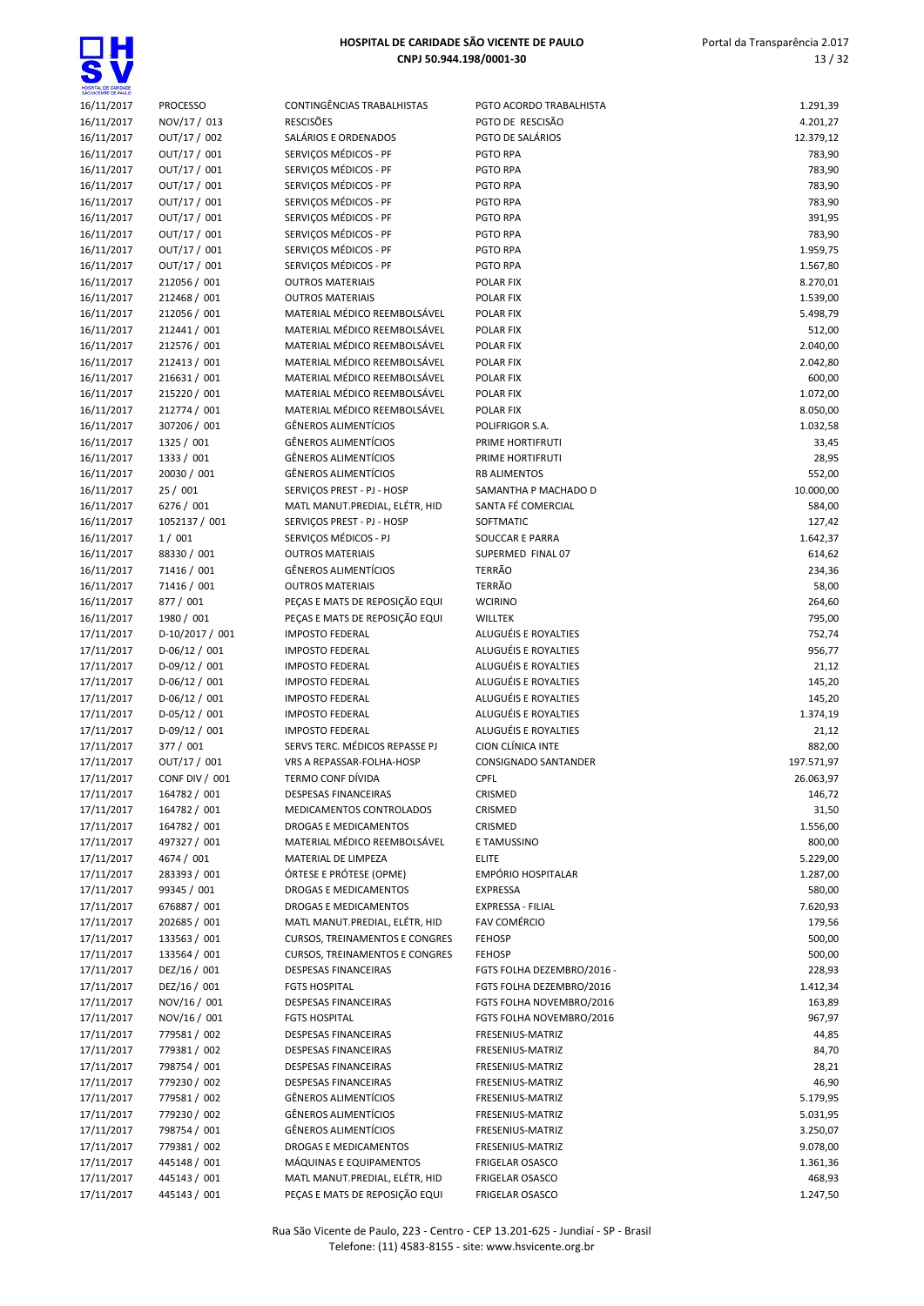

| 16/11/2017               | <b>PROCESSO</b>              | CONTINGÊNCIAS TRABALHISTAS                                       | PGTO ACORDO TRABALHISTA            | 1.291,39           |
|--------------------------|------------------------------|------------------------------------------------------------------|------------------------------------|--------------------|
| 16/11/2017               | NOV/17 / 013                 | <b>RESCISÕES</b>                                                 | PGTO DE RESCISÃO                   | 4.201,27           |
| 16/11/2017               | OUT/17 / 002                 | SALÁRIOS E ORDENADOS                                             | PGTO DE SALÁRIOS                   | 12.379,12          |
| 16/11/2017               | OUT/17 / 001                 | SERVIÇOS MÉDICOS - PF                                            | PGTO RPA                           | 783,90             |
| 16/11/2017               | OUT/17 / 001                 | SERVIÇOS MÉDICOS - PF                                            | PGTO RPA                           | 783,90             |
| 16/11/2017               | OUT/17 / 001                 | SERVIÇOS MÉDICOS - PF                                            | PGTO RPA                           | 783,90             |
|                          |                              |                                                                  |                                    |                    |
| 16/11/2017               | OUT/17 / 001                 | SERVICOS MÉDICOS - PF                                            | PGTO RPA                           | 783,90             |
| 16/11/2017               | OUT/17 / 001                 | SERVIÇOS MÉDICOS - PF                                            | PGTO RPA                           | 391,95             |
| 16/11/2017               | OUT/17 / 001                 | SERVIÇOS MÉDICOS - PF                                            | PGTO RPA                           | 783,90             |
| 16/11/2017               | OUT/17 / 001                 | SERVIÇOS MÉDICOS - PF                                            | PGTO RPA                           | 1.959,75           |
| 16/11/2017               | OUT/17 / 001                 | SERVIÇOS MÉDICOS - PF                                            | PGTO RPA                           | 1.567,80           |
| 16/11/2017               | 212056 / 001                 | <b>OUTROS MATERIAIS</b>                                          | POLAR FIX                          | 8.270,01           |
| 16/11/2017               | 212468 / 001                 | <b>OUTROS MATERIAIS</b>                                          | POLAR FIX                          | 1.539,00           |
|                          |                              |                                                                  |                                    |                    |
| 16/11/2017               | 212056 / 001                 | MATERIAL MÉDICO REEMBOLSÁVEL                                     | POLAR FIX                          | 5.498,79           |
| 16/11/2017               | 212441 / 001                 | MATERIAL MÉDICO REEMBOLSÁVEL                                     | POLAR FIX                          | 512,00             |
| 16/11/2017               | 212576 / 001                 | MATERIAL MÉDICO REEMBOLSÁVEL                                     | POLAR FIX                          | 2.040,00           |
| 16/11/2017               | 212413 / 001                 | MATERIAL MÉDICO REEMBOLSÁVEL                                     | POLAR FIX                          | 2.042,80           |
| 16/11/2017               | 216631 / 001                 | MATERIAL MÉDICO REEMBOLSÁVEL                                     | POLAR FIX                          | 600,00             |
| 16/11/2017               | 215220 / 001                 | MATERIAL MÉDICO REEMBOLSÁVEL                                     | POLAR FIX                          | 1.072,00           |
| 16/11/2017               | 212774 / 001                 | MATERIAL MÉDICO REEMBOLSÁVEL                                     | POLAR FIX                          | 8.050,00           |
| 16/11/2017               | 307206 / 001                 | GÊNEROS ALIMENTÍCIOS                                             | POLIFRIGOR S.A.                    | 1.032,58           |
|                          |                              |                                                                  |                                    |                    |
| 16/11/2017               | 1325 / 001                   | GÊNEROS ALIMENTÍCIOS                                             | PRIME HORTIFRUTI                   | 33,45              |
| 16/11/2017               | 1333 / 001                   | GÊNEROS ALIMENTÍCIOS                                             | PRIME HORTIFRUTI                   | 28,95              |
| 16/11/2017               | 20030 / 001                  | GÊNEROS ALIMENTÍCIOS                                             | <b>RB ALIMENTOS</b>                | 552,00             |
| 16/11/2017               | 25 / 001                     | SERVIÇOS PREST - PJ - HOSP                                       | SAMANTHA P MACHADO D               | 10.000,00          |
| 16/11/2017               | 6276 / 001                   | MATL MANUT.PREDIAL, ELÉTR, HID                                   | SANTA FÉ COMERCIAL                 | 584,00             |
| 16/11/2017               | 1052137 / 001                | SERVIÇOS PREST - PJ - HOSP                                       | SOFTMATIC                          | 127,42             |
| 16/11/2017               | 1/001                        | SERVICOS MÉDICOS - PJ                                            | SOUCCAR E PARRA                    | 1.642,37           |
| 16/11/2017               | 88330 / 001                  | <b>OUTROS MATERIAIS</b>                                          | SUPERMED FINAL 07                  | 614,62             |
|                          |                              |                                                                  |                                    |                    |
| 16/11/2017               | 71416 / 001                  | GÊNEROS ALIMENTÍCIOS                                             | <b>TERRÃO</b>                      | 234,36             |
| 16/11/2017               | 71416 / 001                  | <b>OUTROS MATERIAIS</b>                                          | <b>TERRÃO</b>                      | 58,00              |
| 16/11/2017               | 877 / 001                    | PEÇAS E MATS DE REPOSIÇÃO EQUI                                   | <b>WCIRINO</b>                     | 264,60             |
| 16/11/2017               | 1980 / 001                   | PEÇAS E MATS DE REPOSIÇÃO EQUI                                   | <b>WILLTEK</b>                     | 795,00             |
| 17/11/2017               | D-10/2017 / 001              | <b>IMPOSTO FEDERAL</b>                                           | ALUGUÉIS E ROYALTIES               | 752,74             |
| 17/11/2017               | $D-06/12/001$                | <b>IMPOSTO FEDERAL</b>                                           | ALUGUÉIS E ROYALTIES               | 956,77             |
| 17/11/2017               | $D-09/12/001$                | <b>IMPOSTO FEDERAL</b>                                           | ALUGUÉIS E ROYALTIES               | 21,12              |
|                          |                              |                                                                  | ALUGUÉIS E ROYALTIES               |                    |
| 17/11/2017               | $D-06/12/001$                | <b>IMPOSTO FEDERAL</b>                                           |                                    | 145,20             |
| 17/11/2017               | $D-06/12/001$                | <b>IMPOSTO FEDERAL</b>                                           | ALUGUÉIS E ROYALTIES               | 145,20             |
| 17/11/2017               | $D-05/12/001$                | <b>IMPOSTO FEDERAL</b>                                           | ALUGUÉIS E ROYALTIES               | 1.374,19           |
| 17/11/2017               | $D-09/12/001$                | <b>IMPOSTO FEDERAL</b>                                           | ALUGUÉIS E ROYALTIES               | 21,12              |
| 17/11/2017               | 377 / 001                    | SERVS TERC. MÉDICOS REPASSE PJ                                   | CION CLÍNICA INTE                  | 882,00             |
| 17/11/2017               | OUT/17 / 001                 | VRS A REPASSAR-FOLHA-HOSP                                        | CONSIGNADO SANTANDER               | 197.571,97         |
| 17/11/2017               | <b>CONF DIV / 001</b>        | TERMO CONF DÍVIDA                                                | CPFL                               | 26.063,97          |
| 17/11/2017               | 164782 / 001                 |                                                                  |                                    | 146,72             |
|                          |                              | DESPESAS FINANCEIRAS                                             | CRISMED                            |                    |
| 17/11/2017               | 164782 / 001                 | MEDICAMENTOS CONTROLADOS                                         | CRISMED                            | 31,50              |
| 17/11/2017               | 164782 / 001                 | DROGAS E MEDICAMENTOS                                            | CRISMED                            | 1.556,00           |
| 17/11/2017               | 497327 / 001                 | MATERIAL MÉDICO REEMBOLSÁVEL                                     | E TAMUSSINO                        | 800,00             |
| 17/11/2017               | 4674 / 001                   | MATERIAL DE LIMPEZA                                              | <b>ELITE</b>                       | 5.229,00           |
| 17/11/2017               | 283393 / 001                 | ÓRTESE E PRÓTESE (OPME)                                          | EMPÓRIO HOSPITALAR                 | 1.287,00           |
| 17/11/2017               | 99345 / 001                  | DROGAS E MEDICAMENTOS                                            | <b>EXPRESSA</b>                    | 580,00             |
| 17/11/2017               | 676887 / 001                 | DROGAS E MEDICAMENTOS                                            | EXPRESSA - FILIAL                  | 7.620,93           |
|                          |                              |                                                                  | <b>FAV COMÉRCIO</b>                |                    |
| 17/11/2017               | 202685 / 001                 | MATL MANUT.PREDIAL, ELÉTR, HID                                   |                                    | 179,56             |
| 17/11/2017               | 133563 / 001                 | <b>CURSOS, TREINAMENTOS E CONGRES</b>                            | <b>FEHOSP</b>                      | 500,00             |
| 17/11/2017               | 133564 / 001                 | <b>CURSOS, TREINAMENTOS E CONGRES</b>                            | <b>FEHOSP</b>                      | 500,00             |
| 17/11/2017               | DEZ/16 / 001                 | DESPESAS FINANCEIRAS                                             | FGTS FOLHA DEZEMBRO/2016 -         | 228,93             |
| 17/11/2017               | DEZ/16 / 001                 | <b>FGTS HOSPITAL</b>                                             | FGTS FOLHA DEZEMBRO/2016           | 1.412,34           |
| 17/11/2017               | NOV/16 / 001                 | DESPESAS FINANCEIRAS                                             | FGTS FOLHA NOVEMBRO/2016           | 163,89             |
| 17/11/2017               | NOV/16 / 001                 | <b>FGTS HOSPITAL</b>                                             | FGTS FOLHA NOVEMBRO/2016           | 967,97             |
| 17/11/2017               | 779581 / 002                 | DESPESAS FINANCEIRAS                                             | FRESENIUS-MATRIZ                   | 44,85              |
|                          |                              |                                                                  |                                    |                    |
| 17/11/2017               | 779381 / 002                 | DESPESAS FINANCEIRAS                                             | FRESENIUS-MATRIZ                   | 84,70              |
| 17/11/2017               | 798754 / 001                 | DESPESAS FINANCEIRAS                                             | FRESENIUS-MATRIZ                   | 28,21              |
| 17/11/2017               | 779230 / 002                 | <b>DESPESAS FINANCEIRAS</b>                                      | FRESENIUS-MATRIZ                   | 46,90              |
| 17/11/2017               | 779581 / 002                 | GÊNEROS ALIMENTÍCIOS                                             | FRESENIUS-MATRIZ                   | 5.179,95           |
| 17/11/2017               | 779230 / 002                 | GÊNEROS ALIMENTÍCIOS                                             | FRESENIUS-MATRIZ                   | 5.031,95           |
| 17/11/2017               | 798754 / 001                 | GÊNEROS ALIMENTÍCIOS                                             | FRESENIUS-MATRIZ                   | 3.250,07           |
| 17/11/2017               | 779381 / 002                 | DROGAS E MEDICAMENTOS                                            | FRESENIUS-MATRIZ                   | 9.078,00           |
|                          |                              | MÁQUINAS E EQUIPAMENTOS                                          | <b>FRIGELAR OSASCO</b>             | 1.361,36           |
| 17/11/2017               |                              |                                                                  |                                    |                    |
|                          | 445148 / 001                 |                                                                  |                                    |                    |
| 17/11/2017<br>17/11/2017 | 445143 / 001<br>445143 / 001 | MATL MANUT.PREDIAL, ELÉTR, HID<br>PEÇAS E MATS DE REPOSIÇÃO EQUI | FRIGELAR OSASCO<br>FRIGELAR OSASCO | 468,93<br>1.247,50 |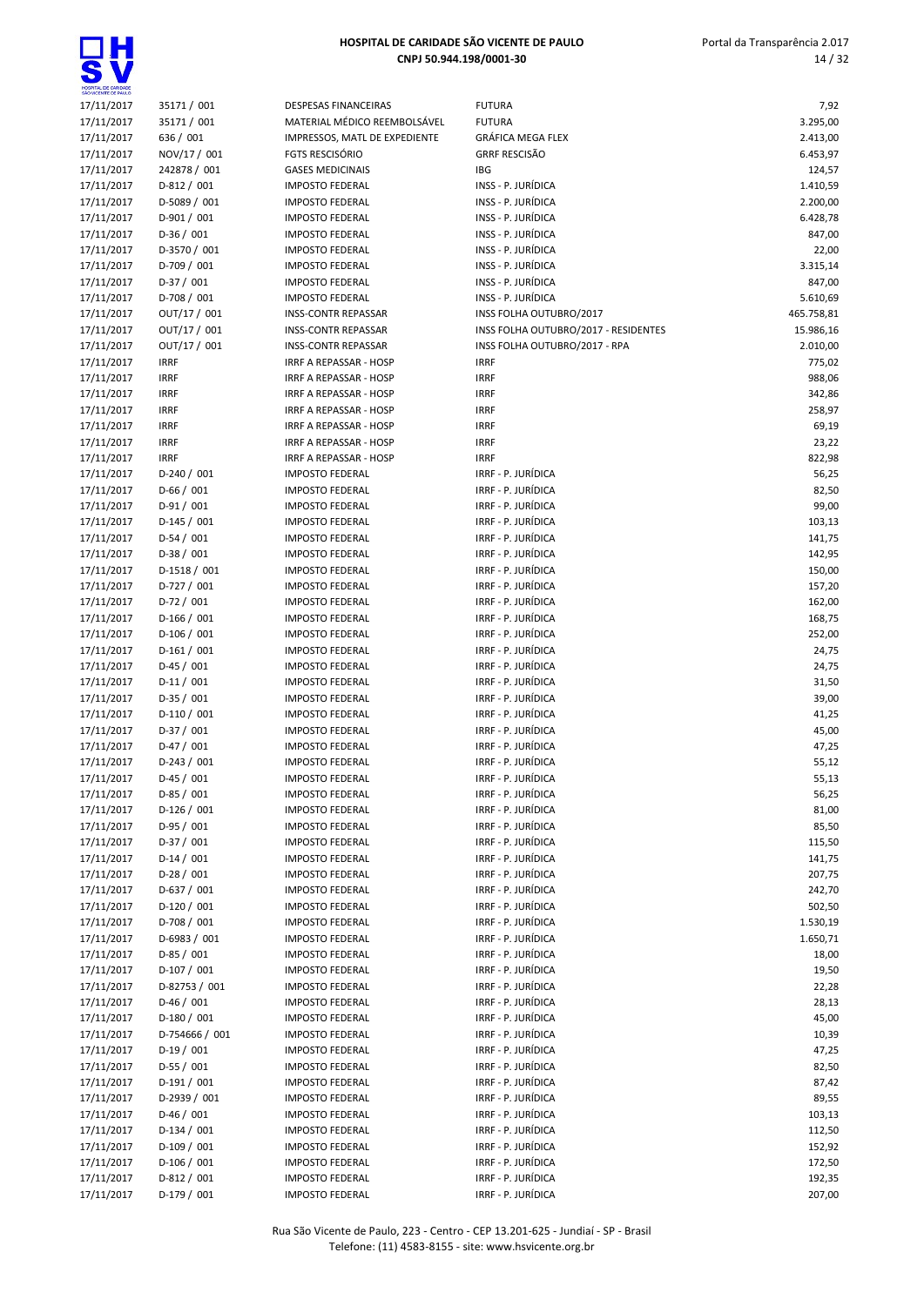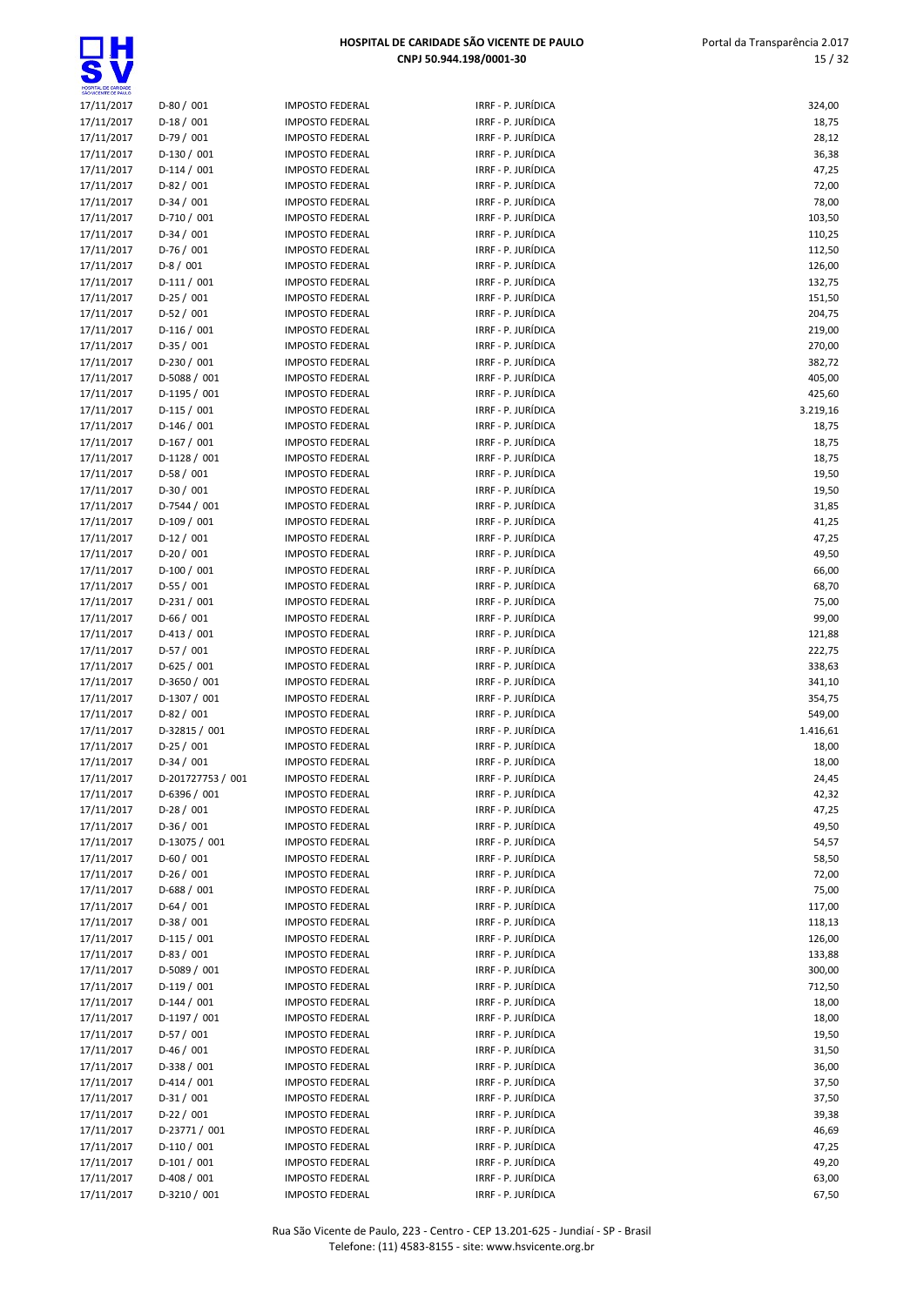| SÃO VICENTE DE PAULO     |                               |                                                  |                                          |                  |
|--------------------------|-------------------------------|--------------------------------------------------|------------------------------------------|------------------|
| 17/11/2017               | $D-80/001$                    | <b>IMPOSTO FEDERAL</b>                           | IRRF - P. JURÍDICA                       | 324,00           |
| 17/11/2017               | $D-18/001$                    | <b>IMPOSTO FEDERAL</b>                           | IRRF - P. JURÍDICA                       | 18,75            |
| 17/11/2017               | $D-79/001$                    | <b>IMPOSTO FEDERAL</b>                           | IRRF - P. JURÍDICA                       | 28,12            |
| 17/11/2017               | $D-130/001$                   | <b>IMPOSTO FEDERAL</b>                           | IRRF - P. JURÍDICA                       | 36,38            |
| 17/11/2017               | $D-114/001$                   | <b>IMPOSTO FEDERAL</b>                           | IRRF - P. JURÍDICA                       | 47,25            |
| 17/11/2017               | $D-82/001$                    | <b>IMPOSTO FEDERAL</b>                           | IRRF - P. JURÍDICA                       | 72,00            |
| 17/11/2017               | $D-34/001$                    | <b>IMPOSTO FEDERAL</b>                           | IRRF - P. JURÍDICA                       | 78,00            |
| 17/11/2017               | D-710 / 001                   | <b>IMPOSTO FEDERAL</b>                           | IRRF - P. JURÍDICA                       | 103,50           |
| 17/11/2017               | $D-34/001$                    | <b>IMPOSTO FEDERAL</b>                           | IRRF - P. JURÍDICA                       | 110,25           |
| 17/11/2017               | $D-76/001$<br>$D-8/001$       | <b>IMPOSTO FEDERAL</b>                           | IRRF - P. JURÍDICA<br>IRRF - P. JURÍDICA | 112,50           |
| 17/11/2017<br>17/11/2017 | $D-111/001$                   | <b>IMPOSTO FEDERAL</b><br><b>IMPOSTO FEDERAL</b> | IRRF - P. JURÍDICA                       | 126,00<br>132,75 |
| 17/11/2017               | $D-25/001$                    | <b>IMPOSTO FEDERAL</b>                           | IRRF - P. JURÍDICA                       | 151,50           |
| 17/11/2017               | $D-52/001$                    | <b>IMPOSTO FEDERAL</b>                           | IRRF - P. JURÍDICA                       | 204,75           |
| 17/11/2017               | $D-116/001$                   | <b>IMPOSTO FEDERAL</b>                           | IRRF - P. JURÍDICA                       | 219,00           |
| 17/11/2017               | $D-35/001$                    | <b>IMPOSTO FEDERAL</b>                           | IRRF - P. JURÍDICA                       | 270,00           |
| 17/11/2017               | $D-230/001$                   | <b>IMPOSTO FEDERAL</b>                           | IRRF - P. JURÍDICA                       | 382,72           |
| 17/11/2017               | D-5088 / 001                  | <b>IMPOSTO FEDERAL</b>                           | IRRF - P. JURÍDICA                       | 405,00           |
| 17/11/2017               | $D-1195/001$                  | <b>IMPOSTO FEDERAL</b>                           | IRRF - P. JURÍDICA                       | 425,60           |
| 17/11/2017               | $D-115/001$                   | <b>IMPOSTO FEDERAL</b>                           | IRRF - P. JURÍDICA                       | 3.219,16         |
| 17/11/2017               | $D-146/001$                   | <b>IMPOSTO FEDERAL</b>                           | IRRF - P. JURÍDICA                       | 18,75            |
| 17/11/2017               | $D-167/001$                   | <b>IMPOSTO FEDERAL</b>                           | IRRF - P. JURÍDICA                       | 18,75            |
| 17/11/2017               | $D-1128 / 001$                | <b>IMPOSTO FEDERAL</b>                           | IRRF - P. JURÍDICA                       | 18,75            |
| 17/11/2017               | $D-58/001$                    | <b>IMPOSTO FEDERAL</b>                           | IRRF - P. JURÍDICA                       | 19,50            |
| 17/11/2017               | $D-30/001$                    | <b>IMPOSTO FEDERAL</b>                           | IRRF - P. JURÍDICA                       | 19,50            |
| 17/11/2017               | D-7544 / 001                  | <b>IMPOSTO FEDERAL</b>                           | IRRF - P. JURÍDICA                       | 31,85            |
| 17/11/2017               | $D-109/001$                   | <b>IMPOSTO FEDERAL</b>                           | IRRF - P. JURÍDICA                       | 41,25            |
| 17/11/2017               | $D-12/001$                    | <b>IMPOSTO FEDERAL</b>                           | IRRF - P. JURÍDICA                       | 47,25            |
| 17/11/2017               | $D-20/001$                    | <b>IMPOSTO FEDERAL</b>                           | IRRF - P. JURÍDICA                       | 49,50            |
| 17/11/2017               | $D-100/001$                   | <b>IMPOSTO FEDERAL</b>                           | IRRF - P. JURÍDICA                       | 66,00            |
| 17/11/2017               | $D-55/001$                    | <b>IMPOSTO FEDERAL</b>                           | IRRF - P. JURÍDICA                       | 68,70            |
| 17/11/2017               | $D-231/001$                   | <b>IMPOSTO FEDERAL</b>                           | IRRF - P. JURÍDICA                       | 75,00            |
| 17/11/2017               | $D-66/001$                    | <b>IMPOSTO FEDERAL</b>                           | IRRF - P. JURÍDICA                       | 99,00            |
| 17/11/2017               | $D-413/001$                   | <b>IMPOSTO FEDERAL</b>                           | IRRF - P. JURÍDICA                       | 121,88           |
| 17/11/2017               | $D-57/001$                    | <b>IMPOSTO FEDERAL</b>                           | IRRF - P. JURÍDICA                       | 222,75           |
| 17/11/2017               | $D-625/001$                   | <b>IMPOSTO FEDERAL</b>                           | IRRF - P. JURÍDICA                       | 338,63           |
| 17/11/2017               | D-3650 / 001<br>D-1307 / 001  | <b>IMPOSTO FEDERAL</b><br><b>IMPOSTO FEDERAL</b> | IRRF - P. JURÍDICA<br>IRRF - P. JURÍDICA | 341,10<br>354,75 |
| 17/11/2017<br>17/11/2017 | $D-82/001$                    | <b>IMPOSTO FEDERAL</b>                           | IRRF - P. JURÍDICA                       | 549,00           |
| 17/11/2017               | D-32815 / 001                 | <b>IMPOSTO FEDERAL</b>                           | IRRF - P. JURÍDICA                       | 1.416,61         |
| 17/11/2017               | $D-25/001$                    | <b>IMPOSTO FEDERAL</b>                           | IRRF - P. JURÍDICA                       | 18,00            |
| 17/11/2017               | $D-34/001$                    | <b>IMPOSTO FEDERAL</b>                           | IRRF - P. JURÍDICA                       | 18,00            |
| 17/11/2017               | D-201727753 / 001             | <b>IMPOSTO FEDERAL</b>                           | IRRF - P. JURÍDICA                       | 24,45            |
| 17/11/2017               | D-6396 / 001                  | <b>IMPOSTO FEDERAL</b>                           | IRRF - P. JURÍDICA                       | 42,32            |
| 17/11/2017               | $D-28/001$                    | <b>IMPOSTO FEDERAL</b>                           | IRRF - P. JURÍDICA                       | 47,25            |
| 17/11/2017               | $D-36/001$                    | <b>IMPOSTO FEDERAL</b>                           | IRRF - P. JURÍDICA                       | 49,50            |
| 17/11/2017               | D-13075 / 001                 | <b>IMPOSTO FEDERAL</b>                           | IRRF - P. JURÍDICA                       | 54,57            |
| 17/11/2017               | $D-60/001$                    | <b>IMPOSTO FEDERAL</b>                           | IRRF - P. JURÍDICA                       | 58,50            |
| 17/11/2017               | $D-26/001$                    | <b>IMPOSTO FEDERAL</b>                           | IRRF - P. JURÍDICA                       | 72,00            |
| 17/11/2017               | $D-688 / 001$                 | <b>IMPOSTO FEDERAL</b>                           | IRRF - P. JURÍDICA                       | 75,00            |
| 17/11/2017               | $D-64/001$                    | <b>IMPOSTO FEDERAL</b>                           | IRRF - P. JURÍDICA                       | 117,00           |
| 17/11/2017               | $D-38/001$                    | <b>IMPOSTO FEDERAL</b>                           | IRRF - P. JURÍDICA                       | 118,13           |
| 17/11/2017               | $D-115/001$                   | <b>IMPOSTO FEDERAL</b>                           | IRRF - P. JURÍDICA                       | 126,00           |
| 17/11/2017               | $D-83 / 001$                  | <b>IMPOSTO FEDERAL</b>                           | IRRF - P. JURÍDICA                       | 133,88           |
| 17/11/2017               | D-5089 / 001                  | <b>IMPOSTO FEDERAL</b>                           | IRRF - P. JURÍDICA                       | 300,00           |
| 17/11/2017               | $D-119/001$                   | <b>IMPOSTO FEDERAL</b>                           | IRRF - P. JURÍDICA                       | 712,50           |
| 17/11/2017               | $D-144 / 001$                 | <b>IMPOSTO FEDERAL</b>                           | IRRF - P. JURÍDICA                       | 18,00            |
| 17/11/2017               | $D-1197/001$                  | <b>IMPOSTO FEDERAL</b>                           | IRRF - P. JURÍDICA                       | 18,00            |
| 17/11/2017               | $D-57/001$                    | <b>IMPOSTO FEDERAL</b>                           | IRRF - P. JURÍDICA                       | 19,50            |
| 17/11/2017               | $D-46/001$                    | <b>IMPOSTO FEDERAL</b>                           | IRRF - P. JURÍDICA                       | 31,50            |
| 17/11/2017               | D-338 / 001                   | <b>IMPOSTO FEDERAL</b>                           | IRRF - P. JURÍDICA                       | 36,00            |
| 17/11/2017               | $D-414/001$                   | <b>IMPOSTO FEDERAL</b>                           | IRRF - P. JURÍDICA                       | 37,50            |
| 17/11/2017               | $D-31/001$                    | <b>IMPOSTO FEDERAL</b>                           | IRRF - P. JURÍDICA                       | 37,50            |
| 17/11/2017               | $D-22 / 001$<br>D-23771 / 001 | <b>IMPOSTO FEDERAL</b>                           | IRRF - P. JURÍDICA<br>IRRF - P. JURÍDICA | 39,38            |
| 17/11/2017<br>17/11/2017 | $D-110/001$                   | <b>IMPOSTO FEDERAL</b><br><b>IMPOSTO FEDERAL</b> | IRRF - P. JURÍDICA                       | 46,69<br>47,25   |
| 17/11/2017               | $D-101/001$                   | <b>IMPOSTO FEDERAL</b>                           | IRRF - P. JURÍDICA                       | 49,20            |
| 17/11/2017               | $D-408/001$                   | <b>IMPOSTO FEDERAL</b>                           | IRRF - P. JURÍDICA                       | 63,00            |
| 17/11/2017               | D-3210 / 001                  | <b>IMPOSTO FEDERAL</b>                           | IRRF - P. JURÍDICA                       | 67,50            |
|                          |                               |                                                  |                                          |                  |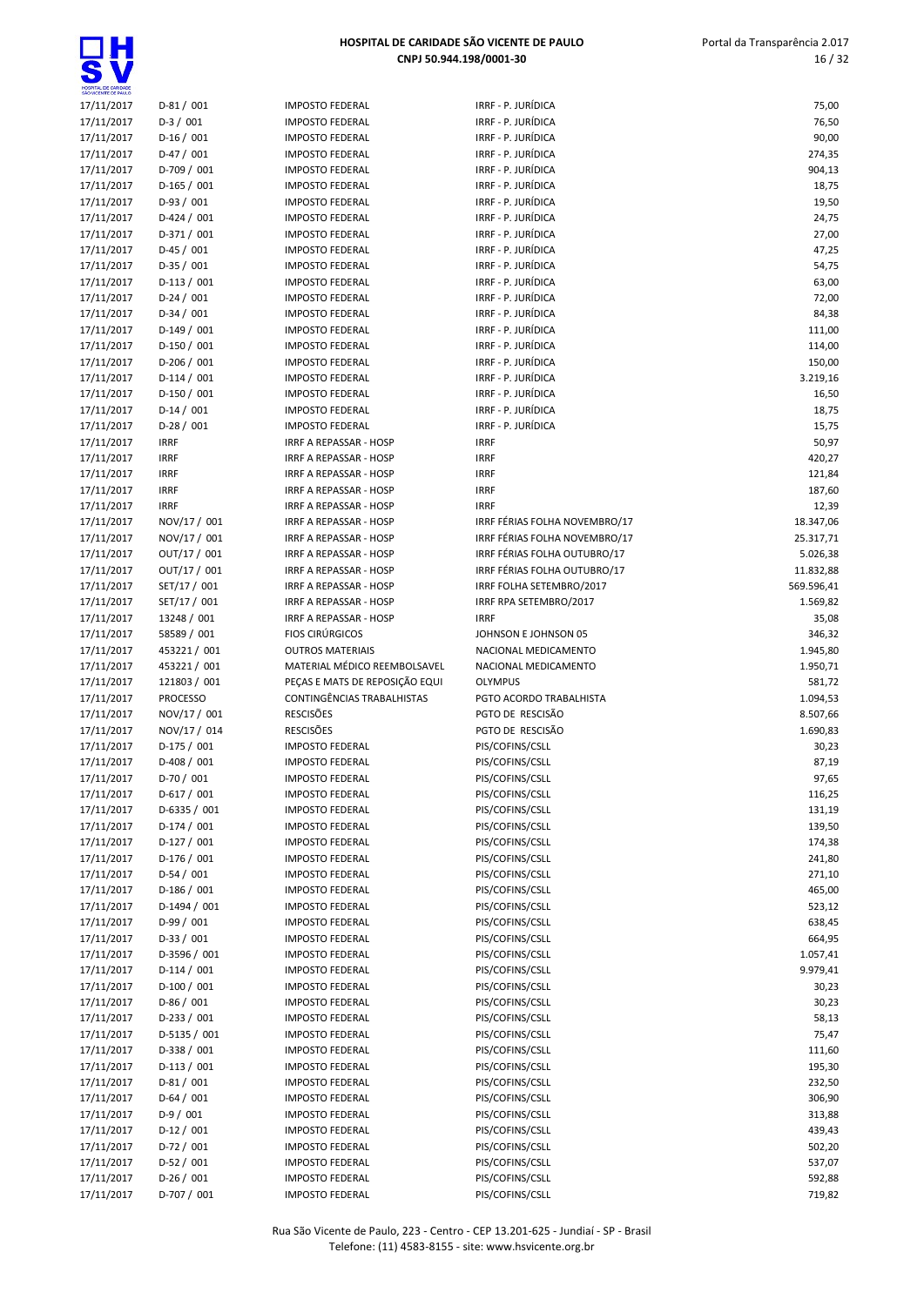| SÃO VICENTE DE PAULO     |                            |                                                  |                                    |                  |
|--------------------------|----------------------------|--------------------------------------------------|------------------------------------|------------------|
| 17/11/2017               | $D-81/001$                 | <b>IMPOSTO FEDERAL</b>                           | IRRF - P. JURÍDICA                 | 75,00            |
| 17/11/2017               | $D-3/001$                  | <b>IMPOSTO FEDERAL</b>                           | IRRF - P. JURÍDICA                 | 76,50            |
| 17/11/2017               | $D-16/001$                 | <b>IMPOSTO FEDERAL</b>                           | IRRF - P. JURÍDICA                 | 90,00            |
| 17/11/2017               | $D-47/001$                 | <b>IMPOSTO FEDERAL</b>                           | IRRF - P. JURÍDICA                 | 274,35           |
| 17/11/2017               | D-709 / 001                | <b>IMPOSTO FEDERAL</b>                           | IRRF - P. JURÍDICA                 | 904,13           |
| 17/11/2017               | $D-165/001$                | <b>IMPOSTO FEDERAL</b>                           | IRRF - P. JURÍDICA                 | 18,75            |
| 17/11/2017               | $D-93/001$                 | <b>IMPOSTO FEDERAL</b>                           | IRRF - P. JURÍDICA                 | 19,50            |
| 17/11/2017               | $D-424 / 001$              | <b>IMPOSTO FEDERAL</b>                           | IRRF - P. JURÍDICA                 | 24,75            |
| 17/11/2017               | $D-371/001$                | <b>IMPOSTO FEDERAL</b>                           | IRRF - P. JURÍDICA                 | 27,00            |
| 17/11/2017               | $D-45/001$                 | <b>IMPOSTO FEDERAL</b>                           | IRRF - P. JURÍDICA                 | 47,25            |
| 17/11/2017               | $D-35/001$                 | <b>IMPOSTO FEDERAL</b>                           | IRRF - P. JURÍDICA                 | 54,75            |
| 17/11/2017               | $D-113/001$                | <b>IMPOSTO FEDERAL</b>                           | IRRF - P. JURÍDICA                 | 63,00            |
| 17/11/2017               | $D-24/001$                 | <b>IMPOSTO FEDERAL</b>                           | IRRF - P. JURÍDICA                 | 72,00            |
| 17/11/2017               | $D-34/001$                 | <b>IMPOSTO FEDERAL</b>                           | IRRF - P. JURÍDICA                 | 84,38            |
| 17/11/2017               | $D-149/001$                | <b>IMPOSTO FEDERAL</b>                           | IRRF - P. JURÍDICA                 | 111,00           |
| 17/11/2017               | $D-150/001$                | <b>IMPOSTO FEDERAL</b>                           | IRRF - P. JURÍDICA                 | 114,00           |
| 17/11/2017               | $D-206/001$                | <b>IMPOSTO FEDERAL</b>                           | IRRF - P. JURÍDICA                 | 150,00           |
| 17/11/2017               | $D-114/001$                | <b>IMPOSTO FEDERAL</b>                           | IRRF - P. JURÍDICA                 | 3.219,16         |
| 17/11/2017               | $D-150/001$                | <b>IMPOSTO FEDERAL</b>                           | IRRF - P. JURÍDICA                 | 16,50            |
| 17/11/2017               | $D-14/001$                 | <b>IMPOSTO FEDERAL</b>                           | IRRF - P. JURÍDICA                 |                  |
|                          |                            |                                                  | IRRF - P. JURÍDICA                 | 18,75            |
| 17/11/2017               | $D-28/001$                 | <b>IMPOSTO FEDERAL</b>                           |                                    | 15,75            |
| 17/11/2017               | <b>IRRF</b>                | IRRF A REPASSAR - HOSP                           | <b>IRRF</b>                        | 50,97            |
| 17/11/2017               | <b>IRRF</b>                | IRRF A REPASSAR - HOSP                           | <b>IRRF</b>                        | 420,27           |
| 17/11/2017               | <b>IRRF</b>                | IRRF A REPASSAR - HOSP                           | <b>IRRF</b>                        | 121,84           |
| 17/11/2017               | <b>IRRF</b>                | IRRF A REPASSAR - HOSP                           | <b>IRRF</b>                        | 187,60           |
| 17/11/2017               | <b>IRRF</b>                | <b>IRRF A REPASSAR - HOSP</b>                    | <b>IRRF</b>                        | 12,39            |
| 17/11/2017               | NOV/17 / 001               | IRRF A REPASSAR - HOSP                           | IRRF FÉRIAS FOLHA NOVEMBRO/17      | 18.347,06        |
| 17/11/2017               | NOV/17 / 001               | IRRF A REPASSAR - HOSP                           | IRRF FÉRIAS FOLHA NOVEMBRO/17      | 25.317,71        |
| 17/11/2017               | OUT/17 / 001               | IRRF A REPASSAR - HOSP                           | IRRF FÉRIAS FOLHA OUTUBRO/17       | 5.026,38         |
| 17/11/2017               | OUT/17 / 001               | IRRF A REPASSAR - HOSP                           | IRRF FÉRIAS FOLHA OUTUBRO/17       | 11.832,88        |
| 17/11/2017               | SET/17 / 001               | IRRF A REPASSAR - HOSP                           | IRRF FOLHA SETEMBRO/2017           | 569.596,41       |
| 17/11/2017               | SET/17 / 001               | <b>IRRF A REPASSAR - HOSP</b>                    | IRRF RPA SETEMBRO/2017             | 1.569,82         |
| 17/11/2017               | 13248 / 001                | <b>IRRF A REPASSAR - HOSP</b>                    | <b>IRRF</b>                        | 35,08            |
| 17/11/2017               | 58589 / 001                | <b>FIOS CIRÚRGICOS</b>                           | JOHNSON E JOHNSON 05               | 346,32           |
| 17/11/2017               | 453221 / 001               | <b>OUTROS MATERIAIS</b>                          | NACIONAL MEDICAMENTO               | 1.945,80         |
| 17/11/2017               | 453221 / 001               | MATERIAL MÉDICO REEMBOLSAVEL                     | NACIONAL MEDICAMENTO               | 1.950,71         |
| 17/11/2017               | 121803 / 001               | PEÇAS E MATS DE REPOSIÇÃO EQUI                   | <b>OLYMPUS</b>                     | 581,72           |
| 17/11/2017               | <b>PROCESSO</b>            | CONTINGÊNCIAS TRABALHISTAS                       | PGTO ACORDO TRABALHISTA            | 1.094,53         |
| 17/11/2017               | NOV/17 / 001               | <b>RESCISÕES</b>                                 | PGTO DE RESCISÃO                   | 8.507,66         |
| 17/11/2017               | NOV/17 / 014               | <b>RESCISÕES</b>                                 | PGTO DE RESCISÃO                   | 1.690,83         |
| 17/11/2017               | $D-175/001$                | <b>IMPOSTO FEDERAL</b>                           | PIS/COFINS/CSLL                    | 30,23            |
| 17/11/2017               | D-408 / 001                | <b>IMPOSTO FEDERAL</b>                           | PIS/COFINS/CSLL                    | 87,19            |
| 17/11/2017               |                            |                                                  |                                    |                  |
| 17/11/2017               | D-70 / 001                 | <b>IMPOSTO FEDERAL</b>                           | PIS/COFINS/CSLL                    | 97,65            |
|                          | $D-617/001$                | <b>IMPOSTO FEDERAL</b>                           | PIS/COFINS/CSLL                    | 116,25           |
| 17/11/2017               | D-6335 / 001               | <b>IMPOSTO FEDERAL</b>                           | PIS/COFINS/CSLL                    | 131,19           |
| 17/11/2017               | $D-174/001$                | <b>IMPOSTO FEDERAL</b>                           | PIS/COFINS/CSLL                    | 139,50           |
| 17/11/2017               |                            | <b>IMPOSTO FEDERAL</b>                           | PIS/COFINS/CSLL                    | 174,38           |
|                          | D-127 / 001<br>$D-176/001$ | <b>IMPOSTO FEDERAL</b>                           | PIS/COFINS/CSLL                    |                  |
| 17/11/2017               |                            | <b>IMPOSTO FEDERAL</b>                           |                                    | 241,80           |
| 17/11/2017               | $D-54/001$                 |                                                  | PIS/COFINS/CSLL                    | 271,10           |
| 17/11/2017               | $D-186/001$                | <b>IMPOSTO FEDERAL</b>                           | PIS/COFINS/CSLL                    | 465,00           |
| 17/11/2017               | D-1494 / 001               | <b>IMPOSTO FEDERAL</b>                           | PIS/COFINS/CSLL                    | 523,12           |
| 17/11/2017               | $D-99/001$                 | <b>IMPOSTO FEDERAL</b>                           | PIS/COFINS/CSLL                    | 638,45           |
| 17/11/2017               | $D-33 / 001$               | <b>IMPOSTO FEDERAL</b>                           | PIS/COFINS/CSLL                    | 664,95           |
| 17/11/2017               | D-3596 / 001               | <b>IMPOSTO FEDERAL</b>                           | PIS/COFINS/CSLL                    | 1.057,41         |
| 17/11/2017               | $D-114/001$                | <b>IMPOSTO FEDERAL</b>                           | PIS/COFINS/CSLL                    | 9.979,41         |
| 17/11/2017               | $D-100/001$                | <b>IMPOSTO FEDERAL</b>                           | PIS/COFINS/CSLL                    | 30,23            |
| 17/11/2017               | $D-86/001$                 | <b>IMPOSTO FEDERAL</b>                           | PIS/COFINS/CSLL                    | 30,23            |
| 17/11/2017               | $D-233 / 001$              | <b>IMPOSTO FEDERAL</b>                           | PIS/COFINS/CSLL                    | 58,13            |
| 17/11/2017               | D-5135 / 001               | <b>IMPOSTO FEDERAL</b>                           | PIS/COFINS/CSLL                    | 75,47            |
| 17/11/2017               | D-338 / 001                | <b>IMPOSTO FEDERAL</b>                           | PIS/COFINS/CSLL                    | 111,60           |
| 17/11/2017               | $D-113 / 001$              | <b>IMPOSTO FEDERAL</b>                           | PIS/COFINS/CSLL                    | 195,30           |
| 17/11/2017               | $D-81/001$                 | <b>IMPOSTO FEDERAL</b>                           | PIS/COFINS/CSLL                    | 232,50           |
| 17/11/2017               | $D-64/001$                 | <b>IMPOSTO FEDERAL</b>                           | PIS/COFINS/CSLL                    | 306,90           |
| 17/11/2017               | $D-9/001$                  | <b>IMPOSTO FEDERAL</b>                           | PIS/COFINS/CSLL                    | 313,88           |
| 17/11/2017               | $D-12/001$                 | <b>IMPOSTO FEDERAL</b>                           | PIS/COFINS/CSLL                    | 439,43           |
| 17/11/2017               | $D-72/001$                 | <b>IMPOSTO FEDERAL</b>                           | PIS/COFINS/CSLL                    | 502,20           |
| 17/11/2017               | $D-52 / 001$               | <b>IMPOSTO FEDERAL</b>                           | PIS/COFINS/CSLL                    | 537,07           |
| 17/11/2017<br>17/11/2017 | $D-26/001$<br>D-707 / 001  | <b>IMPOSTO FEDERAL</b><br><b>IMPOSTO FEDERAL</b> | PIS/COFINS/CSLL<br>PIS/COFINS/CSLL | 592,88<br>719,82 |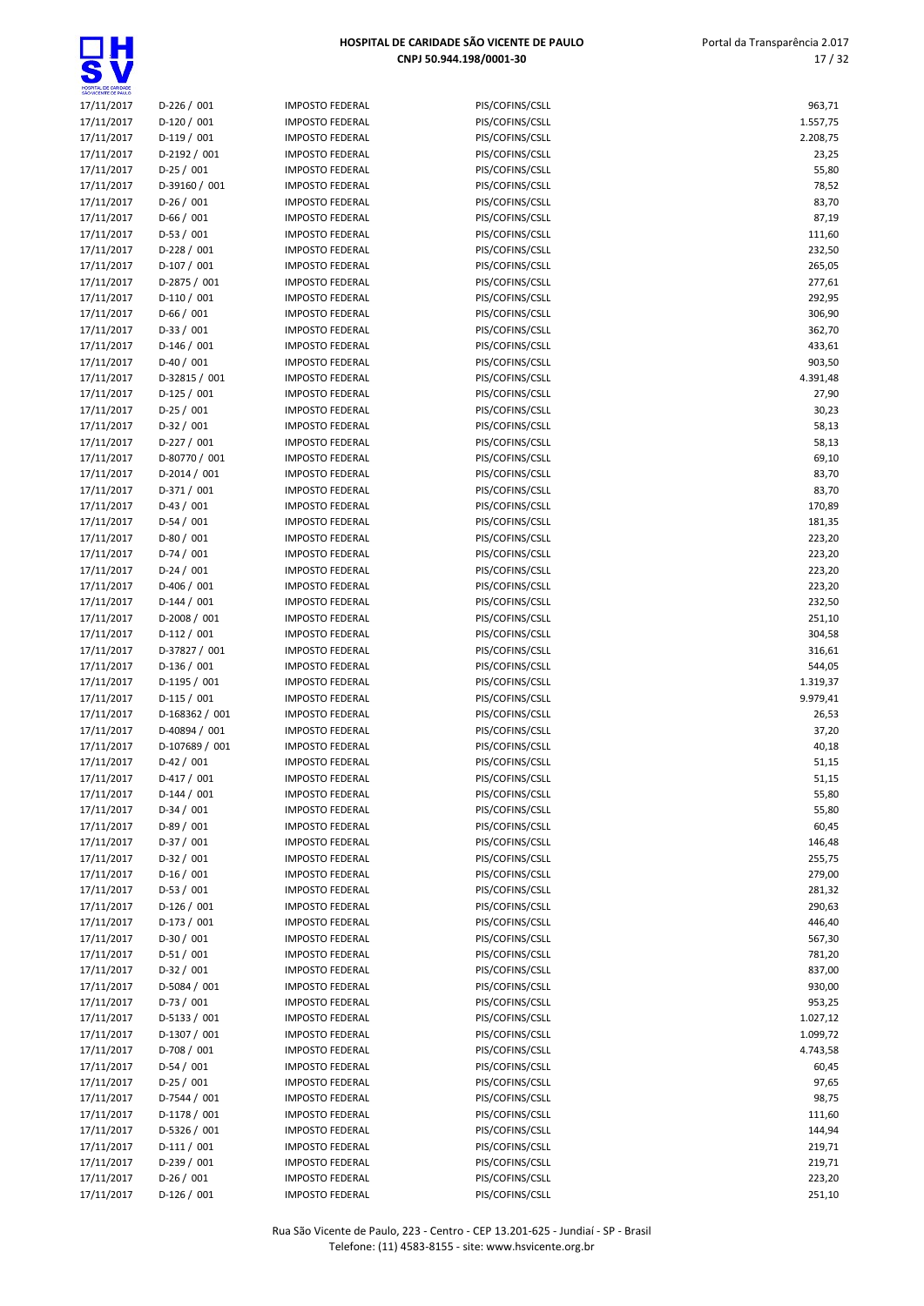| SÃO VICENTE DE PAULO     |                             |                                                  |                                    |                  |
|--------------------------|-----------------------------|--------------------------------------------------|------------------------------------|------------------|
| 17/11/2017               | $D-226 / 001$               | <b>IMPOSTO FEDERAL</b>                           | PIS/COFINS/CSLL                    | 963,71           |
| 17/11/2017               | $D-120/001$                 | <b>IMPOSTO FEDERAL</b>                           | PIS/COFINS/CSLL                    | 1.557,75         |
| 17/11/2017               | $D-119/001$                 | <b>IMPOSTO FEDERAL</b>                           | PIS/COFINS/CSLL                    | 2.208,75         |
| 17/11/2017               | D-2192 / 001                | <b>IMPOSTO FEDERAL</b>                           | PIS/COFINS/CSLL                    | 23,25            |
| 17/11/2017               | $D-25/001$                  | <b>IMPOSTO FEDERAL</b>                           | PIS/COFINS/CSLL                    | 55,80            |
| 17/11/2017               | D-39160 / 001               | <b>IMPOSTO FEDERAL</b>                           | PIS/COFINS/CSLL                    | 78,52            |
| 17/11/2017               | $D-26/001$                  | <b>IMPOSTO FEDERAL</b>                           | PIS/COFINS/CSLL                    | 83,70            |
| 17/11/2017               | $D-66/001$                  | <b>IMPOSTO FEDERAL</b>                           | PIS/COFINS/CSLL                    | 87,19            |
| 17/11/2017               | $D-53/001$                  | <b>IMPOSTO FEDERAL</b>                           | PIS/COFINS/CSLL                    | 111,60           |
| 17/11/2017               | $D-228/001$                 | <b>IMPOSTO FEDERAL</b>                           | PIS/COFINS/CSLL                    | 232,50           |
| 17/11/2017               | $D-107/001$<br>D-2875 / 001 | <b>IMPOSTO FEDERAL</b>                           | PIS/COFINS/CSLL                    | 265,05           |
| 17/11/2017<br>17/11/2017 | $D-110/001$                 | <b>IMPOSTO FEDERAL</b>                           | PIS/COFINS/CSLL                    | 277,61<br>292,95 |
| 17/11/2017               | $D-66/001$                  | <b>IMPOSTO FEDERAL</b><br><b>IMPOSTO FEDERAL</b> | PIS/COFINS/CSLL<br>PIS/COFINS/CSLL | 306,90           |
| 17/11/2017               | $D-33 / 001$                | <b>IMPOSTO FEDERAL</b>                           | PIS/COFINS/CSLL                    | 362,70           |
| 17/11/2017               | $D-146/001$                 | <b>IMPOSTO FEDERAL</b>                           | PIS/COFINS/CSLL                    | 433,61           |
| 17/11/2017               | $D-40/001$                  | <b>IMPOSTO FEDERAL</b>                           | PIS/COFINS/CSLL                    | 903,50           |
| 17/11/2017               | D-32815 / 001               | <b>IMPOSTO FEDERAL</b>                           | PIS/COFINS/CSLL                    | 4.391,48         |
| 17/11/2017               | $D-125/001$                 | <b>IMPOSTO FEDERAL</b>                           | PIS/COFINS/CSLL                    | 27,90            |
| 17/11/2017               | $D-25/001$                  | <b>IMPOSTO FEDERAL</b>                           | PIS/COFINS/CSLL                    | 30,23            |
| 17/11/2017               | $D-32 / 001$                | <b>IMPOSTO FEDERAL</b>                           | PIS/COFINS/CSLL                    | 58,13            |
| 17/11/2017               | $D-227/001$                 | <b>IMPOSTO FEDERAL</b>                           | PIS/COFINS/CSLL                    | 58,13            |
| 17/11/2017               | D-80770 / 001               | <b>IMPOSTO FEDERAL</b>                           | PIS/COFINS/CSLL                    | 69,10            |
| 17/11/2017               | $D-2014/001$                | <b>IMPOSTO FEDERAL</b>                           | PIS/COFINS/CSLL                    | 83,70            |
| 17/11/2017               | $D-371/001$                 | <b>IMPOSTO FEDERAL</b>                           | PIS/COFINS/CSLL                    | 83,70            |
| 17/11/2017               | $D-43 / 001$                | <b>IMPOSTO FEDERAL</b>                           | PIS/COFINS/CSLL                    | 170,89           |
| 17/11/2017               | $D-54/001$                  | <b>IMPOSTO FEDERAL</b>                           | PIS/COFINS/CSLL                    | 181,35           |
| 17/11/2017               | $D-80/001$                  | <b>IMPOSTO FEDERAL</b>                           | PIS/COFINS/CSLL                    | 223,20           |
| 17/11/2017               | $D-74/001$                  | <b>IMPOSTO FEDERAL</b>                           | PIS/COFINS/CSLL                    | 223,20           |
| 17/11/2017               | $D-24/001$                  | <b>IMPOSTO FEDERAL</b>                           | PIS/COFINS/CSLL                    | 223,20           |
| 17/11/2017               | $D-406 / 001$               | <b>IMPOSTO FEDERAL</b>                           | PIS/COFINS/CSLL                    | 223,20           |
| 17/11/2017               | $D-144 / 001$               | <b>IMPOSTO FEDERAL</b>                           | PIS/COFINS/CSLL                    | 232,50           |
| 17/11/2017               | D-2008 / 001                | <b>IMPOSTO FEDERAL</b>                           | PIS/COFINS/CSLL                    | 251,10           |
| 17/11/2017               | $D-112/001$                 | <b>IMPOSTO FEDERAL</b>                           | PIS/COFINS/CSLL                    | 304,58           |
| 17/11/2017               | D-37827 / 001               | <b>IMPOSTO FEDERAL</b>                           | PIS/COFINS/CSLL                    | 316,61           |
| 17/11/2017               | $D-136/001$                 | <b>IMPOSTO FEDERAL</b>                           | PIS/COFINS/CSLL                    | 544,05           |
| 17/11/2017               | D-1195 / 001                | <b>IMPOSTO FEDERAL</b>                           | PIS/COFINS/CSLL                    | 1.319,37         |
| 17/11/2017               | $D-115/001$                 | <b>IMPOSTO FEDERAL</b>                           | PIS/COFINS/CSLL                    | 9.979,41         |
| 17/11/2017               | D-168362 / 001              | <b>IMPOSTO FEDERAL</b>                           | PIS/COFINS/CSLL                    | 26,53            |
| 17/11/2017               | D-40894 / 001               | <b>IMPOSTO FEDERAL</b>                           | PIS/COFINS/CSLL                    | 37,20            |
| 17/11/2017               | D-107689 / 001              | <b>IMPOSTO FEDERAL</b>                           | PIS/COFINS/CSLL                    | 40,18            |
| 17/11/2017               | $D-42 / 001$                | <b>IMPOSTO FEDERAL</b>                           | PIS/COFINS/CSLL                    | 51,15            |
| 17/11/2017               | $D-417/001$                 | <b>IMPOSTO FEDERAL</b>                           | PIS/COFINS/CSLL                    | 51,15            |
| 17/11/2017               | $D-144 / 001$               | <b>IMPOSTO FEDERAL</b>                           | PIS/COFINS/CSLL                    | 55,80            |
| 17/11/2017               | $D-34/001$                  | <b>IMPOSTO FEDERAL</b>                           | PIS/COFINS/CSLL                    | 55,80            |
| 17/11/2017               | $D-89/001$                  | <b>IMPOSTO FEDERAL</b>                           | PIS/COFINS/CSLL                    | 60,45            |
| 17/11/2017               | $D-37/001$                  | <b>IMPOSTO FEDERAL</b>                           | PIS/COFINS/CSLL                    | 146,48           |
| 17/11/2017               | $D-32 / 001$                | <b>IMPOSTO FEDERAL</b>                           | PIS/COFINS/CSLL                    | 255,75           |
| 17/11/2017               | $D-16/001$                  | <b>IMPOSTO FEDERAL</b>                           | PIS/COFINS/CSLL                    | 279,00           |
| 17/11/2017               | $D-53/001$                  | <b>IMPOSTO FEDERAL</b>                           | PIS/COFINS/CSLL                    | 281,32           |
| 17/11/2017               | $D-126/001$                 | <b>IMPOSTO FEDERAL</b>                           | PIS/COFINS/CSLL                    | 290,63           |
| 17/11/2017               | $D-173/001$                 | <b>IMPOSTO FEDERAL</b>                           | PIS/COFINS/CSLL                    | 446,40           |
| 17/11/2017               | $D-30/001$                  | <b>IMPOSTO FEDERAL</b>                           | PIS/COFINS/CSLL                    | 567,30           |
| 17/11/2017               | $D-51/001$                  | <b>IMPOSTO FEDERAL</b>                           | PIS/COFINS/CSLL                    | 781,20           |
| 17/11/2017               | $D-32 / 001$                | <b>IMPOSTO FEDERAL</b>                           | PIS/COFINS/CSLL                    | 837,00           |
| 17/11/2017               | D-5084 / 001                | <b>IMPOSTO FEDERAL</b>                           | PIS/COFINS/CSLL                    | 930,00           |
| 17/11/2017               | $D-73/001$                  | <b>IMPOSTO FEDERAL</b>                           | PIS/COFINS/CSLL                    | 953,25           |
| 17/11/2017               | D-5133 / 001                | <b>IMPOSTO FEDERAL</b>                           | PIS/COFINS/CSLL                    | 1.027,12         |
| 17/11/2017               | D-1307 / 001                | <b>IMPOSTO FEDERAL</b>                           | PIS/COFINS/CSLL                    | 1.099,72         |
| 17/11/2017               | D-708 / 001                 | <b>IMPOSTO FEDERAL</b>                           | PIS/COFINS/CSLL                    | 4.743,58         |
| 17/11/2017               | $D-54/001$                  | <b>IMPOSTO FEDERAL</b>                           | PIS/COFINS/CSLL                    | 60,45            |
| 17/11/2017               | $D-25/001$                  | <b>IMPOSTO FEDERAL</b>                           | PIS/COFINS/CSLL                    | 97,65            |
| 17/11/2017               | D-7544 / 001                | <b>IMPOSTO FEDERAL</b>                           | PIS/COFINS/CSLL                    | 98,75            |
| 17/11/2017               | D-1178 / 001                | <b>IMPOSTO FEDERAL</b>                           | PIS/COFINS/CSLL                    | 111,60           |
| 17/11/2017               | D-5326 / 001                | <b>IMPOSTO FEDERAL</b>                           | PIS/COFINS/CSLL                    | 144,94           |
| 17/11/2017               | $D-111/001$                 | <b>IMPOSTO FEDERAL</b>                           | PIS/COFINS/CSLL                    | 219,71           |
| 17/11/2017               | $D-239/001$                 | <b>IMPOSTO FEDERAL</b>                           | PIS/COFINS/CSLL                    | 219,71           |
| 17/11/2017               | $D-26/001$                  | <b>IMPOSTO FEDERAL</b>                           | PIS/COFINS/CSLL                    | 223,20           |
| 17/11/2017               | $D-126/001$                 | <b>IMPOSTO FEDERAL</b>                           | PIS/COFINS/CSLL                    | 251,10           |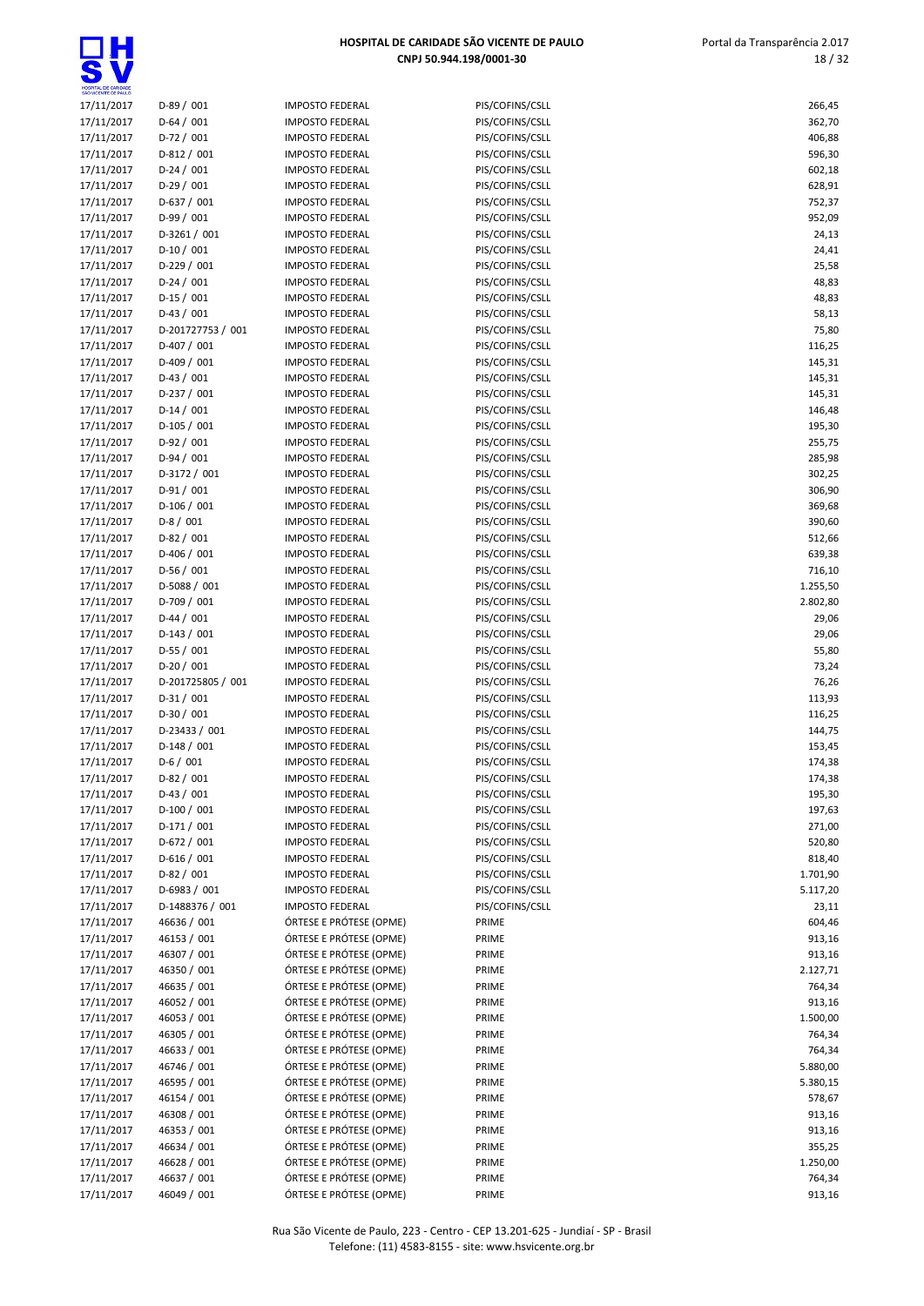| SÃO VICENTE DE PAULO     |                            |                                                    |                                    |                    |
|--------------------------|----------------------------|----------------------------------------------------|------------------------------------|--------------------|
| 17/11/2017               | $D-89/001$                 | <b>IMPOSTO FEDERAL</b>                             | PIS/COFINS/CSLL                    | 266,45             |
| 17/11/2017               | $D-64/001$                 | <b>IMPOSTO FEDERAL</b>                             | PIS/COFINS/CSLL                    | 362,70             |
| 17/11/2017               | $D-72/001$                 | <b>IMPOSTO FEDERAL</b>                             | PIS/COFINS/CSLL                    | 406,88             |
| 17/11/2017               | $D-812 / 001$              | <b>IMPOSTO FEDERAL</b>                             | PIS/COFINS/CSLL                    | 596,30             |
| 17/11/2017               | $D-24/001$                 | <b>IMPOSTO FEDERAL</b>                             | PIS/COFINS/CSLL                    | 602,18             |
| 17/11/2017               | $D-29/001$                 | <b>IMPOSTO FEDERAL</b>                             | PIS/COFINS/CSLL                    | 628,91             |
| 17/11/2017               | $D-637/001$                | <b>IMPOSTO FEDERAL</b>                             | PIS/COFINS/CSLL                    | 752,37             |
| 17/11/2017               | $D-99/001$                 | <b>IMPOSTO FEDERAL</b>                             | PIS/COFINS/CSLL                    | 952,09             |
| 17/11/2017               | $D-3261/001$               | <b>IMPOSTO FEDERAL</b>                             | PIS/COFINS/CSLL                    | 24,13              |
| 17/11/2017               | $D-10/001$                 | <b>IMPOSTO FEDERAL</b>                             | PIS/COFINS/CSLL                    | 24,41              |
| 17/11/2017               | $D-229/001$                | <b>IMPOSTO FEDERAL</b>                             | PIS/COFINS/CSLL                    | 25,58              |
| 17/11/2017               | $D-24/001$                 | <b>IMPOSTO FEDERAL</b>                             | PIS/COFINS/CSLL                    | 48,83              |
| 17/11/2017               | $D-15/001$                 | <b>IMPOSTO FEDERAL</b>                             | PIS/COFINS/CSLL                    | 48,83              |
| 17/11/2017               | $D-43 / 001$               | <b>IMPOSTO FEDERAL</b>                             | PIS/COFINS/CSLL                    | 58,13              |
| 17/11/2017               | D-201727753 / 001          | <b>IMPOSTO FEDERAL</b>                             | PIS/COFINS/CSLL                    | 75,80              |
| 17/11/2017               | $D-407/001$                | <b>IMPOSTO FEDERAL</b>                             | PIS/COFINS/CSLL                    | 116,25             |
| 17/11/2017               | $D-409/001$                | <b>IMPOSTO FEDERAL</b>                             | PIS/COFINS/CSLL                    | 145,31             |
| 17/11/2017               | $D-43 / 001$               | <b>IMPOSTO FEDERAL</b>                             | PIS/COFINS/CSLL                    | 145,31             |
| 17/11/2017               | $D-237/001$                | <b>IMPOSTO FEDERAL</b><br><b>IMPOSTO FEDERAL</b>   | PIS/COFINS/CSLL<br>PIS/COFINS/CSLL | 145,31             |
| 17/11/2017<br>17/11/2017 | $D-14/001$<br>$D-105/001$  | <b>IMPOSTO FEDERAL</b>                             | PIS/COFINS/CSLL                    | 146,48<br>195,30   |
| 17/11/2017               | $D-92/001$                 | <b>IMPOSTO FEDERAL</b>                             | PIS/COFINS/CSLL                    | 255,75             |
| 17/11/2017               | $D-94/001$                 | <b>IMPOSTO FEDERAL</b>                             | PIS/COFINS/CSLL                    | 285,98             |
| 17/11/2017               | D-3172 / 001               | <b>IMPOSTO FEDERAL</b>                             | PIS/COFINS/CSLL                    | 302,25             |
| 17/11/2017               | $D-91/001$                 | <b>IMPOSTO FEDERAL</b>                             | PIS/COFINS/CSLL                    | 306,90             |
| 17/11/2017               | $D-106/001$                | <b>IMPOSTO FEDERAL</b>                             | PIS/COFINS/CSLL                    | 369,68             |
| 17/11/2017               | $D-8/001$                  | <b>IMPOSTO FEDERAL</b>                             | PIS/COFINS/CSLL                    | 390,60             |
| 17/11/2017               | $D-82 / 001$               | <b>IMPOSTO FEDERAL</b>                             | PIS/COFINS/CSLL                    | 512,66             |
| 17/11/2017               | $D-406 / 001$              | <b>IMPOSTO FEDERAL</b>                             | PIS/COFINS/CSLL                    | 639,38             |
| 17/11/2017               | $D-56/001$                 | <b>IMPOSTO FEDERAL</b>                             | PIS/COFINS/CSLL                    | 716,10             |
| 17/11/2017               | D-5088 / 001               | <b>IMPOSTO FEDERAL</b>                             | PIS/COFINS/CSLL                    | 1.255,50           |
| 17/11/2017               | D-709 / 001                | <b>IMPOSTO FEDERAL</b>                             | PIS/COFINS/CSLL                    | 2.802,80           |
| 17/11/2017               | $D-44 / 001$               | <b>IMPOSTO FEDERAL</b>                             | PIS/COFINS/CSLL                    | 29,06              |
| 17/11/2017               | $D-143 / 001$              | <b>IMPOSTO FEDERAL</b>                             | PIS/COFINS/CSLL                    | 29,06              |
| 17/11/2017               | $D-55/001$                 | <b>IMPOSTO FEDERAL</b>                             | PIS/COFINS/CSLL                    | 55,80              |
| 17/11/2017               | $D-20/001$                 | <b>IMPOSTO FEDERAL</b>                             | PIS/COFINS/CSLL                    | 73,24              |
| 17/11/2017               | D-201725805 / 001          | <b>IMPOSTO FEDERAL</b>                             | PIS/COFINS/CSLL                    | 76,26              |
| 17/11/2017               | $D-31/001$                 | <b>IMPOSTO FEDERAL</b>                             | PIS/COFINS/CSLL                    | 113,93             |
| 17/11/2017               | $D-30/001$                 | <b>IMPOSTO FEDERAL</b>                             | PIS/COFINS/CSLL                    | 116,25             |
| 17/11/2017               | D-23433 / 001              | <b>IMPOSTO FEDERAL</b>                             | PIS/COFINS/CSLL                    | 144,75             |
| 17/11/2017               | $D-148/001$                | <b>IMPOSTO FEDERAL</b>                             | PIS/COFINS/CSLL                    | 153,45             |
| 17/11/2017               | $D-6/001$                  | <b>IMPOSTO FEDERAL</b>                             | PIS/COFINS/CSLL                    | 174,38             |
| 17/11/2017               | $D-82/001$                 | <b>IMPOSTO FEDERAL</b>                             | PIS/COFINS/CSLL                    | 174,38             |
| 17/11/2017               | $D-43 / 001$               | <b>IMPOSTO FEDERAL</b>                             | PIS/COFINS/CSLL                    | 195,30             |
| 17/11/2017               | $D-100/001$                | <b>IMPOSTO FEDERAL</b>                             | PIS/COFINS/CSLL                    | 197,63             |
| 17/11/2017               | $D-171/001$                | <b>IMPOSTO FEDERAL</b>                             | PIS/COFINS/CSLL                    | 271,00             |
| 17/11/2017               | D-672 / 001                | <b>IMPOSTO FEDERAL</b>                             | PIS/COFINS/CSLL                    | 520,80             |
| 17/11/2017               | $D-616/001$                | <b>IMPOSTO FEDERAL</b>                             | PIS/COFINS/CSLL                    | 818,40             |
| 17/11/2017               | $D-82 / 001$               | <b>IMPOSTO FEDERAL</b>                             | PIS/COFINS/CSLL                    | 1.701,90           |
| 17/11/2017               | D-6983 / 001               | <b>IMPOSTO FEDERAL</b>                             | PIS/COFINS/CSLL                    | 5.117,20           |
| 17/11/2017               | D-1488376 / 001            | <b>IMPOSTO FEDERAL</b>                             | PIS/COFINS/CSLL                    | 23,11              |
| 17/11/2017               | 46636 / 001                | ÓRTESE E PRÓTESE (OPME)                            | PRIME                              | 604,46             |
| 17/11/2017               | 46153 / 001                | ÓRTESE E PRÓTESE (OPME)                            | PRIME                              | 913,16             |
| 17/11/2017               | 46307 / 001                | ÓRTESE E PRÓTESE (OPME)                            | PRIME                              | 913,16             |
| 17/11/2017               | 46350 / 001                | ÓRTESE E PRÓTESE (OPME)                            | PRIME                              | 2.127,71           |
| 17/11/2017               | 46635 / 001                | ÓRTESE E PRÓTESE (OPME)                            | PRIME                              | 764,34             |
| 17/11/2017               | 46052 / 001                | ÓRTESE E PRÓTESE (OPME)                            | PRIME                              | 913,16             |
| 17/11/2017               | 46053 / 001                | ÓRTESE E PRÓTESE (OPME)                            | PRIME                              | 1.500,00           |
| 17/11/2017               | 46305 / 001                | ÓRTESE E PRÓTESE (OPME)                            | PRIME                              | 764,34             |
| 17/11/2017               | 46633 / 001                | ÓRTESE E PRÓTESE (OPME)<br>ÓRTESE E PRÓTESE (OPME) | PRIME<br>PRIME                     | 764,34<br>5.880,00 |
| 17/11/2017               | 46746 / 001                | ÓRTESE E PRÓTESE (OPME)                            | PRIME                              |                    |
| 17/11/2017<br>17/11/2017 | 46595 / 001<br>46154 / 001 | ÓRTESE E PRÓTESE (OPME)                            | PRIME                              | 5.380,15<br>578,67 |
| 17/11/2017               | 46308 / 001                | ÓRTESE E PRÓTESE (OPME)                            | PRIME                              | 913,16             |
| 17/11/2017               | 46353 / 001                | ÓRTESE E PRÓTESE (OPME)                            | PRIME                              | 913,16             |
| 17/11/2017               | 46634 / 001                | ÓRTESE E PRÓTESE (OPME)                            | PRIME                              | 355,25             |
| 17/11/2017               | 46628 / 001                | ÓRTESE E PRÓTESE (OPME)                            | PRIME                              | 1.250,00           |
| 17/11/2017               | 46637 / 001                | ÓRTESE E PRÓTESE (OPME)                            | PRIME                              | 764,34             |
| 17/11/2017               | 46049 / 001                | ÓRTESE E PRÓTESE (OPME)                            | PRIME                              | 913,16             |
|                          |                            |                                                    |                                    |                    |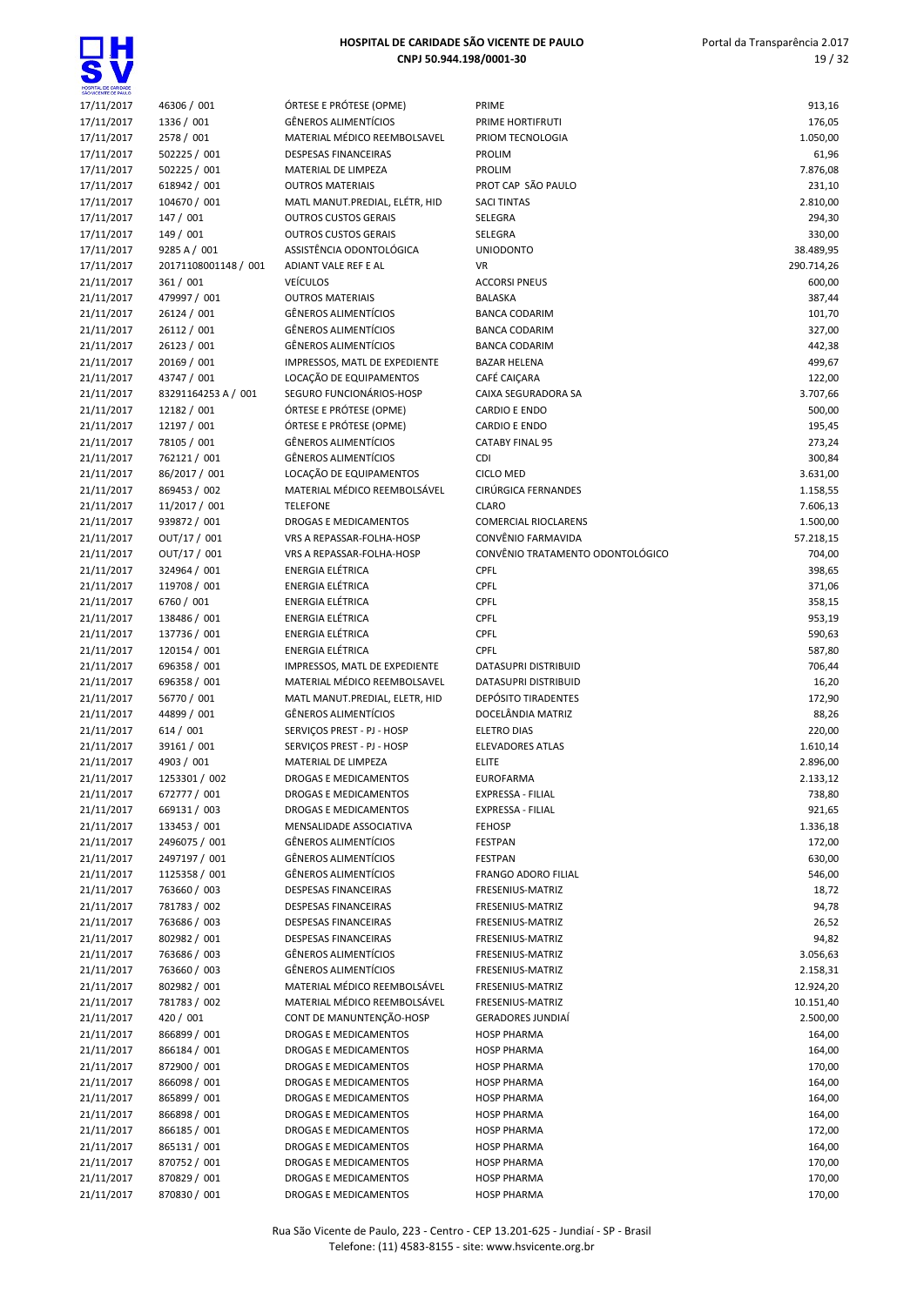

Rua São Vicente de Paulo, 223 - Centro - CEP 13.201-625 - Jundiaí - SP - Brasil Telefone: (11) 4583-8155 - site: www.hsvicente.org.br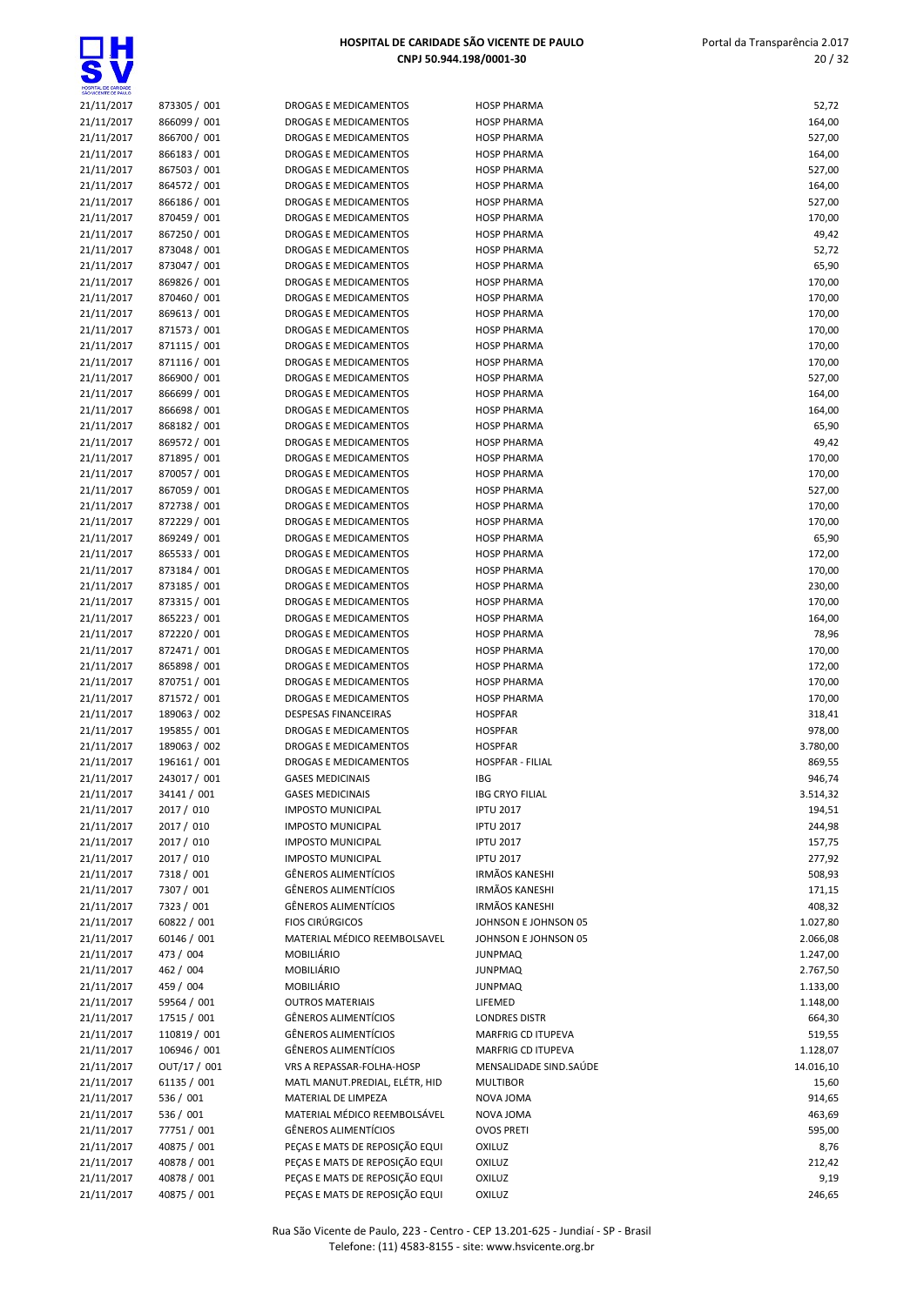

| HOSPITAL DE CARIDADE<br>SÃO VICENTE DE PAULO |                              |                                                        |                                              |                      |
|----------------------------------------------|------------------------------|--------------------------------------------------------|----------------------------------------------|----------------------|
| 21/11/2017                                   | 873305 / 001                 | DROGAS E MEDICAMENTOS                                  | <b>HOSP PHARMA</b>                           | 52,72                |
| 21/11/2017                                   | 866099 / 001                 | DROGAS E MEDICAMENTOS                                  | <b>HOSP PHARMA</b>                           | 164,00               |
| 21/11/2017                                   | 866700 / 001                 | DROGAS E MEDICAMENTOS                                  | <b>HOSP PHARMA</b>                           | 527,00               |
| 21/11/2017                                   | 866183 / 001                 | DROGAS E MEDICAMENTOS                                  | <b>HOSP PHARMA</b>                           | 164,00               |
| 21/11/2017                                   | 867503 / 001                 | DROGAS E MEDICAMENTOS                                  | <b>HOSP PHARMA</b>                           | 527,00               |
| 21/11/2017<br>21/11/2017                     | 864572 / 001<br>866186 / 001 | DROGAS E MEDICAMENTOS<br>DROGAS E MEDICAMENTOS         | <b>HOSP PHARMA</b><br><b>HOSP PHARMA</b>     | 164,00<br>527,00     |
| 21/11/2017                                   | 870459 / 001                 | DROGAS E MEDICAMENTOS                                  | <b>HOSP PHARMA</b>                           | 170,00               |
| 21/11/2017                                   | 867250 / 001                 | DROGAS E MEDICAMENTOS                                  | <b>HOSP PHARMA</b>                           | 49,42                |
| 21/11/2017                                   | 873048 / 001                 | DROGAS E MEDICAMENTOS                                  | <b>HOSP PHARMA</b>                           | 52,72                |
| 21/11/2017                                   | 873047 / 001                 | DROGAS E MEDICAMENTOS                                  | <b>HOSP PHARMA</b>                           | 65,90                |
| 21/11/2017                                   | 869826 / 001                 | DROGAS E MEDICAMENTOS                                  | <b>HOSP PHARMA</b>                           | 170,00               |
| 21/11/2017                                   | 870460 / 001                 | DROGAS E MEDICAMENTOS                                  | <b>HOSP PHARMA</b>                           | 170,00               |
| 21/11/2017                                   | 869613 / 001                 | DROGAS E MEDICAMENTOS                                  | <b>HOSP PHARMA</b>                           | 170,00               |
| 21/11/2017                                   | 871573 / 001                 | DROGAS E MEDICAMENTOS                                  | <b>HOSP PHARMA</b>                           | 170,00               |
| 21/11/2017                                   | 871115 / 001                 | DROGAS E MEDICAMENTOS                                  | <b>HOSP PHARMA</b>                           | 170,00               |
| 21/11/2017                                   | 871116 / 001                 | DROGAS E MEDICAMENTOS                                  | <b>HOSP PHARMA</b>                           | 170,00               |
| 21/11/2017                                   | 866900 / 001                 | DROGAS E MEDICAMENTOS                                  | <b>HOSP PHARMA</b>                           | 527,00               |
| 21/11/2017                                   | 866699 / 001                 | DROGAS E MEDICAMENTOS                                  | <b>HOSP PHARMA</b>                           | 164,00               |
| 21/11/2017                                   | 866698 / 001                 | DROGAS E MEDICAMENTOS                                  | <b>HOSP PHARMA</b>                           | 164,00               |
| 21/11/2017                                   | 868182 / 001                 | <b>DROGAS E MEDICAMENTOS</b>                           | <b>HOSP PHARMA</b>                           | 65,90                |
| 21/11/2017                                   | 869572 / 001                 | DROGAS E MEDICAMENTOS                                  | <b>HOSP PHARMA</b>                           | 49,42                |
| 21/11/2017                                   | 871895 / 001                 | DROGAS E MEDICAMENTOS                                  | <b>HOSP PHARMA</b>                           | 170,00               |
| 21/11/2017                                   | 870057 / 001                 | DROGAS E MEDICAMENTOS                                  | <b>HOSP PHARMA</b>                           | 170,00               |
| 21/11/2017                                   | 867059 / 001                 | <b>DROGAS E MEDICAMENTOS</b>                           | <b>HOSP PHARMA</b>                           | 527,00               |
| 21/11/2017                                   | 872738 / 001                 | DROGAS E MEDICAMENTOS                                  | <b>HOSP PHARMA</b>                           | 170,00               |
| 21/11/2017                                   | 872229 / 001                 | DROGAS E MEDICAMENTOS                                  | <b>HOSP PHARMA</b>                           | 170,00               |
| 21/11/2017                                   | 869249 / 001                 | DROGAS E MEDICAMENTOS                                  | <b>HOSP PHARMA</b>                           | 65,90<br>172,00      |
| 21/11/2017                                   | 865533 / 001<br>873184 / 001 | DROGAS E MEDICAMENTOS<br>DROGAS E MEDICAMENTOS         | <b>HOSP PHARMA</b><br><b>HOSP PHARMA</b>     | 170,00               |
| 21/11/2017<br>21/11/2017                     | 873185 / 001                 | DROGAS E MEDICAMENTOS                                  | <b>HOSP PHARMA</b>                           | 230,00               |
| 21/11/2017                                   | 873315 / 001                 | DROGAS E MEDICAMENTOS                                  | <b>HOSP PHARMA</b>                           | 170,00               |
| 21/11/2017                                   | 865223 / 001                 | DROGAS E MEDICAMENTOS                                  | <b>HOSP PHARMA</b>                           | 164,00               |
| 21/11/2017                                   | 872220 / 001                 | DROGAS E MEDICAMENTOS                                  | <b>HOSP PHARMA</b>                           | 78,96                |
| 21/11/2017                                   | 872471 / 001                 | DROGAS E MEDICAMENTOS                                  | <b>HOSP PHARMA</b>                           | 170,00               |
| 21/11/2017                                   | 865898 / 001                 | DROGAS E MEDICAMENTOS                                  | <b>HOSP PHARMA</b>                           | 172,00               |
| 21/11/2017                                   | 870751 / 001                 | DROGAS E MEDICAMENTOS                                  | <b>HOSP PHARMA</b>                           | 170,00               |
| 21/11/2017                                   | 871572 / 001                 | DROGAS E MEDICAMENTOS                                  | <b>HOSP PHARMA</b>                           | 170,00               |
| 21/11/2017                                   | 189063 / 002                 | <b>DESPESAS FINANCEIRAS</b>                            | <b>HOSPFAR</b>                               | 318,41               |
| 21/11/2017                                   | 195855 / 001                 | DROGAS E MEDICAMENTOS                                  | <b>HOSPFAR</b>                               | 978,00               |
| 21/11/2017                                   | 189063 / 002                 | DROGAS E MEDICAMENTOS                                  | <b>HOSPFAR</b>                               | 3.780,00             |
| 21/11/2017                                   | 196161 / 001                 | DROGAS E MEDICAMENTOS                                  | <b>HOSPFAR - FILIAL</b>                      | 869,55               |
| 21/11/2017                                   | 243017 / 001                 | <b>GASES MEDICINAIS</b>                                | IBG                                          | 946,74               |
| 21/11/2017                                   | 34141 / 001                  | <b>GASES MEDICINAIS</b>                                | <b>IBG CRYO FILIAL</b>                       | 3.514,32             |
| 21/11/2017                                   | 2017 / 010                   | <b>IMPOSTO MUNICIPAL</b>                               | <b>IPTU 2017</b>                             | 194,51               |
| 21/11/2017                                   | 2017 / 010                   | <b>IMPOSTO MUNICIPAL</b>                               | <b>IPTU 2017</b>                             | 244,98               |
| 21/11/2017                                   | 2017 / 010                   | <b>IMPOSTO MUNICIPAL</b>                               | <b>IPTU 2017</b>                             | 157,75               |
| 21/11/2017                                   | 2017 / 010                   | <b>IMPOSTO MUNICIPAL</b>                               | <b>IPTU 2017</b>                             | 277,92               |
| 21/11/2017                                   | 7318 / 001                   | <b>GÊNEROS ALIMENTÍCIOS</b>                            | <b>IRMÃOS KANESHI</b>                        | 508,93               |
| 21/11/2017                                   | 7307 / 001                   | GÊNEROS ALIMENTÍCIOS                                   | <b>IRMÃOS KANESHI</b>                        | 171,15               |
| 21/11/2017                                   | 7323 / 001                   | GÊNEROS ALIMENTÍCIOS                                   | IRMÃOS KANESHI                               | 408,32               |
| 21/11/2017<br>21/11/2017                     | 60822 / 001<br>60146 / 001   | <b>FIOS CIRÚRGICOS</b><br>MATERIAL MÉDICO REEMBOLSAVEL | JOHNSON E JOHNSON 05<br>JOHNSON E JOHNSON 05 | 1.027,80<br>2.066,08 |
|                                              | 473 / 004                    | MOBILIÁRIO                                             | <b>JUNPMAQ</b>                               | 1.247,00             |
| 21/11/2017<br>21/11/2017                     | 462 / 004                    | MOBILIÁRIO                                             | <b>JUNPMAQ</b>                               | 2.767,50             |
| 21/11/2017                                   | 459 / 004                    | MOBILIÁRIO                                             | <b>JUNPMAQ</b>                               | 1.133,00             |
| 21/11/2017                                   | 59564 / 001                  | <b>OUTROS MATERIAIS</b>                                | LIFEMED                                      | 1.148,00             |
| 21/11/2017                                   | 17515 / 001                  | GÊNEROS ALIMENTÍCIOS                                   | <b>LONDRES DISTR</b>                         | 664,30               |
| 21/11/2017                                   | 110819 / 001                 | GÊNEROS ALIMENTÍCIOS                                   | MARFRIG CD ITUPEVA                           | 519,55               |
| 21/11/2017                                   | 106946 / 001                 | GÊNEROS ALIMENTÍCIOS                                   | MARFRIG CD ITUPEVA                           | 1.128,07             |
| 21/11/2017                                   | OUT/17 / 001                 | VRS A REPASSAR-FOLHA-HOSP                              | MENSALIDADE SIND.SAÚDE                       | 14.016,10            |
| 21/11/2017                                   | 61135 / 001                  | MATL MANUT.PREDIAL, ELÉTR, HID                         | <b>MULTIBOR</b>                              | 15,60                |
| 21/11/2017                                   | 536 / 001                    | MATERIAL DE LIMPEZA                                    | NOVA JOMA                                    | 914,65               |
| 21/11/2017                                   | 536 / 001                    | MATERIAL MÉDICO REEMBOLSÁVEL                           | NOVA JOMA                                    | 463,69               |
| 21/11/2017                                   | 77751 / 001                  | GÊNEROS ALIMENTÍCIOS                                   | <b>OVOS PRETI</b>                            | 595,00               |
| 21/11/2017                                   | 40875 / 001                  | PEÇAS E MATS DE REPOSIÇÃO EQUI                         | <b>OXILUZ</b>                                | 8,76                 |
| 21/11/2017                                   | 40878 / 001                  | PEÇAS E MATS DE REPOSIÇÃO EQUI                         | <b>OXILUZ</b>                                | 212,42               |
| 21/11/2017                                   | 40878 / 001                  | PEÇAS E MATS DE REPOSIÇÃO EQUI                         | <b>OXILUZ</b>                                | 9,19                 |
| 21/11/2017                                   | 40875 / 001                  | PEÇAS E MATS DE REPOSIÇÃO EQUI                         | <b>OXILUZ</b>                                | 246,65               |

| OSP PHARMA                 | 52,72            |
|----------------------------|------------------|
| OSP PHARMA                 | 164,00           |
| OSP PHARMA                 | 527,00           |
| OSP PHARMA                 | 164,00           |
| OSP PHARMA                 | 527,00           |
| OSP PHARMA                 | 164,00           |
| OSP PHARMA                 | 527,00           |
| OSP PHARMA                 | 170,00           |
| OSP PHARMA                 | 49,42            |
| OSP PHARMA                 | 52,72            |
| OSP PHARMA                 | 65,90            |
| OSP PHARMA                 | 170,00           |
| OSP PHARMA                 | 170,00           |
| OSP PHARMA                 | 170,00           |
| OSP PHARMA                 | 170,00           |
| OSP PHARMA<br>OSP PHARMA   | 170,00           |
| OSP PHARMA                 | 170,00           |
| OSP PHARMA                 | 527,00<br>164,00 |
| OSP PHARMA                 | 164,00           |
| OSP PHARMA                 | 65,90            |
| OSP PHARMA                 | 49,42            |
| OSP PHARMA                 | 170,00           |
| OSP PHARMA                 | 170,00           |
| OSP PHARMA                 | 527,00           |
| OSP PHARMA                 | 170,00           |
| OSP PHARMA                 | 170,00           |
| OSP PHARMA                 | 65,90            |
| OSP PHARMA                 | 172,00           |
| OSP PHARMA                 | 170,00           |
| OSP PHARMA                 | 230,00           |
| OSP PHARMA                 | 170,00           |
| OSP PHARMA                 | 164,00           |
| OSP PHARMA                 | 78,96            |
| OSP PHARMA                 | 170,00           |
| OSP PHARMA                 | 172,00           |
| OSP PHARMA                 | 170,00           |
| OSP PHARMA                 | 170,00           |
| OSPFAR                     | 318,41           |
| OSPFAR                     | 978,00           |
| OSPFAR                     | 3.780,00         |
| OSPFAR - FILIAL            | 869,55           |
| G                          | 946,74           |
| <b>G CRYO FILIAL</b>       | 3.514,32         |
| TU 2017<br>TU 2017         | 194,51           |
| TU 2017                    | 244,98           |
|                            | 157,75           |
| TU 2017<br>MÃOS KANESHI    | 277,92<br>508,93 |
| MÃOS KANESHI               | 171,15           |
| MÃOS KANESHI               | 408,32           |
| HNSON E JOHNSON 05         | 1.027,80         |
| <b>DHNSON E JOHNSON 05</b> | 2.066,08         |
| <b>JNPMAQ</b>              | 1.247,00         |
| <b>JNPMAQ</b>              | 2.767,50         |
| <b>JNPMAQ</b>              | 1.133,00         |
| FEMED                      | 1.148,00         |
| ONDRES DISTR               | 664,30           |
| <b>IARFRIG CD ITUPEVA</b>  | 519,55           |
| <b>IARFRIG CD ITUPEVA</b>  | 1.128,07         |
| IENSALIDADE SIND.SAÚDE     | 14.016,10        |
| IULTIBOR                   | 15,60            |
| AMOL AVO                   | 914,65           |
| AMOL AVO                   | 463,69           |
| VOS PRETI                  | 595,00           |
| XILUZ                      | 8,76             |
| XILUZ                      | 212,42           |
| XILUZ                      | 9,19             |
|                            |                  |

Rua São Vicente de Paulo, 223 - Centro - CEP 13.201-625 - Jundiaí - SP - Brasil Telefone: (11) 4583-8155 - site: www.hsvicente.org.br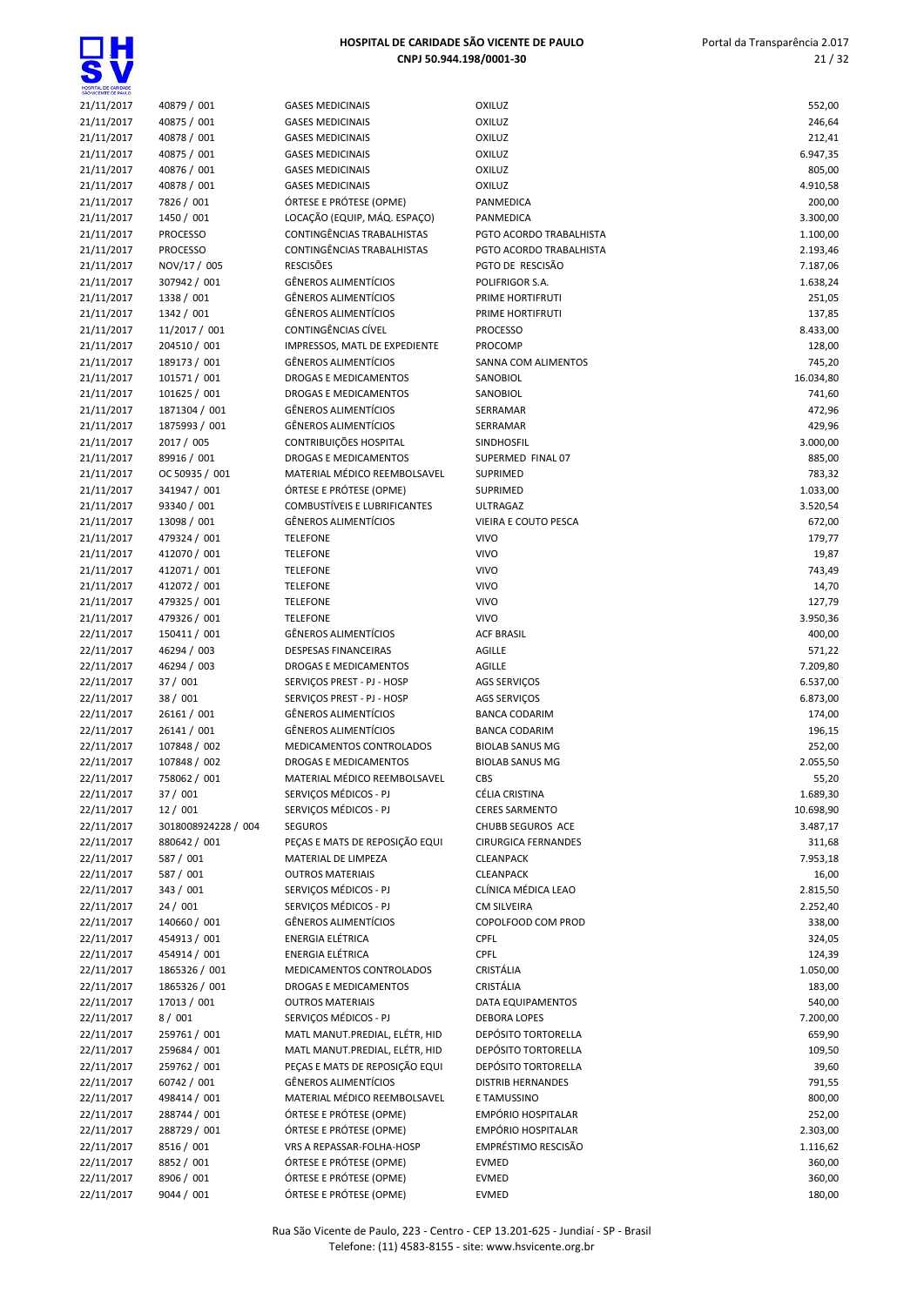$\overline{\bullet}$ 

| 21/11/2017<br>40879 / 001<br><b>GASES MEDICINAIS</b><br>OXILUZ<br>OXILUZ<br>21/11/2017<br>40875 / 001<br><b>GASES MEDICINAIS</b><br>40878 / 001<br>21/11/2017<br><b>GASES MEDICINAIS</b><br>OXILUZ<br>40875 / 001<br>21/11/2017<br><b>GASES MEDICINAIS</b><br><b>OXILUZ</b><br>40876 / 001<br>OXILUZ<br>21/11/2017<br><b>GASES MEDICINAIS</b><br>40878 / 001<br>21/11/2017<br><b>GASES MEDICINAIS</b><br><b>OXILUZ</b><br>21/11/2017<br>7826 / 001<br>ÓRTESE E PRÓTESE (OPME)<br>PANMEDICA<br>LOCAÇÃO (EQUIP, MÁQ. ESPAÇO)<br>21/11/2017<br>1450 / 001<br>PANMEDICA<br>CONTINGÊNCIAS TRABALHISTAS<br>21/11/2017<br><b>PROCESSO</b><br>PGTO ACORDO TRABALHISTA<br><b>CONTINGÊNCIAS TRABALHISTAS</b><br>21/11/2017<br><b>PROCESSO</b><br>PGTO ACORDO TRABALHISTA<br><b>RESCISÕES</b><br>PGTO DE RESCISÃO<br>21/11/2017<br>NOV/17 / 005<br>307942 / 001<br><b>GÊNEROS ALIMENTÍCIOS</b><br>21/11/2017<br>POLIFRIGOR S.A.<br><b>GÊNEROS ALIMENTÍCIOS</b><br>1338 / 001<br>21/11/2017<br>PRIME HORTIFRUTI<br>1342 / 001<br><b>GÊNEROS ALIMENTÍCIOS</b><br>21/11/2017<br>PRIME HORTIFRUTI<br>CONTINGÊNCIAS CÍVEL<br>21/11/2017<br>11/2017 / 001<br><b>PROCESSO</b><br>204510 / 001<br>IMPRESSOS, MATL DE EXPEDIENTE<br>21/11/2017<br><b>PROCOMP</b><br><b>GÊNEROS ALIMENTÍCIOS</b><br>21/11/2017<br>189173 / 001<br>SANNA COM ALIMENTOS<br>101571 / 001<br>DROGAS E MEDICAMENTOS<br>21/11/2017<br>SANOBIOL<br>21/11/2017<br>101625 / 001<br>DROGAS E MEDICAMENTOS<br>SANOBIOL<br><b>GÊNEROS ALIMENTÍCIOS</b><br>21/11/2017<br>1871304 / 001<br>SERRAMAR<br><b>GÊNEROS ALIMENTÍCIOS</b><br>21/11/2017<br>1875993 / 001<br>SERRAMAR<br>2017 / 005<br>CONTRIBUIÇÕES HOSPITAL<br>21/11/2017<br>SINDHOSFIL<br><b>DROGAS E MEDICAMENTOS</b><br>21/11/2017<br>89916 / 001<br>SUPERMED FINAL 07<br>MATERIAL MÉDICO REEMBOLSAVEL<br>21/11/2017<br>OC 50935 / 001<br><b>SUPRIMED</b><br>ÓRTESE E PRÓTESE (OPME)<br>21/11/2017<br>341947 / 001<br>SUPRIMED<br>93340 / 001<br><b>COMBUSTÍVEIS E LUBRIFICANTES</b><br>21/11/2017<br><b>ULTRAGAZ</b><br>13098 / 001<br><b>GÊNEROS ALIMENTÍCIOS</b><br>21/11/2017<br>VIEIRA E COUTO PESCA<br><b>VIVO</b><br>21/11/2017<br>479324 / 001<br><b>TELEFONE</b><br>412070 / 001<br><b>VIVO</b><br>21/11/2017<br><b>TELEFONE</b><br>412071 / 001<br><b>VIVO</b><br>21/11/2017<br><b>TELEFONE</b><br><b>VIVO</b><br>21/11/2017<br>412072 / 001<br><b>TELEFONE</b><br>479325 / 001<br><b>VIVO</b><br>21/11/2017<br><b>TELEFONE</b><br>479326 / 001<br><b>VIVO</b><br>21/11/2017<br><b>TELEFONE</b><br>150411 / 001<br><b>GÊNEROS ALIMENTÍCIOS</b><br><b>ACF BRASIL</b><br>22/11/2017<br>46294 / 003<br>22/11/2017<br><b>DESPESAS FINANCEIRAS</b><br><b>AGILLE</b><br>46294 / 003<br>22/11/2017<br>DROGAS E MEDICAMENTOS<br><b>AGILLE</b><br>37 / 001<br>22/11/2017<br>SERVIÇOS PREST - PJ - HOSP<br>AGS SERVIÇOS<br>38 / 001<br>22/11/2017<br>SERVIÇOS PREST - PJ - HOSP<br><b>AGS SERVICOS</b><br><b>GÊNEROS ALIMENTÍCIOS</b><br>22/11/2017<br>26161 / 001<br><b>BANCA CODARIM</b><br><b>GÊNEROS ALIMENTÍCIOS</b><br>22/11/2017<br>26141 / 001<br><b>BANCA CODARIM</b><br>22/11/2017<br>107848 / 002<br>MEDICAMENTOS CONTROLADOS<br><b>BIOLAB SANUS MG</b><br>22/11/2017<br>107848 / 002<br>DROGAS E MEDICAMENTOS<br><b>BIOLAB SANUS MG</b><br>22/11/2017<br>758062 / 001<br>MATERIAL MÉDICO REEMBOLSAVEL<br>CBS<br>SERVIÇOS MÉDICOS - PJ<br>22/11/2017<br>37 / 001<br>CÉLIA CRISTINA<br>22/11/2017<br>12 / 001<br>SERVIÇOS MÉDICOS - PJ<br><b>CERES SARMENTO</b><br>22/11/2017<br>3018008924228 / 004<br><b>SEGUROS</b><br>CHUBB SEGUROS ACE<br>880642 / 001<br>PEÇAS E MATS DE REPOSIÇÃO EQUI<br>22/11/2017<br><b>CIRURGICA FERNANDES</b><br>587 / 001<br>22/11/2017<br>MATERIAL DE LIMPEZA<br><b>CLEANPACK</b><br>587 / 001<br>22/11/2017<br><b>OUTROS MATERIAIS</b><br><b>CLEANPACK</b><br>343 / 001<br>SERVICOS MÉDICOS - PJ<br>CLÍNICA MÉDICA LEAO<br>22/11/2017<br>24 / 001<br>SERVIÇOS MÉDICOS - PJ<br>22/11/2017<br><b>CM SILVEIRA</b><br>140660 / 001<br>GÊNEROS ALIMENTÍCIOS<br>22/11/2017<br>COPOLFOOD COM PROD<br>CPFL<br>22/11/2017<br>454913 / 001<br>ENERGIA ELÉTRICA<br><b>ENERGIA ELÉTRICA</b><br>CPFL<br>22/11/2017<br>454914 / 001<br>1865326 / 001<br>CRISTÁLIA<br>22/11/2017<br>MEDICAMENTOS CONTROLADOS<br>1865326 / 001<br>CRISTÁLIA<br>22/11/2017<br>DROGAS E MEDICAMENTOS<br>17013 / 001<br>22/11/2017<br><b>OUTROS MATERIAIS</b><br>DATA EQUIPAMENTOS<br>8/001<br>SERVIÇOS MÉDICOS - PJ<br>22/11/2017<br><b>DEBORA LOPES</b><br>22/11/2017<br>259761 / 001<br>MATL MANUT.PREDIAL, ELÉTR, HID<br>DEPÓSITO TORTORELLA<br>MATL MANUT.PREDIAL, ELÉTR, HID<br>DEPÓSITO TORTORELLA<br>22/11/2017<br>259684 / 001<br>PEÇAS E MATS DE REPOSIÇÃO EQUI<br>DEPÓSITO TORTORELLA<br>22/11/2017<br>259762 / 001<br>GÊNEROS ALIMENTÍCIOS<br>22/11/2017<br>60742 / 001<br><b>DISTRIB HERNANDES</b><br>MATERIAL MÉDICO REEMBOLSAVEL<br>22/11/2017<br>498414 / 001<br>E TAMUSSINO<br>ÓRTESE E PRÓTESE (OPME)<br>EMPÓRIO HOSPITALAR<br>22/11/2017<br>288744 / 001<br>288729 / 001<br>ÓRTESE E PRÓTESE (OPME)<br>EMPÓRIO HOSPITALAR<br>22/11/2017<br>EMPRÉSTIMO RESCISÃO<br>8516 / 001<br>VRS A REPASSAR-FOLHA-HOSP<br>22/11/2017<br>8852 / 001<br>ÓRTESE E PRÓTESE (OPME)<br>22/11/2017<br><b>EVMED</b><br>8906 / 001<br>ÓRTESE E PRÓTESE (OPME)<br>22/11/2017<br>EVMED<br>ÓRTESE E PRÓTESE (OPME)<br>9044 / 001<br>22/11/2017<br><b>EVMED</b> | HOSPITAL DE CARIDADE<br>SÃO VICENTE DE PAULO |  |                       |
|--------------------------------------------------------------------------------------------------------------------------------------------------------------------------------------------------------------------------------------------------------------------------------------------------------------------------------------------------------------------------------------------------------------------------------------------------------------------------------------------------------------------------------------------------------------------------------------------------------------------------------------------------------------------------------------------------------------------------------------------------------------------------------------------------------------------------------------------------------------------------------------------------------------------------------------------------------------------------------------------------------------------------------------------------------------------------------------------------------------------------------------------------------------------------------------------------------------------------------------------------------------------------------------------------------------------------------------------------------------------------------------------------------------------------------------------------------------------------------------------------------------------------------------------------------------------------------------------------------------------------------------------------------------------------------------------------------------------------------------------------------------------------------------------------------------------------------------------------------------------------------------------------------------------------------------------------------------------------------------------------------------------------------------------------------------------------------------------------------------------------------------------------------------------------------------------------------------------------------------------------------------------------------------------------------------------------------------------------------------------------------------------------------------------------------------------------------------------------------------------------------------------------------------------------------------------------------------------------------------------------------------------------------------------------------------------------------------------------------------------------------------------------------------------------------------------------------------------------------------------------------------------------------------------------------------------------------------------------------------------------------------------------------------------------------------------------------------------------------------------------------------------------------------------------------------------------------------------------------------------------------------------------------------------------------------------------------------------------------------------------------------------------------------------------------------------------------------------------------------------------------------------------------------------------------------------------------------------------------------------------------------------------------------------------------------------------------------------------------------------------------------------------------------------------------------------------------------------------------------------------------------------------------------------------------------------------------------------------------------------------------------------------------------------------------------------------------------------------------------------------------------------------------------------------------------------------------------------------------------------------------------------------------------------------------------------------------------------------------------------------------------------------------------------------------------------------------------------------------------------------------------------------------------------------------------------------------------------------------------------------------------------------------------------------------------------------------------------------------------------------------------------------------------------------------------------------------------------------------------------------------------------------------------------------------------------------------------------------------------------------------------------------------------------------------------------------------------------------------------------------------------------------------------------------------------------------------------------------------------------------------------------------------------------------------------------------------------------------------------------------|----------------------------------------------|--|-----------------------|
|                                                                                                                                                                                                                                                                                                                                                                                                                                                                                                                                                                                                                                                                                                                                                                                                                                                                                                                                                                                                                                                                                                                                                                                                                                                                                                                                                                                                                                                                                                                                                                                                                                                                                                                                                                                                                                                                                                                                                                                                                                                                                                                                                                                                                                                                                                                                                                                                                                                                                                                                                                                                                                                                                                                                                                                                                                                                                                                                                                                                                                                                                                                                                                                                                                                                                                                                                                                                                                                                                                                                                                                                                                                                                                                                                                                                                                                                                                                                                                                                                                                                                                                                                                                                                                                                                                                                                                                                                                                                                                                                                                                                                                                                                                                                                                                                                                                                                                                                                                                                                                                                                                                                                                                                                                                                                                                                                                          |                                              |  | 552,00                |
|                                                                                                                                                                                                                                                                                                                                                                                                                                                                                                                                                                                                                                                                                                                                                                                                                                                                                                                                                                                                                                                                                                                                                                                                                                                                                                                                                                                                                                                                                                                                                                                                                                                                                                                                                                                                                                                                                                                                                                                                                                                                                                                                                                                                                                                                                                                                                                                                                                                                                                                                                                                                                                                                                                                                                                                                                                                                                                                                                                                                                                                                                                                                                                                                                                                                                                                                                                                                                                                                                                                                                                                                                                                                                                                                                                                                                                                                                                                                                                                                                                                                                                                                                                                                                                                                                                                                                                                                                                                                                                                                                                                                                                                                                                                                                                                                                                                                                                                                                                                                                                                                                                                                                                                                                                                                                                                                                                          |                                              |  | 246,64                |
|                                                                                                                                                                                                                                                                                                                                                                                                                                                                                                                                                                                                                                                                                                                                                                                                                                                                                                                                                                                                                                                                                                                                                                                                                                                                                                                                                                                                                                                                                                                                                                                                                                                                                                                                                                                                                                                                                                                                                                                                                                                                                                                                                                                                                                                                                                                                                                                                                                                                                                                                                                                                                                                                                                                                                                                                                                                                                                                                                                                                                                                                                                                                                                                                                                                                                                                                                                                                                                                                                                                                                                                                                                                                                                                                                                                                                                                                                                                                                                                                                                                                                                                                                                                                                                                                                                                                                                                                                                                                                                                                                                                                                                                                                                                                                                                                                                                                                                                                                                                                                                                                                                                                                                                                                                                                                                                                                                          |                                              |  | 212,41                |
|                                                                                                                                                                                                                                                                                                                                                                                                                                                                                                                                                                                                                                                                                                                                                                                                                                                                                                                                                                                                                                                                                                                                                                                                                                                                                                                                                                                                                                                                                                                                                                                                                                                                                                                                                                                                                                                                                                                                                                                                                                                                                                                                                                                                                                                                                                                                                                                                                                                                                                                                                                                                                                                                                                                                                                                                                                                                                                                                                                                                                                                                                                                                                                                                                                                                                                                                                                                                                                                                                                                                                                                                                                                                                                                                                                                                                                                                                                                                                                                                                                                                                                                                                                                                                                                                                                                                                                                                                                                                                                                                                                                                                                                                                                                                                                                                                                                                                                                                                                                                                                                                                                                                                                                                                                                                                                                                                                          |                                              |  | 6.947,35              |
|                                                                                                                                                                                                                                                                                                                                                                                                                                                                                                                                                                                                                                                                                                                                                                                                                                                                                                                                                                                                                                                                                                                                                                                                                                                                                                                                                                                                                                                                                                                                                                                                                                                                                                                                                                                                                                                                                                                                                                                                                                                                                                                                                                                                                                                                                                                                                                                                                                                                                                                                                                                                                                                                                                                                                                                                                                                                                                                                                                                                                                                                                                                                                                                                                                                                                                                                                                                                                                                                                                                                                                                                                                                                                                                                                                                                                                                                                                                                                                                                                                                                                                                                                                                                                                                                                                                                                                                                                                                                                                                                                                                                                                                                                                                                                                                                                                                                                                                                                                                                                                                                                                                                                                                                                                                                                                                                                                          |                                              |  | 805,00                |
|                                                                                                                                                                                                                                                                                                                                                                                                                                                                                                                                                                                                                                                                                                                                                                                                                                                                                                                                                                                                                                                                                                                                                                                                                                                                                                                                                                                                                                                                                                                                                                                                                                                                                                                                                                                                                                                                                                                                                                                                                                                                                                                                                                                                                                                                                                                                                                                                                                                                                                                                                                                                                                                                                                                                                                                                                                                                                                                                                                                                                                                                                                                                                                                                                                                                                                                                                                                                                                                                                                                                                                                                                                                                                                                                                                                                                                                                                                                                                                                                                                                                                                                                                                                                                                                                                                                                                                                                                                                                                                                                                                                                                                                                                                                                                                                                                                                                                                                                                                                                                                                                                                                                                                                                                                                                                                                                                                          |                                              |  | 4.910,58              |
|                                                                                                                                                                                                                                                                                                                                                                                                                                                                                                                                                                                                                                                                                                                                                                                                                                                                                                                                                                                                                                                                                                                                                                                                                                                                                                                                                                                                                                                                                                                                                                                                                                                                                                                                                                                                                                                                                                                                                                                                                                                                                                                                                                                                                                                                                                                                                                                                                                                                                                                                                                                                                                                                                                                                                                                                                                                                                                                                                                                                                                                                                                                                                                                                                                                                                                                                                                                                                                                                                                                                                                                                                                                                                                                                                                                                                                                                                                                                                                                                                                                                                                                                                                                                                                                                                                                                                                                                                                                                                                                                                                                                                                                                                                                                                                                                                                                                                                                                                                                                                                                                                                                                                                                                                                                                                                                                                                          |                                              |  | 200,00                |
|                                                                                                                                                                                                                                                                                                                                                                                                                                                                                                                                                                                                                                                                                                                                                                                                                                                                                                                                                                                                                                                                                                                                                                                                                                                                                                                                                                                                                                                                                                                                                                                                                                                                                                                                                                                                                                                                                                                                                                                                                                                                                                                                                                                                                                                                                                                                                                                                                                                                                                                                                                                                                                                                                                                                                                                                                                                                                                                                                                                                                                                                                                                                                                                                                                                                                                                                                                                                                                                                                                                                                                                                                                                                                                                                                                                                                                                                                                                                                                                                                                                                                                                                                                                                                                                                                                                                                                                                                                                                                                                                                                                                                                                                                                                                                                                                                                                                                                                                                                                                                                                                                                                                                                                                                                                                                                                                                                          |                                              |  | 3.300,00              |
|                                                                                                                                                                                                                                                                                                                                                                                                                                                                                                                                                                                                                                                                                                                                                                                                                                                                                                                                                                                                                                                                                                                                                                                                                                                                                                                                                                                                                                                                                                                                                                                                                                                                                                                                                                                                                                                                                                                                                                                                                                                                                                                                                                                                                                                                                                                                                                                                                                                                                                                                                                                                                                                                                                                                                                                                                                                                                                                                                                                                                                                                                                                                                                                                                                                                                                                                                                                                                                                                                                                                                                                                                                                                                                                                                                                                                                                                                                                                                                                                                                                                                                                                                                                                                                                                                                                                                                                                                                                                                                                                                                                                                                                                                                                                                                                                                                                                                                                                                                                                                                                                                                                                                                                                                                                                                                                                                                          |                                              |  | 1.100,00              |
|                                                                                                                                                                                                                                                                                                                                                                                                                                                                                                                                                                                                                                                                                                                                                                                                                                                                                                                                                                                                                                                                                                                                                                                                                                                                                                                                                                                                                                                                                                                                                                                                                                                                                                                                                                                                                                                                                                                                                                                                                                                                                                                                                                                                                                                                                                                                                                                                                                                                                                                                                                                                                                                                                                                                                                                                                                                                                                                                                                                                                                                                                                                                                                                                                                                                                                                                                                                                                                                                                                                                                                                                                                                                                                                                                                                                                                                                                                                                                                                                                                                                                                                                                                                                                                                                                                                                                                                                                                                                                                                                                                                                                                                                                                                                                                                                                                                                                                                                                                                                                                                                                                                                                                                                                                                                                                                                                                          |                                              |  | 2.193,46<br>7.187,06  |
|                                                                                                                                                                                                                                                                                                                                                                                                                                                                                                                                                                                                                                                                                                                                                                                                                                                                                                                                                                                                                                                                                                                                                                                                                                                                                                                                                                                                                                                                                                                                                                                                                                                                                                                                                                                                                                                                                                                                                                                                                                                                                                                                                                                                                                                                                                                                                                                                                                                                                                                                                                                                                                                                                                                                                                                                                                                                                                                                                                                                                                                                                                                                                                                                                                                                                                                                                                                                                                                                                                                                                                                                                                                                                                                                                                                                                                                                                                                                                                                                                                                                                                                                                                                                                                                                                                                                                                                                                                                                                                                                                                                                                                                                                                                                                                                                                                                                                                                                                                                                                                                                                                                                                                                                                                                                                                                                                                          |                                              |  | 1.638,24              |
|                                                                                                                                                                                                                                                                                                                                                                                                                                                                                                                                                                                                                                                                                                                                                                                                                                                                                                                                                                                                                                                                                                                                                                                                                                                                                                                                                                                                                                                                                                                                                                                                                                                                                                                                                                                                                                                                                                                                                                                                                                                                                                                                                                                                                                                                                                                                                                                                                                                                                                                                                                                                                                                                                                                                                                                                                                                                                                                                                                                                                                                                                                                                                                                                                                                                                                                                                                                                                                                                                                                                                                                                                                                                                                                                                                                                                                                                                                                                                                                                                                                                                                                                                                                                                                                                                                                                                                                                                                                                                                                                                                                                                                                                                                                                                                                                                                                                                                                                                                                                                                                                                                                                                                                                                                                                                                                                                                          |                                              |  | 251,05                |
|                                                                                                                                                                                                                                                                                                                                                                                                                                                                                                                                                                                                                                                                                                                                                                                                                                                                                                                                                                                                                                                                                                                                                                                                                                                                                                                                                                                                                                                                                                                                                                                                                                                                                                                                                                                                                                                                                                                                                                                                                                                                                                                                                                                                                                                                                                                                                                                                                                                                                                                                                                                                                                                                                                                                                                                                                                                                                                                                                                                                                                                                                                                                                                                                                                                                                                                                                                                                                                                                                                                                                                                                                                                                                                                                                                                                                                                                                                                                                                                                                                                                                                                                                                                                                                                                                                                                                                                                                                                                                                                                                                                                                                                                                                                                                                                                                                                                                                                                                                                                                                                                                                                                                                                                                                                                                                                                                                          |                                              |  | 137,85                |
|                                                                                                                                                                                                                                                                                                                                                                                                                                                                                                                                                                                                                                                                                                                                                                                                                                                                                                                                                                                                                                                                                                                                                                                                                                                                                                                                                                                                                                                                                                                                                                                                                                                                                                                                                                                                                                                                                                                                                                                                                                                                                                                                                                                                                                                                                                                                                                                                                                                                                                                                                                                                                                                                                                                                                                                                                                                                                                                                                                                                                                                                                                                                                                                                                                                                                                                                                                                                                                                                                                                                                                                                                                                                                                                                                                                                                                                                                                                                                                                                                                                                                                                                                                                                                                                                                                                                                                                                                                                                                                                                                                                                                                                                                                                                                                                                                                                                                                                                                                                                                                                                                                                                                                                                                                                                                                                                                                          |                                              |  | 8.433,00              |
|                                                                                                                                                                                                                                                                                                                                                                                                                                                                                                                                                                                                                                                                                                                                                                                                                                                                                                                                                                                                                                                                                                                                                                                                                                                                                                                                                                                                                                                                                                                                                                                                                                                                                                                                                                                                                                                                                                                                                                                                                                                                                                                                                                                                                                                                                                                                                                                                                                                                                                                                                                                                                                                                                                                                                                                                                                                                                                                                                                                                                                                                                                                                                                                                                                                                                                                                                                                                                                                                                                                                                                                                                                                                                                                                                                                                                                                                                                                                                                                                                                                                                                                                                                                                                                                                                                                                                                                                                                                                                                                                                                                                                                                                                                                                                                                                                                                                                                                                                                                                                                                                                                                                                                                                                                                                                                                                                                          |                                              |  | 128,00                |
|                                                                                                                                                                                                                                                                                                                                                                                                                                                                                                                                                                                                                                                                                                                                                                                                                                                                                                                                                                                                                                                                                                                                                                                                                                                                                                                                                                                                                                                                                                                                                                                                                                                                                                                                                                                                                                                                                                                                                                                                                                                                                                                                                                                                                                                                                                                                                                                                                                                                                                                                                                                                                                                                                                                                                                                                                                                                                                                                                                                                                                                                                                                                                                                                                                                                                                                                                                                                                                                                                                                                                                                                                                                                                                                                                                                                                                                                                                                                                                                                                                                                                                                                                                                                                                                                                                                                                                                                                                                                                                                                                                                                                                                                                                                                                                                                                                                                                                                                                                                                                                                                                                                                                                                                                                                                                                                                                                          |                                              |  | 745,20                |
|                                                                                                                                                                                                                                                                                                                                                                                                                                                                                                                                                                                                                                                                                                                                                                                                                                                                                                                                                                                                                                                                                                                                                                                                                                                                                                                                                                                                                                                                                                                                                                                                                                                                                                                                                                                                                                                                                                                                                                                                                                                                                                                                                                                                                                                                                                                                                                                                                                                                                                                                                                                                                                                                                                                                                                                                                                                                                                                                                                                                                                                                                                                                                                                                                                                                                                                                                                                                                                                                                                                                                                                                                                                                                                                                                                                                                                                                                                                                                                                                                                                                                                                                                                                                                                                                                                                                                                                                                                                                                                                                                                                                                                                                                                                                                                                                                                                                                                                                                                                                                                                                                                                                                                                                                                                                                                                                                                          |                                              |  | 16.034,80             |
|                                                                                                                                                                                                                                                                                                                                                                                                                                                                                                                                                                                                                                                                                                                                                                                                                                                                                                                                                                                                                                                                                                                                                                                                                                                                                                                                                                                                                                                                                                                                                                                                                                                                                                                                                                                                                                                                                                                                                                                                                                                                                                                                                                                                                                                                                                                                                                                                                                                                                                                                                                                                                                                                                                                                                                                                                                                                                                                                                                                                                                                                                                                                                                                                                                                                                                                                                                                                                                                                                                                                                                                                                                                                                                                                                                                                                                                                                                                                                                                                                                                                                                                                                                                                                                                                                                                                                                                                                                                                                                                                                                                                                                                                                                                                                                                                                                                                                                                                                                                                                                                                                                                                                                                                                                                                                                                                                                          |                                              |  | 741,60                |
|                                                                                                                                                                                                                                                                                                                                                                                                                                                                                                                                                                                                                                                                                                                                                                                                                                                                                                                                                                                                                                                                                                                                                                                                                                                                                                                                                                                                                                                                                                                                                                                                                                                                                                                                                                                                                                                                                                                                                                                                                                                                                                                                                                                                                                                                                                                                                                                                                                                                                                                                                                                                                                                                                                                                                                                                                                                                                                                                                                                                                                                                                                                                                                                                                                                                                                                                                                                                                                                                                                                                                                                                                                                                                                                                                                                                                                                                                                                                                                                                                                                                                                                                                                                                                                                                                                                                                                                                                                                                                                                                                                                                                                                                                                                                                                                                                                                                                                                                                                                                                                                                                                                                                                                                                                                                                                                                                                          |                                              |  | 472,96                |
|                                                                                                                                                                                                                                                                                                                                                                                                                                                                                                                                                                                                                                                                                                                                                                                                                                                                                                                                                                                                                                                                                                                                                                                                                                                                                                                                                                                                                                                                                                                                                                                                                                                                                                                                                                                                                                                                                                                                                                                                                                                                                                                                                                                                                                                                                                                                                                                                                                                                                                                                                                                                                                                                                                                                                                                                                                                                                                                                                                                                                                                                                                                                                                                                                                                                                                                                                                                                                                                                                                                                                                                                                                                                                                                                                                                                                                                                                                                                                                                                                                                                                                                                                                                                                                                                                                                                                                                                                                                                                                                                                                                                                                                                                                                                                                                                                                                                                                                                                                                                                                                                                                                                                                                                                                                                                                                                                                          |                                              |  | 429,96                |
|                                                                                                                                                                                                                                                                                                                                                                                                                                                                                                                                                                                                                                                                                                                                                                                                                                                                                                                                                                                                                                                                                                                                                                                                                                                                                                                                                                                                                                                                                                                                                                                                                                                                                                                                                                                                                                                                                                                                                                                                                                                                                                                                                                                                                                                                                                                                                                                                                                                                                                                                                                                                                                                                                                                                                                                                                                                                                                                                                                                                                                                                                                                                                                                                                                                                                                                                                                                                                                                                                                                                                                                                                                                                                                                                                                                                                                                                                                                                                                                                                                                                                                                                                                                                                                                                                                                                                                                                                                                                                                                                                                                                                                                                                                                                                                                                                                                                                                                                                                                                                                                                                                                                                                                                                                                                                                                                                                          |                                              |  | 3.000,00              |
|                                                                                                                                                                                                                                                                                                                                                                                                                                                                                                                                                                                                                                                                                                                                                                                                                                                                                                                                                                                                                                                                                                                                                                                                                                                                                                                                                                                                                                                                                                                                                                                                                                                                                                                                                                                                                                                                                                                                                                                                                                                                                                                                                                                                                                                                                                                                                                                                                                                                                                                                                                                                                                                                                                                                                                                                                                                                                                                                                                                                                                                                                                                                                                                                                                                                                                                                                                                                                                                                                                                                                                                                                                                                                                                                                                                                                                                                                                                                                                                                                                                                                                                                                                                                                                                                                                                                                                                                                                                                                                                                                                                                                                                                                                                                                                                                                                                                                                                                                                                                                                                                                                                                                                                                                                                                                                                                                                          |                                              |  | 885,00                |
|                                                                                                                                                                                                                                                                                                                                                                                                                                                                                                                                                                                                                                                                                                                                                                                                                                                                                                                                                                                                                                                                                                                                                                                                                                                                                                                                                                                                                                                                                                                                                                                                                                                                                                                                                                                                                                                                                                                                                                                                                                                                                                                                                                                                                                                                                                                                                                                                                                                                                                                                                                                                                                                                                                                                                                                                                                                                                                                                                                                                                                                                                                                                                                                                                                                                                                                                                                                                                                                                                                                                                                                                                                                                                                                                                                                                                                                                                                                                                                                                                                                                                                                                                                                                                                                                                                                                                                                                                                                                                                                                                                                                                                                                                                                                                                                                                                                                                                                                                                                                                                                                                                                                                                                                                                                                                                                                                                          |                                              |  | 783,32                |
|                                                                                                                                                                                                                                                                                                                                                                                                                                                                                                                                                                                                                                                                                                                                                                                                                                                                                                                                                                                                                                                                                                                                                                                                                                                                                                                                                                                                                                                                                                                                                                                                                                                                                                                                                                                                                                                                                                                                                                                                                                                                                                                                                                                                                                                                                                                                                                                                                                                                                                                                                                                                                                                                                                                                                                                                                                                                                                                                                                                                                                                                                                                                                                                                                                                                                                                                                                                                                                                                                                                                                                                                                                                                                                                                                                                                                                                                                                                                                                                                                                                                                                                                                                                                                                                                                                                                                                                                                                                                                                                                                                                                                                                                                                                                                                                                                                                                                                                                                                                                                                                                                                                                                                                                                                                                                                                                                                          |                                              |  | 1.033,00              |
|                                                                                                                                                                                                                                                                                                                                                                                                                                                                                                                                                                                                                                                                                                                                                                                                                                                                                                                                                                                                                                                                                                                                                                                                                                                                                                                                                                                                                                                                                                                                                                                                                                                                                                                                                                                                                                                                                                                                                                                                                                                                                                                                                                                                                                                                                                                                                                                                                                                                                                                                                                                                                                                                                                                                                                                                                                                                                                                                                                                                                                                                                                                                                                                                                                                                                                                                                                                                                                                                                                                                                                                                                                                                                                                                                                                                                                                                                                                                                                                                                                                                                                                                                                                                                                                                                                                                                                                                                                                                                                                                                                                                                                                                                                                                                                                                                                                                                                                                                                                                                                                                                                                                                                                                                                                                                                                                                                          |                                              |  | 3.520,54              |
|                                                                                                                                                                                                                                                                                                                                                                                                                                                                                                                                                                                                                                                                                                                                                                                                                                                                                                                                                                                                                                                                                                                                                                                                                                                                                                                                                                                                                                                                                                                                                                                                                                                                                                                                                                                                                                                                                                                                                                                                                                                                                                                                                                                                                                                                                                                                                                                                                                                                                                                                                                                                                                                                                                                                                                                                                                                                                                                                                                                                                                                                                                                                                                                                                                                                                                                                                                                                                                                                                                                                                                                                                                                                                                                                                                                                                                                                                                                                                                                                                                                                                                                                                                                                                                                                                                                                                                                                                                                                                                                                                                                                                                                                                                                                                                                                                                                                                                                                                                                                                                                                                                                                                                                                                                                                                                                                                                          |                                              |  | 672,00                |
|                                                                                                                                                                                                                                                                                                                                                                                                                                                                                                                                                                                                                                                                                                                                                                                                                                                                                                                                                                                                                                                                                                                                                                                                                                                                                                                                                                                                                                                                                                                                                                                                                                                                                                                                                                                                                                                                                                                                                                                                                                                                                                                                                                                                                                                                                                                                                                                                                                                                                                                                                                                                                                                                                                                                                                                                                                                                                                                                                                                                                                                                                                                                                                                                                                                                                                                                                                                                                                                                                                                                                                                                                                                                                                                                                                                                                                                                                                                                                                                                                                                                                                                                                                                                                                                                                                                                                                                                                                                                                                                                                                                                                                                                                                                                                                                                                                                                                                                                                                                                                                                                                                                                                                                                                                                                                                                                                                          |                                              |  | 179,77                |
|                                                                                                                                                                                                                                                                                                                                                                                                                                                                                                                                                                                                                                                                                                                                                                                                                                                                                                                                                                                                                                                                                                                                                                                                                                                                                                                                                                                                                                                                                                                                                                                                                                                                                                                                                                                                                                                                                                                                                                                                                                                                                                                                                                                                                                                                                                                                                                                                                                                                                                                                                                                                                                                                                                                                                                                                                                                                                                                                                                                                                                                                                                                                                                                                                                                                                                                                                                                                                                                                                                                                                                                                                                                                                                                                                                                                                                                                                                                                                                                                                                                                                                                                                                                                                                                                                                                                                                                                                                                                                                                                                                                                                                                                                                                                                                                                                                                                                                                                                                                                                                                                                                                                                                                                                                                                                                                                                                          |                                              |  | 19,87                 |
|                                                                                                                                                                                                                                                                                                                                                                                                                                                                                                                                                                                                                                                                                                                                                                                                                                                                                                                                                                                                                                                                                                                                                                                                                                                                                                                                                                                                                                                                                                                                                                                                                                                                                                                                                                                                                                                                                                                                                                                                                                                                                                                                                                                                                                                                                                                                                                                                                                                                                                                                                                                                                                                                                                                                                                                                                                                                                                                                                                                                                                                                                                                                                                                                                                                                                                                                                                                                                                                                                                                                                                                                                                                                                                                                                                                                                                                                                                                                                                                                                                                                                                                                                                                                                                                                                                                                                                                                                                                                                                                                                                                                                                                                                                                                                                                                                                                                                                                                                                                                                                                                                                                                                                                                                                                                                                                                                                          |                                              |  | 743,49                |
|                                                                                                                                                                                                                                                                                                                                                                                                                                                                                                                                                                                                                                                                                                                                                                                                                                                                                                                                                                                                                                                                                                                                                                                                                                                                                                                                                                                                                                                                                                                                                                                                                                                                                                                                                                                                                                                                                                                                                                                                                                                                                                                                                                                                                                                                                                                                                                                                                                                                                                                                                                                                                                                                                                                                                                                                                                                                                                                                                                                                                                                                                                                                                                                                                                                                                                                                                                                                                                                                                                                                                                                                                                                                                                                                                                                                                                                                                                                                                                                                                                                                                                                                                                                                                                                                                                                                                                                                                                                                                                                                                                                                                                                                                                                                                                                                                                                                                                                                                                                                                                                                                                                                                                                                                                                                                                                                                                          |                                              |  | 14,70                 |
|                                                                                                                                                                                                                                                                                                                                                                                                                                                                                                                                                                                                                                                                                                                                                                                                                                                                                                                                                                                                                                                                                                                                                                                                                                                                                                                                                                                                                                                                                                                                                                                                                                                                                                                                                                                                                                                                                                                                                                                                                                                                                                                                                                                                                                                                                                                                                                                                                                                                                                                                                                                                                                                                                                                                                                                                                                                                                                                                                                                                                                                                                                                                                                                                                                                                                                                                                                                                                                                                                                                                                                                                                                                                                                                                                                                                                                                                                                                                                                                                                                                                                                                                                                                                                                                                                                                                                                                                                                                                                                                                                                                                                                                                                                                                                                                                                                                                                                                                                                                                                                                                                                                                                                                                                                                                                                                                                                          |                                              |  | 127,79                |
|                                                                                                                                                                                                                                                                                                                                                                                                                                                                                                                                                                                                                                                                                                                                                                                                                                                                                                                                                                                                                                                                                                                                                                                                                                                                                                                                                                                                                                                                                                                                                                                                                                                                                                                                                                                                                                                                                                                                                                                                                                                                                                                                                                                                                                                                                                                                                                                                                                                                                                                                                                                                                                                                                                                                                                                                                                                                                                                                                                                                                                                                                                                                                                                                                                                                                                                                                                                                                                                                                                                                                                                                                                                                                                                                                                                                                                                                                                                                                                                                                                                                                                                                                                                                                                                                                                                                                                                                                                                                                                                                                                                                                                                                                                                                                                                                                                                                                                                                                                                                                                                                                                                                                                                                                                                                                                                                                                          |                                              |  | 3.950,36              |
|                                                                                                                                                                                                                                                                                                                                                                                                                                                                                                                                                                                                                                                                                                                                                                                                                                                                                                                                                                                                                                                                                                                                                                                                                                                                                                                                                                                                                                                                                                                                                                                                                                                                                                                                                                                                                                                                                                                                                                                                                                                                                                                                                                                                                                                                                                                                                                                                                                                                                                                                                                                                                                                                                                                                                                                                                                                                                                                                                                                                                                                                                                                                                                                                                                                                                                                                                                                                                                                                                                                                                                                                                                                                                                                                                                                                                                                                                                                                                                                                                                                                                                                                                                                                                                                                                                                                                                                                                                                                                                                                                                                                                                                                                                                                                                                                                                                                                                                                                                                                                                                                                                                                                                                                                                                                                                                                                                          |                                              |  | 400,00                |
|                                                                                                                                                                                                                                                                                                                                                                                                                                                                                                                                                                                                                                                                                                                                                                                                                                                                                                                                                                                                                                                                                                                                                                                                                                                                                                                                                                                                                                                                                                                                                                                                                                                                                                                                                                                                                                                                                                                                                                                                                                                                                                                                                                                                                                                                                                                                                                                                                                                                                                                                                                                                                                                                                                                                                                                                                                                                                                                                                                                                                                                                                                                                                                                                                                                                                                                                                                                                                                                                                                                                                                                                                                                                                                                                                                                                                                                                                                                                                                                                                                                                                                                                                                                                                                                                                                                                                                                                                                                                                                                                                                                                                                                                                                                                                                                                                                                                                                                                                                                                                                                                                                                                                                                                                                                                                                                                                                          |                                              |  | 571,22                |
|                                                                                                                                                                                                                                                                                                                                                                                                                                                                                                                                                                                                                                                                                                                                                                                                                                                                                                                                                                                                                                                                                                                                                                                                                                                                                                                                                                                                                                                                                                                                                                                                                                                                                                                                                                                                                                                                                                                                                                                                                                                                                                                                                                                                                                                                                                                                                                                                                                                                                                                                                                                                                                                                                                                                                                                                                                                                                                                                                                                                                                                                                                                                                                                                                                                                                                                                                                                                                                                                                                                                                                                                                                                                                                                                                                                                                                                                                                                                                                                                                                                                                                                                                                                                                                                                                                                                                                                                                                                                                                                                                                                                                                                                                                                                                                                                                                                                                                                                                                                                                                                                                                                                                                                                                                                                                                                                                                          |                                              |  | 7.209,80              |
|                                                                                                                                                                                                                                                                                                                                                                                                                                                                                                                                                                                                                                                                                                                                                                                                                                                                                                                                                                                                                                                                                                                                                                                                                                                                                                                                                                                                                                                                                                                                                                                                                                                                                                                                                                                                                                                                                                                                                                                                                                                                                                                                                                                                                                                                                                                                                                                                                                                                                                                                                                                                                                                                                                                                                                                                                                                                                                                                                                                                                                                                                                                                                                                                                                                                                                                                                                                                                                                                                                                                                                                                                                                                                                                                                                                                                                                                                                                                                                                                                                                                                                                                                                                                                                                                                                                                                                                                                                                                                                                                                                                                                                                                                                                                                                                                                                                                                                                                                                                                                                                                                                                                                                                                                                                                                                                                                                          |                                              |  | 6.537,00              |
|                                                                                                                                                                                                                                                                                                                                                                                                                                                                                                                                                                                                                                                                                                                                                                                                                                                                                                                                                                                                                                                                                                                                                                                                                                                                                                                                                                                                                                                                                                                                                                                                                                                                                                                                                                                                                                                                                                                                                                                                                                                                                                                                                                                                                                                                                                                                                                                                                                                                                                                                                                                                                                                                                                                                                                                                                                                                                                                                                                                                                                                                                                                                                                                                                                                                                                                                                                                                                                                                                                                                                                                                                                                                                                                                                                                                                                                                                                                                                                                                                                                                                                                                                                                                                                                                                                                                                                                                                                                                                                                                                                                                                                                                                                                                                                                                                                                                                                                                                                                                                                                                                                                                                                                                                                                                                                                                                                          |                                              |  | 6.873,00              |
|                                                                                                                                                                                                                                                                                                                                                                                                                                                                                                                                                                                                                                                                                                                                                                                                                                                                                                                                                                                                                                                                                                                                                                                                                                                                                                                                                                                                                                                                                                                                                                                                                                                                                                                                                                                                                                                                                                                                                                                                                                                                                                                                                                                                                                                                                                                                                                                                                                                                                                                                                                                                                                                                                                                                                                                                                                                                                                                                                                                                                                                                                                                                                                                                                                                                                                                                                                                                                                                                                                                                                                                                                                                                                                                                                                                                                                                                                                                                                                                                                                                                                                                                                                                                                                                                                                                                                                                                                                                                                                                                                                                                                                                                                                                                                                                                                                                                                                                                                                                                                                                                                                                                                                                                                                                                                                                                                                          |                                              |  | 174,00                |
|                                                                                                                                                                                                                                                                                                                                                                                                                                                                                                                                                                                                                                                                                                                                                                                                                                                                                                                                                                                                                                                                                                                                                                                                                                                                                                                                                                                                                                                                                                                                                                                                                                                                                                                                                                                                                                                                                                                                                                                                                                                                                                                                                                                                                                                                                                                                                                                                                                                                                                                                                                                                                                                                                                                                                                                                                                                                                                                                                                                                                                                                                                                                                                                                                                                                                                                                                                                                                                                                                                                                                                                                                                                                                                                                                                                                                                                                                                                                                                                                                                                                                                                                                                                                                                                                                                                                                                                                                                                                                                                                                                                                                                                                                                                                                                                                                                                                                                                                                                                                                                                                                                                                                                                                                                                                                                                                                                          |                                              |  | 196,15                |
|                                                                                                                                                                                                                                                                                                                                                                                                                                                                                                                                                                                                                                                                                                                                                                                                                                                                                                                                                                                                                                                                                                                                                                                                                                                                                                                                                                                                                                                                                                                                                                                                                                                                                                                                                                                                                                                                                                                                                                                                                                                                                                                                                                                                                                                                                                                                                                                                                                                                                                                                                                                                                                                                                                                                                                                                                                                                                                                                                                                                                                                                                                                                                                                                                                                                                                                                                                                                                                                                                                                                                                                                                                                                                                                                                                                                                                                                                                                                                                                                                                                                                                                                                                                                                                                                                                                                                                                                                                                                                                                                                                                                                                                                                                                                                                                                                                                                                                                                                                                                                                                                                                                                                                                                                                                                                                                                                                          |                                              |  | 252,00                |
|                                                                                                                                                                                                                                                                                                                                                                                                                                                                                                                                                                                                                                                                                                                                                                                                                                                                                                                                                                                                                                                                                                                                                                                                                                                                                                                                                                                                                                                                                                                                                                                                                                                                                                                                                                                                                                                                                                                                                                                                                                                                                                                                                                                                                                                                                                                                                                                                                                                                                                                                                                                                                                                                                                                                                                                                                                                                                                                                                                                                                                                                                                                                                                                                                                                                                                                                                                                                                                                                                                                                                                                                                                                                                                                                                                                                                                                                                                                                                                                                                                                                                                                                                                                                                                                                                                                                                                                                                                                                                                                                                                                                                                                                                                                                                                                                                                                                                                                                                                                                                                                                                                                                                                                                                                                                                                                                                                          |                                              |  | 2.055,50              |
|                                                                                                                                                                                                                                                                                                                                                                                                                                                                                                                                                                                                                                                                                                                                                                                                                                                                                                                                                                                                                                                                                                                                                                                                                                                                                                                                                                                                                                                                                                                                                                                                                                                                                                                                                                                                                                                                                                                                                                                                                                                                                                                                                                                                                                                                                                                                                                                                                                                                                                                                                                                                                                                                                                                                                                                                                                                                                                                                                                                                                                                                                                                                                                                                                                                                                                                                                                                                                                                                                                                                                                                                                                                                                                                                                                                                                                                                                                                                                                                                                                                                                                                                                                                                                                                                                                                                                                                                                                                                                                                                                                                                                                                                                                                                                                                                                                                                                                                                                                                                                                                                                                                                                                                                                                                                                                                                                                          |                                              |  | 55,20                 |
|                                                                                                                                                                                                                                                                                                                                                                                                                                                                                                                                                                                                                                                                                                                                                                                                                                                                                                                                                                                                                                                                                                                                                                                                                                                                                                                                                                                                                                                                                                                                                                                                                                                                                                                                                                                                                                                                                                                                                                                                                                                                                                                                                                                                                                                                                                                                                                                                                                                                                                                                                                                                                                                                                                                                                                                                                                                                                                                                                                                                                                                                                                                                                                                                                                                                                                                                                                                                                                                                                                                                                                                                                                                                                                                                                                                                                                                                                                                                                                                                                                                                                                                                                                                                                                                                                                                                                                                                                                                                                                                                                                                                                                                                                                                                                                                                                                                                                                                                                                                                                                                                                                                                                                                                                                                                                                                                                                          |                                              |  | 1.689,30              |
|                                                                                                                                                                                                                                                                                                                                                                                                                                                                                                                                                                                                                                                                                                                                                                                                                                                                                                                                                                                                                                                                                                                                                                                                                                                                                                                                                                                                                                                                                                                                                                                                                                                                                                                                                                                                                                                                                                                                                                                                                                                                                                                                                                                                                                                                                                                                                                                                                                                                                                                                                                                                                                                                                                                                                                                                                                                                                                                                                                                                                                                                                                                                                                                                                                                                                                                                                                                                                                                                                                                                                                                                                                                                                                                                                                                                                                                                                                                                                                                                                                                                                                                                                                                                                                                                                                                                                                                                                                                                                                                                                                                                                                                                                                                                                                                                                                                                                                                                                                                                                                                                                                                                                                                                                                                                                                                                                                          |                                              |  | 10.698,90<br>3.487,17 |
|                                                                                                                                                                                                                                                                                                                                                                                                                                                                                                                                                                                                                                                                                                                                                                                                                                                                                                                                                                                                                                                                                                                                                                                                                                                                                                                                                                                                                                                                                                                                                                                                                                                                                                                                                                                                                                                                                                                                                                                                                                                                                                                                                                                                                                                                                                                                                                                                                                                                                                                                                                                                                                                                                                                                                                                                                                                                                                                                                                                                                                                                                                                                                                                                                                                                                                                                                                                                                                                                                                                                                                                                                                                                                                                                                                                                                                                                                                                                                                                                                                                                                                                                                                                                                                                                                                                                                                                                                                                                                                                                                                                                                                                                                                                                                                                                                                                                                                                                                                                                                                                                                                                                                                                                                                                                                                                                                                          |                                              |  |                       |
|                                                                                                                                                                                                                                                                                                                                                                                                                                                                                                                                                                                                                                                                                                                                                                                                                                                                                                                                                                                                                                                                                                                                                                                                                                                                                                                                                                                                                                                                                                                                                                                                                                                                                                                                                                                                                                                                                                                                                                                                                                                                                                                                                                                                                                                                                                                                                                                                                                                                                                                                                                                                                                                                                                                                                                                                                                                                                                                                                                                                                                                                                                                                                                                                                                                                                                                                                                                                                                                                                                                                                                                                                                                                                                                                                                                                                                                                                                                                                                                                                                                                                                                                                                                                                                                                                                                                                                                                                                                                                                                                                                                                                                                                                                                                                                                                                                                                                                                                                                                                                                                                                                                                                                                                                                                                                                                                                                          |                                              |  | 311,68                |
|                                                                                                                                                                                                                                                                                                                                                                                                                                                                                                                                                                                                                                                                                                                                                                                                                                                                                                                                                                                                                                                                                                                                                                                                                                                                                                                                                                                                                                                                                                                                                                                                                                                                                                                                                                                                                                                                                                                                                                                                                                                                                                                                                                                                                                                                                                                                                                                                                                                                                                                                                                                                                                                                                                                                                                                                                                                                                                                                                                                                                                                                                                                                                                                                                                                                                                                                                                                                                                                                                                                                                                                                                                                                                                                                                                                                                                                                                                                                                                                                                                                                                                                                                                                                                                                                                                                                                                                                                                                                                                                                                                                                                                                                                                                                                                                                                                                                                                                                                                                                                                                                                                                                                                                                                                                                                                                                                                          |                                              |  | 7.953,18<br>16,00     |
|                                                                                                                                                                                                                                                                                                                                                                                                                                                                                                                                                                                                                                                                                                                                                                                                                                                                                                                                                                                                                                                                                                                                                                                                                                                                                                                                                                                                                                                                                                                                                                                                                                                                                                                                                                                                                                                                                                                                                                                                                                                                                                                                                                                                                                                                                                                                                                                                                                                                                                                                                                                                                                                                                                                                                                                                                                                                                                                                                                                                                                                                                                                                                                                                                                                                                                                                                                                                                                                                                                                                                                                                                                                                                                                                                                                                                                                                                                                                                                                                                                                                                                                                                                                                                                                                                                                                                                                                                                                                                                                                                                                                                                                                                                                                                                                                                                                                                                                                                                                                                                                                                                                                                                                                                                                                                                                                                                          |                                              |  | 2.815,50              |
|                                                                                                                                                                                                                                                                                                                                                                                                                                                                                                                                                                                                                                                                                                                                                                                                                                                                                                                                                                                                                                                                                                                                                                                                                                                                                                                                                                                                                                                                                                                                                                                                                                                                                                                                                                                                                                                                                                                                                                                                                                                                                                                                                                                                                                                                                                                                                                                                                                                                                                                                                                                                                                                                                                                                                                                                                                                                                                                                                                                                                                                                                                                                                                                                                                                                                                                                                                                                                                                                                                                                                                                                                                                                                                                                                                                                                                                                                                                                                                                                                                                                                                                                                                                                                                                                                                                                                                                                                                                                                                                                                                                                                                                                                                                                                                                                                                                                                                                                                                                                                                                                                                                                                                                                                                                                                                                                                                          |                                              |  | 2.252,40              |
|                                                                                                                                                                                                                                                                                                                                                                                                                                                                                                                                                                                                                                                                                                                                                                                                                                                                                                                                                                                                                                                                                                                                                                                                                                                                                                                                                                                                                                                                                                                                                                                                                                                                                                                                                                                                                                                                                                                                                                                                                                                                                                                                                                                                                                                                                                                                                                                                                                                                                                                                                                                                                                                                                                                                                                                                                                                                                                                                                                                                                                                                                                                                                                                                                                                                                                                                                                                                                                                                                                                                                                                                                                                                                                                                                                                                                                                                                                                                                                                                                                                                                                                                                                                                                                                                                                                                                                                                                                                                                                                                                                                                                                                                                                                                                                                                                                                                                                                                                                                                                                                                                                                                                                                                                                                                                                                                                                          |                                              |  | 338,00                |
|                                                                                                                                                                                                                                                                                                                                                                                                                                                                                                                                                                                                                                                                                                                                                                                                                                                                                                                                                                                                                                                                                                                                                                                                                                                                                                                                                                                                                                                                                                                                                                                                                                                                                                                                                                                                                                                                                                                                                                                                                                                                                                                                                                                                                                                                                                                                                                                                                                                                                                                                                                                                                                                                                                                                                                                                                                                                                                                                                                                                                                                                                                                                                                                                                                                                                                                                                                                                                                                                                                                                                                                                                                                                                                                                                                                                                                                                                                                                                                                                                                                                                                                                                                                                                                                                                                                                                                                                                                                                                                                                                                                                                                                                                                                                                                                                                                                                                                                                                                                                                                                                                                                                                                                                                                                                                                                                                                          |                                              |  | 324,05                |
|                                                                                                                                                                                                                                                                                                                                                                                                                                                                                                                                                                                                                                                                                                                                                                                                                                                                                                                                                                                                                                                                                                                                                                                                                                                                                                                                                                                                                                                                                                                                                                                                                                                                                                                                                                                                                                                                                                                                                                                                                                                                                                                                                                                                                                                                                                                                                                                                                                                                                                                                                                                                                                                                                                                                                                                                                                                                                                                                                                                                                                                                                                                                                                                                                                                                                                                                                                                                                                                                                                                                                                                                                                                                                                                                                                                                                                                                                                                                                                                                                                                                                                                                                                                                                                                                                                                                                                                                                                                                                                                                                                                                                                                                                                                                                                                                                                                                                                                                                                                                                                                                                                                                                                                                                                                                                                                                                                          |                                              |  | 124,39                |
|                                                                                                                                                                                                                                                                                                                                                                                                                                                                                                                                                                                                                                                                                                                                                                                                                                                                                                                                                                                                                                                                                                                                                                                                                                                                                                                                                                                                                                                                                                                                                                                                                                                                                                                                                                                                                                                                                                                                                                                                                                                                                                                                                                                                                                                                                                                                                                                                                                                                                                                                                                                                                                                                                                                                                                                                                                                                                                                                                                                                                                                                                                                                                                                                                                                                                                                                                                                                                                                                                                                                                                                                                                                                                                                                                                                                                                                                                                                                                                                                                                                                                                                                                                                                                                                                                                                                                                                                                                                                                                                                                                                                                                                                                                                                                                                                                                                                                                                                                                                                                                                                                                                                                                                                                                                                                                                                                                          |                                              |  | 1.050,00              |
|                                                                                                                                                                                                                                                                                                                                                                                                                                                                                                                                                                                                                                                                                                                                                                                                                                                                                                                                                                                                                                                                                                                                                                                                                                                                                                                                                                                                                                                                                                                                                                                                                                                                                                                                                                                                                                                                                                                                                                                                                                                                                                                                                                                                                                                                                                                                                                                                                                                                                                                                                                                                                                                                                                                                                                                                                                                                                                                                                                                                                                                                                                                                                                                                                                                                                                                                                                                                                                                                                                                                                                                                                                                                                                                                                                                                                                                                                                                                                                                                                                                                                                                                                                                                                                                                                                                                                                                                                                                                                                                                                                                                                                                                                                                                                                                                                                                                                                                                                                                                                                                                                                                                                                                                                                                                                                                                                                          |                                              |  | 183,00                |
|                                                                                                                                                                                                                                                                                                                                                                                                                                                                                                                                                                                                                                                                                                                                                                                                                                                                                                                                                                                                                                                                                                                                                                                                                                                                                                                                                                                                                                                                                                                                                                                                                                                                                                                                                                                                                                                                                                                                                                                                                                                                                                                                                                                                                                                                                                                                                                                                                                                                                                                                                                                                                                                                                                                                                                                                                                                                                                                                                                                                                                                                                                                                                                                                                                                                                                                                                                                                                                                                                                                                                                                                                                                                                                                                                                                                                                                                                                                                                                                                                                                                                                                                                                                                                                                                                                                                                                                                                                                                                                                                                                                                                                                                                                                                                                                                                                                                                                                                                                                                                                                                                                                                                                                                                                                                                                                                                                          |                                              |  | 540,00                |
|                                                                                                                                                                                                                                                                                                                                                                                                                                                                                                                                                                                                                                                                                                                                                                                                                                                                                                                                                                                                                                                                                                                                                                                                                                                                                                                                                                                                                                                                                                                                                                                                                                                                                                                                                                                                                                                                                                                                                                                                                                                                                                                                                                                                                                                                                                                                                                                                                                                                                                                                                                                                                                                                                                                                                                                                                                                                                                                                                                                                                                                                                                                                                                                                                                                                                                                                                                                                                                                                                                                                                                                                                                                                                                                                                                                                                                                                                                                                                                                                                                                                                                                                                                                                                                                                                                                                                                                                                                                                                                                                                                                                                                                                                                                                                                                                                                                                                                                                                                                                                                                                                                                                                                                                                                                                                                                                                                          |                                              |  | 7.200,00              |
|                                                                                                                                                                                                                                                                                                                                                                                                                                                                                                                                                                                                                                                                                                                                                                                                                                                                                                                                                                                                                                                                                                                                                                                                                                                                                                                                                                                                                                                                                                                                                                                                                                                                                                                                                                                                                                                                                                                                                                                                                                                                                                                                                                                                                                                                                                                                                                                                                                                                                                                                                                                                                                                                                                                                                                                                                                                                                                                                                                                                                                                                                                                                                                                                                                                                                                                                                                                                                                                                                                                                                                                                                                                                                                                                                                                                                                                                                                                                                                                                                                                                                                                                                                                                                                                                                                                                                                                                                                                                                                                                                                                                                                                                                                                                                                                                                                                                                                                                                                                                                                                                                                                                                                                                                                                                                                                                                                          |                                              |  | 659,90                |
|                                                                                                                                                                                                                                                                                                                                                                                                                                                                                                                                                                                                                                                                                                                                                                                                                                                                                                                                                                                                                                                                                                                                                                                                                                                                                                                                                                                                                                                                                                                                                                                                                                                                                                                                                                                                                                                                                                                                                                                                                                                                                                                                                                                                                                                                                                                                                                                                                                                                                                                                                                                                                                                                                                                                                                                                                                                                                                                                                                                                                                                                                                                                                                                                                                                                                                                                                                                                                                                                                                                                                                                                                                                                                                                                                                                                                                                                                                                                                                                                                                                                                                                                                                                                                                                                                                                                                                                                                                                                                                                                                                                                                                                                                                                                                                                                                                                                                                                                                                                                                                                                                                                                                                                                                                                                                                                                                                          |                                              |  | 109,50                |
|                                                                                                                                                                                                                                                                                                                                                                                                                                                                                                                                                                                                                                                                                                                                                                                                                                                                                                                                                                                                                                                                                                                                                                                                                                                                                                                                                                                                                                                                                                                                                                                                                                                                                                                                                                                                                                                                                                                                                                                                                                                                                                                                                                                                                                                                                                                                                                                                                                                                                                                                                                                                                                                                                                                                                                                                                                                                                                                                                                                                                                                                                                                                                                                                                                                                                                                                                                                                                                                                                                                                                                                                                                                                                                                                                                                                                                                                                                                                                                                                                                                                                                                                                                                                                                                                                                                                                                                                                                                                                                                                                                                                                                                                                                                                                                                                                                                                                                                                                                                                                                                                                                                                                                                                                                                                                                                                                                          |                                              |  | 39,60                 |
|                                                                                                                                                                                                                                                                                                                                                                                                                                                                                                                                                                                                                                                                                                                                                                                                                                                                                                                                                                                                                                                                                                                                                                                                                                                                                                                                                                                                                                                                                                                                                                                                                                                                                                                                                                                                                                                                                                                                                                                                                                                                                                                                                                                                                                                                                                                                                                                                                                                                                                                                                                                                                                                                                                                                                                                                                                                                                                                                                                                                                                                                                                                                                                                                                                                                                                                                                                                                                                                                                                                                                                                                                                                                                                                                                                                                                                                                                                                                                                                                                                                                                                                                                                                                                                                                                                                                                                                                                                                                                                                                                                                                                                                                                                                                                                                                                                                                                                                                                                                                                                                                                                                                                                                                                                                                                                                                                                          |                                              |  | 791,55                |
|                                                                                                                                                                                                                                                                                                                                                                                                                                                                                                                                                                                                                                                                                                                                                                                                                                                                                                                                                                                                                                                                                                                                                                                                                                                                                                                                                                                                                                                                                                                                                                                                                                                                                                                                                                                                                                                                                                                                                                                                                                                                                                                                                                                                                                                                                                                                                                                                                                                                                                                                                                                                                                                                                                                                                                                                                                                                                                                                                                                                                                                                                                                                                                                                                                                                                                                                                                                                                                                                                                                                                                                                                                                                                                                                                                                                                                                                                                                                                                                                                                                                                                                                                                                                                                                                                                                                                                                                                                                                                                                                                                                                                                                                                                                                                                                                                                                                                                                                                                                                                                                                                                                                                                                                                                                                                                                                                                          |                                              |  | 800,00                |
|                                                                                                                                                                                                                                                                                                                                                                                                                                                                                                                                                                                                                                                                                                                                                                                                                                                                                                                                                                                                                                                                                                                                                                                                                                                                                                                                                                                                                                                                                                                                                                                                                                                                                                                                                                                                                                                                                                                                                                                                                                                                                                                                                                                                                                                                                                                                                                                                                                                                                                                                                                                                                                                                                                                                                                                                                                                                                                                                                                                                                                                                                                                                                                                                                                                                                                                                                                                                                                                                                                                                                                                                                                                                                                                                                                                                                                                                                                                                                                                                                                                                                                                                                                                                                                                                                                                                                                                                                                                                                                                                                                                                                                                                                                                                                                                                                                                                                                                                                                                                                                                                                                                                                                                                                                                                                                                                                                          |                                              |  | 252,00                |
|                                                                                                                                                                                                                                                                                                                                                                                                                                                                                                                                                                                                                                                                                                                                                                                                                                                                                                                                                                                                                                                                                                                                                                                                                                                                                                                                                                                                                                                                                                                                                                                                                                                                                                                                                                                                                                                                                                                                                                                                                                                                                                                                                                                                                                                                                                                                                                                                                                                                                                                                                                                                                                                                                                                                                                                                                                                                                                                                                                                                                                                                                                                                                                                                                                                                                                                                                                                                                                                                                                                                                                                                                                                                                                                                                                                                                                                                                                                                                                                                                                                                                                                                                                                                                                                                                                                                                                                                                                                                                                                                                                                                                                                                                                                                                                                                                                                                                                                                                                                                                                                                                                                                                                                                                                                                                                                                                                          |                                              |  | 2.303,00              |
|                                                                                                                                                                                                                                                                                                                                                                                                                                                                                                                                                                                                                                                                                                                                                                                                                                                                                                                                                                                                                                                                                                                                                                                                                                                                                                                                                                                                                                                                                                                                                                                                                                                                                                                                                                                                                                                                                                                                                                                                                                                                                                                                                                                                                                                                                                                                                                                                                                                                                                                                                                                                                                                                                                                                                                                                                                                                                                                                                                                                                                                                                                                                                                                                                                                                                                                                                                                                                                                                                                                                                                                                                                                                                                                                                                                                                                                                                                                                                                                                                                                                                                                                                                                                                                                                                                                                                                                                                                                                                                                                                                                                                                                                                                                                                                                                                                                                                                                                                                                                                                                                                                                                                                                                                                                                                                                                                                          |                                              |  | 1.116,62              |
|                                                                                                                                                                                                                                                                                                                                                                                                                                                                                                                                                                                                                                                                                                                                                                                                                                                                                                                                                                                                                                                                                                                                                                                                                                                                                                                                                                                                                                                                                                                                                                                                                                                                                                                                                                                                                                                                                                                                                                                                                                                                                                                                                                                                                                                                                                                                                                                                                                                                                                                                                                                                                                                                                                                                                                                                                                                                                                                                                                                                                                                                                                                                                                                                                                                                                                                                                                                                                                                                                                                                                                                                                                                                                                                                                                                                                                                                                                                                                                                                                                                                                                                                                                                                                                                                                                                                                                                                                                                                                                                                                                                                                                                                                                                                                                                                                                                                                                                                                                                                                                                                                                                                                                                                                                                                                                                                                                          |                                              |  | 360,00                |
|                                                                                                                                                                                                                                                                                                                                                                                                                                                                                                                                                                                                                                                                                                                                                                                                                                                                                                                                                                                                                                                                                                                                                                                                                                                                                                                                                                                                                                                                                                                                                                                                                                                                                                                                                                                                                                                                                                                                                                                                                                                                                                                                                                                                                                                                                                                                                                                                                                                                                                                                                                                                                                                                                                                                                                                                                                                                                                                                                                                                                                                                                                                                                                                                                                                                                                                                                                                                                                                                                                                                                                                                                                                                                                                                                                                                                                                                                                                                                                                                                                                                                                                                                                                                                                                                                                                                                                                                                                                                                                                                                                                                                                                                                                                                                                                                                                                                                                                                                                                                                                                                                                                                                                                                                                                                                                                                                                          |                                              |  | 360,00                |
|                                                                                                                                                                                                                                                                                                                                                                                                                                                                                                                                                                                                                                                                                                                                                                                                                                                                                                                                                                                                                                                                                                                                                                                                                                                                                                                                                                                                                                                                                                                                                                                                                                                                                                                                                                                                                                                                                                                                                                                                                                                                                                                                                                                                                                                                                                                                                                                                                                                                                                                                                                                                                                                                                                                                                                                                                                                                                                                                                                                                                                                                                                                                                                                                                                                                                                                                                                                                                                                                                                                                                                                                                                                                                                                                                                                                                                                                                                                                                                                                                                                                                                                                                                                                                                                                                                                                                                                                                                                                                                                                                                                                                                                                                                                                                                                                                                                                                                                                                                                                                                                                                                                                                                                                                                                                                                                                                                          |                                              |  | 180,00                |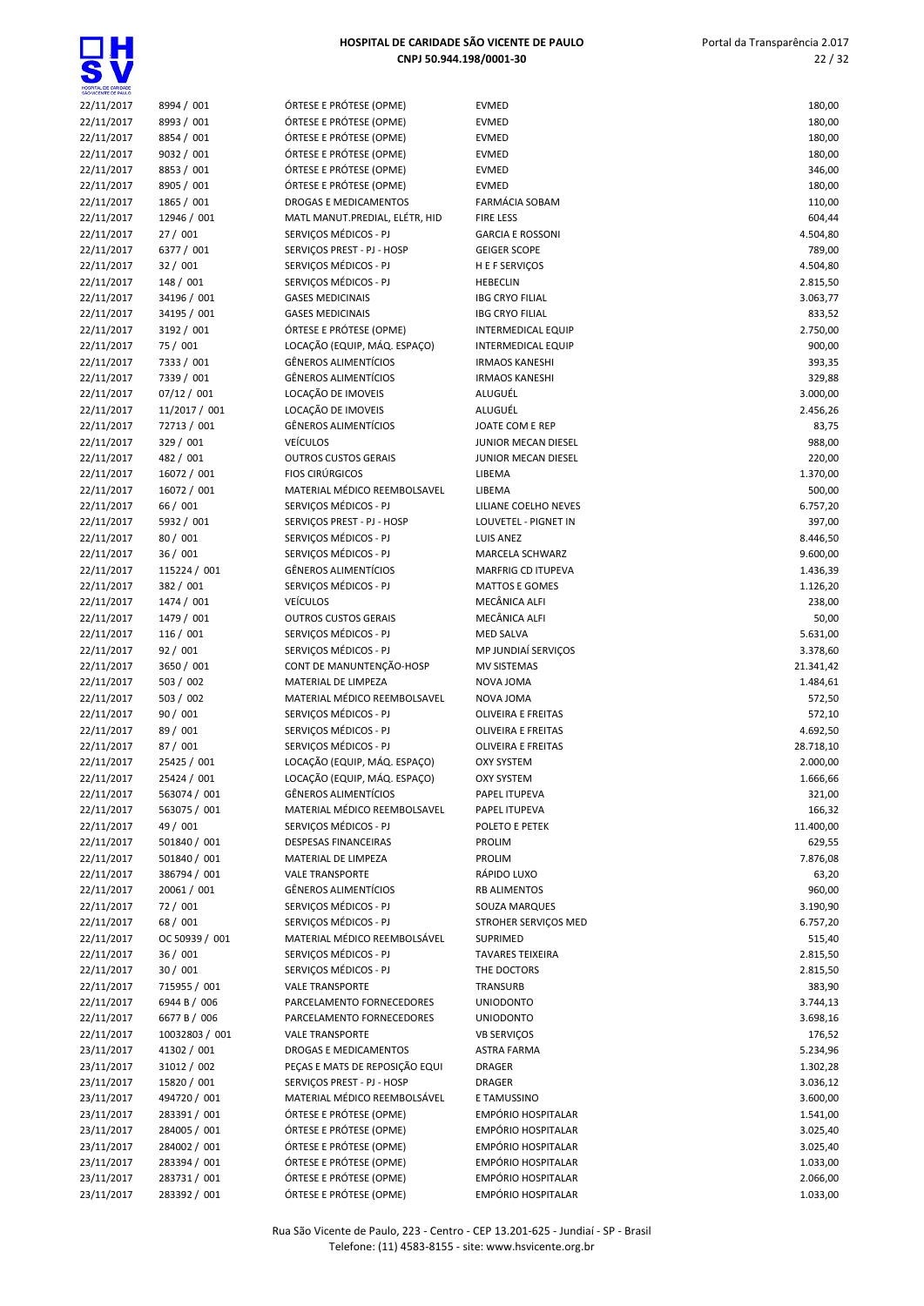| SÃO VICENTE DE PAULO     |                         |                                                      |                                                    |                   |
|--------------------------|-------------------------|------------------------------------------------------|----------------------------------------------------|-------------------|
| 22/11/2017               | 8994 / 001              | ÓRTESE E PRÓTESE (OPME)                              | <b>EVMED</b>                                       | 180,00            |
| 22/11/2017               | 8993 / 001              | ÓRTESE E PRÓTESE (OPME)                              | <b>EVMED</b>                                       | 180,00            |
| 22/11/2017               | 8854 / 001              | ÓRTESE E PRÓTESE (OPME)                              | <b>EVMED</b>                                       | 180,00            |
| 22/11/2017               | 9032 / 001              | ÓRTESE E PRÓTESE (OPME)                              | <b>EVMED</b>                                       | 180,00            |
| 22/11/2017               | 8853 / 001              | ÓRTESE E PRÓTESE (OPME)                              | <b>EVMED</b>                                       | 346,00            |
| 22/11/2017               | 8905 / 001              | ÓRTESE E PRÓTESE (OPME)                              | <b>EVMED</b>                                       | 180,00            |
| 22/11/2017               | 1865 / 001              | DROGAS E MEDICAMENTOS                                | <b>FARMÁCIA SOBAM</b>                              | 110,00            |
| 22/11/2017               | 12946 / 001             | MATL MANUT.PREDIAL, ELÉTR, HID                       | <b>FIRE LESS</b>                                   | 604,44            |
| 22/11/2017               | 27/001                  | SERVIÇOS MÉDICOS - PJ                                | <b>GARCIA E ROSSONI</b>                            | 4.504,80          |
| 22/11/2017               | 6377 / 001              | SERVIÇOS PREST - PJ - HOSP                           | <b>GEIGER SCOPE</b>                                | 789,00            |
| 22/11/2017               | 32/001                  | SERVICOS MÉDICOS - PJ                                | H E F SERVIÇOS                                     | 4.504,80          |
| 22/11/2017               | 148 / 001               | SERVIÇOS MÉDICOS - PJ                                | <b>HEBECLIN</b>                                    | 2.815,50          |
| 22/11/2017               | 34196 / 001             | <b>GASES MEDICINAIS</b>                              | <b>IBG CRYO FILIAL</b>                             | 3.063,77          |
| 22/11/2017               | 34195 / 001             | <b>GASES MEDICINAIS</b>                              | <b>IBG CRYO FILIAL</b>                             | 833,52            |
| 22/11/2017               | 3192 / 001              | ÓRTESE E PRÓTESE (OPME)                              | <b>INTERMEDICAL EQUIP</b>                          | 2.750,00          |
| 22/11/2017               | 75 / 001                | LOCAÇÃO (EQUIP, MÁQ. ESPAÇO)                         | <b>INTERMEDICAL EQUIP</b>                          | 900,00            |
| 22/11/2017               | 7333 / 001              | <b>GÊNEROS ALIMENTÍCIOS</b>                          | <b>IRMAOS KANESHI</b>                              | 393,35            |
| 22/11/2017               | 7339 / 001              | <b>GÊNEROS ALIMENTÍCIOS</b>                          | <b>IRMAOS KANESHI</b>                              | 329,88            |
| 22/11/2017               | 07/12 / 001             | LOCAÇÃO DE IMOVEIS                                   | ALUGUÉL                                            | 3.000,00          |
| 22/11/2017               | 11/2017 / 001           | LOCAÇÃO DE IMOVEIS                                   | ALUGUÉL                                            | 2.456,26          |
| 22/11/2017               | 72713 / 001             | <b>GÊNEROS ALIMENTÍCIOS</b>                          | JOATE COM E REP                                    | 83,75             |
| 22/11/2017               | 329 / 001               | <b>VEÍCULOS</b>                                      | JUNIOR MECAN DIESEL                                | 988,00            |
| 22/11/2017               | 482 / 001               | <b>OUTROS CUSTOS GERAIS</b>                          | JUNIOR MECAN DIESEL                                | 220,00            |
| 22/11/2017               | 16072 / 001             | <b>FIOS CIRÚRGICOS</b>                               | LIBEMA                                             | 1.370,00          |
| 22/11/2017               | 16072 / 001             | MATERIAL MÉDICO REEMBOLSAVEL                         | LIBEMA                                             | 500,00            |
| 22/11/2017               | 66 / 001                | SERVIÇOS MÉDICOS - PJ                                | LILIANE COELHO NEVES                               | 6.757,20          |
| 22/11/2017               | 5932 / 001              | SERVICOS PREST - PJ - HOSP                           | LOUVETEL - PIGNET IN                               | 397,00            |
| 22/11/2017               | 80 / 001                | SERVIÇOS MÉDICOS - PJ                                | <b>LUIS ANEZ</b>                                   | 8.446,50          |
| 22/11/2017               | 36/001                  | SERVIÇOS MÉDICOS - PJ                                | MARCELA SCHWARZ                                    | 9.600,00          |
| 22/11/2017               | 115224 / 001            | <b>GÊNEROS ALIMENTÍCIOS</b>                          | <b>MARFRIG CD ITUPEVA</b><br><b>MATTOS E GOMES</b> | 1.436,39          |
| 22/11/2017               | 382 / 001               | SERVIÇOS MÉDICOS - PJ<br><b>VEÍCULOS</b>             | MECÂNICA ALFI                                      | 1.126,20          |
| 22/11/2017               | 1474 / 001              |                                                      | MECÂNICA ALFI                                      | 238,00            |
| 22/11/2017               | 1479 / 001<br>116 / 001 | <b>OUTROS CUSTOS GERAIS</b><br>SERVIÇOS MÉDICOS - PJ | <b>MED SALVA</b>                                   | 50,00<br>5.631,00 |
| 22/11/2017               | 92/001                  | SERVIÇOS MÉDICOS - PJ                                | MP JUNDIAÍ SERVIÇOS                                | 3.378,60          |
| 22/11/2017<br>22/11/2017 | 3650 / 001              | CONT DE MANUNTENÇÃO-HOSP                             | <b>MV SISTEMAS</b>                                 | 21.341,42         |
| 22/11/2017               | 503 / 002               | MATERIAL DE LIMPEZA                                  | NOVA JOMA                                          | 1.484,61          |
| 22/11/2017               | 503 / 002               | MATERIAL MÉDICO REEMBOLSAVEL                         | NOVA JOMA                                          | 572,50            |
| 22/11/2017               | 90/001                  | SERVIÇOS MÉDICOS - PJ                                | OLIVEIRA E FREITAS                                 | 572,10            |
| 22/11/2017               | 89 / 001                | SERVIÇOS MÉDICOS - PJ                                | <b>OLIVEIRA E FREITAS</b>                          | 4.692,50          |
| 22/11/2017               | 87 / 001                | SERVIÇOS MÉDICOS - PJ                                | <b>OLIVEIRA E FREITAS</b>                          | 28.718,10         |
| 22/11/2017               | 25425 / 001             | LOCAÇÃO (EQUIP, MÁQ. ESPAÇO)                         | <b>OXY SYSTEM</b>                                  | 2.000,00          |
| 22/11/2017               | 25424 / 001             | LOCAÇÃO (EQUIP, MÁQ. ESPAÇO)                         | <b>OXY SYSTEM</b>                                  | 1.666,66          |
| 22/11/2017               | 563074 / 001            | <b>GÊNEROS ALIMENTÍCIOS</b>                          | PAPEL ITUPEVA                                      | 321,00            |
| 22/11/2017               | 563075 / 001            | MATERIAL MÉDICO REEMBOLSAVEL                         | PAPEL ITUPEVA                                      | 166,32            |
| 22/11/2017               | 49 / 001                | SERVICOS MÉDICOS - PJ                                | POLETO E PETEK                                     | 11.400,00         |
| 22/11/2017               | 501840 / 001            | <b>DESPESAS FINANCEIRAS</b>                          | PROLIM                                             | 629,55            |
| 22/11/2017               | 501840 / 001            | MATERIAL DE LIMPEZA                                  | PROLIM                                             | 7.876,08          |
| 22/11/2017               | 386794 / 001            | <b>VALE TRANSPORTE</b>                               | RÁPIDO LUXO                                        | 63,20             |
| 22/11/2017               | 20061 / 001             | <b>GÊNEROS ALIMENTÍCIOS</b>                          | <b>RB ALIMENTOS</b>                                | 960,00            |
| 22/11/2017               | 72 / 001                | SERVIÇOS MÉDICOS - PJ                                | SOUZA MARQUES                                      | 3.190,90          |
| 22/11/2017               | 68 / 001                | SERVICOS MÉDICOS - PJ                                | STROHER SERVIÇOS MED                               | 6.757,20          |
| 22/11/2017               | OC 50939 / 001          | MATERIAL MÉDICO REEMBOLSÁVEL                         | SUPRIMED                                           | 515,40            |
| 22/11/2017               | 36/001                  | SERVIÇOS MÉDICOS - PJ                                | <b>TAVARES TEIXEIRA</b>                            | 2.815,50          |
| 22/11/2017               | 30/001                  | SERVIÇOS MÉDICOS - PJ                                | THE DOCTORS                                        | 2.815,50          |
| 22/11/2017               | 715955 / 001            | <b>VALE TRANSPORTE</b>                               | TRANSURB                                           | 383,90            |
| 22/11/2017               | 6944 B / 006            | PARCELAMENTO FORNECEDORES                            | <b>UNIODONTO</b>                                   | 3.744,13          |
| 22/11/2017               | 6677 B / 006            | PARCELAMENTO FORNECEDORES                            | <b>UNIODONTO</b>                                   | 3.698,16          |
| 22/11/2017               | 10032803 / 001          | <b>VALE TRANSPORTE</b>                               | VB SERVIÇOS                                        | 176,52            |
| 23/11/2017               | 41302 / 001             | DROGAS E MEDICAMENTOS                                | <b>ASTRA FARMA</b>                                 | 5.234,96          |
| 23/11/2017               | 31012 / 002             | PEÇAS E MATS DE REPOSIÇÃO EQUI                       | <b>DRAGER</b>                                      | 1.302,28          |
| 23/11/2017               | 15820 / 001             | SERVIÇOS PREST - PJ - HOSP                           | <b>DRAGER</b>                                      | 3.036,12          |
| 23/11/2017               | 494720 / 001            | MATERIAL MÉDICO REEMBOLSÁVEL                         | E TAMUSSINO                                        | 3.600,00          |
| 23/11/2017               | 283391 / 001            | ÓRTESE E PRÓTESE (OPME)                              | EMPÓRIO HOSPITALAR                                 | 1.541,00          |
| 23/11/2017               | 284005 / 001            | ÓRTESE E PRÓTESE (OPME)                              | EMPÓRIO HOSPITALAR                                 | 3.025,40          |
| 23/11/2017               | 284002 / 001            | ÓRTESE E PRÓTESE (OPME)                              | EMPÓRIO HOSPITALAR                                 | 3.025,40          |
| 23/11/2017               | 283394 / 001            | ÓRTESE E PRÓTESE (OPME)                              | <b>EMPÓRIO HOSPITALAR</b>                          | 1.033,00          |
| 23/11/2017               | 283731 / 001            | ÓRTESE E PRÓTESE (OPME)                              | EMPÓRIO HOSPITALAR                                 | 2.066,00          |
| 23/11/2017               | 283392 / 001            | ÓRTESE E PRÓTESE (OPME)                              | EMPÓRIO HOSPITALAR                                 | 1.033,00          |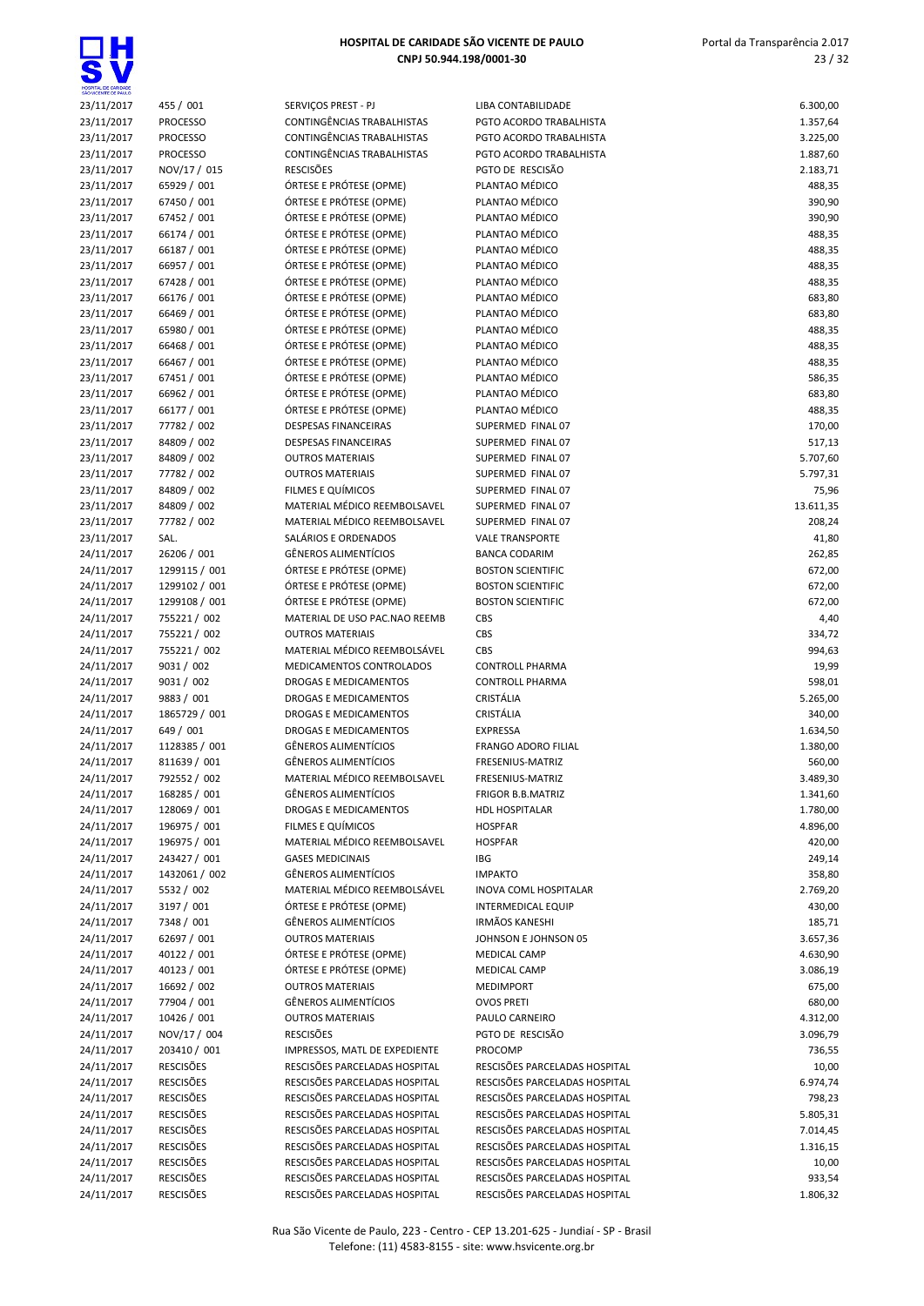

| 23/11/2017 | 455 / 001        |
|------------|------------------|
| 23/11/2017 | <b>PROCESSO</b>  |
| 23/11/2017 | <b>PROCESSO</b>  |
| 23/11/2017 | <b>PROCESSO</b>  |
| 23/11/2017 | NOV/17 / 015     |
| 23/11/2017 | 65929 / 001      |
| 23/11/2017 | 67450 / 001      |
| 23/11/2017 | 67452 / 001      |
| 23/11/2017 | 66174 / 001      |
| 23/11/2017 | 66187 / 001      |
| 23/11/2017 | 66957 / 001      |
| 23/11/2017 | 67428 / 001      |
| 23/11/2017 | 66176 / 001      |
| 23/11/2017 | 66469 / 001      |
| 23/11/2017 | 65980 / 001      |
| 23/11/2017 | 66468 / 001      |
| 23/11/2017 | 66467 / 001      |
| 23/11/2017 | 67451 / 001      |
| 23/11/2017 | 66962 / 001      |
| 23/11/2017 | 66177 / 001      |
| 23/11/2017 | 77782 / 002      |
| 23/11/2017 | 84809 / 002      |
|            | 84809 / 002      |
| 23/11/2017 |                  |
| 23/11/2017 | 77782 / 002      |
| 23/11/2017 | 84809 / 002      |
| 23/11/2017 | 84809 / 002      |
| 23/11/2017 | 77782 / 002      |
| 23/11/2017 | SAL.             |
| 24/11/2017 | 26206 / 001      |
| 24/11/2017 | 1299115 / 001    |
| 24/11/2017 | 1299102 / 001    |
| 24/11/2017 | 1299108 / 001    |
| 24/11/2017 | 755221/002       |
| 24/11/2017 | 755221/002       |
| 24/11/2017 | 755221/002       |
| 24/11/2017 | 9031 / 002       |
|            |                  |
| 24/11/2017 | 9031 / 002       |
| 24/11/2017 | 9883 / 001       |
| 24/11/2017 | 1865729 / 001    |
| 24/11/2017 | 649 / 001        |
| 24/11/2017 | 1128385 / 001    |
| 24/11/2017 | 811639 / 001     |
| 24/11/2017 | 792552 / 002     |
| 24/11/2017 | 168285 / 001     |
| 24/11/2017 | 128069 / 001     |
| 24/11/2017 | 196975 / 001     |
| 24/11/2017 | 196975 / 001     |
| 24/11/2017 | 243427 / 001     |
| 24/11/2017 | 1432061 / 002    |
| 24/11/2017 | 5532 / 002       |
| 24/11/2017 | 3197 / 001       |
| 24/11/2017 | 7348 / 001       |
| 24/11/2017 | 62697 / 001      |
| 24/11/2017 | 40122 / 001      |
| 24/11/2017 | 40123 / 001      |
| 24/11/2017 | 16692 / 002      |
| 24/11/2017 | 77904 / 001      |
| 24/11/2017 | 10426 / 001      |
| 24/11/2017 | NOV/17 / 004     |
| 24/11/2017 | 203410 / 001     |
| 24/11/2017 | <b>RESCISÖES</b> |
| 24/11/2017 | <b>RESCISÕES</b> |
| 24/11/2017 | <b>RESCISÖES</b> |
| 24/11/2017 | <b>RESCISÖES</b> |
| 24/11/2017 | <b>RESCISÕES</b> |
| 24/11/2017 | <b>RESCISÖES</b> |
| 24/11/2017 | <b>RESCISÕES</b> |
| 24/11/2017 | <b>RESCISÖES</b> |

| 23/11/2017               | 455 / 001                      | SERVICOS PREST - PJ                                          | LIBA CONTABILIDADE                                   | 6.300,00         |
|--------------------------|--------------------------------|--------------------------------------------------------------|------------------------------------------------------|------------------|
| 23/11/2017               | <b>PROCESSO</b>                | CONTINGÊNCIAS TRABALHISTAS                                   | PGTO ACORDO TRABALHISTA                              | 1.357,64         |
| 23/11/2017               | <b>PROCESSO</b>                | CONTINGÊNCIAS TRABALHISTAS                                   | PGTO ACORDO TRABALHISTA                              | 3.225,00         |
| 23/11/2017               | <b>PROCESSO</b>                | <b>CONTINGÊNCIAS TRABALHISTAS</b>                            | PGTO ACORDO TRABALHISTA                              | 1.887,60         |
| 23/11/2017               | NOV/17 / 015                   | <b>RESCISÕES</b>                                             | PGTO DE RESCISÃO                                     | 2.183,71         |
| 23/11/2017               | 65929 / 001                    | ÓRTESE E PRÓTESE (OPME)                                      | PLANTAO MÉDICO                                       | 488,35           |
| 23/11/2017               | 67450 / 001                    | ÓRTESE E PRÓTESE (OPME)                                      | PLANTAO MÉDICO                                       | 390,90           |
| 23/11/2017               | 67452 / 001                    | ÓRTESE E PRÓTESE (OPME)                                      | PLANTAO MÉDICO                                       | 390,90           |
| 23/11/2017               | 66174 / 001                    | ÓRTESE E PRÓTESE (OPME)                                      | PLANTAO MÉDICO                                       | 488,35           |
| 23/11/2017               | 66187 / 001                    | ÓRTESE E PRÓTESE (OPME)                                      | PLANTAO MÉDICO                                       | 488,35           |
| 23/11/2017               | 66957 / 001                    | ÓRTESE E PRÓTESE (OPME)                                      | PLANTAO MÉDICO                                       | 488,35           |
| 23/11/2017               | 67428 / 001                    | ÓRTESE E PRÓTESE (OPME)                                      | PLANTAO MÉDICO                                       | 488,35           |
| 23/11/2017               | 66176 / 001                    | ÓRTESE E PRÓTESE (OPME)                                      | PLANTAO MÉDICO                                       | 683,80           |
| 23/11/2017               | 66469 / 001                    | ÓRTESE E PRÓTESE (OPME)                                      | PLANTAO MÉDICO                                       | 683,80           |
| 23/11/2017               | 65980 / 001                    | ÓRTESE E PRÓTESE (OPME)                                      | PLANTAO MÉDICO                                       | 488,35           |
| 23/11/2017               | 66468 / 001                    | ÓRTESE E PRÓTESE (OPME)                                      | PLANTAO MÉDICO                                       | 488,35           |
| 23/11/2017               | 66467 / 001                    | ÓRTESE E PRÓTESE (OPME)                                      | PLANTAO MÉDICO                                       | 488,35           |
| 23/11/2017               | 67451 / 001                    | ÓRTESE E PRÓTESE (OPME)                                      | PLANTAO MÉDICO                                       | 586,35           |
| 23/11/2017               | 66962 / 001                    | ÓRTESE E PRÓTESE (OPME)                                      | PLANTAO MÉDICO                                       | 683,80           |
| 23/11/2017               | 66177 / 001                    | ÓRTESE E PRÓTESE (OPME)                                      | PLANTAO MÉDICO                                       | 488,35           |
| 23/11/2017               | 77782 / 002                    | <b>DESPESAS FINANCEIRAS</b>                                  | SUPERMED FINAL 07                                    | 170,00           |
| 23/11/2017               | 84809 / 002                    | <b>DESPESAS FINANCEIRAS</b>                                  | SUPERMED FINAL 07                                    | 517,13           |
| 23/11/2017               | 84809 / 002                    | <b>OUTROS MATERIAIS</b>                                      | SUPERMED FINAL 07                                    | 5.707,60         |
| 23/11/2017               | 77782 / 002                    | <b>OUTROS MATERIAIS</b>                                      | SUPERMED FINAL 07                                    | 5.797,31         |
| 23/11/2017               | 84809 / 002                    | FILMES E QUÍMICOS                                            | SUPERMED FINAL 07                                    | 75,96            |
| 23/11/2017               | 84809 / 002                    | MATERIAL MÉDICO REEMBOLSAVEL<br>MATERIAL MÉDICO REEMBOLSAVEL | SUPERMED FINAL 07<br>SUPERMED FINAL 07               | 13.611,35        |
| 23/11/2017               | 77782 / 002                    |                                                              |                                                      | 208,24           |
| 23/11/2017               | SAL.                           | SALÁRIOS E ORDENADOS                                         | <b>VALE TRANSPORTE</b>                               | 41,80            |
| 24/11/2017               | 26206 / 001                    | GÊNEROS ALIMENTÍCIOS                                         | <b>BANCA CODARIM</b>                                 | 262,85           |
| 24/11/2017<br>24/11/2017 | 1299115 / 001<br>1299102 / 001 | ÓRTESE E PRÓTESE (OPME)<br>ÓRTESE E PRÓTESE (OPME)           | <b>BOSTON SCIENTIFIC</b><br><b>BOSTON SCIENTIFIC</b> | 672,00<br>672,00 |
| 24/11/2017               | 1299108 / 001                  | ÓRTESE E PRÓTESE (OPME)                                      | <b>BOSTON SCIENTIFIC</b>                             | 672,00           |
| 24/11/2017               | 755221/002                     | MATERIAL DE USO PAC.NAO REEMB                                | CBS                                                  | 4,40             |
| 24/11/2017               | 755221/002                     | <b>OUTROS MATERIAIS</b>                                      | CBS                                                  | 334,72           |
| 24/11/2017               | 755221/002                     | MATERIAL MÉDICO REEMBOLSÁVEL                                 | CBS                                                  | 994,63           |
| 24/11/2017               | 9031 / 002                     | MEDICAMENTOS CONTROLADOS                                     | <b>CONTROLL PHARMA</b>                               | 19,99            |
| 24/11/2017               | 9031 / 002                     | DROGAS E MEDICAMENTOS                                        | <b>CONTROLL PHARMA</b>                               | 598,01           |
| 24/11/2017               | 9883 / 001                     | DROGAS E MEDICAMENTOS                                        | CRISTÁLIA                                            | 5.265,00         |
| 24/11/2017               | 1865729 / 001                  | DROGAS E MEDICAMENTOS                                        | CRISTÁLIA                                            | 340,00           |
| 24/11/2017               | 649 / 001                      | <b>DROGAS E MEDICAMENTOS</b>                                 | <b>EXPRESSA</b>                                      | 1.634,50         |
| 24/11/2017               | 1128385 / 001                  | <b>GÊNEROS ALIMENTÍCIOS</b>                                  | <b>FRANGO ADORO FILIAL</b>                           | 1.380,00         |
| 24/11/2017               | 811639 / 001                   | GÊNEROS ALIMENTÍCIOS                                         | FRESENIUS-MATRIZ                                     | 560,00           |
| 24/11/2017               | 792552 / 002                   | MATERIAL MÉDICO REEMBOLSAVEL                                 | FRESENIUS-MATRIZ                                     | 3.489,30         |
| 24/11/2017               | 168285 / 001                   | GÊNEROS ALIMENTÍCIOS                                         | <b>FRIGOR B.B.MATRIZ</b>                             | 1.341,60         |
| 24/11/2017               | 128069 / 001                   | DROGAS E MEDICAMENTOS                                        | <b>HDL HOSPITALAR</b>                                | 1.780,00         |
| 24/11/2017               | 196975 / 001                   | FILMES E QUÍMICOS                                            | <b>HOSPFAR</b>                                       | 4.896,00         |
| 24/11/2017               | 196975 / 001                   | MATERIAL MÉDICO REEMBOLSAVEL                                 | <b>HOSPFAR</b>                                       | 420,00           |
| 24/11/2017               | 243427 / 001                   | <b>GASES MEDICINAIS</b>                                      | IBG                                                  | 249,14           |
| 24/11/2017               | 1432061 / 002                  | GÊNEROS ALIMENTÍCIOS                                         | <b>IMPAKTO</b>                                       | 358,80           |
| 24/11/2017               | 5532 / 002                     | MATERIAL MÉDICO REEMBOLSÁVEL                                 | INOVA COML HOSPITALAR                                | 2.769,20         |
| 24/11/2017               | 3197 / 001                     | ÓRTESE E PRÓTESE (OPME)                                      | <b>INTERMEDICAL EQUIP</b>                            | 430,00           |
| 24/11/2017               | 7348 / 001                     | GÊNEROS ALIMENTÍCIOS                                         | <b>IRMÃOS KANESHI</b>                                | 185,71           |
| 24/11/2017               | 62697 / 001                    | <b>OUTROS MATERIAIS</b>                                      | JOHNSON E JOHNSON 05                                 | 3.657,36         |
| 24/11/2017               | 40122 / 001                    | ÓRTESE E PRÓTESE (OPME)                                      | <b>MEDICAL CAMP</b>                                  | 4.630,90         |
| 24/11/2017               | 40123 / 001                    | ÓRTESE E PRÓTESE (OPME)                                      | <b>MEDICAL CAMP</b>                                  | 3.086,19         |
| 24/11/2017               | 16692 / 002                    | <b>OUTROS MATERIAIS</b>                                      | <b>MEDIMPORT</b>                                     | 675,00           |
| 24/11/2017               | 77904 / 001                    | GÊNEROS ALIMENTÍCIOS                                         | <b>OVOS PRETI</b>                                    | 680,00           |
| 24/11/2017               | 10426 / 001                    | <b>OUTROS MATERIAIS</b>                                      | PAULO CARNEIRO                                       | 4.312,00         |
| 24/11/2017               | NOV/17 / 004                   | <b>RESCISÕES</b>                                             | PGTO DE RESCISÃO                                     | 3.096,79         |
| 24/11/2017               | 203410 / 001                   | IMPRESSOS, MATL DE EXPEDIENTE                                | PROCOMP                                              | 736,55           |
| 24/11/2017               | <b>RESCISÕES</b>               | RESCISÕES PARCELADAS HOSPITAL                                | RESCISÕES PARCELADAS HOSPITAL                        | 10,00            |
| 24/11/2017               | <b>RESCISÕES</b>               | RESCISÕES PARCELADAS HOSPITAL                                | RESCISÕES PARCELADAS HOSPITAL                        | 6.974,74         |
| 24/11/2017               | <b>RESCISÕES</b>               | RESCISÕES PARCELADAS HOSPITAL                                | RESCISÕES PARCELADAS HOSPITAL                        | 798,23           |
| 24/11/2017               | <b>RESCISÕES</b>               | RESCISÕES PARCELADAS HOSPITAL                                | RESCISÕES PARCELADAS HOSPITAL                        | 5.805,31         |
| 24/11/2017               | <b>RESCISÕES</b>               | RESCISÕES PARCELADAS HOSPITAL                                | RESCISÕES PARCELADAS HOSPITAL                        | 7.014,45         |
| 24/11/2017               | <b>RESCISÕES</b>               | RESCISÕES PARCELADAS HOSPITAL                                | RESCISÕES PARCELADAS HOSPITAL                        | 1.316,15         |
| 24/11/2017               | <b>RESCISÕES</b>               | RESCISÕES PARCELADAS HOSPITAL                                | RESCISÕES PARCELADAS HOSPITAL                        | 10,00            |
| 24/11/2017               | <b>RESCISÕES</b>               | RESCISÕES PARCELADAS HOSPITAL                                | RESCISÕES PARCELADAS HOSPITAL                        | 933,54           |
| 24/11/2017               | <b>RESCISÕES</b>               | RESCISÕES PARCELADAS HOSPITAL                                | RESCISÕES PARCELADAS HOSPITAL                        | 1.806,32         |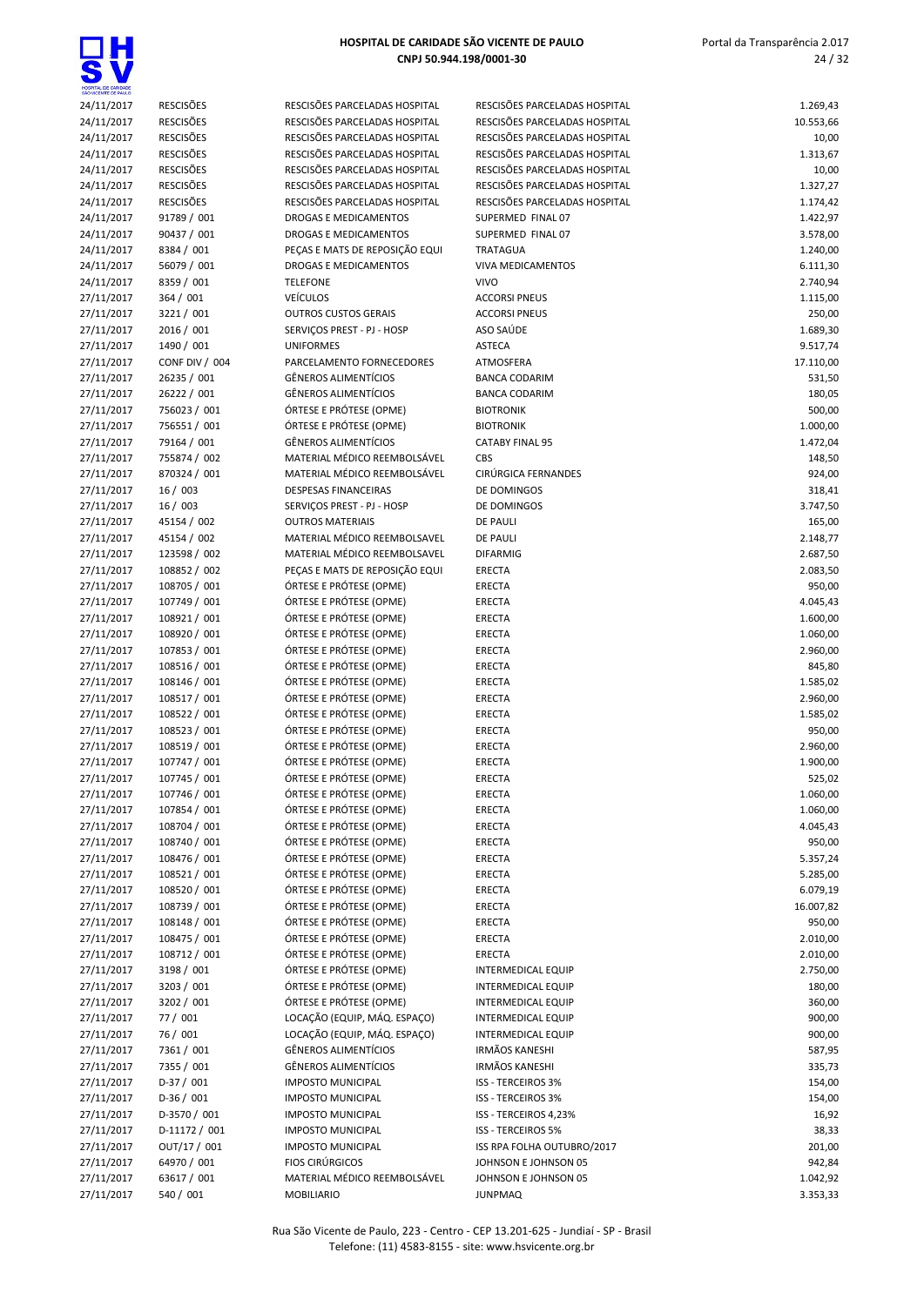| SAO WOENTE DE PAULO |                  |                                |                               |           |
|---------------------|------------------|--------------------------------|-------------------------------|-----------|
| 24/11/2017          | <b>RESCISÕES</b> | RESCISÕES PARCELADAS HOSPITAL  | RESCISÕES PARCELADAS HOSPITAL | 1.269,43  |
| 24/11/2017          | <b>RESCISÕES</b> | RESCISÕES PARCELADAS HOSPITAL  | RESCISÕES PARCELADAS HOSPITAL | 10.553,66 |
| 24/11/2017          | <b>RESCISÕES</b> | RESCISÕES PARCELADAS HOSPITAL  | RESCISÕES PARCELADAS HOSPITAL | 10,00     |
| 24/11/2017          | <b>RESCISÕES</b> | RESCISÕES PARCELADAS HOSPITAL  | RESCISÕES PARCELADAS HOSPITAL | 1.313,67  |
| 24/11/2017          | <b>RESCISÕES</b> | RESCISÕES PARCELADAS HOSPITAL  | RESCISÕES PARCELADAS HOSPITAL | 10,00     |
| 24/11/2017          | <b>RESCISÕES</b> | RESCISÕES PARCELADAS HOSPITAL  | RESCISÕES PARCELADAS HOSPITAL | 1.327,27  |
| 24/11/2017          | <b>RESCISÕES</b> | RESCISÕES PARCELADAS HOSPITAL  | RESCISÕES PARCELADAS HOSPITAL | 1.174,42  |
| 24/11/2017          | 91789 / 001      | DROGAS E MEDICAMENTOS          | SUPERMED FINAL 07             | 1.422,97  |
|                     |                  |                                |                               |           |
| 24/11/2017          | 90437 / 001      | DROGAS E MEDICAMENTOS          | SUPERMED FINAL 07             | 3.578,00  |
| 24/11/2017          | 8384 / 001       | PEÇAS E MATS DE REPOSIÇÃO EQUI | TRATAGUA                      | 1.240,00  |
| 24/11/2017          | 56079 / 001      | DROGAS E MEDICAMENTOS          | <b>VIVA MEDICAMENTOS</b>      | 6.111,30  |
| 24/11/2017          | 8359 / 001       | <b>TELEFONE</b>                | <b>VIVO</b>                   | 2.740,94  |
| 27/11/2017          | 364 / 001        | <b>VEÍCULOS</b>                | <b>ACCORSI PNEUS</b>          | 1.115,00  |
| 27/11/2017          | 3221 / 001       | <b>OUTROS CUSTOS GERAIS</b>    | <b>ACCORSI PNEUS</b>          | 250,00    |
| 27/11/2017          | 2016 / 001       | SERVIÇOS PREST - PJ - HOSP     | ASO SAÚDE                     | 1.689,30  |
| 27/11/2017          | 1490 / 001       | <b>UNIFORMES</b>               | <b>ASTECA</b>                 | 9.517,74  |
| 27/11/2017          | CONF DIV / 004   | PARCELAMENTO FORNECEDORES      | ATMOSFERA                     | 17.110,00 |
| 27/11/2017          | 26235 / 001      | <b>GÊNEROS ALIMENTÍCIOS</b>    | <b>BANCA CODARIM</b>          | 531,50    |
| 27/11/2017          | 26222 / 001      | <b>GÊNEROS ALIMENTÍCIOS</b>    | <b>BANCA CODARIM</b>          | 180,05    |
| 27/11/2017          | 756023 / 001     | ÓRTESE E PRÓTESE (OPME)        | <b>BIOTRONIK</b>              | 500,00    |
| 27/11/2017          | 756551 / 001     | ÓRTESE E PRÓTESE (OPME)        | <b>BIOTRONIK</b>              | 1.000,00  |
| 27/11/2017          | 79164 / 001      | <b>GÊNEROS ALIMENTÍCIOS</b>    | <b>CATABY FINAL 95</b>        | 1.472,04  |
| 27/11/2017          | 755874 / 002     | MATERIAL MÉDICO REEMBOLSÁVEL   | <b>CBS</b>                    | 148,50    |
| 27/11/2017          | 870324 / 001     | MATERIAL MÉDICO REEMBOLSÁVEL   | CIRÚRGICA FERNANDES           | 924,00    |
| 27/11/2017          | 16/003           | <b>DESPESAS FINANCEIRAS</b>    | DE DOMINGOS                   | 318,41    |
| 27/11/2017          | 16/003           | SERVIÇOS PREST - PJ - HOSP     | DE DOMINGOS                   | 3.747,50  |
| 27/11/2017          | 45154 / 002      | <b>OUTROS MATERIAIS</b>        | <b>DE PAULI</b>               | 165,00    |
|                     |                  | MATERIAL MÉDICO REEMBOLSAVEL   |                               |           |
| 27/11/2017          | 45154 / 002      |                                | <b>DE PAULI</b>               | 2.148,77  |
| 27/11/2017          | 123598 / 002     | MATERIAL MÉDICO REEMBOLSAVEL   | <b>DIFARMIG</b>               | 2.687,50  |
| 27/11/2017          | 108852 / 002     | PEÇAS E MATS DE REPOSIÇÃO EQUI | ERECTA                        | 2.083,50  |
| 27/11/2017          | 108705 / 001     | ÓRTESE E PRÓTESE (OPME)        | ERECTA                        | 950,00    |
| 27/11/2017          | 107749 / 001     | ÓRTESE E PRÓTESE (OPME)        | ERECTA                        | 4.045,43  |
| 27/11/2017          | 108921 / 001     | ÓRTESE E PRÓTESE (OPME)        | ERECTA                        | 1.600,00  |
| 27/11/2017          | 108920 / 001     | ÓRTESE E PRÓTESE (OPME)        | <b>ERECTA</b>                 | 1.060,00  |
| 27/11/2017          | 107853 / 001     | ÓRTESE E PRÓTESE (OPME)        | <b>ERECTA</b>                 | 2.960,00  |
| 27/11/2017          | 108516 / 001     | ÓRTESE E PRÓTESE (OPME)        | <b>ERECTA</b>                 | 845,80    |
| 27/11/2017          | 108146 / 001     | ÓRTESE E PRÓTESE (OPME)        | <b>ERECTA</b>                 | 1.585,02  |
| 27/11/2017          | 108517 / 001     | ÓRTESE E PRÓTESE (OPME)        | <b>ERECTA</b>                 | 2.960,00  |
| 27/11/2017          | 108522 / 001     | ÓRTESE E PRÓTESE (OPME)        | <b>ERECTA</b>                 | 1.585,02  |
| 27/11/2017          | 108523 / 001     | ÓRTESE E PRÓTESE (OPME)        | ERECTA                        | 950,00    |
| 27/11/2017          | 108519 / 001     | ÓRTESE E PRÓTESE (OPME)        | ERECTA                        | 2.960,00  |
| 27/11/2017          | 107747 / 001     | ÓRTESE E PRÓTESE (OPME)        | <b>ERECTA</b>                 | 1.900,00  |
| 27/11/2017          | 107745 / 001     | ÓRTESE E PRÓTESE (OPME)        | <b>ERECTA</b>                 | 525,02    |
| 27/11/2017          | 107746 / 001     | ÓRTESE E PRÓTESE (OPME)        | ERECTA                        | 1.060,00  |
| 27/11/2017          | 107854 / 001     | ÓRTESE E PRÓTESE (OPME)        | ERECTA                        | 1.060,00  |
| 27/11/2017          | 108704 / 001     | ÓRTESE E PRÓTESE (OPME)        | ERECTA                        | 4.045,43  |
|                     |                  |                                | <b>ERECTA</b>                 |           |
| 27/11/2017          | 108740 / 001     | ÓRTESE E PRÓTESE (OPME)        |                               | 950,00    |
| 27/11/2017          | 108476 / 001     | ÓRTESE E PRÓTESE (OPME)        | ERECTA                        | 5.357,24  |
| 27/11/2017          | 108521 / 001     | ÓRTESE E PRÓTESE (OPME)        | ERECTA                        | 5.285,00  |
| 27/11/2017          | 108520 / 001     | ÓRTESE E PRÓTESE (OPME)        | ERECTA                        | 6.079,19  |
| 27/11/2017          | 108739 / 001     | ÓRTESE E PRÓTESE (OPME)        | ERECTA                        | 16.007,82 |
| 27/11/2017          | 108148 / 001     | ÓRTESE E PRÓTESE (OPME)        | ERECTA                        | 950,00    |
| 27/11/2017          | 108475 / 001     | ÓRTESE E PRÓTESE (OPME)        | ERECTA                        | 2.010,00  |
| 27/11/2017          | 108712 / 001     | ÓRTESE E PRÓTESE (OPME)        | ERECTA                        | 2.010,00  |
| 27/11/2017          | 3198 / 001       | ÓRTESE E PRÓTESE (OPME)        | <b>INTERMEDICAL EQUIP</b>     | 2.750,00  |
| 27/11/2017          | 3203 / 001       | ÓRTESE E PRÓTESE (OPME)        | <b>INTERMEDICAL EQUIP</b>     | 180,00    |
| 27/11/2017          | 3202 / 001       | ÓRTESE E PRÓTESE (OPME)        | <b>INTERMEDICAL EQUIP</b>     | 360,00    |
| 27/11/2017          | 77 / 001         | LOCAÇÃO (EQUIP, MÁQ. ESPAÇO)   | <b>INTERMEDICAL EQUIP</b>     | 900,00    |
| 27/11/2017          | 76 / 001         | LOCAÇÃO (EQUIP, MÁQ. ESPAÇO)   | INTERMEDICAL EQUIP            | 900,00    |
| 27/11/2017          | 7361 / 001       | GÊNEROS ALIMENTÍCIOS           | <b>IRMÃOS KANESHI</b>         | 587,95    |
| 27/11/2017          | 7355 / 001       | <b>GÊNEROS ALIMENTÍCIOS</b>    | <b>IRMÃOS KANESHI</b>         | 335,73    |
| 27/11/2017          | $D-37/001$       | <b>IMPOSTO MUNICIPAL</b>       | ISS - TERCEIROS 3%            | 154,00    |
| 27/11/2017          | $D-36/001$       | <b>IMPOSTO MUNICIPAL</b>       | ISS - TERCEIROS 3%            | 154,00    |
|                     | D-3570 / 001     | <b>IMPOSTO MUNICIPAL</b>       | ISS - TERCEIROS 4,23%         | 16,92     |
| 27/11/2017          |                  |                                |                               |           |
| 27/11/2017          | D-11172 / 001    | <b>IMPOSTO MUNICIPAL</b>       | <b>ISS - TERCEIROS 5%</b>     | 38,33     |
| 27/11/2017          | OUT/17 / 001     | <b>IMPOSTO MUNICIPAL</b>       | ISS RPA FOLHA OUTUBRO/2017    | 201,00    |
| 27/11/2017          | 64970 / 001      | <b>FIOS CIRÚRGICOS</b>         | JOHNSON E JOHNSON 05          | 942,84    |
| 27/11/2017          | 63617 / 001      | MATERIAL MÉDICO REEMBOLSÁVEL   | JOHNSON E JOHNSON 05          | 1.042,92  |
| 27/11/2017          | 540 / 001        | MOBILIARIO                     | <b>JUNPMAQ</b>                | 3.353,33  |

Rua São Vicente de Paulo, 223 - Centro - CEP 13.201-625 - Jundiaí - SP - Brasil Telefone: (11) 4583-8155 - site: www.hsvicente.org.br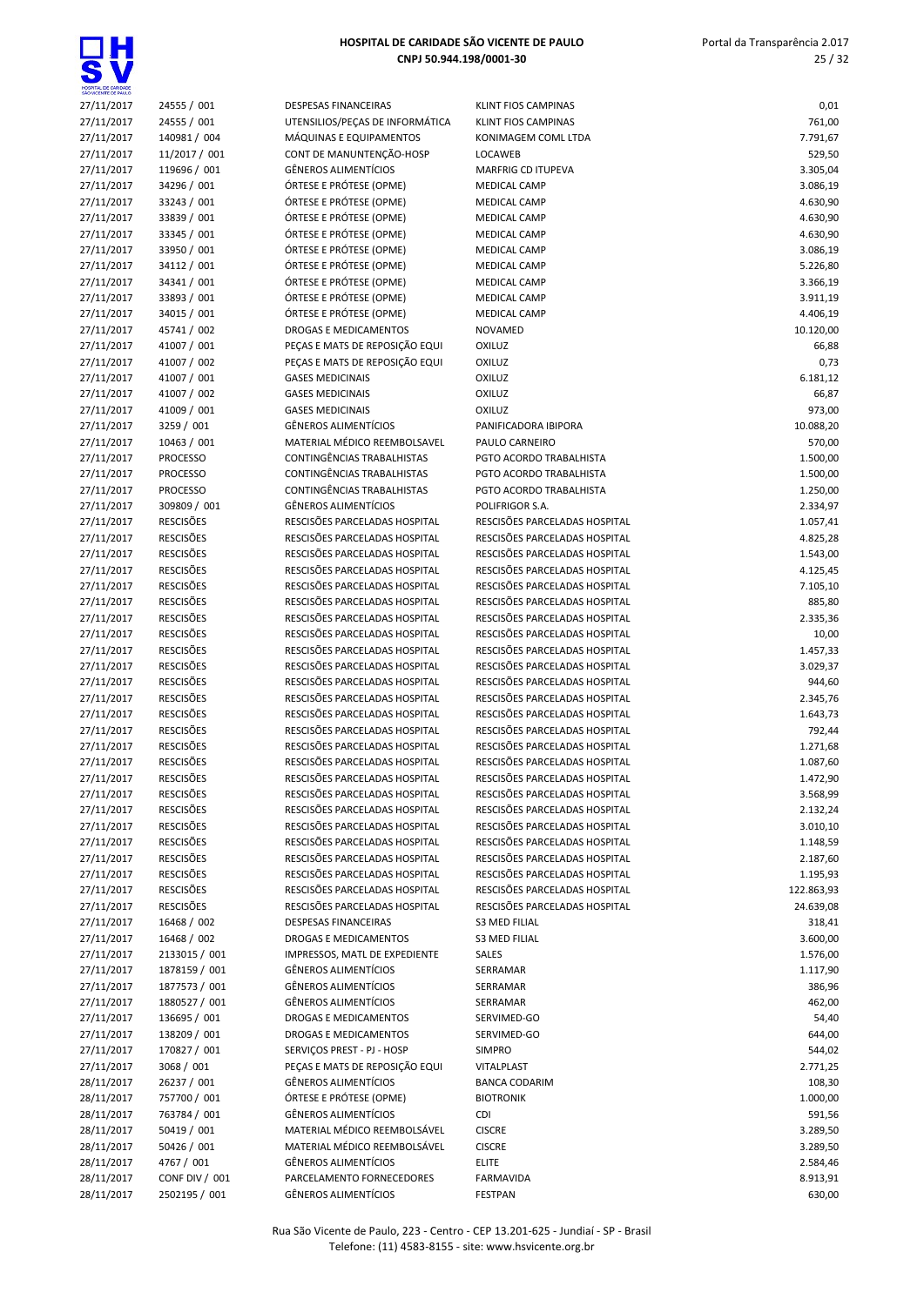

| 27/11/2017 | 24555 / 001           |
|------------|-----------------------|
| 27/11/2017 | 24555 / 001           |
| 27/11/2017 | 140981 / 004          |
| 27/11/2017 | 11/2017 / 001         |
| 27/11/2017 | 119696 / 001          |
| 27/11/2017 | 34296 / 001           |
| 27/11/2017 | 33243 / 001           |
| 27/11/2017 | 33839 / 001           |
| 27/11/2017 | 33345 / 001           |
| 27/11/2017 | 33950 / 001           |
|            |                       |
| 27/11/2017 | 34112 / 001           |
| 27/11/2017 | 34341 / 001           |
| 27/11/2017 | 33893 / 001           |
| 27/11/2017 | 34015 / 001           |
| 27/11/2017 | 45741 / 002           |
| 27/11/2017 | 41007 / 001           |
| 27/11/2017 | 41007 / 002           |
| 27/11/2017 | 41007 / 001           |
| 27/11/2017 | 41007 / 002           |
| 27/11/2017 | 41009 / 001           |
| 27/11/2017 | 3259 / 001            |
| 27/11/2017 | 10463 / 001           |
| 27/11/2017 | <b>PROCESSO</b>       |
| 27/11/2017 | <b>PROCESSO</b>       |
| 27/11/2017 | <b>PROCESSO</b>       |
| 27/11/2017 | 309809 / 001          |
| 27/11/2017 | <b>RESCISÕES</b>      |
| 27/11/2017 | <b>RESCISÕES</b>      |
| 27/11/2017 | <b>RESCISÕES</b>      |
| 27/11/2017 | <b>RESCISÕES</b>      |
| 27/11/2017 | <b>RESCISÕES</b>      |
|            | <b>RESCISÕES</b>      |
| 27/11/2017 |                       |
| 27/11/2017 | <b>RESCISÕES</b>      |
| 27/11/2017 | <b>RESCISÖES</b>      |
| 27/11/2017 | <b>RESCISÕES</b>      |
| 27/11/2017 | <b>RESCISÖES</b>      |
| 27/11/2017 | <b>RESCISÕES</b>      |
| 27/11/2017 | <b>RESCISÕES</b>      |
| 27/11/2017 | <b>RESCISÕES</b>      |
| 27/11/2017 | <b>RESCISÕES</b>      |
| 27/11/2017 | <b>RESCISÕES</b>      |
| 27/11/2017 | <b>RESCISÕES</b>      |
| 27/11/2017 | RESCISÕES             |
| 27/11/2017 | <b>RESCISÕES</b>      |
| 27/11/2017 | RESCISÕES             |
| 27/11/2017 | <b>RESCISÕES</b>      |
| 27/11/2017 | <b>RESCISÕES</b>      |
| 27/11/2017 | <b>RESCISÕES</b>      |
| 27/11/2017 | <b>RESCISÕES</b>      |
| 27/11/2017 | <b>RESCISÕES</b>      |
| 27/11/2017 | <b>RESCISÕES</b>      |
| 27/11/2017 | 16468 / 002           |
| 27/11/2017 | 16468 / 002           |
| 27/11/2017 | 2133015 / 001         |
| 27/11/2017 | 1878159 / 001         |
| 27/11/2017 | 1877573 / 001         |
|            |                       |
| 27/11/2017 | 1880527 / 001         |
| 27/11/2017 | 136695 / 001          |
| 27/11/2017 | 138209 / 001          |
| 27/11/2017 | 170827 / 001          |
| 27/11/2017 | 3068 / 001            |
| 28/11/2017 | 26237 / 001           |
| 28/11/2017 | 757700 / 001          |
| 28/11/2017 | 763784 / 001          |
| 28/11/2017 | 50419 / 001           |
| 28/11/2017 |                       |
|            | 50426 / 001           |
| 28/11/2017 | 4767 / 001            |
| 28/11/2017 | <b>CONF DIV / 001</b> |

| SÃO VICENTE DE PAULO |                  |                                 |                                                                |            |
|----------------------|------------------|---------------------------------|----------------------------------------------------------------|------------|
| 27/11/2017           | 24555 / 001      | DESPESAS FINANCEIRAS            | <b>KLINT FIOS CAMPINAS</b>                                     | 0,01       |
| 27/11/2017           | 24555 / 001      | UTENSILIOS/PEÇAS DE INFORMÁTICA | <b>KLINT FIOS CAMPINAS</b>                                     | 761,00     |
| 27/11/2017           | 140981 / 004     | MÁQUINAS E EQUIPAMENTOS         | KONIMAGEM COML LTDA                                            | 7.791,67   |
| 27/11/2017           | 11/2017 / 001    | CONT DE MANUNTENÇÃO-HOSP        | LOCAWEB                                                        | 529,50     |
| 27/11/2017           | 119696 / 001     | <b>GÊNEROS ALIMENTÍCIOS</b>     | <b>MARFRIG CD ITUPEVA</b>                                      | 3.305,04   |
| 27/11/2017           | 34296 / 001      | ÓRTESE E PRÓTESE (OPME)         | <b>MEDICAL CAMP</b>                                            | 3.086,19   |
| 27/11/2017           | 33243 / 001      | ÓRTESE E PRÓTESE (OPME)         | <b>MEDICAL CAMP</b>                                            | 4.630,90   |
| 27/11/2017           | 33839 / 001      | ÓRTESE E PRÓTESE (OPME)         | <b>MEDICAL CAMP</b>                                            | 4.630,90   |
| 27/11/2017           | 33345 / 001      | ÓRTESE E PRÓTESE (OPME)         | <b>MEDICAL CAMP</b>                                            | 4.630,90   |
| 27/11/2017           | 33950 / 001      | ÓRTESE E PRÓTESE (OPME)         | <b>MEDICAL CAMP</b>                                            | 3.086,19   |
| 27/11/2017           | 34112 / 001      | ÓRTESE E PRÓTESE (OPME)         | <b>MEDICAL CAMP</b>                                            | 5.226,80   |
| 27/11/2017           | 34341 / 001      | ÓRTESE E PRÓTESE (OPME)         | <b>MEDICAL CAMP</b>                                            | 3.366,19   |
| 27/11/2017           | 33893 / 001      | ÓRTESE E PRÓTESE (OPME)         | <b>MEDICAL CAMP</b>                                            | 3.911,19   |
| 27/11/2017           | 34015 / 001      | ÓRTESE E PRÓTESE (OPME)         | <b>MEDICAL CAMP</b>                                            | 4.406,19   |
| 27/11/2017           | 45741 / 002      | DROGAS E MEDICAMENTOS           | <b>NOVAMED</b>                                                 | 10.120,00  |
| 27/11/2017           | 41007 / 001      | PEÇAS E MATS DE REPOSIÇÃO EQUI  | OXILUZ                                                         | 66,88      |
|                      | 41007 / 002      | PEÇAS E MATS DE REPOSIÇÃO EQUI  | <b>OXILUZ</b>                                                  | 0,73       |
| 27/11/2017           |                  |                                 |                                                                |            |
| 27/11/2017           | 41007 / 001      | <b>GASES MEDICINAIS</b>         | OXILUZ                                                         | 6.181,12   |
| 27/11/2017           | 41007 / 002      | <b>GASES MEDICINAIS</b>         | OXILUZ                                                         | 66,87      |
| 27/11/2017           | 41009 / 001      | <b>GASES MEDICINAIS</b>         | OXILUZ                                                         | 973,00     |
| 27/11/2017           | 3259 / 001       | <b>GÊNEROS ALIMENTÍCIOS</b>     | PANIFICADORA IBIPORA                                           | 10.088,20  |
| 27/11/2017           | 10463 / 001      | MATERIAL MÉDICO REEMBOLSAVEL    | PAULO CARNEIRO                                                 | 570,00     |
| 27/11/2017           | <b>PROCESSO</b>  | CONTINGÊNCIAS TRABALHISTAS      | PGTO ACORDO TRABALHISTA                                        | 1.500,00   |
| 27/11/2017           | <b>PROCESSO</b>  | CONTINGÊNCIAS TRABALHISTAS      | PGTO ACORDO TRABALHISTA                                        | 1.500,00   |
| 27/11/2017           | <b>PROCESSO</b>  | CONTINGÊNCIAS TRABALHISTAS      | PGTO ACORDO TRABALHISTA                                        | 1.250,00   |
| 27/11/2017           | 309809 / 001     | <b>GÊNEROS ALIMENTÍCIOS</b>     | POLIFRIGOR S.A.                                                | 2.334,97   |
| 27/11/2017           | <b>RESCISÕES</b> | RESCISÕES PARCELADAS HOSPITAL   | RESCISÕES PARCELADAS HOSPITAL                                  | 1.057,41   |
| 27/11/2017           | <b>RESCISÕES</b> | RESCISÕES PARCELADAS HOSPITAL   | RESCISÕES PARCELADAS HOSPITAL                                  | 4.825,28   |
| 27/11/2017           | <b>RESCISÕES</b> | RESCISÕES PARCELADAS HOSPITAL   | RESCISÕES PARCELADAS HOSPITAL                                  | 1.543,00   |
| 27/11/2017           | <b>RESCISÕES</b> | RESCISÕES PARCELADAS HOSPITAL   | RESCISÕES PARCELADAS HOSPITAL                                  | 4.125,45   |
| 27/11/2017           | <b>RESCISÕES</b> | RESCISÕES PARCELADAS HOSPITAL   | RESCISÕES PARCELADAS HOSPITAL                                  | 7.105,10   |
| 27/11/2017           | <b>RESCISÕES</b> | RESCISÕES PARCELADAS HOSPITAL   | RESCISÕES PARCELADAS HOSPITAL                                  | 885,80     |
| 27/11/2017           | <b>RESCISÕES</b> | RESCISÕES PARCELADAS HOSPITAL   | RESCISÕES PARCELADAS HOSPITAL                                  | 2.335,36   |
| 27/11/2017           | <b>RESCISÕES</b> | RESCISÕES PARCELADAS HOSPITAL   | RESCISÕES PARCELADAS HOSPITAL                                  | 10,00      |
| 27/11/2017           | <b>RESCISÕES</b> | RESCISÕES PARCELADAS HOSPITAL   | RESCISÕES PARCELADAS HOSPITAL                                  | 1.457,33   |
| 27/11/2017           | <b>RESCISÕES</b> | RESCISÕES PARCELADAS HOSPITAL   | RESCISÕES PARCELADAS HOSPITAL                                  | 3.029,37   |
| 27/11/2017           | <b>RESCISÕES</b> | RESCISÕES PARCELADAS HOSPITAL   | RESCISÕES PARCELADAS HOSPITAL                                  | 944,60     |
| 27/11/2017           | <b>RESCISÕES</b> | RESCISÕES PARCELADAS HOSPITAL   | RESCISÕES PARCELADAS HOSPITAL                                  | 2.345,76   |
| 27/11/2017           | <b>RESCISÕES</b> | RESCISÕES PARCELADAS HOSPITAL   | RESCISÕES PARCELADAS HOSPITAL                                  | 1.643,73   |
| 27/11/2017           | <b>RESCISÕES</b> | RESCISÕES PARCELADAS HOSPITAL   | RESCISÕES PARCELADAS HOSPITAL                                  | 792,44     |
| 27/11/2017           | <b>RESCISÕES</b> | RESCISÕES PARCELADAS HOSPITAL   | RESCISÕES PARCELADAS HOSPITAL                                  | 1.271,68   |
| 27/11/2017           | <b>RESCISÕES</b> | RESCISÕES PARCELADAS HOSPITAL   | RESCISÕES PARCELADAS HOSPITAL                                  | 1.087,60   |
| 27/11/2017           | <b>RESCISÕES</b> | RESCISÕES PARCELADAS HOSPITAL   | RESCISÕES PARCELADAS HOSPITAL                                  | 1.472,90   |
| 27/11/2017           | <b>RESCISÕES</b> | RESCISÕES PARCELADAS HOSPITAL   | RESCISÕES PARCELADAS HOSPITAL                                  | 3.568,99   |
| 27/11/2017           | <b>RESCISÕES</b> | RESCISÕES PARCELADAS HOSPITAL   | RESCISÕES PARCELADAS HOSPITAL                                  | 2.132,24   |
| 27/11/2017           | <b>RESCISÕES</b> | RESCISÕES PARCELADAS HOSPITAL   | RESCISÕES PARCELADAS HOSPITAL                                  | 3.010,10   |
| 27/11/2017           | <b>RESCISÕES</b> | RESCISÕES PARCELADAS HOSPITAL   | RESCISÕES PARCELADAS HOSPITAL                                  |            |
|                      | <b>RESCISÕES</b> |                                 |                                                                | 1.148,59   |
| 27/11/2017           |                  | RESCISÕES PARCELADAS HOSPITAL   | RESCISÕES PARCELADAS HOSPITAL<br>RESCISÕES PARCELADAS HOSPITAL | 2.187,60   |
| 27/11/2017           | <b>RESCISÕES</b> | RESCISÕES PARCELADAS HOSPITAL   |                                                                | 1.195,93   |
| 27/11/2017           | <b>RESCISÕES</b> | RESCISÕES PARCELADAS HOSPITAL   | RESCISÕES PARCELADAS HOSPITAL                                  | 122.863,93 |
| 27/11/2017           | <b>RESCISÕES</b> | RESCISÕES PARCELADAS HOSPITAL   | RESCISÕES PARCELADAS HOSPITAL                                  | 24.639,08  |
| 27/11/2017           | 16468 / 002      | <b>DESPESAS FINANCEIRAS</b>     | <b>S3 MED FILIAL</b>                                           | 318,41     |
| 27/11/2017           | 16468 / 002      | DROGAS E MEDICAMENTOS           | <b>S3 MED FILIAL</b>                                           | 3.600,00   |
| 27/11/2017           | 2133015 / 001    | IMPRESSOS, MATL DE EXPEDIENTE   | SALES                                                          | 1.576,00   |
| 27/11/2017           | 1878159 / 001    | <b>GÊNEROS ALIMENTÍCIOS</b>     | SERRAMAR                                                       | 1.117,90   |
| 27/11/2017           | 1877573 / 001    | GÊNEROS ALIMENTÍCIOS            | SERRAMAR                                                       | 386,96     |
| 27/11/2017           | 1880527 / 001    | GÊNEROS ALIMENTÍCIOS            | SERRAMAR                                                       | 462,00     |
| 27/11/2017           | 136695 / 001     | DROGAS E MEDICAMENTOS           | SERVIMED-GO                                                    | 54,40      |
| 27/11/2017           | 138209 / 001     | DROGAS E MEDICAMENTOS           | SERVIMED-GO                                                    | 644,00     |
| 27/11/2017           | 170827 / 001     | SERVIÇOS PREST - PJ - HOSP      | <b>SIMPRO</b>                                                  | 544,02     |
| 27/11/2017           | 3068 / 001       | PEÇAS E MATS DE REPOSIÇÃO EQUI  | VITALPLAST                                                     | 2.771,25   |
| 28/11/2017           | 26237 / 001      | GÊNEROS ALIMENTÍCIOS            | <b>BANCA CODARIM</b>                                           | 108,30     |
| 28/11/2017           | 757700 / 001     | ÓRTESE E PRÓTESE (OPME)         | <b>BIOTRONIK</b>                                               | 1.000,00   |
| 28/11/2017           | 763784 / 001     | GÊNEROS ALIMENTÍCIOS            | CDI                                                            | 591,56     |
| 28/11/2017           | 50419 / 001      | MATERIAL MÉDICO REEMBOLSÁVEL    | <b>CISCRE</b>                                                  | 3.289,50   |
| 28/11/2017           | 50426 / 001      | MATERIAL MÉDICO REEMBOLSÁVEL    | <b>CISCRE</b>                                                  | 3.289,50   |
| 28/11/2017           | 4767 / 001       | GÊNEROS ALIMENTÍCIOS            | <b>ELITE</b>                                                   | 2.584,46   |
| 28/11/2017           | CONF DIV / 001   | PARCELAMENTO FORNECEDORES       | <b>FARMAVIDA</b>                                               | 8.913,91   |
| 28/11/2017           | 2502195 / 001    | <b>GÊNEROS ALIMENTÍCIOS</b>     | <b>FESTPAN</b>                                                 | 630.00     |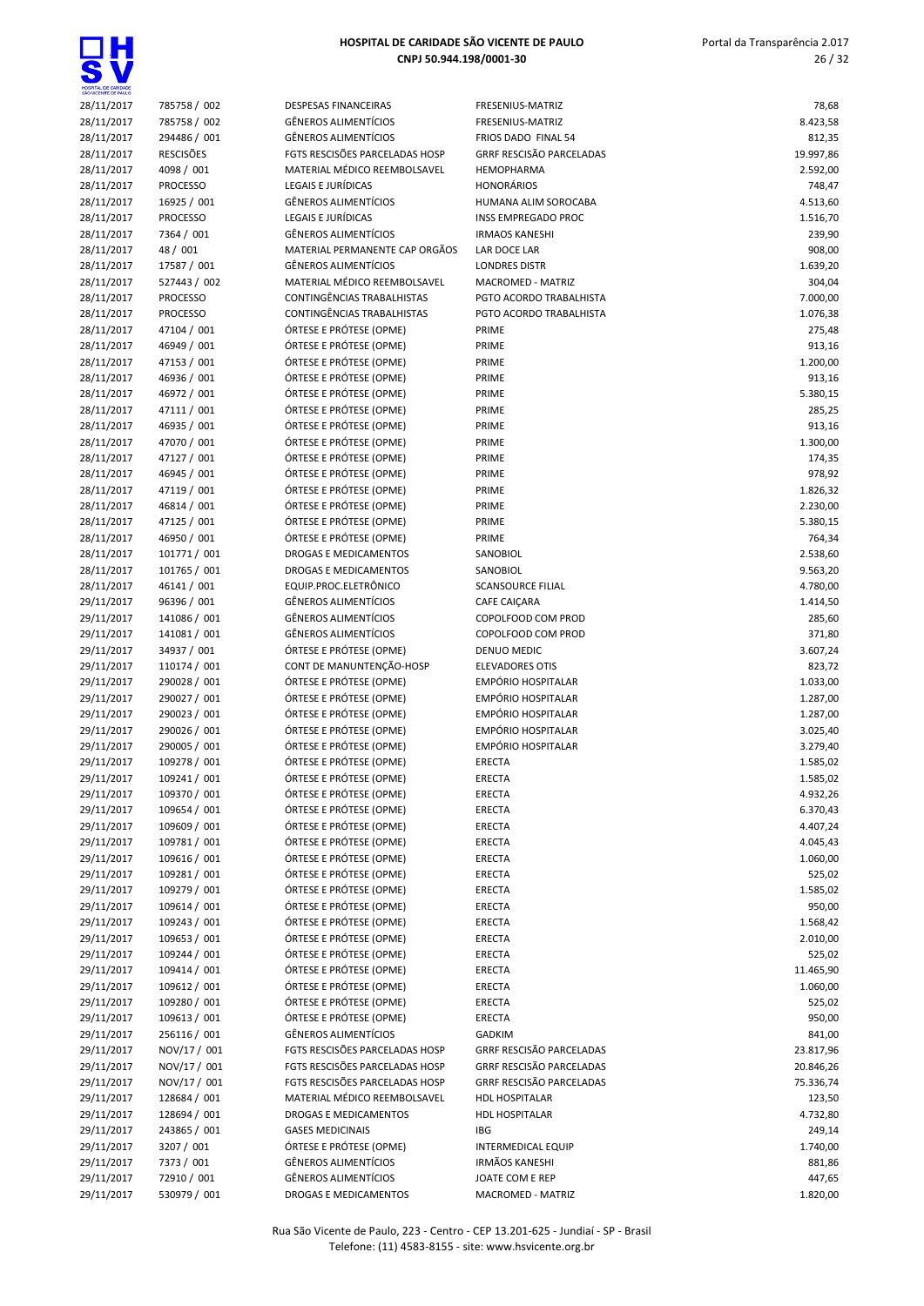

| SÃO VICENTE DE PAULO |                                    |                                                                |                                          |           |
|----------------------|------------------------------------|----------------------------------------------------------------|------------------------------------------|-----------|
| 28/11/2017           | 785758 / 002                       | <b>DESPESAS FINANCEIRAS</b>                                    | FRESENIUS-MATRIZ                         | 78,68     |
| 28/11/2017           | 785758 / 002                       | <b>GÊNEROS ALIMENTÍCIOS</b>                                    | FRESENIUS-MATRIZ                         | 8.423,58  |
| 28/11/2017           | 294486 / 001                       | <b>GÊNEROS ALIMENTÍCIOS</b>                                    | FRIOS DADO FINAL 54                      | 812,35    |
| 28/11/2017           | <b>RESCISÕES</b>                   | FGTS RESCISÕES PARCELADAS HOSP                                 | <b>GRRF RESCISÃO PARCELADAS</b>          | 19.997,86 |
| 28/11/2017           | 4098 / 001<br><b>PROCESSO</b>      | MATERIAL MÉDICO REEMBOLSAVEL                                   | <b>HEMOPHARMA</b>                        | 2.592,00  |
| 28/11/2017           |                                    | LEGAIS E JURÍDICAS<br><b>GÊNEROS ALIMENTÍCIOS</b>              | <b>HONORÁRIOS</b>                        | 748,47    |
| 28/11/2017           | 16925 / 001                        |                                                                | <b>HUMANA ALIM SOROCABA</b>              | 4.513,60  |
| 28/11/2017           | <b>PROCESSO</b>                    | LEGAIS E JURÍDICAS                                             | <b>INSS EMPREGADO PROC</b>               | 1.516,70  |
| 28/11/2017           | 7364 / 001                         | <b>GÊNEROS ALIMENTÍCIOS</b>                                    | <b>IRMAOS KANESHI</b>                    | 239,90    |
| 28/11/2017           | 48 / 001                           | MATERIAL PERMANENTE CAP ORGÃOS                                 | LAR DOCE LAR                             | 908,00    |
| 28/11/2017           | 17587 / 001                        | <b>GÊNEROS ALIMENTÍCIOS</b>                                    | <b>LONDRES DISTR</b>                     | 1.639,20  |
| 28/11/2017           | 527443 / 002                       | MATERIAL MÉDICO REEMBOLSAVEL                                   | MACROMED - MATRIZ                        | 304,04    |
| 28/11/2017           | <b>PROCESSO</b><br><b>PROCESSO</b> | CONTINGÊNCIAS TRABALHISTAS<br>CONTINGÊNCIAS TRABALHISTAS       | PGTO ACORDO TRABALHISTA                  | 7.000,00  |
| 28/11/2017           |                                    |                                                                | PGTO ACORDO TRABALHISTA                  | 1.076,38  |
| 28/11/2017           | 47104 / 001                        | ÓRTESE E PRÓTESE (OPME)                                        | PRIME                                    | 275,48    |
| 28/11/2017           | 46949 / 001                        | ÓRTESE E PRÓTESE (OPME)                                        | PRIME                                    | 913,16    |
| 28/11/2017           | 47153 / 001                        | ÓRTESE E PRÓTESE (OPME)                                        | PRIME                                    | 1.200,00  |
| 28/11/2017           | 46936 / 001                        | ÓRTESE E PRÓTESE (OPME)                                        | PRIME                                    | 913,16    |
| 28/11/2017           | 46972 / 001                        | ÓRTESE E PRÓTESE (OPME)                                        | PRIME                                    | 5.380,15  |
| 28/11/2017           | 47111 / 001                        | ÓRTESE E PRÓTESE (OPME)                                        | PRIME                                    | 285,25    |
| 28/11/2017           | 46935 / 001                        | ÓRTESE E PRÓTESE (OPME)                                        | PRIME                                    | 913,16    |
| 28/11/2017           | 47070 / 001                        | ÓRTESE E PRÓTESE (OPME)                                        | PRIME                                    | 1.300,00  |
| 28/11/2017           | 47127 / 001                        | ÓRTESE E PRÓTESE (OPME)                                        | PRIME                                    | 174,35    |
| 28/11/2017           | 46945 / 001                        | ÓRTESE E PRÓTESE (OPME)                                        | PRIME                                    | 978,92    |
| 28/11/2017           | 47119 / 001                        | ÓRTESE E PRÓTESE (OPME)                                        | PRIME                                    | 1.826,32  |
| 28/11/2017           | 46814 / 001                        | ÓRTESE E PRÓTESE (OPME)                                        | PRIME                                    | 2.230,00  |
| 28/11/2017           | 47125 / 001                        | ÓRTESE E PRÓTESE (OPME)                                        | PRIME                                    | 5.380,15  |
| 28/11/2017           | 46950 / 001                        | ÓRTESE E PRÓTESE (OPME)                                        | PRIME                                    | 764,34    |
| 28/11/2017           | 101771 / 001                       | <b>DROGAS E MEDICAMENTOS</b>                                   | SANOBIOL                                 | 2.538,60  |
| 28/11/2017           | 101765 / 001                       | DROGAS E MEDICAMENTOS                                          | SANOBIOL                                 | 9.563,20  |
| 28/11/2017           | 46141 / 001                        | EQUIP.PROC.ELETRÔNICO                                          | <b>SCANSOURCE FILIAL</b>                 | 4.780,00  |
| 29/11/2017           | 96396 / 001                        | <b>GÊNEROS ALIMENTÍCIOS</b>                                    | CAFE CAIÇARA                             | 1.414,50  |
| 29/11/2017           | 141086 / 001                       | <b>GÊNEROS ALIMENTÍCIOS</b>                                    | COPOLFOOD COM PROD                       | 285,60    |
| 29/11/2017           | 141081 / 001                       | <b>GÊNEROS ALIMENTÍCIOS</b>                                    | COPOLFOOD COM PROD                       | 371,80    |
| 29/11/2017           | 34937 / 001                        | ÓRTESE E PRÓTESE (OPME)                                        | DENUO MEDIC                              | 3.607,24  |
| 29/11/2017           | 110174 / 001                       | CONT DE MANUNTENÇÃO-HOSP                                       | <b>ELEVADORES OTIS</b>                   | 823,72    |
| 29/11/2017           | 290028 / 001                       | ÓRTESE E PRÓTESE (OPME)                                        | <b>EMPÓRIO HOSPITALAR</b>                | 1.033,00  |
| 29/11/2017           | 290027 / 001                       | ÓRTESE E PRÓTESE (OPME)                                        | EMPÓRIO HOSPITALAR                       | 1.287,00  |
| 29/11/2017           | 290023 / 001                       | ÓRTESE E PRÓTESE (OPME)                                        | EMPÓRIO HOSPITALAR                       | 1.287,00  |
| 29/11/2017           | 290026 / 001                       | ÓRTESE E PRÓTESE (OPME)                                        | <b>EMPÓRIO HOSPITALAR</b>                | 3.025,40  |
| 29/11/2017           | 290005 / 001                       | ÓRTESE E PRÓTESE (OPME)                                        | <b>EMPÓRIO HOSPITALAR</b>                | 3.279,40  |
| 29/11/2017           | 109278 / 001                       | ÓRTESE E PRÓTESE (OPME)                                        | ERECTA                                   | 1.585,02  |
| 29/11/2017           | 109241 / 001                       | ÓRTESE E PRÓTESE (OPME)                                        | <b>ERECTA</b>                            | 1.585,02  |
| 29/11/2017           | 109370 / 001                       | ÓRTESE E PRÓTESE (OPME)                                        | <b>ERECTA</b>                            | 4.932,26  |
| 29/11/2017           | 109654 / 001                       | ÓRTESE E PRÓTESE (OPME)                                        | <b>ERECTA</b>                            | 6.370,43  |
| 29/11/2017           | 109609 / 001                       | ÓRTESE E PRÓTESE (OPME)                                        | ERECTA                                   | 4.407,24  |
| 29/11/2017           | 109781 / 001                       | ÓRTESE E PRÓTESE (OPME)                                        | ERECTA                                   | 4.045,43  |
| 29/11/2017           | 109616 / 001                       | ÓRTESE E PRÓTESE (OPME)                                        | ERECTA                                   | 1.060,00  |
| 29/11/2017           | 109281 / 001                       | ÓRTESE E PRÓTESE (OPME)                                        | ERECTA                                   | 525,02    |
| 29/11/2017           | 109279 / 001                       | ÓRTESE E PRÓTESE (OPME)                                        | ERECTA                                   | 1.585,02  |
| 29/11/2017           | 109614 / 001                       | ÓRTESE E PRÓTESE (OPME)                                        | ERECTA                                   | 950,00    |
| 29/11/2017           | 109243 / 001                       | ÓRTESE E PRÓTESE (OPME)                                        | ERECTA                                   | 1.568,42  |
| 29/11/2017           | 109653 / 001                       | ÓRTESE E PRÓTESE (OPME)                                        | ERECTA                                   | 2.010,00  |
| 29/11/2017           | 109244 / 001                       | ÓRTESE E PRÓTESE (OPME)                                        | ERECTA                                   | 525,02    |
| 29/11/2017           | 109414 / 001                       | ÓRTESE E PRÓTESE (OPME)                                        | ERECTA                                   | 11.465,90 |
| 29/11/2017           | 109612 / 001                       | ÓRTESE E PRÓTESE (OPME)                                        | ERECTA                                   | 1.060,00  |
| 29/11/2017           | 109280 / 001                       | ÓRTESE E PRÓTESE (OPME)                                        | ERECTA                                   | 525,02    |
| 29/11/2017           | 109613 / 001                       | ÓRTESE E PRÓTESE (OPME)                                        | ERECTA                                   | 950,00    |
| 29/11/2017           | 256116 / 001                       | <b>GÊNEROS ALIMENTÍCIOS</b>                                    | <b>GADKIM</b>                            | 841,00    |
| 29/11/2017           | NOV/17 / 001<br>NOV/17 / 001       | FGTS RESCISÕES PARCELADAS HOSP                                 | GRRF RESCISÃO PARCELADAS                 | 23.817,96 |
| 29/11/2017           |                                    | FGTS RESCISÕES PARCELADAS HOSP                                 | GRRF RESCISÃO PARCELADAS                 | 20.846,26 |
| 29/11/2017           | NOV/17 / 001                       | FGTS RESCISÕES PARCELADAS HOSP<br>MATERIAL MÉDICO REEMBOLSAVEL | GRRF RESCISÃO PARCELADAS                 | 75.336,74 |
| 29/11/2017           | 128684 / 001                       |                                                                | <b>HDL HOSPITALAR</b>                    | 123,50    |
| 29/11/2017           | 128694 / 001                       | DROGAS E MEDICAMENTOS                                          | <b>HDL HOSPITALAR</b>                    | 4.732,80  |
| 29/11/2017           | 243865 / 001                       | <b>GASES MEDICINAIS</b><br>ÓRTESE E PRÓTESE (OPME)             | <b>IBG</b>                               | 249,14    |
| 29/11/2017           | 3207 / 001                         |                                                                | <b>INTERMEDICAL EQUIP</b>                | 1.740,00  |
| 29/11/2017           | 7373 / 001                         | <b>GÊNEROS ALIMENTÍCIOS</b><br><b>GÊNEROS ALIMENTÍCIOS</b>     | <b>IRMÃOS KANESHI</b><br>JOATE COM E REP | 881,86    |
| 29/11/2017           | 72910 / 001                        |                                                                |                                          | 447,65    |
| 29/11/2017           | 530979 / 001                       | DROGAS E MEDICAMENTOS                                          | MACROMED - MATRIZ                        | 1.820,00  |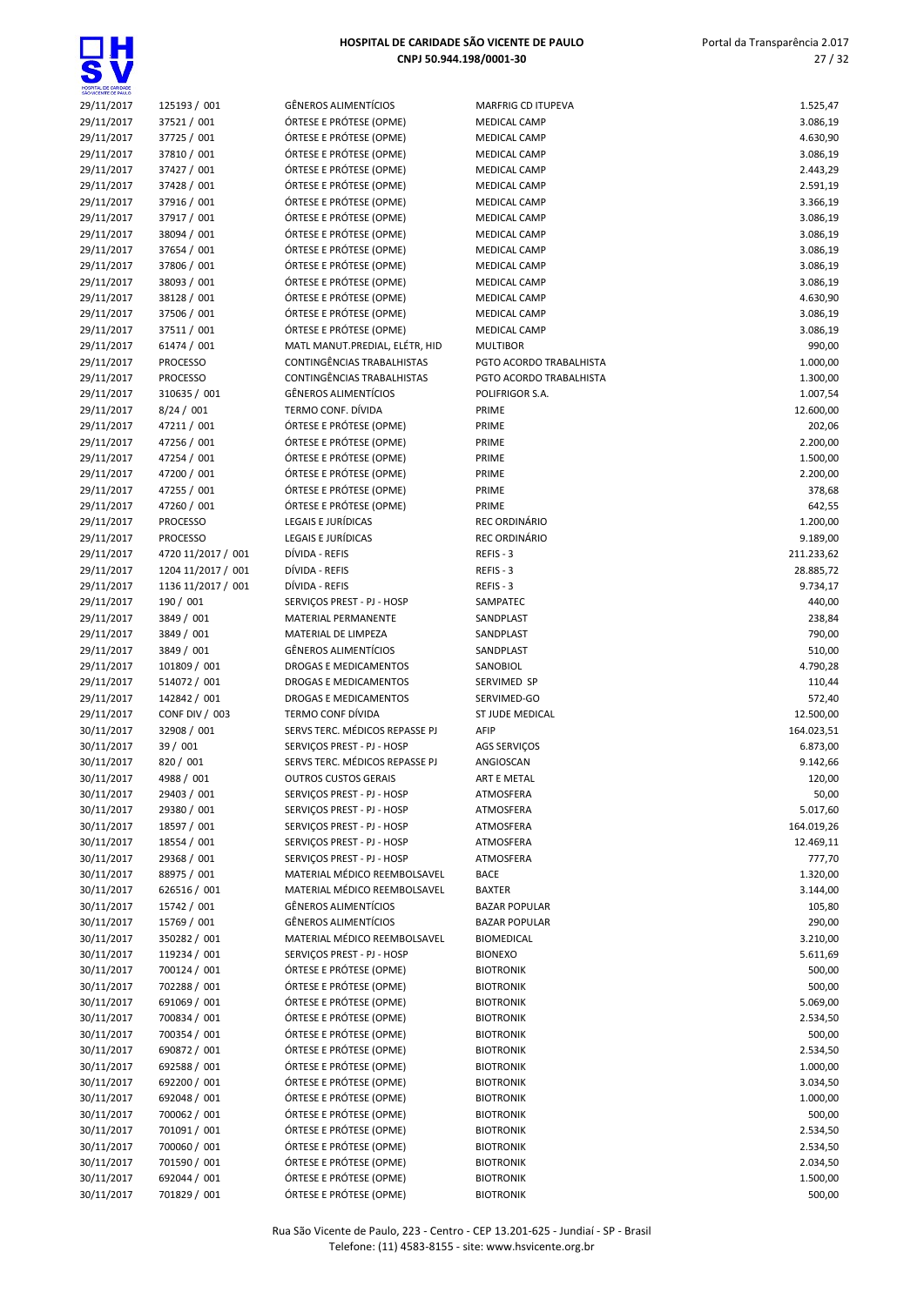| HOSPITAL DE CARIDADE<br>SÃO VICENTE DE PAULO |                                    |
|----------------------------------------------|------------------------------------|
| 29/11/2017                                   | 125193 / 001                       |
| 29/11/2017                                   | 37521/001                          |
| 29/11/2017<br>29/11/2017                     | 37725 / 001<br>37810 / 001         |
| 29/11/2017                                   | 37427 / 001                        |
| 29/11/2017                                   | 37428 / 001                        |
| 29/11/2017                                   | 37916 / 001                        |
| 29/11/2017                                   | 37917 / 001                        |
| 29/11/2017                                   | 38094 / 001                        |
| 29/11/2017<br>29/11/2017                     | 37654 / 001<br>37806 / 001         |
| 29/11/2017                                   | 38093 / 001                        |
| 29/11/2017                                   | 38128 / 001                        |
| 29/11/2017                                   | 37506 / 001                        |
| 29/11/2017                                   | 37511 / 001                        |
| 29/11/2017                                   | 61474 / 001                        |
| 29/11/2017                                   | <b>PROCESSO</b>                    |
| 29/11/2017<br>29/11/2017                     | <b>PROCESSO</b><br>310635 / 001    |
| 29/11/2017                                   | 8/24 / 001                         |
| 29/11/2017                                   | 47211 / 001                        |
| 29/11/2017                                   | 47256 / 001                        |
| 29/11/2017                                   | 47254 / 001                        |
| 29/11/2017                                   | 47200 / 001                        |
| 29/11/2017                                   | 47255 / 001                        |
| 29/11/2017                                   | 47260 / 001                        |
| 29/11/2017<br>29/11/2017                     | <b>PROCESSO</b><br><b>PROCESSO</b> |
| 29/11/2017                                   | 4720 11/2017 / 00                  |
| 29/11/2017                                   | 1204 11/2017 / 00                  |
| 29/11/2017                                   | 1136 11/2017 / 00                  |
| 29/11/2017                                   | 190 / 001                          |
| 29/11/2017                                   | 3849 / 001                         |
| 29/11/2017                                   | 3849 / 001                         |
| 29/11/2017<br>29/11/2017                     | 3849 / 001<br>101809 / 001         |
| 29/11/2017                                   | 514072 / 001                       |
| 29/11/2017                                   | 142842 / 001                       |
| 29/11/2017                                   | CONF DIV / 003                     |
| 30/11/2017                                   | 32908 / 001                        |
| 30/11/2017                                   | 39 / 001                           |
| 30/11/2017                                   | 820/001                            |
| 30/11/2017<br>30/11/2017                     | 4988 / 001<br>29403 / 001          |
| 30/11/2017                                   | 29380 / 001                        |
| 30/11/2017                                   | 18597 / 001                        |
| 30/11/2017                                   | 18554 / 001                        |
| 30/11/2017                                   | 29368 / 001                        |
| 30/11/2017                                   | 88975 / 001                        |
| 30/11/2017                                   | 626516 / 001                       |
| 30/11/2017<br>30/11/2017                     | 15742 / 001<br>15769 / 001         |
| 30/11/2017                                   | 350282 / 001                       |
| 30/11/2017                                   | 119234 / 001                       |
| 30/11/2017                                   | 700124 / 001                       |
| 30/11/2017                                   | 702288 / 001                       |
| 30/11/2017                                   | 691069 / 001                       |
| 30/11/2017                                   | 700834 / 001                       |
| 30/11/2017                                   | 700354 / 001                       |
| 30/11/2017<br>30/11/2017                     | 690872 / 001<br>692588 / 001       |
| 30/11/2017                                   | 692200 / 001                       |
|                                              |                                    |

| GÊNEROS ALIMENTÍCIOS                                                                                                                            |
|-------------------------------------------------------------------------------------------------------------------------------------------------|
| ÓRTESE E PRÓTESE (OPME)                                                                                                                         |
| ÓRTESE E PRÓTESE (OPME)                                                                                                                         |
| ÓRTESE E PRÓTESE (OPME)                                                                                                                         |
| ÓRTESE E PRÓTESE (OPME)                                                                                                                         |
| ÓRTESE E PRÓTESE (OPME)                                                                                                                         |
|                                                                                                                                                 |
| ÓRTESE E PRÓTESE (OPME)                                                                                                                         |
| ÓRTESE E PRÓTESE (OPME)                                                                                                                         |
| ÓRTESE E PRÓTESE (OPME)                                                                                                                         |
| ÓRTESE E PRÓTESE (OPME)                                                                                                                         |
| ÓRTESE E PRÓTESE (OPME)                                                                                                                         |
| ÓRTESE E PRÓTESE (OPME)                                                                                                                         |
| ÓRTESE E PRÓTESE (OPME)                                                                                                                         |
| ÓRTESE E PRÓTESE (OPME)                                                                                                                         |
| ÓRTESE E PRÓTESE (OPME)                                                                                                                         |
| AATL MANUT.PREDIAL, ELÉTR, HID                                                                                                                  |
| CONTINGÊNCIAS TRABALHISTAS:                                                                                                                     |
| CONTINGÊNCIAS TRABALHISTAS                                                                                                                      |
| GÊNEROS ALIMENTÍCIOS                                                                                                                            |
| ERMO CONF. DÍVIDA                                                                                                                               |
| ÓRTESE E PRÓTESE (OPME)                                                                                                                         |
| ÓRTESE E PRÓTESE (OPME)                                                                                                                         |
| ÓRTESE E PRÓTESE (OPME)                                                                                                                         |
|                                                                                                                                                 |
| ÓRTESE E PRÓTESE (OPME)                                                                                                                         |
| ÓRTESE E PRÓTESE (OPME)                                                                                                                         |
| ÓRTESE E PRÓTESE (OPME)                                                                                                                         |
| EGAIS E JURÍDICAS                                                                                                                               |
| EGAIS E JURÍDICAS                                                                                                                               |
| )ÍVIDA - REFIS                                                                                                                                  |
| )ÍVIDA - REFIS                                                                                                                                  |
| )ÍVIDA - REFIS                                                                                                                                  |
| ERVIÇOS PREST - PJ - HOSP                                                                                                                       |
| <b>MATERIAL PERMANENTE</b>                                                                                                                      |
| <b>MATERIAL DE LIMPEZA</b>                                                                                                                      |
| GÊNEROS ALIMENTÍCIOS                                                                                                                            |
| ROGAS E MEDICAMENTOS                                                                                                                            |
| ROGAS E MEDICAMENTOS                                                                                                                            |
| ROGAS E MEDICAMENTOS                                                                                                                            |
| ERMO CONF DÍVIDA                                                                                                                                |
| ERVS TERC. MÉDICOS REPASSE PJ                                                                                                                   |
| ERVIÇOS PREST - PJ - HOSP                                                                                                                       |
| ERVS TERC. MÉDICOS REPASSE PJ                                                                                                                   |
|                                                                                                                                                 |
|                                                                                                                                                 |
|                                                                                                                                                 |
|                                                                                                                                                 |
|                                                                                                                                                 |
|                                                                                                                                                 |
| <b>DUTROS CUSTOS GERAIS</b><br>ERVIÇOS PREST - PJ - HOSP<br>ERVIÇOS PREST - PJ - HOSP<br>ERVIÇOS PREST - PJ - HOSP<br>ERVIÇOS PREST - PJ - HOSP |
|                                                                                                                                                 |
| ERVIÇOS PREST - PJ - HOSP<br>MATERIAL MÉDICO REEMBOLSAVEL                                                                                       |
| MATERIAL MÉDICO REEMBOLSAVEL                                                                                                                    |
| GÊNEROS ALIMENTÍCIOS                                                                                                                            |
|                                                                                                                                                 |
| GÊNEROS ALIMENTÍCIOS<br>MATERIAL MÉDICO REEMBOLSAVEL                                                                                            |
|                                                                                                                                                 |
| ERVIÇOS PREST - PJ - HOSP                                                                                                                       |
| ÓRTESE E PRÓTESE (OPME)                                                                                                                         |
| ÓRTESE E PRÓTESE (OPME)                                                                                                                         |
| ÓRTESE E PRÓTESE (OPME)                                                                                                                         |
| ÓRTESE E PRÓTESE (OPME)                                                                                                                         |
| ÓRTESE E PRÓTESE (OPME)                                                                                                                         |
|                                                                                                                                                 |
|                                                                                                                                                 |
|                                                                                                                                                 |
| ÓRTESE E PRÓTESE (OPME)<br>ÓRTESE E PRÓTESE (OPME)<br>)RTESE E PRÓTESE (OPME)<br>ÓRTESE E PRÓTESE (OPME)                                        |
|                                                                                                                                                 |
|                                                                                                                                                 |
|                                                                                                                                                 |
|                                                                                                                                                 |
| ÓRTESE E PRÓTESE (OPME)<br>ÓRTESE E PRÓTESE (OPME)<br>ÓRTESE E PRÓTESE (OPME)<br>ÓRTESE E PRÓTESE (OPME)<br>ÓRTESE E PRÓTESE (OPME)             |

| 29/11/2017 | 125193 / 001       | <b>GÊNEROS ALIMENTÍCIOS</b>    | MARFRIG CD ITUPEVA      | 1.525,47   |
|------------|--------------------|--------------------------------|-------------------------|------------|
| 29/11/2017 | 37521 / 001        | ÓRTESE E PRÓTESE (OPME)        | <b>MEDICAL CAMP</b>     | 3.086,19   |
| 29/11/2017 | 37725 / 001        | ÓRTESE E PRÓTESE (OPME)        | MEDICAL CAMP            | 4.630,90   |
| 29/11/2017 | 37810 / 001        | ÓRTESE E PRÓTESE (OPME)        | <b>MEDICAL CAMP</b>     | 3.086,19   |
| 29/11/2017 | 37427 / 001        | ÓRTESE E PRÓTESE (OPME)        | MEDICAL CAMP            | 2.443,29   |
| 29/11/2017 | 37428 / 001        | ÓRTESE E PRÓTESE (OPME)        | MEDICAL CAMP            | 2.591,19   |
| 29/11/2017 | 37916 / 001        | ÓRTESE E PRÓTESE (OPME)        | MEDICAL CAMP            | 3.366,19   |
| 29/11/2017 | 37917 / 001        | ÓRTESE E PRÓTESE (OPME)        | MEDICAL CAMP            | 3.086,19   |
| 29/11/2017 |                    |                                |                         |            |
|            | 38094 / 001        | ÓRTESE E PRÓTESE (OPME)        | MEDICAL CAMP            | 3.086,19   |
| 29/11/2017 | 37654 / 001        | ÓRTESE E PRÓTESE (OPME)        | MEDICAL CAMP            | 3.086,19   |
| 29/11/2017 | 37806 / 001        | ÓRTESE E PRÓTESE (OPME)        | MEDICAL CAMP            | 3.086,19   |
| 29/11/2017 | 38093 / 001        | ÓRTESE E PRÓTESE (OPME)        | MEDICAL CAMP            | 3.086,19   |
| 29/11/2017 | 38128 / 001        | ÓRTESE E PRÓTESE (OPME)        | MEDICAL CAMP            | 4.630,90   |
| 29/11/2017 | 37506 / 001        | ÓRTESE E PRÓTESE (OPME)        | MEDICAL CAMP            | 3.086,19   |
| 29/11/2017 | 37511 / 001        | ÓRTESE E PRÓTESE (OPME)        | <b>MEDICAL CAMP</b>     | 3.086,19   |
| 29/11/2017 | 61474 / 001        | MATL MANUT.PREDIAL, ELÉTR, HID | <b>MULTIBOR</b>         | 990,00     |
| 29/11/2017 | <b>PROCESSO</b>    | CONTINGÊNCIAS TRABALHISTAS     | PGTO ACORDO TRABALHISTA | 1.000,00   |
| 29/11/2017 | <b>PROCESSO</b>    | CONTINGÊNCIAS TRABALHISTAS     | PGTO ACORDO TRABALHISTA | 1.300,00   |
| 29/11/2017 | 310635 / 001       | <b>GÊNEROS ALIMENTÍCIOS</b>    | POLIFRIGOR S.A.         | 1.007,54   |
| 29/11/2017 | 8/24 / 001         | TERMO CONF. DÍVIDA             | PRIME                   | 12.600,00  |
| 29/11/2017 | 47211 / 001        | ÓRTESE E PRÓTESE (OPME)        | PRIME                   | 202,06     |
| 29/11/2017 | 47256 / 001        | ÓRTESE E PRÓTESE (OPME)        | PRIME                   | 2.200,00   |
| 29/11/2017 | 47254 / 001        | ÓRTESE E PRÓTESE (OPME)        | PRIME                   | 1.500,00   |
| 29/11/2017 | 47200 / 001        | ÓRTESE E PRÓTESE (OPME)        | PRIME                   | 2.200,00   |
| 29/11/2017 | 47255 / 001        | ÓRTESE E PRÓTESE (OPME)        | PRIME                   | 378,68     |
|            |                    |                                |                         |            |
| 29/11/2017 | 47260 / 001        | ÓRTESE E PRÓTESE (OPME)        | PRIME<br>REC ORDINÁRIO  | 642,55     |
| 29/11/2017 | <b>PROCESSO</b>    | LEGAIS E JURÍDICAS             |                         | 1.200,00   |
| 29/11/2017 | <b>PROCESSO</b>    | LEGAIS E JURÍDICAS             | REC ORDINÁRIO           | 9.189,00   |
| 29/11/2017 | 4720 11/2017 / 001 | DÍVIDA - REFIS                 | REFIS-3                 | 211.233,62 |
| 29/11/2017 | 1204 11/2017 / 001 | DÍVIDA - REFIS                 | REFIS - 3               | 28.885,72  |
| 29/11/2017 | 1136 11/2017 / 001 | DÍVIDA - REFIS                 | REFIS-3                 | 9.734,17   |
| 29/11/2017 | 190 / 001          | SERVIÇOS PREST - PJ - HOSP     | SAMPATEC                | 440,00     |
| 29/11/2017 | 3849 / 001         | MATERIAL PERMANENTE            | SANDPLAST               | 238,84     |
| 29/11/2017 | 3849 / 001         | MATERIAL DE LIMPEZA            | SANDPLAST               | 790,00     |
| 29/11/2017 | 3849 / 001         | <b>GÊNEROS ALIMENTÍCIOS</b>    | SANDPLAST               | 510,00     |
| 29/11/2017 | 101809 / 001       | DROGAS E MEDICAMENTOS          | SANOBIOL                | 4.790,28   |
| 29/11/2017 | 514072 / 001       | DROGAS E MEDICAMENTOS          | SERVIMED SP             | 110,44     |
| 29/11/2017 | 142842 / 001       | <b>DROGAS E MEDICAMENTOS</b>   | SERVIMED-GO             | 572,40     |
| 29/11/2017 | CONF DIV / 003     | TERMO CONF DÍVIDA              | ST JUDE MEDICAL         | 12.500,00  |
| 30/11/2017 | 32908 / 001        | SERVS TERC. MÉDICOS REPASSE PJ | AFIP                    | 164.023,51 |
| 30/11/2017 | 39 / 001           | SERVIÇOS PREST - PJ - HOSP     | AGS SERVIÇOS            | 6.873,00   |
| 30/11/2017 | 820 / 001          | SERVS TERC. MÉDICOS REPASSE PJ | ANGIOSCAN               | 9.142,66   |
|            | 4988 / 001         | <b>OUTROS CUSTOS GERAIS</b>    |                         |            |
| 30/11/2017 |                    |                                | ART E METAL             | 120,00     |
| 30/11/2017 | 29403 / 001        | SERVIÇOS PREST - PJ - HOSP     | ATMOSFERA               | 50,00      |
| 30/11/2017 | 29380 / 001        | SERVIÇOS PREST - PJ - HOSP     | ATMOSFERA               | 5.017,60   |
| 30/11/2017 | 18597 / 001        | SERVIÇOS PREST - PJ - HOSP     | ATMOSFERA               | 164.019,26 |
| 30/11/2017 | 18554 / 001        | SERVIÇOS PREST - PJ - HOSP     | ATMOSFERA               | 12.469,11  |
| 30/11/2017 | 29368 / 001        | SERVICOS PREST - PJ - HOSP     | ATMOSFERA               | 777,70     |
| 30/11/2017 | 88975 / 001        | MATERIAL MÉDICO REEMBOLSAVEL   | <b>BACE</b>             | 1.320,00   |
| 30/11/2017 | 626516 / 001       | MATERIAL MÉDICO REEMBOLSAVEL   | <b>BAXTER</b>           | 3.144,00   |
| 30/11/2017 | 15742 / 001        | <b>GÊNEROS ALIMENTÍCIOS</b>    | <b>BAZAR POPULAR</b>    | 105,80     |
| 30/11/2017 | 15769 / 001        | GÊNEROS ALIMENTÍCIOS           | <b>BAZAR POPULAR</b>    | 290,00     |
| 30/11/2017 | 350282 / 001       | MATERIAL MÉDICO REEMBOLSAVEL   | <b>BIOMEDICAL</b>       | 3.210,00   |
| 30/11/2017 | 119234 / 001       | SERVICOS PREST - PJ - HOSP     | <b>BIONEXO</b>          | 5.611,69   |
| 30/11/2017 | 700124 / 001       | ÓRTESE E PRÓTESE (OPME)        | <b>BIOTRONIK</b>        | 500,00     |
| 30/11/2017 | 702288 / 001       | ÓRTESE E PRÓTESE (OPME)        | <b>BIOTRONIK</b>        | 500,00     |
| 30/11/2017 | 691069 / 001       | ÓRTESE E PRÓTESE (OPME)        | <b>BIOTRONIK</b>        | 5.069,00   |
| 30/11/2017 | 700834 / 001       | ÓRTESE E PRÓTESE (OPME)        | <b>BIOTRONIK</b>        | 2.534,50   |
| 30/11/2017 | 700354 / 001       | ÓRTESE E PRÓTESE (OPME)        | <b>BIOTRONIK</b>        | 500,00     |
|            |                    |                                |                         |            |
| 30/11/2017 | 690872 / 001       | ÓRTESE E PRÓTESE (OPME)        | <b>BIOTRONIK</b>        | 2.534,50   |
| 30/11/2017 | 692588 / 001       | ÓRTESE E PRÓTESE (OPME)        | <b>BIOTRONIK</b>        | 1.000,00   |
| 30/11/2017 | 692200 / 001       | ÓRTESE E PRÓTESE (OPME)        | <b>BIOTRONIK</b>        | 3.034,50   |
| 30/11/2017 | 692048 / 001       | ÓRTESE E PRÓTESE (OPME)        | <b>BIOTRONIK</b>        | 1.000,00   |
| 30/11/2017 | 700062 / 001       | ÓRTESE E PRÓTESE (OPME)        | <b>BIOTRONIK</b>        | 500,00     |
| 30/11/2017 | 701091 / 001       | ÓRTESE E PRÓTESE (OPME)        | <b>BIOTRONIK</b>        | 2.534,50   |
| 30/11/2017 | 700060 / 001       | ÓRTESE E PRÓTESE (OPME)        | <b>BIOTRONIK</b>        | 2.534,50   |
| 30/11/2017 | 701590 / 001       | ÓRTESE E PRÓTESE (OPME)        | <b>BIOTRONIK</b>        | 2.034,50   |
| 30/11/2017 | 692044 / 001       | ÓRTESE E PRÓTESE (OPME)        | <b>BIOTRONIK</b>        | 1.500,00   |
| 30/11/2017 | 701829 / 001       | ÓRTESE E PRÓTESE (OPME)        | <b>BIOTRONIK</b>        | 500,00     |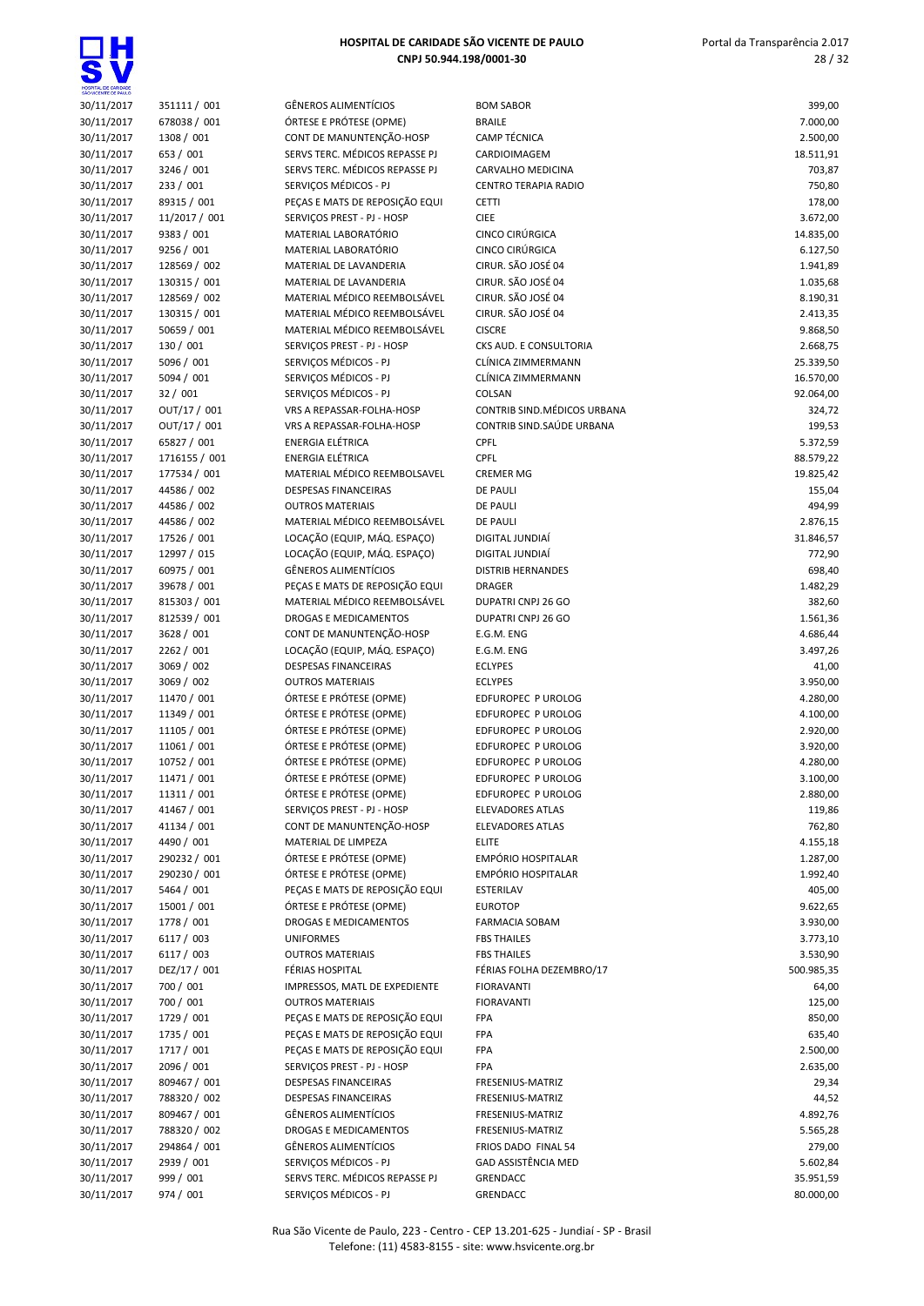$\overline{\bullet}$ 

| HOSPITAL DE CARIDADE<br>SÃO VICENTE DE PAULO |                            |                                                                  |                                          |                       |
|----------------------------------------------|----------------------------|------------------------------------------------------------------|------------------------------------------|-----------------------|
| 30/11/2017                                   | 351111 / 001               | <b>GÊNEROS ALIMENTÍCIOS</b>                                      | <b>BOM SABOR</b>                         | 399,00                |
| 30/11/2017                                   | 678038 / 001               | ÓRTESE E PRÓTESE (OPME)                                          | <b>BRAILE</b>                            | 7.000,00              |
| 30/11/2017                                   | 1308 / 001                 | CONT DE MANUNTENÇÃO-HOSP                                         | <b>CAMP TÉCNICA</b>                      | 2.500,00              |
| 30/11/2017<br>30/11/2017                     | 653 / 001<br>3246 / 001    | SERVS TERC. MÉDICOS REPASSE PJ<br>SERVS TERC. MÉDICOS REPASSE PJ | CARDIOIMAGEM<br><b>CARVALHO MEDICINA</b> | 18.511,91<br>703,87   |
| 30/11/2017                                   | 233 / 001                  | SERVICOS MÉDICOS - PJ                                            | CENTRO TERAPIA RADIO                     | 750,80                |
| 30/11/2017                                   | 89315 / 001                | PEÇAS E MATS DE REPOSIÇÃO EQUI                                   | <b>CETTI</b>                             | 178,00                |
| 30/11/2017                                   | 11/2017 / 001              | SERVIÇOS PREST - PJ - HOSP                                       | <b>CIEE</b>                              | 3.672,00              |
| 30/11/2017                                   | 9383 / 001                 | MATERIAL LABORATÓRIO                                             | CINCO CIRÚRGICA                          | 14.835,00             |
| 30/11/2017                                   | 9256 / 001                 | MATERIAL LABORATÓRIO                                             | CINCO CIRÚRGICA                          | 6.127,50              |
| 30/11/2017                                   | 128569 / 002               | MATERIAL DE LAVANDERIA                                           | CIRUR. SÃO JOSÉ 04                       | 1.941,89              |
| 30/11/2017                                   | 130315 / 001               | MATERIAL DE LAVANDERIA                                           | CIRUR. SÃO JOSÉ 04                       | 1.035,68              |
| 30/11/2017                                   | 128569 / 002               | MATERIAL MÉDICO REEMBOLSÁVEL                                     | CIRUR. SÃO JOSÉ 04                       | 8.190,31              |
| 30/11/2017                                   | 130315 / 001               | MATERIAL MÉDICO REEMBOLSÁVEL                                     | CIRUR. SÃO JOSÉ 04                       | 2.413,35              |
| 30/11/2017<br>30/11/2017                     | 50659 / 001<br>130 / 001   | MATERIAL MÉDICO REEMBOLSÁVEL<br>SERVIÇOS PREST - PJ - HOSP       | <b>CISCRE</b><br>CKS AUD. E CONSULTORIA  | 9.868,50<br>2.668,75  |
| 30/11/2017                                   | 5096 / 001                 | SERVIÇOS MÉDICOS - PJ                                            | CLÍNICA ZIMMERMANN                       | 25.339,50             |
| 30/11/2017                                   | 5094 / 001                 | SERVIÇOS MÉDICOS - PJ                                            | CLÍNICA ZIMMERMANN                       | 16.570,00             |
| 30/11/2017                                   | 32 / 001                   | SERVIÇOS MÉDICOS - PJ                                            | COLSAN                                   | 92.064,00             |
| 30/11/2017                                   | OUT/17 / 001               | <b>VRS A REPASSAR-FOLHA-HOSP</b>                                 | CONTRIB SIND. MÉDICOS URBANA             | 324,72                |
| 30/11/2017                                   | OUT/17 / 001               | VRS A REPASSAR-FOLHA-HOSP                                        | CONTRIB SIND. SAÚDE URBANA               | 199,53                |
| 30/11/2017                                   | 65827 / 001                | ENERGIA ELÉTRICA                                                 | CPFL                                     | 5.372,59              |
| 30/11/2017                                   | 1716155 / 001              | <b>ENERGIA ELÉTRICA</b>                                          | CPFL                                     | 88.579,22             |
| 30/11/2017                                   | 177534 / 001               | MATERIAL MÉDICO REEMBOLSAVEL                                     | <b>CREMER MG</b>                         | 19.825,42             |
| 30/11/2017                                   | 44586 / 002                | <b>DESPESAS FINANCEIRAS</b>                                      | <b>DE PAULI</b>                          | 155,04                |
| 30/11/2017                                   | 44586 / 002                | <b>OUTROS MATERIAIS</b><br>MATERIAL MÉDICO REEMBOLSÁVEL          | <b>DE PAULI</b>                          | 494,99                |
| 30/11/2017<br>30/11/2017                     | 44586 / 002<br>17526 / 001 | LOCAÇÃO (EQUIP, MÁQ. ESPAÇO)                                     | <b>DE PAULI</b><br>DIGITAL JUNDIAÍ       | 2.876,15<br>31.846,57 |
| 30/11/2017                                   | 12997 / 015                | LOCAÇÃO (EQUIP, MÁQ. ESPAÇO)                                     | DIGITAL JUNDIAÍ                          | 772,90                |
| 30/11/2017                                   | 60975 / 001                | <b>GÊNEROS ALIMENTÍCIOS</b>                                      | <b>DISTRIB HERNANDES</b>                 | 698,40                |
| 30/11/2017                                   | 39678 / 001                | PEÇAS E MATS DE REPOSIÇÃO EQUI                                   | <b>DRAGER</b>                            | 1.482,29              |
| 30/11/2017                                   | 815303 / 001               | MATERIAL MÉDICO REEMBOLSÁVEL                                     | DUPATRI CNPJ 26 GO                       | 382,60                |
| 30/11/2017                                   | 812539 / 001               | DROGAS E MEDICAMENTOS                                            | DUPATRI CNPJ 26 GO                       | 1.561,36              |
| 30/11/2017                                   | 3628 / 001                 | CONT DE MANUNTENÇÃO-HOSP                                         | E.G.M. ENG                               | 4.686,44              |
| 30/11/2017                                   | 2262 / 001                 | LOCAÇÃO (EQUIP, MÁQ. ESPAÇO)                                     | E.G.M. ENG                               | 3.497,26              |
| 30/11/2017                                   | 3069 / 002                 | <b>DESPESAS FINANCEIRAS</b>                                      | <b>ECLYPES</b>                           | 41,00                 |
| 30/11/2017                                   | 3069 / 002<br>11470 / 001  | <b>OUTROS MATERIAIS</b><br>ÓRTESE E PRÓTESE (OPME)               | <b>ECLYPES</b>                           | 3.950,00<br>4.280,00  |
| 30/11/2017<br>30/11/2017                     | 11349 / 001                | ÓRTESE E PRÓTESE (OPME)                                          | EDFUROPEC P UROLOG<br>EDFUROPEC P UROLOG | 4.100,00              |
| 30/11/2017                                   | 11105 / 001                | ÓRTESE E PRÓTESE (OPME)                                          | EDFUROPEC P UROLOG                       | 2.920,00              |
| 30/11/2017                                   | 11061 / 001                | ÓRTESE E PRÓTESE (OPME)                                          | EDFUROPEC P UROLOG                       | 3.920,00              |
| 30/11/2017                                   | 10752 / 001                | ÓRTESE E PRÓTESE (OPME)                                          | EDFUROPEC P UROLOG                       | 4.280,00              |
| 30/11/2017                                   | 11471 / 001                | ÓRTESE E PRÓTESE (OPME)                                          | EDFUROPEC P UROLOG                       | 3.100,00              |
| 30/11/2017                                   | 11311 / 001                | ÓRTESE E PRÓTESE (OPME)                                          | EDFUROPEC P UROLOG                       | 2.880,00              |
| 30/11/2017                                   | 41467 / 001                | SERVIÇOS PREST - PJ - HOSP                                       | <b>ELEVADORES ATLAS</b>                  | 119,86                |
| 30/11/2017                                   | 41134 / 001                | CONT DE MANUNTENÇÃO-HOSP                                         | <b>ELEVADORES ATLAS</b>                  | 762,80                |
| 30/11/2017                                   | 4490 / 001                 | MATERIAL DE LIMPEZA                                              | <b>ELITE</b>                             | 4.155,18              |
| 30/11/2017                                   | 290232 / 001               | ÓRTESE E PRÓTESE (OPME)                                          | <b>EMPÓRIO HOSPITALAR</b>                | 1.287,00              |
| 30/11/2017                                   | 290230 / 001<br>5464 / 001 | ÓRTESE E PRÓTESE (OPME)<br>PECAS E MATS DE REPOSIÇÃO EQUI        | <b>EMPÓRIO HOSPITALAR</b>                | 1.992,40<br>405,00    |
| 30/11/2017<br>30/11/2017                     | 15001 / 001                | ÓRTESE E PRÓTESE (OPME)                                          | ESTERILAV<br><b>EUROTOP</b>              | 9.622,65              |
| 30/11/2017                                   | 1778 / 001                 | <b>DROGAS E MEDICAMENTOS</b>                                     | <b>FARMACIA SOBAM</b>                    | 3.930,00              |
| 30/11/2017                                   | 6117 / 003                 | <b>UNIFORMES</b>                                                 | <b>FBS THAILES</b>                       | 3.773,10              |
| 30/11/2017                                   | 6117 / 003                 | <b>OUTROS MATERIAIS</b>                                          | <b>FBS THAILES</b>                       | 3.530,90              |
| 30/11/2017                                   | DEZ/17 / 001               | FÉRIAS HOSPITAL                                                  | FÉRIAS FOLHA DEZEMBRO/17                 | 500.985,35            |
| 30/11/2017                                   | 700 / 001                  | IMPRESSOS, MATL DE EXPEDIENTE                                    | <b>FIORAVANTI</b>                        | 64,00                 |
| 30/11/2017                                   | 700 / 001                  | <b>OUTROS MATERIAIS</b>                                          | <b>FIORAVANTI</b>                        | 125,00                |
| 30/11/2017                                   | 1729 / 001                 | PEÇAS E MATS DE REPOSIÇÃO EQUI                                   | FPA                                      | 850,00                |
| 30/11/2017                                   | 1735 / 001                 | PEÇAS E MATS DE REPOSIÇÃO EQUI                                   | FPA                                      | 635,40                |
| 30/11/2017                                   | 1717 / 001                 | PEÇAS E MATS DE REPOSIÇÃO EQUI                                   | FPA                                      | 2.500,00              |
| 30/11/2017                                   | 2096 / 001<br>809467 / 001 | SERVIÇOS PREST - PJ - HOSP                                       | <b>FPA</b>                               | 2.635,00              |
| 30/11/2017<br>30/11/2017                     | 788320 / 002               | DESPESAS FINANCEIRAS<br>DESPESAS FINANCEIRAS                     | FRESENIUS-MATRIZ<br>FRESENIUS-MATRIZ     | 29,34<br>44,52        |
| 30/11/2017                                   | 809467 / 001               | GÊNEROS ALIMENTÍCIOS                                             | FRESENIUS-MATRIZ                         | 4.892,76              |
| 30/11/2017                                   | 788320 / 002               | DROGAS E MEDICAMENTOS                                            | FRESENIUS-MATRIZ                         | 5.565,28              |
| 30/11/2017                                   | 294864 / 001               | <b>GÊNEROS ALIMENTÍCIOS</b>                                      | FRIOS DADO FINAL 54                      | 279,00                |
| 30/11/2017                                   | 2939 / 001                 | SERVIÇOS MÉDICOS - PJ                                            | GAD ASSISTÊNCIA MED                      | 5.602,84              |
| 30/11/2017                                   | 999 / 001                  | SERVS TERC. MÉDICOS REPASSE PJ                                   | GRENDACC                                 | 35.951,59             |
| 30/11/2017                                   | 974 / 001                  | SERVIÇOS MÉDICOS - PJ                                            | GRENDACC                                 | 80.000,00             |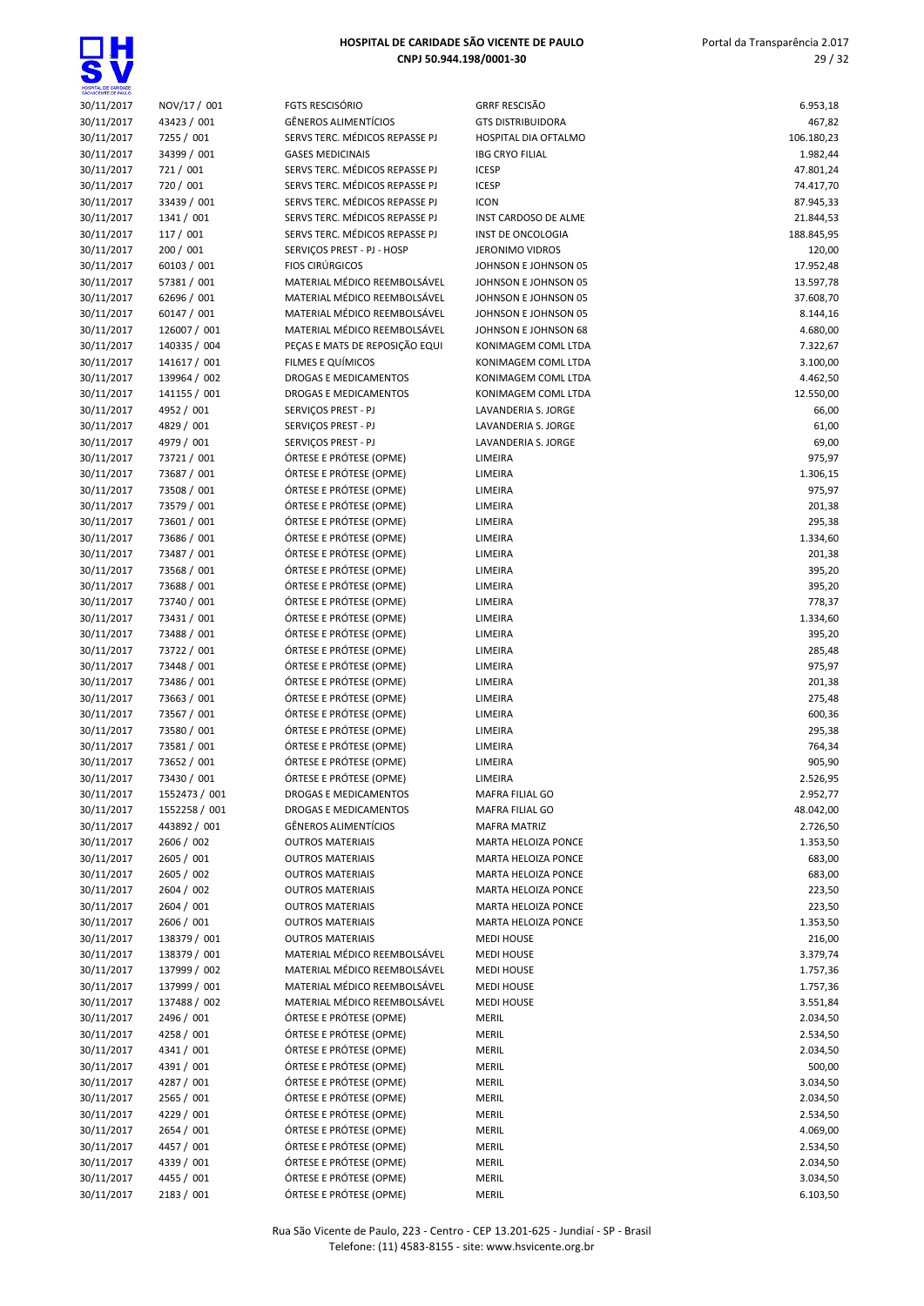| 30/11/2017               | NOV/17 / 001                 |
|--------------------------|------------------------------|
| 30/11/2017               | 43423 / 001                  |
| 30/11/2017               | 7255 / 001                   |
| 30/11/2017               | 34399 / 001                  |
| 30/11/2017               | 721/001                      |
| 30/11/2017               | 720 / 001                    |
| 30/11/2017               | 33439 / 001                  |
| 30/11/2017               | 1341 / 001                   |
| 30/11/2017               | 117 / 001                    |
| 30/11/2017               | 200 / 001                    |
| 30/11/2017               | 60103 / 001                  |
| 30/11/2017               | 57381 / 001                  |
|                          | 62696 / 001                  |
| 30/11/2017<br>30/11/2017 |                              |
|                          | 60147 / 001                  |
| 30/11/2017               | 126007 / 001                 |
| 30/11/2017               | 140335 / 004                 |
| 30/11/2017               | 141617 / 001                 |
| 30/11/2017               | 139964 / 002                 |
| 30/11/2017               | 141155 / 001                 |
| 30/11/2017               | 4952 / 001                   |
| 30/11/2017               | 4829 / 001                   |
| 30/11/2017               | 4979 / 001                   |
| 30/11/2017               | 73721 / 001                  |
| 30/11/2017               | 73687 / 001                  |
| 30/11/2017               | 73508 / 001                  |
| 30/11/2017               | 73579 / 001                  |
| 30/11/2017               | 73601 / 001                  |
| 30/11/2017               | 73686 / 001                  |
| 30/11/2017               | 73487 / 001                  |
| 30/11/2017               | 73568 / 001                  |
| 30/11/2017               | 73688 / 001                  |
| 30/11/2017               | 73740 / 001                  |
| 30/11/2017               | 73431 / 001                  |
| 30/11/2017               | 73488 / 001                  |
| 30/11/2017               | 73722 / 001                  |
| 30/11/2017               | 73448 / 001                  |
| 30/11/2017               | 73486 / 001                  |
| 30/11/2017               | 73663 / 001                  |
| 30/11/2017               | 73567 / 001                  |
| 30/11/2017               | 73580 / 001                  |
| 30/11/2017               | 73581 / 001                  |
| 30/11/2017               | 73652 / 001                  |
| 30/11/2017               | 73430 / 001                  |
| 30/11/2017               | 1552473 / 001                |
| 30/11/2017               | 1552258 / 001                |
| 30/11/2017               | 443892/001                   |
| 30/11/2017               | 2606 / 002                   |
| 30/11/2017               | 2605 / 001                   |
| 30/11/2017               | 2605 / 002                   |
| 30/11/2017               | 2604 / 002                   |
| 30/11/2017               | 2604 / 001                   |
| 30/11/2017               | 2606 / 001                   |
|                          |                              |
| 30/11/2017<br>30/11/2017 | 138379 / 001<br>138379 / 001 |
|                          | 137999 / 002                 |
| 30/11/2017               |                              |
| 30/11/2017               | 137999 / 001                 |
| 30/11/2017               | 137488 / 002                 |
| 30/11/2017               | 2496 / 001                   |
| 30/11/2017               | 4258 / 001                   |
| 30/11/2017               | 4341 / 001                   |
| 30/11/2017               | 4391/001                     |
| 30/11/2017               | 4287 / 001                   |
| 30/11/2017               | 2565 / 001                   |
| 30/11/2017               | 4229 / 001                   |

| SHOWCENTE DE PAULO |               |                                |                          |            |
|--------------------|---------------|--------------------------------|--------------------------|------------|
| 30/11/2017         | NOV/17 / 001  | <b>FGTS RESCISÓRIO</b>         | <b>GRRF RESCISÃO</b>     | 6.953,18   |
| 30/11/2017         | 43423 / 001   | <b>GÊNEROS ALIMENTÍCIOS</b>    | <b>GTS DISTRIBUIDORA</b> | 467,82     |
| 30/11/2017         | 7255 / 001    | SERVS TERC. MÉDICOS REPASSE PJ | HOSPITAL DIA OFTALMO     | 106.180,23 |
| 30/11/2017         | 34399 / 001   | <b>GASES MEDICINAIS</b>        | <b>IBG CRYO FILIAL</b>   | 1.982,44   |
| 30/11/2017         | 721 / 001     | SERVS TERC. MÉDICOS REPASSE PJ | <b>ICESP</b>             | 47.801,24  |
| 30/11/2017         | 720 / 001     | SERVS TERC. MÉDICOS REPASSE PJ | <b>ICESP</b>             | 74.417,70  |
| 30/11/2017         | 33439 / 001   | SERVS TERC. MÉDICOS REPASSE PJ | <b>ICON</b>              | 87.945,33  |
| 30/11/2017         | 1341 / 001    | SERVS TERC. MÉDICOS REPASSE PJ | INST CARDOSO DE ALME     | 21.844,53  |
| 30/11/2017         | 117 / 001     | SERVS TERC. MÉDICOS REPASSE PJ | INST DE ONCOLOGIA        | 188.845,95 |
| 30/11/2017         | 200 / 001     | SERVIÇOS PREST - PJ - HOSP     | <b>JERONIMO VIDROS</b>   | 120,00     |
| 30/11/2017         | 60103 / 001   | <b>FIOS CIRÚRGICOS</b>         | JOHNSON E JOHNSON 05     | 17.952,48  |
| 30/11/2017         | 57381 / 001   | MATERIAL MÉDICO REEMBOLSÁVEL   | JOHNSON E JOHNSON 05     | 13.597,78  |
| 30/11/2017         | 62696 / 001   | MATERIAL MÉDICO REEMBOLSÁVEL   | JOHNSON E JOHNSON 05     | 37.608,70  |
| 30/11/2017         | 60147 / 001   | MATERIAL MÉDICO REEMBOLSÁVEL   | JOHNSON E JOHNSON 05     | 8.144,16   |
| 30/11/2017         | 126007 / 001  | MATERIAL MÉDICO REEMBOLSÁVEL   | JOHNSON E JOHNSON 68     | 4.680,00   |
| 30/11/2017         | 140335 / 004  | PEÇAS E MATS DE REPOSIÇÃO EQUI | KONIMAGEM COML LTDA      | 7.322,67   |
| 30/11/2017         | 141617 / 001  | FILMES E QUÍMICOS              | KONIMAGEM COML LTDA      | 3.100,00   |
| 30/11/2017         | 139964 / 002  | DROGAS E MEDICAMENTOS          | KONIMAGEM COML LTDA      | 4.462,50   |
| 30/11/2017         | 141155 / 001  | DROGAS E MEDICAMENTOS          | KONIMAGEM COML LTDA      | 12.550,00  |
| 30/11/2017         | 4952 / 001    | SERVIÇOS PREST - PJ            | LAVANDERIA S. JORGE      | 66,00      |
| 30/11/2017         | 4829 / 001    | SERVIÇOS PREST - PJ            | LAVANDERIA S. JORGE      | 61,00      |
| 30/11/2017         | 4979 / 001    | SERVIÇOS PREST - PJ            | LAVANDERIA S. JORGE      | 69,00      |
| 30/11/2017         | 73721 / 001   | ÓRTESE E PRÓTESE (OPME)        | LIMEIRA                  | 975,97     |
| 30/11/2017         | 73687 / 001   | ÓRTESE E PRÓTESE (OPME)        | LIMEIRA                  | 1.306,15   |
| 30/11/2017         | 73508 / 001   | ÓRTESE E PRÓTESE (OPME)        | LIMEIRA                  | 975,97     |
| 30/11/2017         | 73579 / 001   | ÓRTESE E PRÓTESE (OPME)        | LIMEIRA                  | 201,38     |
| 30/11/2017         | 73601 / 001   | ÓRTESE E PRÓTESE (OPME)        | LIMEIRA                  | 295,38     |
| 30/11/2017         | 73686 / 001   | ÓRTESE E PRÓTESE (OPME)        | LIMEIRA                  | 1.334,60   |
| 30/11/2017         | 73487 / 001   | ÓRTESE E PRÓTESE (OPME)        | LIMEIRA                  | 201,38     |
| 30/11/2017         | 73568 / 001   | ÓRTESE E PRÓTESE (OPME)        | LIMEIRA                  | 395,20     |
| 30/11/2017         | 73688 / 001   | ÓRTESE E PRÓTESE (OPME)        | LIMEIRA                  | 395,20     |
| 30/11/2017         | 73740 / 001   | ÓRTESE E PRÓTESE (OPME)        | LIMEIRA                  | 778,37     |
| 30/11/2017         | 73431 / 001   | ÓRTESE E PRÓTESE (OPME)        | LIMEIRA                  | 1.334,60   |
| 30/11/2017         | 73488 / 001   | ÓRTESE E PRÓTESE (OPME)        | LIMEIRA                  | 395,20     |
| 30/11/2017         | 73722 / 001   | ÓRTESE E PRÓTESE (OPME)        | LIMEIRA                  | 285,48     |
| 30/11/2017         | 73448 / 001   | ÓRTESE E PRÓTESE (OPME)        | LIMEIRA                  | 975,97     |
| 30/11/2017         | 73486 / 001   | ÓRTESE E PRÓTESE (OPME)        | LIMEIRA                  | 201,38     |
| 30/11/2017         | 73663 / 001   | ÓRTESE E PRÓTESE (OPME)        | LIMEIRA                  | 275,48     |
| 30/11/2017         | 73567 / 001   | ÓRTESE E PRÓTESE (OPME)        | LIMEIRA                  | 600,36     |
| 30/11/2017         | 73580 / 001   | ÓRTESE E PRÓTESE (OPME)        | LIMEIRA                  | 295,38     |
| 30/11/2017         | 73581 / 001   | ÓRTESE E PRÓTESE (OPME)        | LIMEIRA                  | 764,34     |
| 30/11/2017         | 73652 / 001   | ÓRTESE E PRÓTESE (OPME)        | LIMEIRA                  | 905,90     |
| 30/11/2017         | 73430 / 001   | ÓRTESE E PRÓTESE (OPME)        | LIMEIRA                  | 2.526,95   |
| 30/11/2017         | 1552473 / 001 | DROGAS E MEDICAMENTOS          | MAFRA FILIAL GO          | 2.952,77   |
| 30/11/2017         | 1552258 / 001 | DROGAS E MEDICAMENTOS          | MAFRA FILIAL GO          | 48.042,00  |
| 30/11/2017         | 443892 / 001  | <b>GÊNEROS ALIMENTÍCIOS</b>    | <b>MAFRA MATRIZ</b>      | 2.726,50   |
| 30/11/2017         | 2606 / 002    | <b>OUTROS MATERIAIS</b>        | MARTA HELOIZA PONCE      | 1.353,50   |
| 30/11/2017         | 2605 / 001    | <b>OUTROS MATERIAIS</b>        | MARTA HELOIZA PONCE      | 683,00     |
| 30/11/2017         | 2605 / 002    | <b>OUTROS MATERIAIS</b>        | MARTA HELOIZA PONCE      | 683,00     |
| 30/11/2017         | 2604 / 002    | <b>OUTROS MATERIAIS</b>        | MARTA HELOIZA PONCE      | 223,50     |
| 30/11/2017         | 2604 / 001    | <b>OUTROS MATERIAIS</b>        | MARTA HELOIZA PONCE      | 223,50     |
| 30/11/2017         | 2606 / 001    | <b>OUTROS MATERIAIS</b>        | MARTA HELOIZA PONCE      | 1.353,50   |
| 30/11/2017         | 138379 / 001  | <b>OUTROS MATERIAIS</b>        | <b>MEDI HOUSE</b>        | 216,00     |
| 30/11/2017         | 138379 / 001  | MATERIAL MÉDICO REEMBOLSÁVEL   | <b>MEDI HOUSE</b>        | 3.379,74   |
| 30/11/2017         | 137999 / 002  | MATERIAL MÉDICO REEMBOLSÁVEL   | <b>MEDI HOUSE</b>        | 1.757,36   |
| 30/11/2017         | 137999 / 001  | MATERIAL MÉDICO REEMBOLSÁVEL   | <b>MEDI HOUSE</b>        | 1.757,36   |
| 30/11/2017         | 137488 / 002  | MATERIAL MÉDICO REEMBOLSÁVEL   | <b>MEDI HOUSE</b>        | 3.551,84   |
| 30/11/2017         | 2496 / 001    | ÓRTESE E PRÓTESE (OPME)        | <b>MERIL</b>             | 2.034,50   |
| 30/11/2017         | 4258 / 001    | ÓRTESE E PRÓTESE (OPME)        | <b>MERIL</b>             | 2.534,50   |
| 30/11/2017         | 4341 / 001    | ÓRTESE E PRÓTESE (OPME)        | MERIL                    | 2.034,50   |
| 30/11/2017         | 4391 / 001    | ÓRTESE E PRÓTESE (OPME)        | <b>MERIL</b>             | 500,00     |
| 30/11/2017         | 4287 / 001    | ÓRTESE E PRÓTESE (OPME)        | <b>MERIL</b>             | 3.034,50   |
| 30/11/2017         | 2565 / 001    | ÓRTESE E PRÓTESE (OPME)        | MERIL                    | 2.034,50   |
| 30/11/2017         | 4229 / 001    | ÓRTESE E PRÓTESE (OPME)        | <b>MERIL</b>             | 2.534,50   |
| 30/11/2017         | 2654 / 001    | ÓRTESE E PRÓTESE (OPME)        | <b>MERIL</b>             | 4.069,00   |
| 30/11/2017         | 4457 / 001    | ÓRTESE E PRÓTESE (OPME)        | <b>MERIL</b>             | 2.534,50   |
| 30/11/2017         | 4339 / 001    | ÓRTESE E PRÓTESE (OPME)        | MERIL                    | 2.034,50   |
| 30/11/2017         | 4455 / 001    | ÓRTESE E PRÓTESE (OPME)        | MERIL                    | 3.034,50   |
| 30/11/2017         | 2183 / 001    | ÓRTESE E PRÓTESE (OPME)        | MERIL                    | 6.103,50   |

| SÃO VICENTE DE PAULO     |                              |                                                           |                                            |                       |
|--------------------------|------------------------------|-----------------------------------------------------------|--------------------------------------------|-----------------------|
| 30/11/2017               | NOV/17 / 001                 | <b>FGTS RESCISÓRIO</b>                                    | <b>GRRF RESCISÃO</b>                       | 6.953,18              |
| 30/11/2017               | 43423 / 001                  | <b>GÊNEROS ALIMENTÍCIOS</b>                               | <b>GTS DISTRIBUIDORA</b>                   | 467,82                |
| 30/11/2017               | 7255 / 001                   | SERVS TERC. MÉDICOS REPASSE PJ                            | <b>HOSPITAL DIA OFTALMO</b>                | 106.180,23            |
| 30/11/2017<br>30/11/2017 | 34399 / 001<br>721 / 001     | <b>GASES MEDICINAIS</b><br>SERVS TERC. MÉDICOS REPASSE PJ | <b>IBG CRYO FILIAL</b><br><b>ICESP</b>     | 1.982,44<br>47.801,24 |
| 30/11/2017               | 720 / 001                    | SERVS TERC. MÉDICOS REPASSE PJ                            | <b>ICESP</b>                               | 74.417,70             |
| 30/11/2017               | 33439 / 001                  | SERVS TERC. MÉDICOS REPASSE PJ                            | <b>ICON</b>                                | 87.945,33             |
| 30/11/2017               | 1341 / 001                   | SERVS TERC. MÉDICOS REPASSE PJ                            | INST CARDOSO DE ALME                       | 21.844,53             |
| 30/11/2017               | 117 / 001                    | SERVS TERC. MÉDICOS REPASSE PJ                            | <b>INST DE ONCOLOGIA</b>                   | 188.845,95            |
| 30/11/2017               | 200 / 001                    | SERVIÇOS PREST - PJ - HOSP                                | JERONIMO VIDROS                            | 120,00                |
| 30/11/2017               | 60103 / 001                  | <b>FIOS CIRÚRGICOS</b>                                    | JOHNSON E JOHNSON 05                       | 17.952,48             |
| 30/11/2017               | 57381 / 001                  | MATERIAL MÉDICO REEMBOLSÁVEL                              | JOHNSON E JOHNSON 05                       | 13.597,78             |
| 30/11/2017               | 62696 / 001                  | MATERIAL MÉDICO REEMBOLSÁVEL                              | JOHNSON E JOHNSON 05                       | 37.608,70             |
| 30/11/2017               | 60147 / 001                  | MATERIAL MÉDICO REEMBOLSÁVEL                              | JOHNSON E JOHNSON 05                       | 8.144,16              |
| 30/11/2017               | 126007 / 001                 | MATERIAL MÉDICO REEMBOLSÁVEL                              | JOHNSON E JOHNSON 68                       | 4.680,00              |
| 30/11/2017               | 140335 / 004                 | PEÇAS E MATS DE REPOSIÇÃO EQUI                            | KONIMAGEM COML LTDA                        | 7.322,67              |
| 30/11/2017<br>30/11/2017 | 141617 / 001<br>139964 / 002 | FILMES E QUÍMICOS<br>DROGAS E MEDICAMENTOS                | KONIMAGEM COML LTDA<br>KONIMAGEM COML LTDA | 3.100,00<br>4.462,50  |
| 30/11/2017               | 141155 / 001                 | DROGAS E MEDICAMENTOS                                     | KONIMAGEM COML LTDA                        | 12.550,00             |
| 30/11/2017               | 4952 / 001                   | SERVIÇOS PREST - PJ                                       | LAVANDERIA S. JORGE                        | 66,00                 |
| 30/11/2017               | 4829 / 001                   | SERVIÇOS PREST - PJ                                       | LAVANDERIA S. JORGE                        | 61,00                 |
| 30/11/2017               | 4979 / 001                   | SERVIÇOS PREST - PJ                                       | LAVANDERIA S. JORGE                        | 69,00                 |
| 30/11/2017               | 73721 / 001                  | ÓRTESE E PRÓTESE (OPME)                                   | LIMEIRA                                    | 975,97                |
| 30/11/2017               | 73687 / 001                  | ÓRTESE E PRÓTESE (OPME)                                   | LIMEIRA                                    | 1.306,15              |
| 30/11/2017               | 73508 / 001                  | ÓRTESE E PRÓTESE (OPME)                                   | LIMEIRA                                    | 975,97                |
| 30/11/2017               | 73579 / 001                  | ÓRTESE E PRÓTESE (OPME)                                   | LIMEIRA                                    | 201,38                |
| 30/11/2017               | 73601 / 001                  | ÓRTESE E PRÓTESE (OPME)                                   | LIMEIRA                                    | 295,38                |
| 30/11/2017               | 73686 / 001                  | ÓRTESE E PRÓTESE (OPME)                                   | LIMEIRA                                    | 1.334,60              |
| 30/11/2017               | 73487 / 001                  | ÓRTESE E PRÓTESE (OPME)                                   | LIMEIRA                                    | 201,38                |
| 30/11/2017               | 73568 / 001                  | ÓRTESE E PRÓTESE (OPME)                                   | LIMEIRA                                    | 395,20                |
| 30/11/2017<br>30/11/2017 | 73688 / 001<br>73740 / 001   | ÓRTESE E PRÓTESE (OPME)<br>ÓRTESE E PRÓTESE (OPME)        | LIMEIRA<br>LIMEIRA                         | 395,20<br>778,37      |
| 30/11/2017               | 73431 / 001                  | ÓRTESE E PRÓTESE (OPME)                                   | LIMEIRA                                    | 1.334,60              |
| 30/11/2017               | 73488 / 001                  | ÓRTESE E PRÓTESE (OPME)                                   | LIMEIRA                                    | 395,20                |
| 30/11/2017               | 73722 / 001                  | ÓRTESE E PRÓTESE (OPME)                                   | LIMEIRA                                    | 285,48                |
| 30/11/2017               | 73448 / 001                  | ÓRTESE E PRÓTESE (OPME)                                   | LIMEIRA                                    | 975,97                |
| 30/11/2017               | 73486 / 001                  | ÓRTESE E PRÓTESE (OPME)                                   | LIMEIRA                                    | 201,38                |
| 30/11/2017               | 73663 / 001                  | ÓRTESE E PRÓTESE (OPME)                                   | LIMEIRA                                    | 275,48                |
| 30/11/2017               | 73567 / 001                  | ÓRTESE E PRÓTESE (OPME)                                   | LIMEIRA                                    | 600,36                |
| 30/11/2017               | 73580 / 001                  | ÓRTESE E PRÓTESE (OPME)                                   | LIMEIRA                                    | 295,38                |
| 30/11/2017               | 73581 / 001                  | ÓRTESE E PRÓTESE (OPME)                                   | LIMEIRA                                    | 764,34                |
| 30/11/2017               | 73652 / 001                  | ÓRTESE E PRÓTESE (OPME)                                   | LIMEIRA                                    | 905,90                |
| 30/11/2017               | 73430 / 001                  | ÓRTESE E PRÓTESE (OPME)                                   | LIMEIRA                                    | 2.526,95              |
| 30/11/2017               | 1552473 / 001                | DROGAS E MEDICAMENTOS                                     | MAFRA FILIAL GO                            | 2.952,77              |
| 30/11/2017               | 1552258 / 001                | DROGAS E MEDICAMENTOS                                     | MAFRA FILIAL GO                            | 48.042,00             |
| 30/11/2017               | 443892 / 001                 | <b>GÊNEROS ALIMENTÍCIOS</b><br><b>OUTROS MATERIAIS</b>    | <b>MAFRA MATRIZ</b><br>MARTA HELOIZA PONCE | 2.726,50              |
| 30/11/2017<br>30/11/2017 | 2606 / 002<br>2605 / 001     | <b>OUTROS MATERIAIS</b>                                   | MARTA HELOIZA PONCE                        | 1.353,50<br>683,00    |
| 30/11/2017               | 2605 / 002                   | <b>OUTROS MATERIAIS</b>                                   | MARTA HELOIZA PONCE                        | 683,00                |
| 30/11/2017               | 2604 / 002                   | <b>OUTROS MATERIAIS</b>                                   | MARTA HELOIZA PONCE                        | 223,50                |
| 30/11/2017               | 2604 / 001                   | <b>OUTROS MATERIAIS</b>                                   | MARTA HELOIZA PONCE                        | 223,50                |
| 30/11/2017               | 2606 / 001                   | <b>OUTROS MATERIAIS</b>                                   | MARTA HELOIZA PONCE                        | 1.353,50              |
| 30/11/2017               | 138379 / 001                 | <b>OUTROS MATERIAIS</b>                                   | <b>MEDI HOUSE</b>                          | 216,00                |
| 30/11/2017               | 138379 / 001                 | MATERIAL MÉDICO REEMBOLSÁVEL                              | <b>MEDI HOUSE</b>                          | 3.379,74              |
| 30/11/2017               | 137999 / 002                 | MATERIAL MÉDICO REEMBOLSÁVEL                              | <b>MEDI HOUSE</b>                          | 1.757,36              |
| 30/11/2017               | 137999 / 001                 | MATERIAL MÉDICO REEMBOLSÁVEL                              | <b>MEDI HOUSE</b>                          | 1.757,36              |
| 30/11/2017               | 137488 / 002                 | MATERIAL MÉDICO REEMBOLSÁVEL                              | <b>MEDI HOUSE</b>                          | 3.551,84              |
| 30/11/2017               | 2496 / 001                   | ÓRTESE E PRÓTESE (OPME)                                   | <b>MERIL</b>                               | 2.034,50              |
| 30/11/2017               | 4258 / 001                   | ÓRTESE E PRÓTESE (OPME)                                   | <b>MERIL</b>                               | 2.534,50              |
| 30/11/2017               | 4341 / 001                   | ÓRTESE E PRÓTESE (OPME)<br>ÓRTESE E PRÓTESE (OPME)        | <b>MERIL</b>                               | 2.034,50              |
| 30/11/2017<br>30/11/2017 | 4391 / 001<br>4287 / 001     | ÓRTESE E PRÓTESE (OPME)                                   | MERIL<br><b>MERIL</b>                      | 500,00<br>3.034,50    |
| 30/11/2017               | 2565 / 001                   | ÓRTESE E PRÓTESE (OPME)                                   | MERIL                                      | 2.034,50              |
| 30/11/2017               | 4229 / 001                   | ÓRTESE E PRÓTESE (OPME)                                   | <b>MERIL</b>                               | 2.534,50              |
| 30/11/2017               | 2654/001                     | ÓRTESE E PRÓTESE (OPME)                                   | MERIL                                      | 4.069,00              |
| 30/11/2017               | 4457 / 001                   | ÓRTESE E PRÓTESE (OPME)                                   | <b>MERIL</b>                               | 2.534,50              |
| 30/11/2017               | 4339 / 001                   | ÓRTESE E PRÓTESE (OPME)                                   | <b>MERIL</b>                               | 2.034,50              |
| 30/11/2017               | 4455 / 001                   | ÓRTESE E PRÓTESE (OPME)                                   | MERIL                                      | 3.034,50              |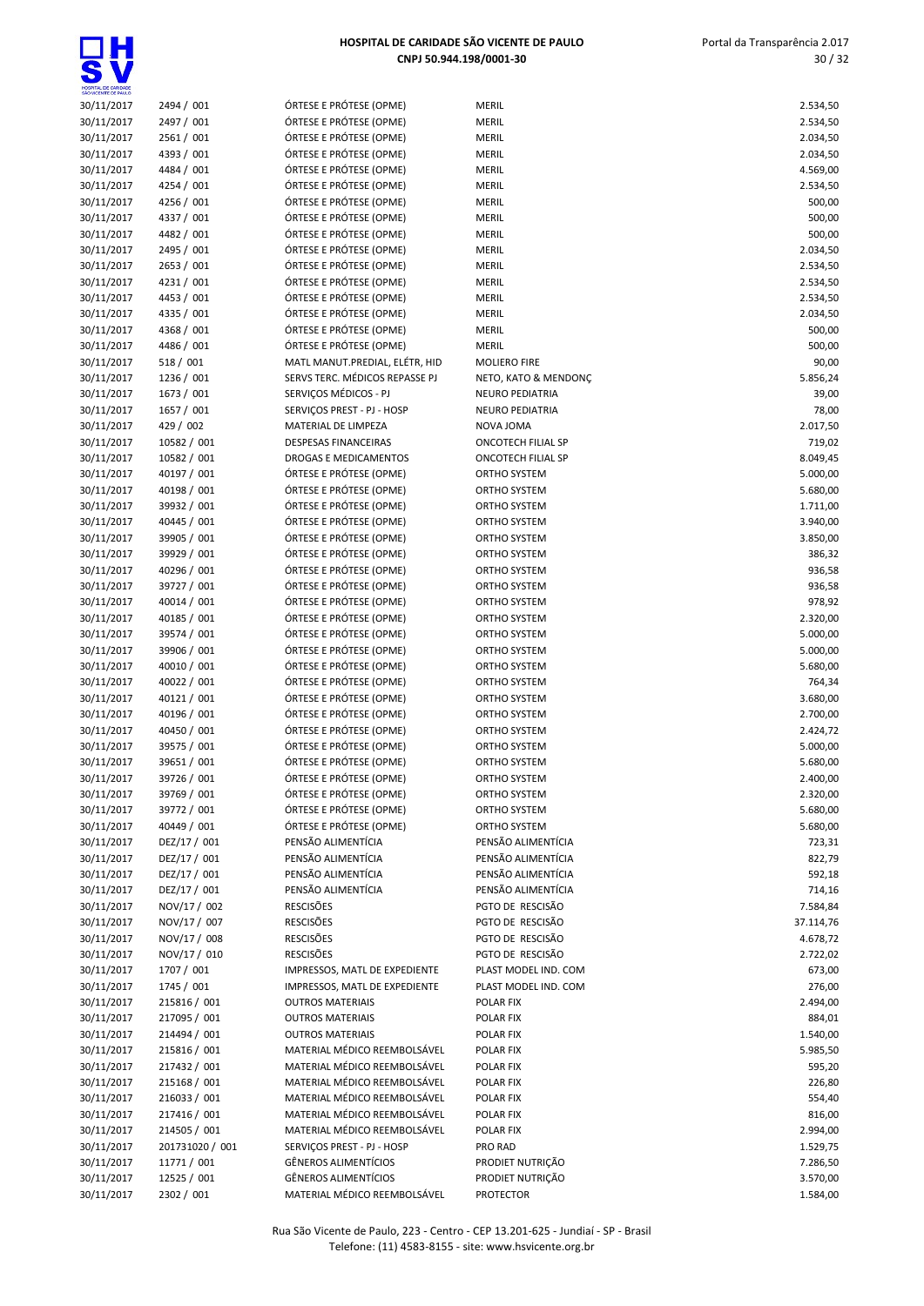

| SHO WOENTE DE PAULO      |                            |                                                      |                                        |
|--------------------------|----------------------------|------------------------------------------------------|----------------------------------------|
| 30/11/2017               | 2494 / 001                 | ÓRTESE E PRÓTESE (OPME)                              | MERIL                                  |
| 30/11/2017               | 2497 / 001                 | ÓRTESE E PRÓTESE (OPME)                              | MERIL                                  |
| 30/11/2017               | 2561 / 001                 | ÓRTESE E PRÓTESE (OPME)                              | <b>MERIL</b>                           |
| 30/11/2017               | 4393 / 001                 | ÓRTESE E PRÓTESE (OPME)                              | <b>MERIL</b>                           |
| 30/11/2017               | 4484 / 001                 | ÓRTESE E PRÓTESE (OPME)                              | MERIL                                  |
| 30/11/2017               | 4254 / 001                 | ÓRTESE E PRÓTESE (OPME)                              | <b>MERIL</b>                           |
| 30/11/2017               | 4256 / 001                 | ÓRTESE E PRÓTESE (OPME)                              | MERIL                                  |
| 30/11/2017               | 4337 / 001                 | ÓRTESE E PRÓTESE (OPME)                              | MERIL                                  |
| 30/11/2017               | 4482 / 001                 | ÓRTESE E PRÓTESE (OPME)                              | MERIL                                  |
| 30/11/2017               | 2495 / 001                 | ÓRTESE E PRÓTESE (OPME)                              | <b>MERIL</b>                           |
| 30/11/2017               | 2653 / 001                 | ÓRTESE E PRÓTESE (OPME)                              | MERIL                                  |
| 30/11/2017               | 4231 / 001                 | ÓRTESE E PRÓTESE (OPME)                              | <b>MERIL</b>                           |
| 30/11/2017               | 4453 / 001                 | ÓRTESE E PRÓTESE (OPME)                              | <b>MERIL</b>                           |
| 30/11/2017               | 4335 / 001                 | ÓRTESE E PRÓTESE (OPME)                              | <b>MERIL</b>                           |
| 30/11/2017               | 4368 / 001                 | ÓRTESE E PRÓTESE (OPME)                              | <b>MERIL</b>                           |
| 30/11/2017               | 4486 / 001                 | ÓRTESE E PRÓTESE (OPME)                              | MERIL                                  |
| 30/11/2017               | 518 / 001                  | MATL MANUT.PREDIAL, ELÉTR, HID                       | <b>MOLIERO FIF</b>                     |
| 30/11/2017               | 1236 / 001                 | SERVS TERC. MÉDICOS REPASSE PJ                       | NETO, KATO                             |
| 30/11/2017               | 1673 / 001                 | SERVIÇOS MÉDICOS - PJ                                | <b>NEURO PEDI</b>                      |
| 30/11/2017               | 1657 / 001                 | SERVIÇOS PREST - PJ - HOSP                           | <b>NEURO PEDI</b>                      |
| 30/11/2017               | 429 / 002                  | MATERIAL DE LIMPEZA                                  | NOVA JOMA                              |
| 30/11/2017               | 10582 / 001                | <b>DESPESAS FINANCEIRAS</b>                          | <b>ONCOTECH I</b>                      |
| 30/11/2017               | 10582 / 001                | DROGAS E MEDICAMENTOS                                | <b>ONCOTECH I</b>                      |
| 30/11/2017               | 40197 / 001                | ÓRTESE E PRÓTESE (OPME)                              | <b>ORTHO SYST</b>                      |
| 30/11/2017               | 40198 / 001                | ÓRTESE E PRÓTESE (OPME)                              | <b>ORTHO SYST</b>                      |
| 30/11/2017               | 39932 / 001                | ÓRTESE E PRÓTESE (OPME)                              | <b>ORTHO SYST</b>                      |
| 30/11/2017               | 40445 / 001<br>39905 / 001 | ÓRTESE E PRÓTESE (OPME)<br>ÓRTESE E PRÓTESE (OPME)   | <b>ORTHO SYST</b>                      |
| 30/11/2017<br>30/11/2017 | 39929 / 001                | ÓRTESE E PRÓTESE (OPME)                              | <b>ORTHO SYST</b><br><b>ORTHO SYST</b> |
| 30/11/2017               | 40296 / 001                | ÓRTESE E PRÓTESE (OPME)                              | <b>ORTHO SYST</b>                      |
| 30/11/2017               | 39727 / 001                | ÓRTESE E PRÓTESE (OPME)                              | <b>ORTHO SYST</b>                      |
| 30/11/2017               | 40014 / 001                | ÓRTESE E PRÓTESE (OPME)                              | <b>ORTHO SYST</b>                      |
| 30/11/2017               | 40185 / 001                | ÓRTESE E PRÓTESE (OPME)                              | <b>ORTHO SYST</b>                      |
| 30/11/2017               | 39574 / 001                | ÓRTESE E PRÓTESE (OPME)                              | <b>ORTHO SYST</b>                      |
| 30/11/2017               | 39906 / 001                | ÓRTESE E PRÓTESE (OPME)                              | <b>ORTHO SYST</b>                      |
| 30/11/2017               | 40010 / 001                | ÓRTESE E PRÓTESE (OPME)                              | <b>ORTHO SYST</b>                      |
| 30/11/2017               | 40022 / 001                | ÓRTESE E PRÓTESE (OPME)                              | <b>ORTHO SYST</b>                      |
| 30/11/2017               | 40121 / 001                | ÓRTESE E PRÓTESE (OPME)                              | <b>ORTHO SYST</b>                      |
| 30/11/2017               | 40196 / 001                | ÓRTESE E PRÓTESE (OPME)                              | <b>ORTHO SYST</b>                      |
| 30/11/2017               | 40450 / 001                | ÓRTESE E PRÓTESE (OPME)                              | <b>ORTHO SYST</b>                      |
| 30/11/2017               | 39575 / 001                | ÓRTESE E PRÓTESE (OPME)                              | <b>ORTHO SYST</b>                      |
| 30/11/2017               | 39651 / 001                | ÓRTESE E PRÓTESE (OPME)                              | <b>ORTHO SYST</b>                      |
| 30/11/2017               | 39726 / 001                | ÓRTESE E PRÓTESE (OPME)                              | <b>ORTHO SYST</b>                      |
| 30/11/2017               | 39769 / 001                | ÓRTESE E PRÓTESE (OPME)                              | <b>ORTHO SYST</b>                      |
| 30/11/2017               | 39772 / 001<br>40449 / 001 | ÓRTESE E PRÓTESE (OPME)                              | <b>ORTHO SYST</b><br><b>ORTHO SYST</b> |
| 30/11/2017<br>30/11/2017 | DEZ/17 / 001               | ÓRTESE E PRÓTESE (OPME)<br>PENSÃO ALIMENTÍCIA        | PENSÃO ALII                            |
| 30/11/2017               | DEZ/17 / 001               | PENSÃO ALIMENTÍCIA                                   | PENSÃO ALII                            |
| 30/11/2017               | DEZ/17 / 001               | PENSÃO ALIMENTÍCIA                                   | PENSÃO ALII                            |
| 30/11/2017               | DEZ/17 / 001               | PENSÃO ALIMENTÍCIA                                   | PENSÃO ALII                            |
| 30/11/2017               | NOV/17 / 002               | <b>RESCISÕES</b>                                     | PGTO DE RE                             |
| 30/11/2017               | NOV/17 / 007               | <b>RESCISÕES</b>                                     | PGTO DE RE                             |
| 30/11/2017               | NOV/17 / 008               | <b>RESCISÕES</b>                                     | PGTO DE RE                             |
| 30/11/2017               | NOV/17 / 010               | <b>RESCISÕES</b>                                     | PGTO DE RE                             |
| 30/11/2017               | 1707 / 001                 | IMPRESSOS, MATL DE EXPEDIENTE                        | PLAST MODE                             |
| 30/11/2017               | 1745 / 001                 | IMPRESSOS, MATL DE EXPEDIENTE                        | <b>PLAST MODE</b>                      |
| 30/11/2017               | 215816 / 001               | <b>OUTROS MATERIAIS</b>                              | POLAR FIX                              |
| 30/11/2017               | 217095 / 001               | <b>OUTROS MATERIAIS</b>                              | POLAR FIX                              |
| 30/11/2017               | 214494 / 001               | <b>OUTROS MATERIAIS</b>                              | POLAR FIX                              |
| 30/11/2017               | 215816 / 001               | MATERIAL MÉDICO REEMBOLSÁVEL                         | POLAR FIX                              |
| 30/11/2017               | 217432 / 001               | MATERIAL MÉDICO REEMBOLSÁVEL                         | POLAR FIX                              |
| 30/11/2017               | 215168 / 001               | MATERIAL MÉDICO REEMBOLSÁVEL                         | POLAR FIX                              |
| 30/11/2017               | 216033 / 001               | MATERIAL MÉDICO REEMBOLSÁVEL                         | POLAR FIX                              |
| 30/11/2017               | 217416 / 001               | MATERIAL MÉDICO REEMBOLSÁVEL                         | POLAR FIX                              |
| 30/11/2017               | 214505 / 001               | MATERIAL MÉDICO REEMBOLSÁVEL                         | POLAR FIX                              |
| 30/11/2017               | 201731020 / 001            | SERVIÇOS PREST - PJ - HOSP                           | PRO RAD                                |
| 30/11/2017               | 11771 / 001                | GÊNEROS ALIMENTÍCIOS                                 | PRODIET NU                             |
| 30/11/2017               | 12525 / 001                | GÊNEROS ALIMENTÍCIOS<br>MATERIAL MÉDICO REEMBOLSÁVEL | PRODIET NU<br><b>PROTECTOR</b>         |
| 30/11/2017               | 2302 / 001                 |                                                      |                                        |

| 30/11/2017 | 2494 / 001      | ÓRTESE E PRÓTESE (OPME)        | <b>MERIL</b>           | 2.534,50  |
|------------|-----------------|--------------------------------|------------------------|-----------|
| 30/11/2017 | 2497 / 001      | ÓRTESE E PRÓTESE (OPME)        | MERIL                  | 2.534,50  |
| 30/11/2017 | 2561 / 001      | ÓRTESE E PRÓTESE (OPME)        | MERIL                  | 2.034,50  |
| 30/11/2017 | 4393 / 001      | ÓRTESE E PRÓTESE (OPME)        | <b>MERIL</b>           | 2.034,50  |
| 30/11/2017 | 4484 / 001      | ÓRTESE E PRÓTESE (OPME)        | <b>MERIL</b>           | 4.569,00  |
| 30/11/2017 | 4254 / 001      | ÓRTESE E PRÓTESE (OPME)        | <b>MERIL</b>           | 2.534,50  |
| 30/11/2017 | 4256 / 001      | ÓRTESE E PRÓTESE (OPME)        | <b>MERIL</b>           | 500,00    |
| 30/11/2017 | 4337 / 001      | ÓRTESE E PRÓTESE (OPME)        | <b>MERIL</b>           | 500,00    |
| 30/11/2017 | 4482 / 001      | ÓRTESE E PRÓTESE (OPME)        | <b>MERIL</b>           | 500,00    |
| 30/11/2017 | 2495 / 001      | ÓRTESE E PRÓTESE (OPME)        | <b>MERIL</b>           | 2.034,50  |
| 30/11/2017 | 2653 / 001      | ÓRTESE E PRÓTESE (OPME)        | <b>MERIL</b>           | 2.534,50  |
| 30/11/2017 | 4231 / 001      | ÓRTESE E PRÓTESE (OPME)        | <b>MERIL</b>           | 2.534,50  |
| 30/11/2017 | 4453 / 001      | ÓRTESE E PRÓTESE (OPME)        | <b>MERIL</b>           | 2.534,50  |
| 30/11/2017 | 4335 / 001      | ÓRTESE E PRÓTESE (OPME)        | <b>MERIL</b>           | 2.034,50  |
| 30/11/2017 | 4368 / 001      | ÓRTESE E PRÓTESE (OPME)        | MERIL                  | 500,00    |
| 30/11/2017 | 4486 / 001      | ÓRTESE E PRÓTESE (OPME)        | <b>MERIL</b>           | 500,00    |
| 30/11/2017 | 518 / 001       | MATL MANUT.PREDIAL, ELÉTR, HID | <b>MOLIERO FIRE</b>    | 90,00     |
| 30/11/2017 | 1236 / 001      | SERVS TERC. MÉDICOS REPASSE PJ | NETO, KATO & MENDONÇ   | 5.856,24  |
| 30/11/2017 | 1673 / 001      | SERVIÇOS MÉDICOS - PJ          | <b>NEURO PEDIATRIA</b> | 39,00     |
| 30/11/2017 | 1657 / 001      | SERVIÇOS PREST - PJ - HOSP     | <b>NEURO PEDIATRIA</b> | 78,00     |
| 30/11/2017 | 429 / 002       | MATERIAL DE LIMPEZA            | NOVA JOMA              | 2.017,50  |
| 30/11/2017 | 10582 / 001     | <b>DESPESAS FINANCEIRAS</b>    | ONCOTECH FILIAL SP     | 719,02    |
| 30/11/2017 | 10582 / 001     | DROGAS E MEDICAMENTOS          | ONCOTECH FILIAL SP     | 8.049,45  |
| 30/11/2017 | 40197 / 001     | ÓRTESE E PRÓTESE (OPME)        | ORTHO SYSTEM           | 5.000,00  |
| 30/11/2017 | 40198 / 001     | ÓRTESE E PRÓTESE (OPME)        | ORTHO SYSTEM           | 5.680,00  |
| 30/11/2017 | 39932 / 001     | ÓRTESE E PRÓTESE (OPME)        | ORTHO SYSTEM           | 1.711,00  |
| 30/11/2017 | 40445 / 001     | ÓRTESE E PRÓTESE (OPME)        | ORTHO SYSTEM           | 3.940,00  |
| 30/11/2017 | 39905 / 001     | ÓRTESE E PRÓTESE (OPME)        | ORTHO SYSTEM           | 3.850,00  |
| 30/11/2017 | 39929 / 001     | ÓRTESE E PRÓTESE (OPME)        | ORTHO SYSTEM           | 386,32    |
| 30/11/2017 | 40296 / 001     | ÓRTESE E PRÓTESE (OPME)        | ORTHO SYSTEM           | 936,58    |
| 30/11/2017 | 39727 / 001     | ÓRTESE E PRÓTESE (OPME)        | ORTHO SYSTEM           | 936,58    |
| 30/11/2017 | 40014 / 001     | ÓRTESE E PRÓTESE (OPME)        | ORTHO SYSTEM           | 978,92    |
| 30/11/2017 | 40185 / 001     | ÓRTESE E PRÓTESE (OPME)        | ORTHO SYSTEM           | 2.320,00  |
| 30/11/2017 | 39574 / 001     | ÓRTESE E PRÓTESE (OPME)        | ORTHO SYSTEM           | 5.000,00  |
| 30/11/2017 | 39906 / 001     | ÓRTESE E PRÓTESE (OPME)        | ORTHO SYSTEM           | 5.000,00  |
| 30/11/2017 | 40010 / 001     | ÓRTESE E PRÓTESE (OPME)        | ORTHO SYSTEM           | 5.680,00  |
| 30/11/2017 | 40022 / 001     | ÓRTESE E PRÓTESE (OPME)        | ORTHO SYSTEM           | 764,34    |
| 30/11/2017 | 40121 / 001     | ÓRTESE E PRÓTESE (OPME)        | ORTHO SYSTEM           | 3.680,00  |
| 30/11/2017 | 40196 / 001     | ÓRTESE E PRÓTESE (OPME)        | ORTHO SYSTEM           | 2.700,00  |
| 30/11/2017 | 40450 / 001     | ÓRTESE E PRÓTESE (OPME)        | ORTHO SYSTEM           | 2.424,72  |
| 30/11/2017 | 39575 / 001     | ÓRTESE E PRÓTESE (OPME)        | ORTHO SYSTEM           | 5.000,00  |
| 30/11/2017 | 39651 / 001     | ÓRTESE E PRÓTESE (OPME)        | ORTHO SYSTEM           | 5.680,00  |
| 30/11/2017 | 39726 / 001     | ÓRTESE E PRÓTESE (OPME)        | ORTHO SYSTEM           | 2.400,00  |
| 30/11/2017 | 39769 / 001     | ÓRTESE E PRÓTESE (OPME)        | ORTHO SYSTEM           | 2.320,00  |
| 30/11/2017 | 39772 / 001     | ÓRTESE E PRÓTESE (OPME)        | ORTHO SYSTEM           | 5.680,00  |
| 30/11/2017 | 40449 / 001     | ÓRTESE E PRÓTESE (OPME)        | ORTHO SYSTEM           | 5.680,00  |
| 30/11/2017 | DEZ/17 / 001    | PENSÃO ALIMENTÍCIA             | PENSÃO ALIMENTÍCIA     | 723,31    |
| 30/11/2017 | DEZ/17 / 001    | PENSÃO ALIMENTÍCIA             | PENSÃO ALIMENTÍCIA     | 822,79    |
| 30/11/2017 | DEZ/17 / 001    | PENSÃO ALIMENTÍCIA             | PENSÃO ALIMENTÍCIA     | 592,18    |
| 30/11/2017 | DEZ/17 / 001    | PENSÃO ALIMENTÍCIA             | PENSÃO ALIMENTÍCIA     | 714,16    |
| 30/11/2017 | NOV/17 / 002    | <b>RESCISÕES</b>               | PGTO DE RESCISÃO       | 7.584,84  |
| 30/11/2017 | NOV/17 / 007    | <b>RESCISÕES</b>               | PGTO DE RESCISÃO       | 37.114,76 |
| 30/11/2017 | NOV/17 / 008    | <b>RESCISÕES</b>               | PGTO DE RESCISÃO       | 4.678,72  |
| 30/11/2017 | NOV/17 / 010    | <b>RESCISÕES</b>               | PGTO DE RESCISÃO       | 2.722,02  |
| 30/11/2017 | 1707 / 001      | IMPRESSOS, MATL DE EXPEDIENTE  | PLAST MODEL IND. COM   | 673,00    |
| 30/11/2017 | 1745 / 001      | IMPRESSOS, MATL DE EXPEDIENTE  | PLAST MODEL IND. COM   | 276,00    |
| 30/11/2017 | 215816 / 001    | <b>OUTROS MATERIAIS</b>        | POLAR FIX              | 2.494,00  |
| 30/11/2017 | 217095 / 001    | <b>OUTROS MATERIAIS</b>        | POLAR FIX              | 884,01    |
| 30/11/2017 | 214494 / 001    | <b>OUTROS MATERIAIS</b>        | POLAR FIX              | 1.540,00  |
| 30/11/2017 | 215816 / 001    | MATERIAL MÉDICO REEMBOLSÁVEL   | POLAR FIX              | 5.985,50  |
| 30/11/2017 | 217432 / 001    | MATERIAL MÉDICO REEMBOLSÁVEL   | POLAR FIX              | 595,20    |
| 30/11/2017 | 215168 / 001    | MATERIAL MÉDICO REEMBOLSÁVEL   | POLAR FIX              | 226,80    |
| 30/11/2017 | 216033 / 001    | MATERIAL MÉDICO REEMBOLSÁVEL   | POLAR FIX              | 554,40    |
| 30/11/2017 | 217416 / 001    | MATERIAL MÉDICO REEMBOLSÁVEL   | POLAR FIX              | 816,00    |
| 30/11/2017 | 214505 / 001    | MATERIAL MÉDICO REEMBOLSÁVEL   | <b>POLAR FIX</b>       | 2.994,00  |
| 30/11/2017 | 201731020 / 001 | SERVIÇOS PREST - PJ - HOSP     | PRO RAD                | 1.529,75  |
| 30/11/2017 | 11771 / 001     | <b>GÊNEROS ALIMENTÍCIOS</b>    | PRODIET NUTRIÇÃO       | 7.286,50  |
| 30/11/2017 | 12525 / 001     | GÊNEROS ALIMENTÍCIOS           | PRODIET NUTRIÇÃO       | 3.570,00  |

| 2.534,50              |
|-----------------------|
| 2.534,50              |
| 2.034,50              |
| 2.034,50              |
| 4.569,00              |
| 2.534,50              |
| 500,00                |
| 500,00                |
| 500,00                |
| 2.034,50              |
| 2.534,50              |
| 2.534,50              |
| 2.534,50              |
| 2.034,50              |
| 500,00                |
| 500,00                |
| 90,00                 |
| 5.856,24              |
| 39,00                 |
| 78,00                 |
| 2.017,50              |
| 719,02                |
| 8.049,45              |
| 5.000,00              |
| 5.680,00              |
| 1.711,00              |
| 3.940,00              |
| 3.850,00              |
| 386,32                |
| 936,58                |
| 936,58                |
| 978,92                |
| 2.320,00              |
| 5.000,00              |
| 5.000,00              |
| 5.680,00              |
| 764,34                |
| 3.680,00              |
| 2.700,00              |
| 2.424,72              |
| 5.000,00              |
| 5.680,00              |
| 2.400,00              |
| 2.320,00              |
| 5.680,00              |
| 5.680,00              |
| 723,31                |
| 822,79                |
| 592,18                |
| 714,16                |
| 7.584,84              |
| 37.114,76<br>4.678,72 |
| 2.722,02              |
| 673,00                |
| 276,00                |
| 2.494,00              |
| 884,01                |
| 1.540,00              |
| 5.985,50              |
| 595,20                |
| 226,80                |
| 554,40                |
| 816,00                |
| 2.994,00              |
| 1.529,75              |
| 7.286,50              |
| 3.570,00              |
| 1.584,00              |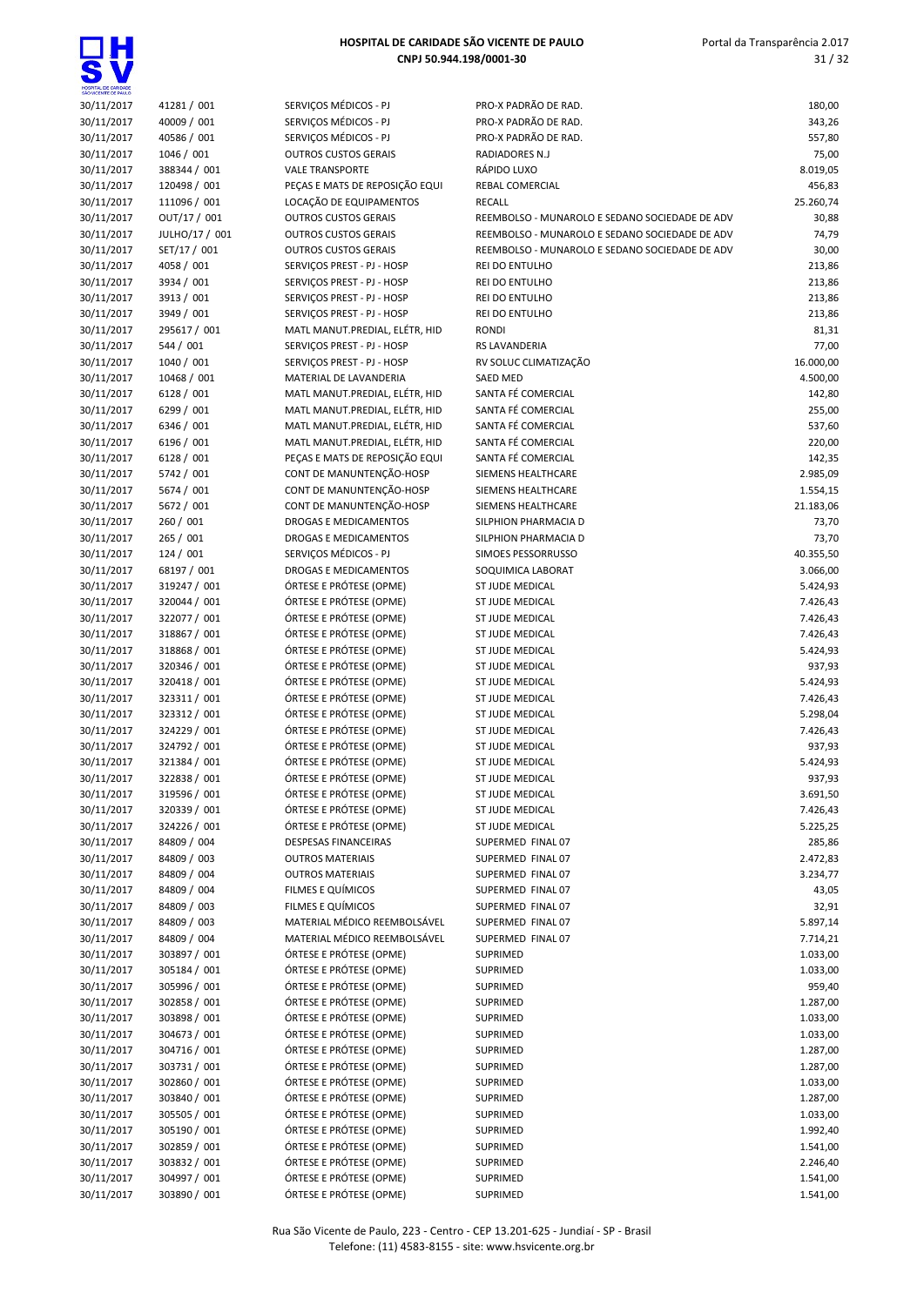$\overline{\bullet}$ 

| HOSPITAL DE CARIDADE<br>SÃO VICENTE DE PAULO |                              |                                                            |                                                |                      |
|----------------------------------------------|------------------------------|------------------------------------------------------------|------------------------------------------------|----------------------|
| 30/11/2017                                   | 41281 / 001                  | SERVICOS MÉDICOS - PJ                                      | PRO-X PADRÃO DE RAD.                           | 180,00               |
| 30/11/2017                                   | 40009 / 001                  | SERVIÇOS MÉDICOS - PJ                                      | PRO-X PADRÃO DE RAD.                           | 343,26               |
| 30/11/2017                                   | 40586 / 001                  | SERVIÇOS MÉDICOS - PJ                                      | PRO-X PADRÃO DE RAD.                           | 557,80               |
| 30/11/2017                                   | 1046 / 001                   | <b>OUTROS CUSTOS GERAIS</b>                                | RADIADORES N.J                                 | 75,00                |
| 30/11/2017                                   | 388344 / 001                 | <b>VALE TRANSPORTE</b>                                     | RÁPIDO LUXO                                    | 8.019,05             |
| 30/11/2017<br>30/11/2017                     | 120498 / 001<br>111096 / 001 | PEÇAS E MATS DE REPOSIÇÃO EQUI<br>LOCAÇÃO DE EQUIPAMENTOS  | REBAL COMERCIAL<br><b>RECALL</b>               | 456,83<br>25.260,74  |
| 30/11/2017                                   | OUT/17 / 001                 | <b>OUTROS CUSTOS GERAIS</b>                                | REEMBOLSO - MUNAROLO E SEDANO SOCIEDADE DE ADV | 30,88                |
| 30/11/2017                                   | JULHO/17 / 001               | <b>OUTROS CUSTOS GERAIS</b>                                | REEMBOLSO - MUNAROLO E SEDANO SOCIEDADE DE ADV | 74,79                |
| 30/11/2017                                   | SET/17 / 001                 | <b>OUTROS CUSTOS GERAIS</b>                                | REEMBOLSO - MUNAROLO E SEDANO SOCIEDADE DE ADV | 30,00                |
| 30/11/2017                                   | 4058 / 001                   | SERVICOS PREST - PJ - HOSP                                 | REI DO ENTULHO                                 | 213,86               |
| 30/11/2017                                   | 3934 / 001                   | SERVIÇOS PREST - PJ - HOSP                                 | REI DO ENTULHO                                 | 213,86               |
| 30/11/2017                                   | 3913 / 001                   | SERVICOS PREST - PJ - HOSP                                 | REI DO ENTULHO                                 | 213,86               |
| 30/11/2017                                   | 3949 / 001                   | SERVIÇOS PREST - PJ - HOSP                                 | REI DO ENTULHO                                 | 213,86               |
| 30/11/2017                                   | 295617 / 001                 | MATL MANUT.PREDIAL, ELÉTR, HID                             | <b>RONDI</b>                                   | 81,31                |
| 30/11/2017                                   | 544 / 001                    | SERVIÇOS PREST - PJ - HOSP                                 | RS LAVANDERIA                                  | 77,00                |
| 30/11/2017                                   | 1040 / 001                   | SERVIÇOS PREST - PJ - HOSP                                 | RV SOLUC CLIMATIZAÇÃO                          | 16.000,00            |
| 30/11/2017                                   | 10468 / 001                  | MATERIAL DE LAVANDERIA                                     | <b>SAED MED</b>                                | 4.500,00             |
| 30/11/2017                                   | 6128/001                     | MATL MANUT.PREDIAL, ELÉTR, HID                             | SANTA FÉ COMERCIAL                             | 142,80               |
| 30/11/2017                                   | 6299 / 001                   | MATL MANUT.PREDIAL, ELÉTR, HID                             | SANTA FÉ COMERCIAL                             | 255,00               |
| 30/11/2017                                   | 6346 / 001                   | MATL MANUT.PREDIAL, ELÉTR, HID                             | SANTA FÉ COMERCIAL                             | 537,60               |
| 30/11/2017                                   | 6196 / 001                   | MATL MANUT.PREDIAL, ELÉTR, HID                             | SANTA FÉ COMERCIAL                             | 220,00               |
| 30/11/2017                                   | 6128/001                     | PEÇAS E MATS DE REPOSIÇÃO EQUI<br>CONT DE MANUNTENÇÃO-HOSP | SANTA FÉ COMERCIAL                             | 142,35               |
| 30/11/2017<br>30/11/2017                     | 5742 / 001<br>5674 / 001     | CONT DE MANUNTENÇÃO-HOSP                                   | SIEMENS HEALTHCARE<br>SIEMENS HEALTHCARE       | 2.985,09<br>1.554,15 |
| 30/11/2017                                   | 5672 / 001                   | CONT DE MANUNTENÇÃO-HOSP                                   | SIEMENS HEALTHCARE                             | 21.183,06            |
| 30/11/2017                                   | 260 / 001                    | DROGAS E MEDICAMENTOS                                      | SILPHION PHARMACIA D                           | 73,70                |
| 30/11/2017                                   | 265 / 001                    | DROGAS E MEDICAMENTOS                                      | SILPHION PHARMACIA D                           | 73,70                |
| 30/11/2017                                   | 124 / 001                    | SERVIÇOS MÉDICOS - PJ                                      | SIMOES PESSORRUSSO                             | 40.355,50            |
| 30/11/2017                                   | 68197 / 001                  | DROGAS E MEDICAMENTOS                                      | SOQUIMICA LABORAT                              | 3.066,00             |
| 30/11/2017                                   | 319247 / 001                 | ÓRTESE E PRÓTESE (OPME)                                    | ST JUDE MEDICAL                                | 5.424,93             |
| 30/11/2017                                   | 320044 / 001                 | ÓRTESE E PRÓTESE (OPME)                                    | ST JUDE MEDICAL                                | 7.426,43             |
| 30/11/2017                                   | 322077 / 001                 | ÓRTESE E PRÓTESE (OPME)                                    | ST JUDE MEDICAL                                | 7.426,43             |
| 30/11/2017                                   | 318867 / 001                 | ÓRTESE E PRÓTESE (OPME)                                    | ST JUDE MEDICAL                                | 7.426,43             |
| 30/11/2017                                   | 318868 / 001                 | ÓRTESE E PRÓTESE (OPME)                                    | ST JUDE MEDICAL                                | 5.424,93             |
| 30/11/2017                                   | 320346 / 001                 | ÓRTESE E PRÓTESE (OPME)                                    | ST JUDE MEDICAL                                | 937,93               |
| 30/11/2017                                   | 320418 / 001                 | ÓRTESE E PRÓTESE (OPME)                                    | ST JUDE MEDICAL                                | 5.424,93             |
| 30/11/2017                                   | 323311 / 001                 | ÓRTESE E PRÓTESE (OPME)                                    | ST JUDE MEDICAL                                | 7.426,43             |
| 30/11/2017                                   | 323312 / 001                 | ÓRTESE E PRÓTESE (OPME)                                    | ST JUDE MEDICAL                                | 5.298,04             |
| 30/11/2017<br>30/11/2017                     | 324229 / 001<br>324792 / 001 | ÓRTESE E PRÓTESE (OPME)<br>ÓRTESE E PRÓTESE (OPME)         | ST JUDE MEDICAL<br>ST JUDE MEDICAL             | 7.426,43<br>937,93   |
| 30/11/2017                                   | 321384 / 001                 | ÓRTESE E PRÓTESE (OPME)                                    | <b>ST JUDE MEDICAL</b>                         | 5.424,93             |
| 30/11/2017                                   | 322838 / 001                 | ÓRTESE E PRÓTESE (OPME)                                    | ST JUDE MEDICAL                                | 937,93               |
| 30/11/2017                                   | 319596 / 001                 | ÓRTESE E PRÓTESE (OPME)                                    | ST JUDE MEDICAL                                | 3.691,50             |
| 30/11/2017                                   | 320339 / 001                 | ÓRTESE E PRÓTESE (OPME)                                    | ST JUDE MEDICAL                                | 7.426,43             |
| 30/11/2017                                   | 324226 / 001                 | ÓRTESE E PRÓTESE (OPME)                                    | ST JUDE MEDICAL                                | 5.225,25             |
| 30/11/2017                                   | 84809 / 004                  | <b>DESPESAS FINANCEIRAS</b>                                | SUPERMED FINAL 07                              | 285,86               |
| 30/11/2017                                   | 84809 / 003                  | <b>OUTROS MATERIAIS</b>                                    | SUPERMED FINAL 07                              | 2.472,83             |
| 30/11/2017                                   | 84809 / 004                  | <b>OUTROS MATERIAIS</b>                                    | SUPERMED FINAL 07                              | 3.234,77             |
| 30/11/2017                                   | 84809 / 004                  | FILMES E QUÍMICOS                                          | SUPERMED FINAL 07                              | 43,05                |
| 30/11/2017                                   | 84809 / 003                  | FILMES E QUÍMICOS                                          | SUPERMED FINAL 07                              | 32,91                |
| 30/11/2017                                   | 84809 / 003                  | MATERIAL MÉDICO REEMBOLSÁVEL                               | SUPERMED FINAL 07                              | 5.897,14             |
| 30/11/2017                                   | 84809 / 004                  | MATERIAL MÉDICO REEMBOLSÁVEL                               | SUPERMED FINAL 07                              | 7.714,21             |
| 30/11/2017                                   | 303897 / 001                 | ÓRTESE E PRÓTESE (OPME)<br>ÓRTESE E PRÓTESE (OPME)         | SUPRIMED                                       | 1.033,00             |
| 30/11/2017<br>30/11/2017                     | 305184 / 001<br>305996 / 001 | ÓRTESE E PRÓTESE (OPME)                                    | SUPRIMED<br>SUPRIMED                           | 1.033,00<br>959,40   |
| 30/11/2017                                   | 302858 / 001                 | ÓRTESE E PRÓTESE (OPME)                                    | SUPRIMED                                       | 1.287,00             |
| 30/11/2017                                   | 303898 / 001                 | ÓRTESE E PRÓTESE (OPME)                                    | SUPRIMED                                       | 1.033,00             |
| 30/11/2017                                   | 304673 / 001                 | ÓRTESE E PRÓTESE (OPME)                                    | SUPRIMED                                       | 1.033,00             |
| 30/11/2017                                   | 304716 / 001                 | ÓRTESE E PRÓTESE (OPME)                                    | SUPRIMED                                       | 1.287,00             |
| 30/11/2017                                   | 303731/001                   | ÓRTESE E PRÓTESE (OPME)                                    | SUPRIMED                                       | 1.287,00             |
| 30/11/2017                                   | 302860 / 001                 | ÓRTESE E PRÓTESE (OPME)                                    | SUPRIMED                                       | 1.033,00             |
| 30/11/2017                                   | 303840 / 001                 | ÓRTESE E PRÓTESE (OPME)                                    | SUPRIMED                                       | 1.287,00             |
| 30/11/2017                                   | 305505 / 001                 | ÓRTESE E PRÓTESE (OPME)                                    | SUPRIMED                                       | 1.033,00             |
| 30/11/2017                                   | 305190 / 001                 | ÓRTESE E PRÓTESE (OPME)                                    | SUPRIMED                                       | 1.992,40             |
| 30/11/2017                                   | 302859 / 001                 | ÓRTESE E PRÓTESE (OPME)                                    | SUPRIMED                                       | 1.541,00             |
| 30/11/2017                                   | 303832 / 001                 | ÓRTESE E PRÓTESE (OPME)                                    | SUPRIMED                                       | 2.246,40             |
| 30/11/2017                                   | 304997 / 001                 | ÓRTESE E PRÓTESE (OPME)                                    | SUPRIMED                                       | 1.541,00             |
| 30/11/2017                                   | 303890 / 001                 | ÓRTESE E PRÓTESE (OPME)                                    | SUPRIMED                                       | 1.541,00             |